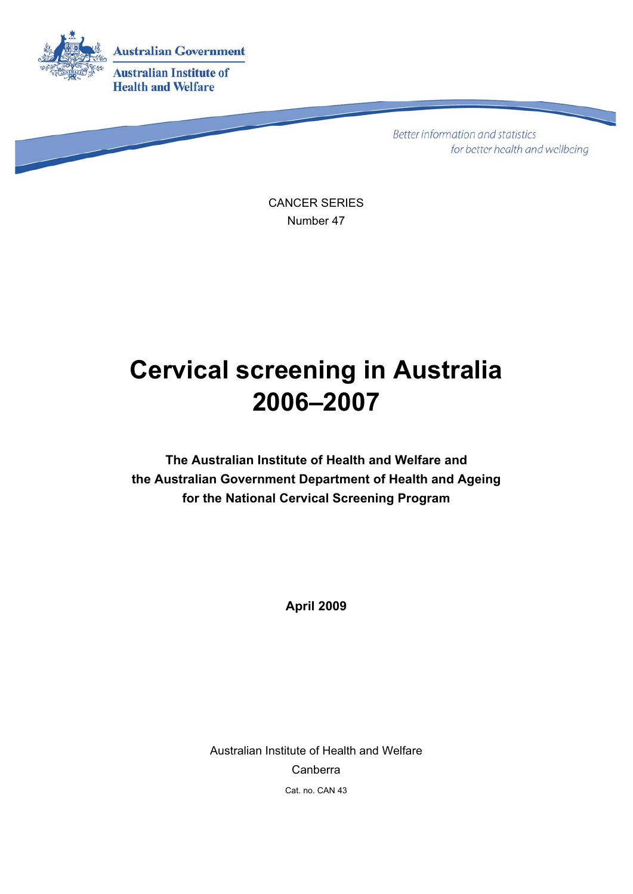

Better information and statistics for better health and wellbeing

CANCER SERIES Number 47

# **Cervical screening in Australia 2006–2007**

**The Australian Institute of Health and Welfare and the Australian Government Department of Health and Ageing for the National Cervical Screening Program** 

**April 2009** 

Australian Institute of Health and Welfare Canberra Cat. no. CAN 43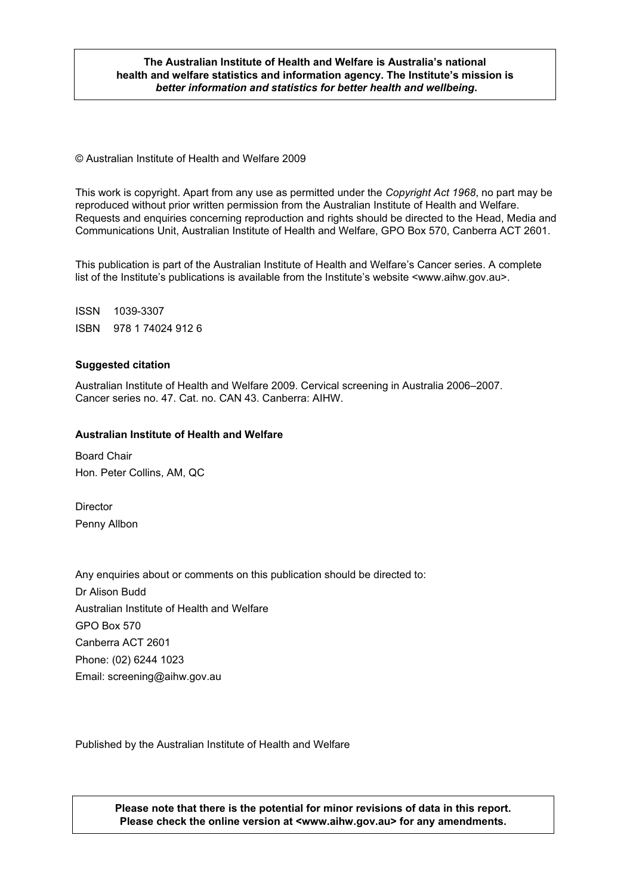#### **The Australian Institute of Health and Welfare is Australia's national health and welfare statistics and information agency. The Institute's mission is**  *better information and statistics for better health and wellbeing***.**

© Australian Institute of Health and Welfare 2009

This work is copyright. Apart from any use as permitted under the *Copyright Act 1968*, no part may be reproduced without prior written permission from the Australian Institute of Health and Welfare. Requests and enquiries concerning reproduction and rights should be directed to the Head, Media and Communications Unit, Australian Institute of Health and Welfare, GPO Box 570, Canberra ACT 2601.

This publication is part of the Australian Institute of Health and Welfare's Cancer series. A complete list of the Institute's publications is available from the Institute's website <www.aihw.gov.au>.

ISSN 1039-3307 ISBN 978 1 74024 912 6

#### **Suggested citation**

Australian Institute of Health and Welfare 2009. Cervical screening in Australia 2006–2007. Cancer series no. 47. Cat. no. CAN 43. Canberra: AIHW.

#### **Australian Institute of Health and Welfare**

Board Chair Hon. Peter Collins, AM, QC

**Director** Penny Allbon

Any enquiries about or comments on this publication should be directed to: Dr Alison Budd Australian Institute of Health and Welfare GPO Box 570 Canberra ACT 2601 Phone: (02) 6244 1023 Email: screening@aihw.gov.au

Published by the Australian Institute of Health and Welfare

**Please note that there is the potential for minor revisions of data in this report. Please check the online version at <www.aihw.gov.au> for any amendments.**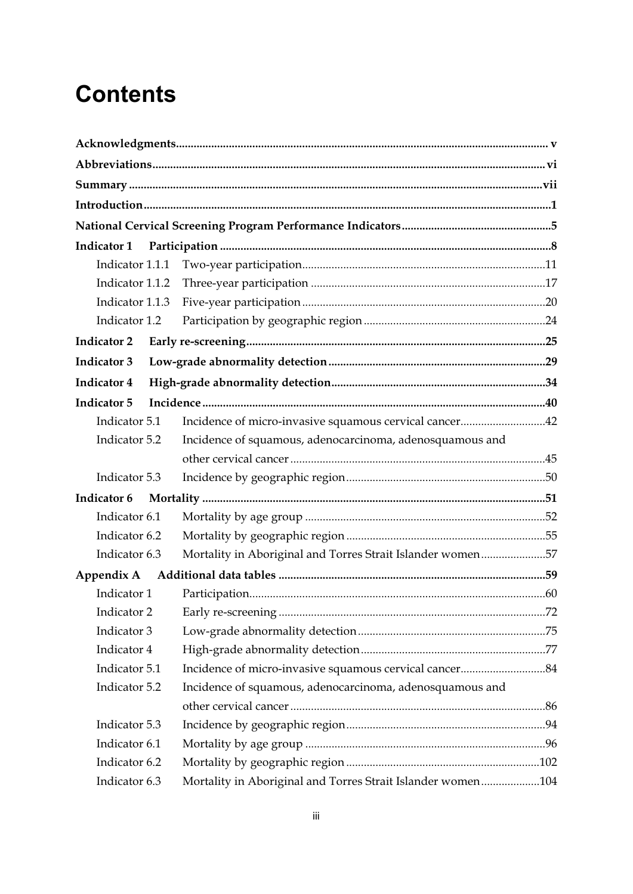# **Contents**

| Indicator 1        |                                                             |  |
|--------------------|-------------------------------------------------------------|--|
| Indicator 1.1.1    |                                                             |  |
| Indicator 1.1.2    |                                                             |  |
| Indicator 1.1.3    |                                                             |  |
| Indicator 1.2      |                                                             |  |
| <b>Indicator 2</b> |                                                             |  |
| <b>Indicator 3</b> |                                                             |  |
| <b>Indicator 4</b> |                                                             |  |
| <b>Indicator 5</b> |                                                             |  |
| Indicator 5.1      | Incidence of micro-invasive squamous cervical cancer42      |  |
| Indicator 5.2      | Incidence of squamous, adenocarcinoma, adenosquamous and    |  |
|                    |                                                             |  |
| Indicator 5.3      |                                                             |  |
| Indicator 6        |                                                             |  |
| Indicator 6.1      |                                                             |  |
| Indicator 6.2      |                                                             |  |
| Indicator 6.3      | Mortality in Aboriginal and Torres Strait Islander women57  |  |
| Appendix A         |                                                             |  |
| Indicator 1        |                                                             |  |
|                    |                                                             |  |
| Indicator 3        |                                                             |  |
| Indicator 4        |                                                             |  |
| Indicator 5.1      |                                                             |  |
| Indicator 5.2      | Incidence of squamous, adenocarcinoma, adenosquamous and    |  |
|                    |                                                             |  |
| Indicator 5.3      |                                                             |  |
| Indicator 6.1      |                                                             |  |
| Indicator 6.2      |                                                             |  |
| Indicator 6.3      | Mortality in Aboriginal and Torres Strait Islander women104 |  |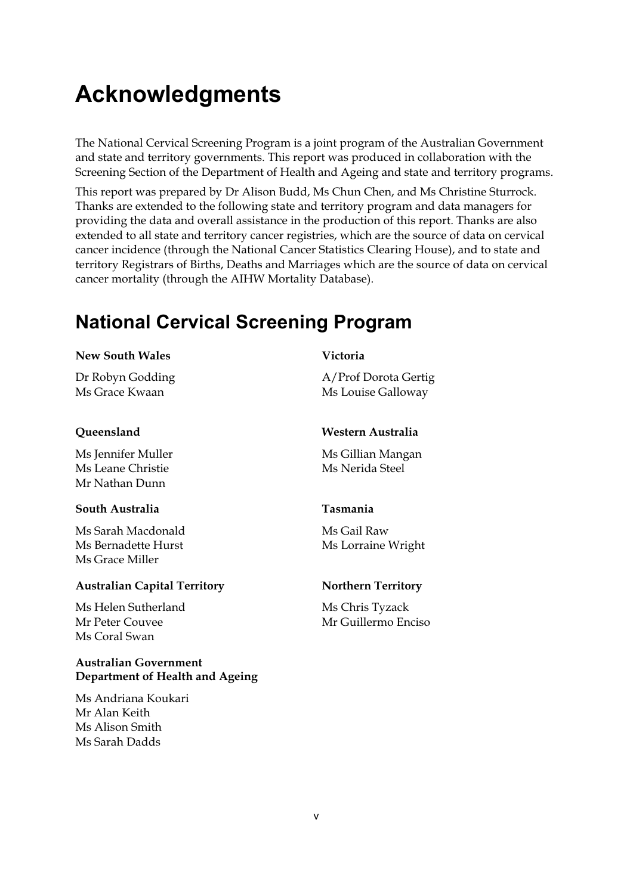# **Acknowledgments**

The National Cervical Screening Program is a joint program of the Australian Government and state and territory governments. This report was produced in collaboration with the Screening Section of the Department of Health and Ageing and state and territory programs.

This report was prepared by Dr Alison Budd, Ms Chun Chen, and Ms Christine Sturrock. Thanks are extended to the following state and territory program and data managers for providing the data and overall assistance in the production of this report. Thanks are also extended to all state and territory cancer registries, which are the source of data on cervical cancer incidence (through the National Cancer Statistics Clearing House), and to state and territory Registrars of Births, Deaths and Marriages which are the source of data on cervical cancer mortality (through the AIHW Mortality Database).

## **National Cervical Screening Program**

#### **New South Wales**

Dr Robyn Godding Ms Grace Kwaan

#### **Queensland**

Ms Jennifer Muller Ms Leane Christie Mr Nathan Dunn

#### **South Australia**

Ms Sarah Macdonald Ms Bernadette Hurst Ms Grace Miller

#### **Australian Capital Territory**

Ms Helen Sutherland Mr Peter Couvee Ms Coral Swan

#### **Australian Government Department of Health and Ageing**

Ms Andriana Koukari Mr Alan Keith Ms Alison Smith Ms Sarah Dadds

#### **Victoria**

A/Prof Dorota Gertig Ms Louise Galloway

#### **Western Australia**

Ms Gillian Mangan Ms Nerida Steel

#### **Tasmania**

Ms Gail Raw Ms Lorraine Wright

#### **Northern Territory**

Ms Chris Tyzack Mr Guillermo Enciso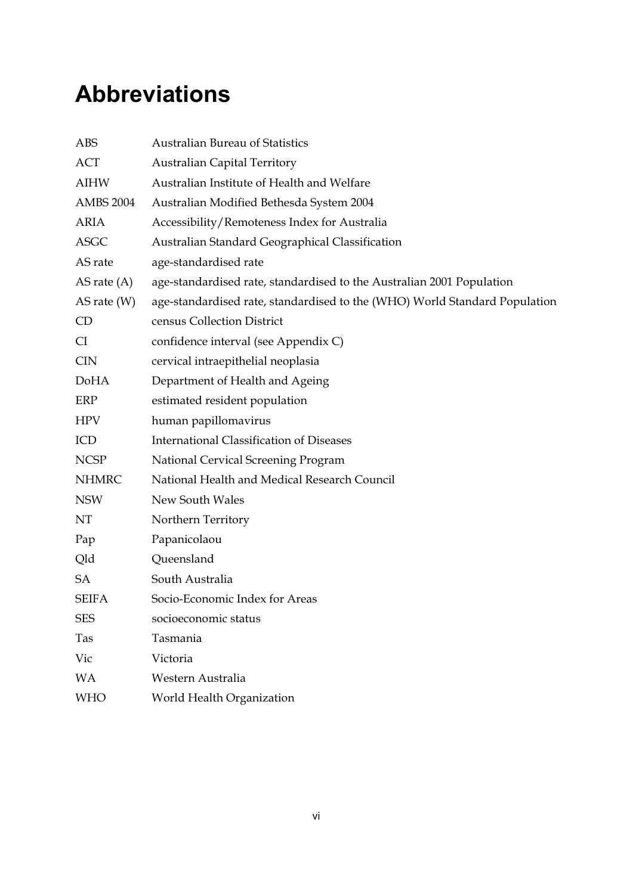# **Abbreviations**

| ABS              | <b>Australian Bureau of Statistics</b>                                     |
|------------------|----------------------------------------------------------------------------|
| <b>ACT</b>       | <b>Australian Capital Territory</b>                                        |
| <b>AIHW</b>      | Australian Institute of Health and Welfare                                 |
| <b>AMBS 2004</b> | Australian Modified Bethesda System 2004                                   |
| <b>ARIA</b>      | Accessibility/Remoteness Index for Australia                               |
| <b>ASGC</b>      | Australian Standard Geographical Classification                            |
| AS rate          | age-standardised rate                                                      |
| AS rate $(A)$    | age-standardised rate, standardised to the Australian 2001 Population      |
| AS rate $(W)$    | age-standardised rate, standardised to the (WHO) World Standard Population |
| CD               | census Collection District                                                 |
| CI               | confidence interval (see Appendix C)                                       |
| <b>CIN</b>       | cervical intraepithelial neoplasia                                         |
| DoHA             | Department of Health and Ageing                                            |
| ERP              | estimated resident population                                              |
| <b>HPV</b>       | human papillomavirus                                                       |
| ICD              | <b>International Classification of Diseases</b>                            |
| <b>NCSP</b>      | National Cervical Screening Program                                        |
| <b>NHMRC</b>     | National Health and Medical Research Council                               |
| <b>NSW</b>       | New South Wales                                                            |
| NT               | Northern Territory                                                         |
| Pap              | Papanicolaou                                                               |
| Qld              | Queensland                                                                 |
| SA               | South Australia                                                            |
| <b>SEIFA</b>     | Socio-Economic Index for Areas                                             |
| <b>SES</b>       | socioeconomic status                                                       |
| Tas              | Tasmania                                                                   |
| Vic              | Victoria                                                                   |
| <b>WA</b>        | Western Australia                                                          |
| <b>WHO</b>       | World Health Organization                                                  |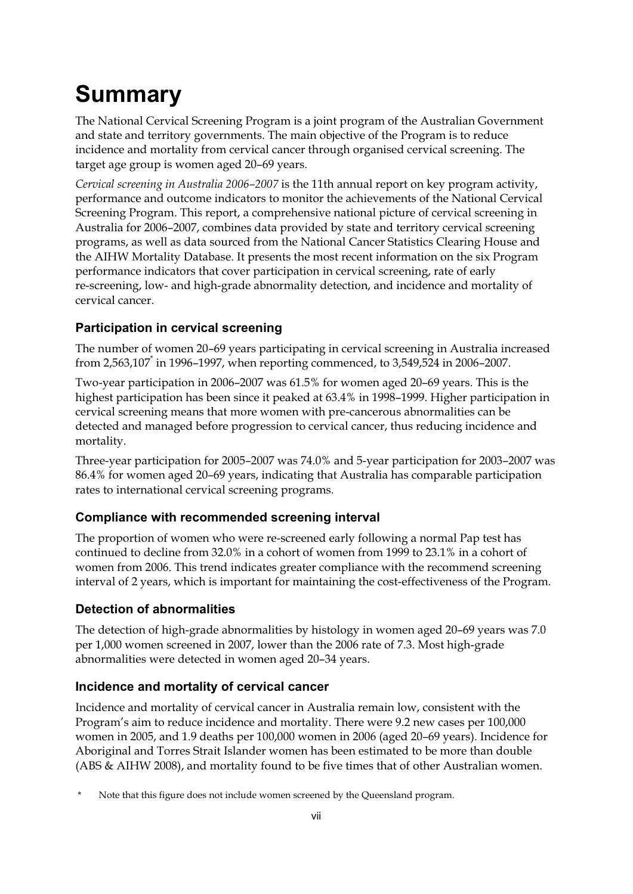# **Summary**

The National Cervical Screening Program is a joint program of the Australian Government and state and territory governments. The main objective of the Program is to reduce incidence and mortality from cervical cancer through organised cervical screening. The target age group is women aged 20–69 years.

*Cervical screening in Australia 2006–2007* is the 11th annual report on key program activity, performance and outcome indicators to monitor the achievements of the National Cervical Screening Program. This report, a comprehensive national picture of cervical screening in Australia for 2006–2007, combines data provided by state and territory cervical screening programs, as well as data sourced from the National Cancer Statistics Clearing House and the AIHW Mortality Database. It presents the most recent information on the six Program performance indicators that cover participation in cervical screening, rate of early re-screening, low- and high-grade abnormality detection, and incidence and mortality of cervical cancer.

## **Participation in cervical screening**

The number of women 20–69 years participating in cervical screening in Australia increased from 2,563,107\* in 1996–1997, when reporting commenced, to 3,549,524 in 2006–2007.

Two-year participation in 2006–2007 was 61.5% for women aged 20–69 years. This is the highest participation has been since it peaked at 63.4% in 1998–1999. Higher participation in cervical screening means that more women with pre-cancerous abnormalities can be detected and managed before progression to cervical cancer, thus reducing incidence and mortality.

Three-year participation for 2005–2007 was 74.0% and 5-year participation for 2003–2007 was 86.4% for women aged 20–69 years, indicating that Australia has comparable participation rates to international cervical screening programs.

## **Compliance with recommended screening interval**

The proportion of women who were re-screened early following a normal Pap test has continued to decline from 32.0% in a cohort of women from 1999 to 23.1% in a cohort of women from 2006. This trend indicates greater compliance with the recommend screening interval of 2 years, which is important for maintaining the cost-effectiveness of the Program.

## **Detection of abnormalities**

The detection of high-grade abnormalities by histology in women aged 20–69 years was 7.0 per 1,000 women screened in 2007, lower than the 2006 rate of 7.3. Most high-grade abnormalities were detected in women aged 20–34 years.

## **Incidence and mortality of cervical cancer**

Incidence and mortality of cervical cancer in Australia remain low, consistent with the Program's aim to reduce incidence and mortality. There were 9.2 new cases per 100,000 women in 2005, and 1.9 deaths per 100,000 women in 2006 (aged 20–69 years). Incidence for Aboriginal and Torres Strait Islander women has been estimated to be more than double (ABS & AIHW 2008), and mortality found to be five times that of other Australian women.

<sup>\*</sup> Note that this figure does not include women screened by the Queensland program.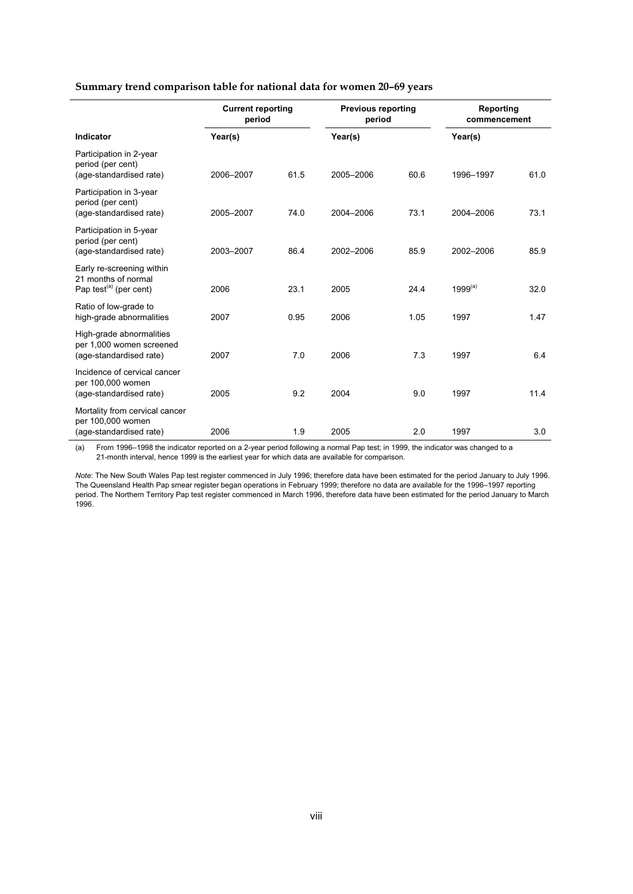#### **Summary trend comparison table for national data for women 20–69 years**

|                                                                                        | <b>Current reporting</b><br>period |      | <b>Previous reporting</b><br>period |      | Reporting<br>commencement |      |  |
|----------------------------------------------------------------------------------------|------------------------------------|------|-------------------------------------|------|---------------------------|------|--|
| <b>Indicator</b>                                                                       | Year(s)                            |      | Year(s)                             |      | Year(s)                   |      |  |
| Participation in 2-year<br>period (per cent)<br>(age-standardised rate)                | 2006-2007                          | 61.5 | 2005-2006                           | 60.6 | 1996-1997                 | 61.0 |  |
| Participation in 3-year<br>period (per cent)<br>(age-standardised rate)                | 2005-2007                          | 74.0 | 2004-2006                           | 73.1 | 2004-2006                 | 73.1 |  |
| Participation in 5-year<br>period (per cent)<br>(age-standardised rate)                | 2003-2007                          | 86.4 | 2002-2006                           | 85.9 | 2002-2006                 | 85.9 |  |
| Early re-screening within<br>21 months of normal<br>Pap test <sup>(a)</sup> (per cent) | 2006                               | 23.1 | 2005                                | 24.4 | $1999^{(a)}$              | 32.0 |  |
| Ratio of low-grade to<br>high-grade abnormalities                                      | 2007                               | 0.95 | 2006                                | 1.05 | 1997                      | 1.47 |  |
| High-grade abnormalities<br>per 1,000 women screened<br>(age-standardised rate)        | 2007                               | 7.0  | 2006                                | 7.3  | 1997                      | 6.4  |  |
| Incidence of cervical cancer<br>per 100,000 women<br>(age-standardised rate)           | 2005                               | 9.2  | 2004                                | 9.0  | 1997                      | 11.4 |  |
| Mortality from cervical cancer<br>per 100,000 women<br>(age-standardised rate)         | 2006                               | 1.9  | 2005                                | 2.0  | 1997                      | 3.0  |  |

(a) From 1996–1998 the indicator reported on a 2-year period following a normal Pap test; in 1999, the indicator was changed to a 21-month interval, hence 1999 is the earliest year for which data are available for comparison.

*Note*: The New South Wales Pap test register commenced in July 1996; therefore data have been estimated for the period January to July 1996. The Queensland Health Pap smear register began operations in February 1999; therefore no data are available for the 1996–1997 reporting period. The Northern Territory Pap test register commenced in March 1996, therefore data have been estimated for the period January to March 1996.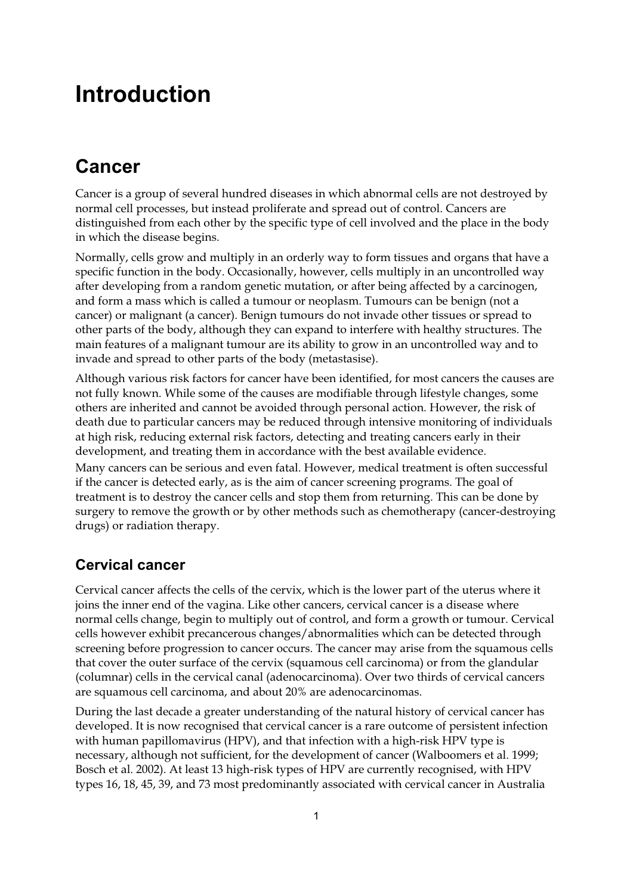## **Introduction**

## **Cancer**

Cancer is a group of several hundred diseases in which abnormal cells are not destroyed by normal cell processes, but instead proliferate and spread out of control. Cancers are distinguished from each other by the specific type of cell involved and the place in the body in which the disease begins.

Normally, cells grow and multiply in an orderly way to form tissues and organs that have a specific function in the body. Occasionally, however, cells multiply in an uncontrolled way after developing from a random genetic mutation, or after being affected by a carcinogen, and form a mass which is called a tumour or neoplasm. Tumours can be benign (not a cancer) or malignant (a cancer). Benign tumours do not invade other tissues or spread to other parts of the body, although they can expand to interfere with healthy structures. The main features of a malignant tumour are its ability to grow in an uncontrolled way and to invade and spread to other parts of the body (metastasise).

Although various risk factors for cancer have been identified, for most cancers the causes are not fully known. While some of the causes are modifiable through lifestyle changes, some others are inherited and cannot be avoided through personal action. However, the risk of death due to particular cancers may be reduced through intensive monitoring of individuals at high risk, reducing external risk factors, detecting and treating cancers early in their development, and treating them in accordance with the best available evidence.

Many cancers can be serious and even fatal. However, medical treatment is often successful if the cancer is detected early, as is the aim of cancer screening programs. The goal of treatment is to destroy the cancer cells and stop them from returning. This can be done by surgery to remove the growth or by other methods such as chemotherapy (cancer-destroying drugs) or radiation therapy.

## **Cervical cancer**

Cervical cancer affects the cells of the cervix, which is the lower part of the uterus where it joins the inner end of the vagina. Like other cancers, cervical cancer is a disease where normal cells change, begin to multiply out of control, and form a growth or tumour. Cervical cells however exhibit precancerous changes/abnormalities which can be detected through screening before progression to cancer occurs. The cancer may arise from the squamous cells that cover the outer surface of the cervix (squamous cell carcinoma) or from the glandular (columnar) cells in the cervical canal (adenocarcinoma). Over two thirds of cervical cancers are squamous cell carcinoma, and about 20% are adenocarcinomas.

During the last decade a greater understanding of the natural history of cervical cancer has developed. It is now recognised that cervical cancer is a rare outcome of persistent infection with human papillomavirus (HPV), and that infection with a high-risk HPV type is necessary, although not sufficient, for the development of cancer (Walboomers et al. 1999; Bosch et al. 2002). At least 13 high-risk types of HPV are currently recognised, with HPV types 16, 18, 45, 39, and 73 most predominantly associated with cervical cancer in Australia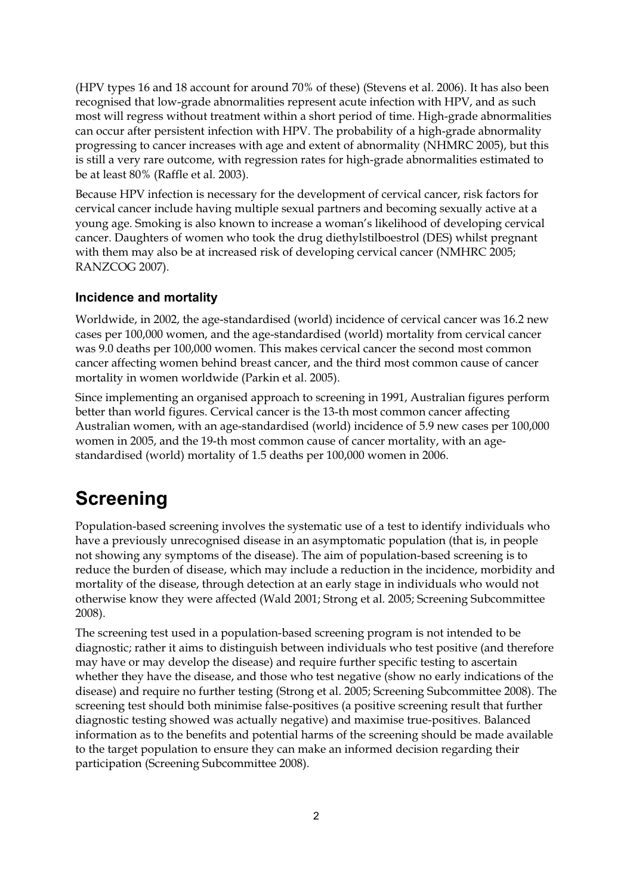(HPV types 16 and 18 account for around 70% of these) (Stevens et al. 2006). It has also been recognised that low-grade abnormalities represent acute infection with HPV, and as such most will regress without treatment within a short period of time. High-grade abnormalities can occur after persistent infection with HPV. The probability of a high-grade abnormality progressing to cancer increases with age and extent of abnormality (NHMRC 2005), but this is still a very rare outcome, with regression rates for high-grade abnormalities estimated to be at least 80% (Raffle et al. 2003).

Because HPV infection is necessary for the development of cervical cancer, risk factors for cervical cancer include having multiple sexual partners and becoming sexually active at a young age. Smoking is also known to increase a woman's likelihood of developing cervical cancer. Daughters of women who took the drug diethylstilboestrol (DES) whilst pregnant with them may also be at increased risk of developing cervical cancer (NMHRC 2005; RANZCOG 2007).

#### **Incidence and mortality**

Worldwide, in 2002, the age-standardised (world) incidence of cervical cancer was 16.2 new cases per 100,000 women, and the age-standardised (world) mortality from cervical cancer was 9.0 deaths per 100,000 women. This makes cervical cancer the second most common cancer affecting women behind breast cancer, and the third most common cause of cancer mortality in women worldwide (Parkin et al. 2005).

Since implementing an organised approach to screening in 1991, Australian figures perform better than world figures. Cervical cancer is the 13-th most common cancer affecting Australian women, with an age-standardised (world) incidence of 5.9 new cases per 100,000 women in 2005, and the 19-th most common cause of cancer mortality, with an agestandardised (world) mortality of 1.5 deaths per 100,000 women in 2006.

## **Screening**

Population-based screening involves the systematic use of a test to identify individuals who have a previously unrecognised disease in an asymptomatic population (that is, in people not showing any symptoms of the disease). The aim of population-based screening is to reduce the burden of disease, which may include a reduction in the incidence, morbidity and mortality of the disease, through detection at an early stage in individuals who would not otherwise know they were affected (Wald 2001; Strong et al. 2005; Screening Subcommittee 2008).

The screening test used in a population-based screening program is not intended to be diagnostic; rather it aims to distinguish between individuals who test positive (and therefore may have or may develop the disease) and require further specific testing to ascertain whether they have the disease, and those who test negative (show no early indications of the disease) and require no further testing (Strong et al. 2005; Screening Subcommittee 2008). The screening test should both minimise false-positives (a positive screening result that further diagnostic testing showed was actually negative) and maximise true-positives. Balanced information as to the benefits and potential harms of the screening should be made available to the target population to ensure they can make an informed decision regarding their participation (Screening Subcommittee 2008).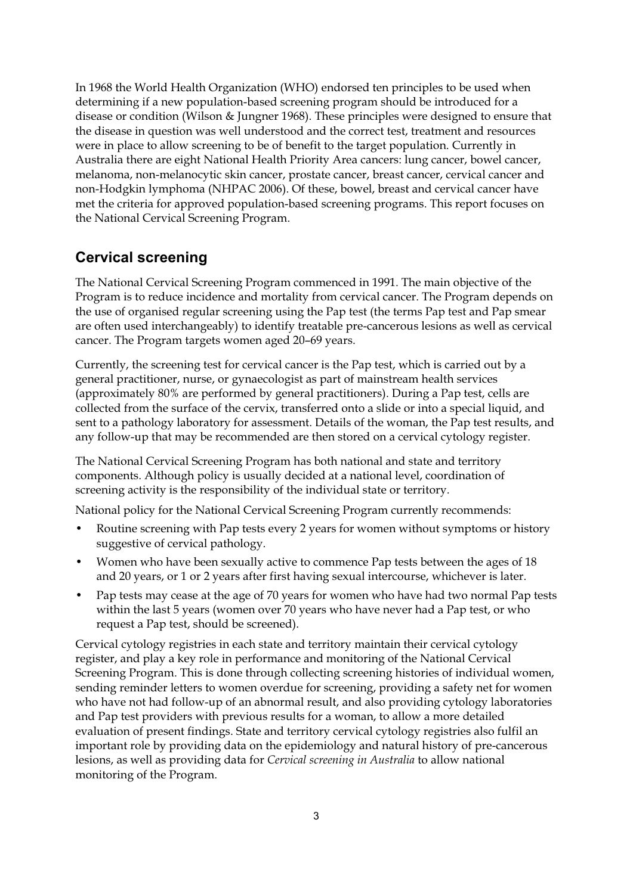In 1968 the World Health Organization (WHO) endorsed ten principles to be used when determining if a new population-based screening program should be introduced for a disease or condition (Wilson & Jungner 1968). These principles were designed to ensure that the disease in question was well understood and the correct test, treatment and resources were in place to allow screening to be of benefit to the target population. Currently in Australia there are eight National Health Priority Area cancers: lung cancer, bowel cancer, melanoma, non-melanocytic skin cancer, prostate cancer, breast cancer, cervical cancer and non-Hodgkin lymphoma (NHPAC 2006). Of these, bowel, breast and cervical cancer have met the criteria for approved population-based screening programs. This report focuses on the National Cervical Screening Program.

## **Cervical screening**

The National Cervical Screening Program commenced in 1991. The main objective of the Program is to reduce incidence and mortality from cervical cancer. The Program depends on the use of organised regular screening using the Pap test (the terms Pap test and Pap smear are often used interchangeably) to identify treatable pre-cancerous lesions as well as cervical cancer. The Program targets women aged 20–69 years.

Currently, the screening test for cervical cancer is the Pap test, which is carried out by a general practitioner, nurse, or gynaecologist as part of mainstream health services (approximately 80% are performed by general practitioners). During a Pap test, cells are collected from the surface of the cervix, transferred onto a slide or into a special liquid, and sent to a pathology laboratory for assessment. Details of the woman, the Pap test results, and any follow-up that may be recommended are then stored on a cervical cytology register.

The National Cervical Screening Program has both national and state and territory components. Although policy is usually decided at a national level, coordination of screening activity is the responsibility of the individual state or territory.

National policy for the National Cervical Screening Program currently recommends:

- Routine screening with Pap tests every 2 years for women without symptoms or history suggestive of cervical pathology.
- Women who have been sexually active to commence Pap tests between the ages of 18 and 20 years, or 1 or 2 years after first having sexual intercourse, whichever is later.
- Pap tests may cease at the age of 70 years for women who have had two normal Pap tests within the last 5 years (women over 70 years who have never had a Pap test, or who request a Pap test, should be screened).

Cervical cytology registries in each state and territory maintain their cervical cytology register, and play a key role in performance and monitoring of the National Cervical Screening Program. This is done through collecting screening histories of individual women, sending reminder letters to women overdue for screening, providing a safety net for women who have not had follow-up of an abnormal result, and also providing cytology laboratories and Pap test providers with previous results for a woman, to allow a more detailed evaluation of present findings. State and territory cervical cytology registries also fulfil an important role by providing data on the epidemiology and natural history of pre-cancerous lesions, as well as providing data for *Cervical screening in Australia* to allow national monitoring of the Program.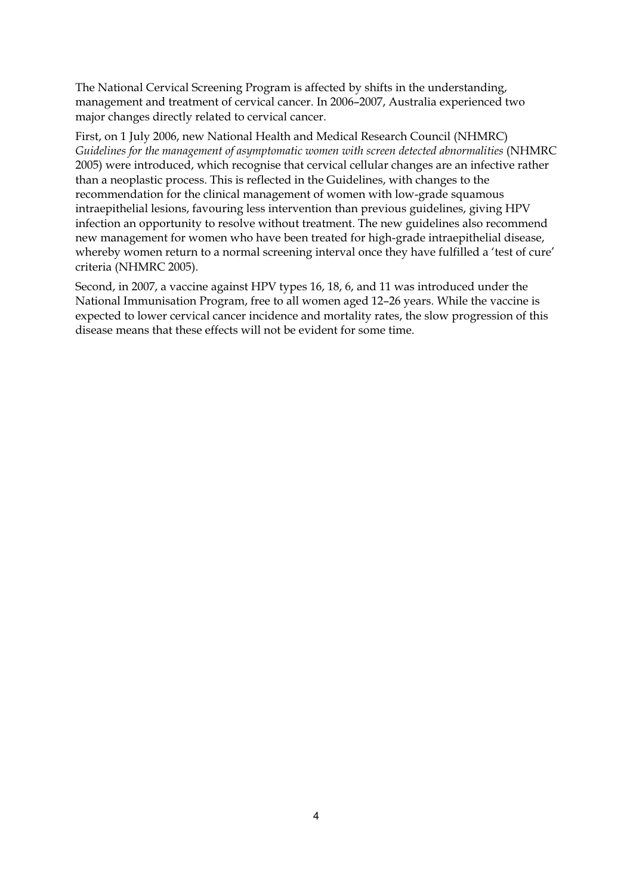The National Cervical Screening Program is affected by shifts in the understanding, management and treatment of cervical cancer. In 2006–2007, Australia experienced two major changes directly related to cervical cancer.

First, on 1 July 2006, new National Health and Medical Research Council (NHMRC) *Guidelines for the management of asymptomatic women with screen detected abnormalities* (NHMRC 2005) were introduced, which recognise that cervical cellular changes are an infective rather than a neoplastic process. This is reflected in the Guidelines, with changes to the recommendation for the clinical management of women with low-grade squamous intraepithelial lesions, favouring less intervention than previous guidelines, giving HPV infection an opportunity to resolve without treatment. The new guidelines also recommend new management for women who have been treated for high-grade intraepithelial disease, whereby women return to a normal screening interval once they have fulfilled a 'test of cure' criteria (NHMRC 2005).

Second, in 2007, a vaccine against HPV types 16, 18, 6, and 11 was introduced under the National Immunisation Program, free to all women aged 12–26 years. While the vaccine is expected to lower cervical cancer incidence and mortality rates, the slow progression of this disease means that these effects will not be evident for some time.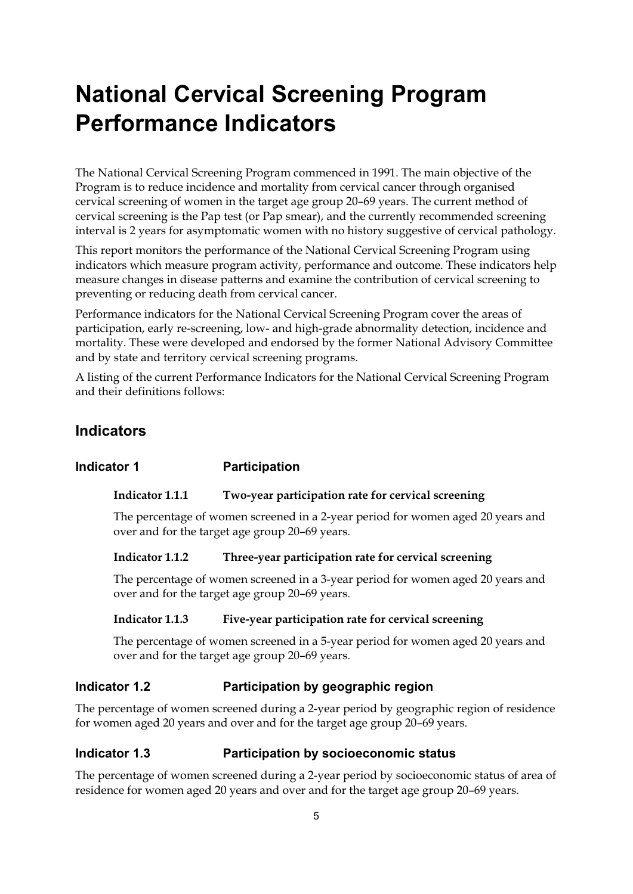# **National Cervical Screening Program Performance Indicators**

The National Cervical Screening Program commenced in 1991. The main objective of the Program is to reduce incidence and mortality from cervical cancer through organised cervical screening of women in the target age group 20–69 years. The current method of cervical screening is the Pap test (or Pap smear), and the currently recommended screening interval is 2 years for asymptomatic women with no history suggestive of cervical pathology.

This report monitors the performance of the National Cervical Screening Program using indicators which measure program activity, performance and outcome. These indicators help measure changes in disease patterns and examine the contribution of cervical screening to preventing or reducing death from cervical cancer.

Performance indicators for the National Cervical Screening Program cover the areas of participation, early re-screening, low- and high-grade abnormality detection, incidence and mortality. These were developed and endorsed by the former National Advisory Committee and by state and territory cervical screening programs.

A listing of the current Performance Indicators for the National Cervical Screening Program and their definitions follows:

## **Indicators**

#### **Indicator 1** Participation

#### **Indicator 1.1.1 Two-year participation rate for cervical screening**

The percentage of women screened in a 2-year period for women aged 20 years and over and for the target age group 20–69 years.

#### **Indicator 1.1.2 Three-year participation rate for cervical screening**

The percentage of women screened in a 3-year period for women aged 20 years and over and for the target age group 20–69 years.

#### **Indicator 1.1.3 Five-year participation rate for cervical screening**

The percentage of women screened in a 5-year period for women aged 20 years and over and for the target age group 20–69 years.

#### **Indicator 1.2 Participation by geographic region**

The percentage of women screened during a 2-year period by geographic region of residence for women aged 20 years and over and for the target age group 20–69 years.

#### **Indicator 1.3 Participation by socioeconomic status**

The percentage of women screened during a 2-year period by socioeconomic status of area of residence for women aged 20 years and over and for the target age group 20–69 years.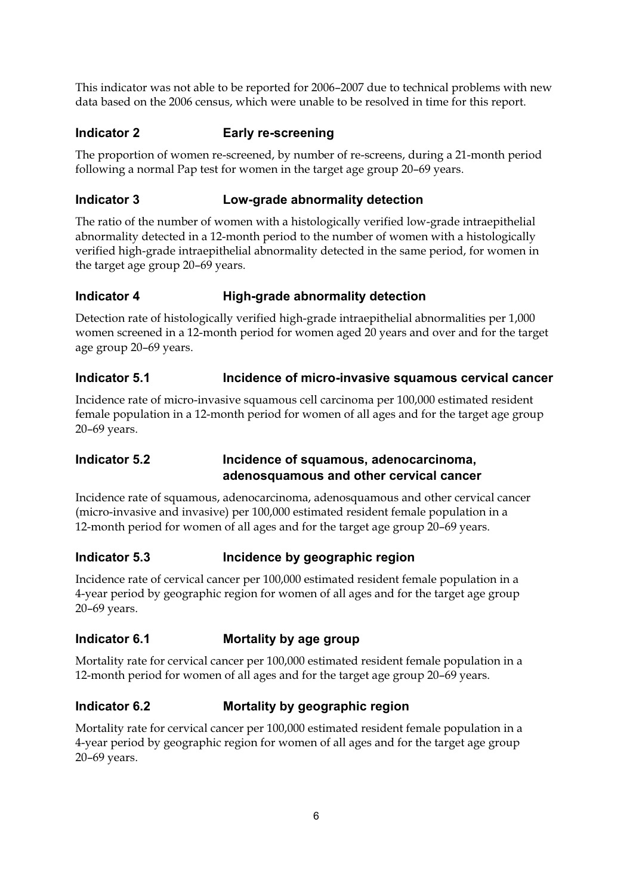This indicator was not able to be reported for 2006–2007 due to technical problems with new data based on the 2006 census, which were unable to be resolved in time for this report.

### **Indicator 2 Early re-screening**

The proportion of women re-screened, by number of re-screens, during a 21-month period following a normal Pap test for women in the target age group 20–69 years.

### **Indicator 3 Low-grade abnormality detection**

The ratio of the number of women with a histologically verified low-grade intraepithelial abnormality detected in a 12-month period to the number of women with a histologically verified high-grade intraepithelial abnormality detected in the same period, for women in the target age group 20–69 years.

### **Indicator 4 High-grade abnormality detection**

Detection rate of histologically verified high-grade intraepithelial abnormalities per 1,000 women screened in a 12-month period for women aged 20 years and over and for the target age group 20–69 years.

### **Indicator 5.1 Incidence of micro-invasive squamous cervical cancer**

Incidence rate of micro-invasive squamous cell carcinoma per 100,000 estimated resident female population in a 12-month period for women of all ages and for the target age group 20–69 years.

### **Indicator 5.2 Incidence of squamous, adenocarcinoma, adenosquamous and other cervical cancer**

Incidence rate of squamous, adenocarcinoma, adenosquamous and other cervical cancer (micro-invasive and invasive) per 100,000 estimated resident female population in a 12-month period for women of all ages and for the target age group 20–69 years.

### **Indicator 5.3 Incidence by geographic region**

Incidence rate of cervical cancer per 100,000 estimated resident female population in a 4-year period by geographic region for women of all ages and for the target age group 20–69 years.

### **Indicator 6.1 Mortality by age group**

Mortality rate for cervical cancer per 100,000 estimated resident female population in a 12-month period for women of all ages and for the target age group 20–69 years.

## **Indicator 6.2 Mortality by geographic region**

Mortality rate for cervical cancer per 100,000 estimated resident female population in a 4-year period by geographic region for women of all ages and for the target age group 20–69 years.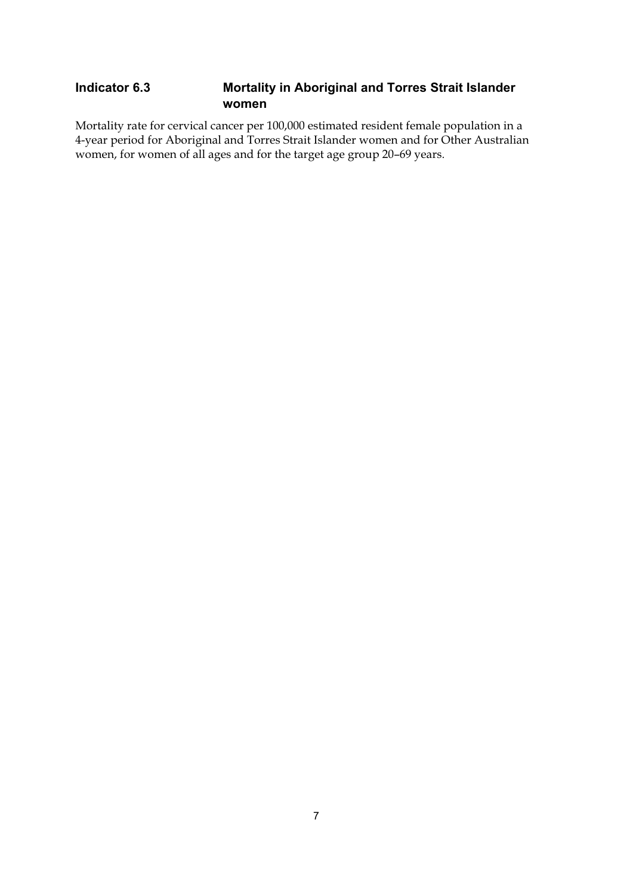### **Indicator 6.3 Mortality in Aboriginal and Torres Strait Islander women**

Mortality rate for cervical cancer per 100,000 estimated resident female population in a 4-year period for Aboriginal and Torres Strait Islander women and for Other Australian women, for women of all ages and for the target age group 20–69 years.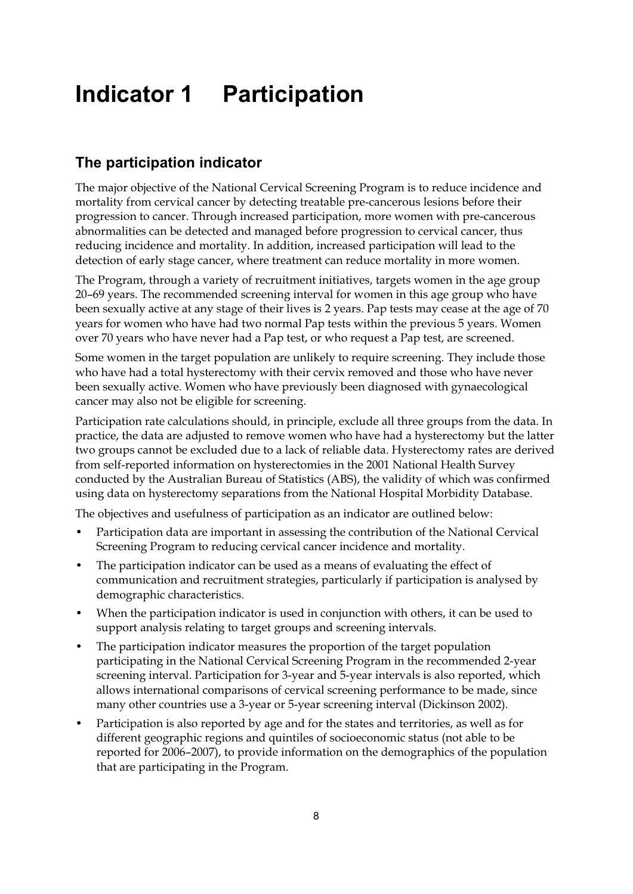# **Indicator 1 Participation**

## **The participation indicator**

The major objective of the National Cervical Screening Program is to reduce incidence and mortality from cervical cancer by detecting treatable pre-cancerous lesions before their progression to cancer. Through increased participation, more women with pre-cancerous abnormalities can be detected and managed before progression to cervical cancer, thus reducing incidence and mortality. In addition, increased participation will lead to the detection of early stage cancer, where treatment can reduce mortality in more women.

The Program, through a variety of recruitment initiatives, targets women in the age group 20–69 years. The recommended screening interval for women in this age group who have been sexually active at any stage of their lives is 2 years. Pap tests may cease at the age of 70 years for women who have had two normal Pap tests within the previous 5 years. Women over 70 years who have never had a Pap test, or who request a Pap test, are screened.

Some women in the target population are unlikely to require screening. They include those who have had a total hysterectomy with their cervix removed and those who have never been sexually active. Women who have previously been diagnosed with gynaecological cancer may also not be eligible for screening.

Participation rate calculations should, in principle, exclude all three groups from the data. In practice, the data are adjusted to remove women who have had a hysterectomy but the latter two groups cannot be excluded due to a lack of reliable data. Hysterectomy rates are derived from self-reported information on hysterectomies in the 2001 National Health Survey conducted by the Australian Bureau of Statistics (ABS), the validity of which was confirmed using data on hysterectomy separations from the National Hospital Morbidity Database.

The objectives and usefulness of participation as an indicator are outlined below:

- Participation data are important in assessing the contribution of the National Cervical Screening Program to reducing cervical cancer incidence and mortality.
- The participation indicator can be used as a means of evaluating the effect of communication and recruitment strategies, particularly if participation is analysed by demographic characteristics.
- When the participation indicator is used in conjunction with others, it can be used to support analysis relating to target groups and screening intervals.
- The participation indicator measures the proportion of the target population participating in the National Cervical Screening Program in the recommended 2-year screening interval. Participation for 3-year and 5-year intervals is also reported, which allows international comparisons of cervical screening performance to be made, since many other countries use a 3-year or 5-year screening interval (Dickinson 2002).
- Participation is also reported by age and for the states and territories, as well as for different geographic regions and quintiles of socioeconomic status (not able to be reported for 2006–2007), to provide information on the demographics of the population that are participating in the Program.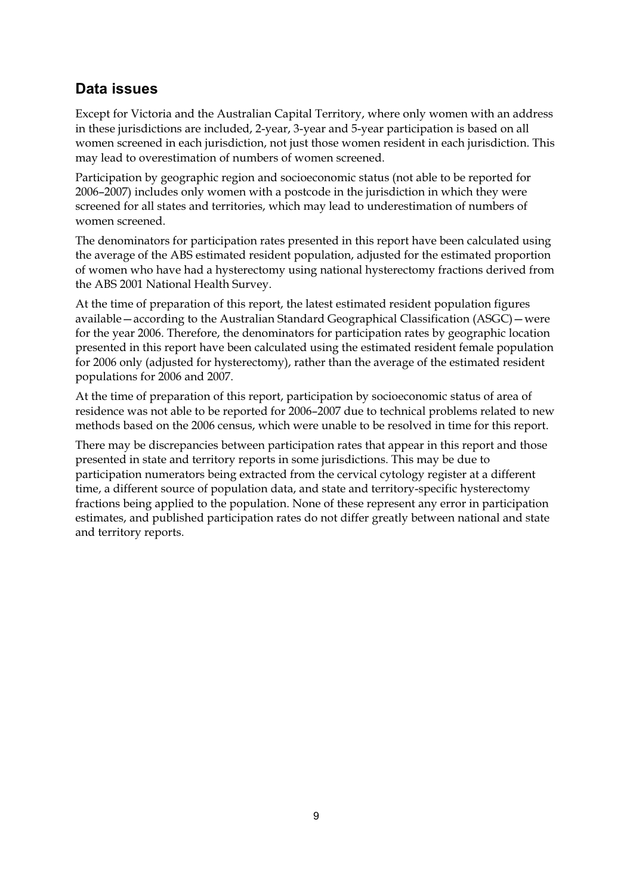## **Data issues**

Except for Victoria and the Australian Capital Territory, where only women with an address in these jurisdictions are included, 2-year, 3-year and 5-year participation is based on all women screened in each jurisdiction, not just those women resident in each jurisdiction. This may lead to overestimation of numbers of women screened.

Participation by geographic region and socioeconomic status (not able to be reported for 2006–2007) includes only women with a postcode in the jurisdiction in which they were screened for all states and territories, which may lead to underestimation of numbers of women screened.

The denominators for participation rates presented in this report have been calculated using the average of the ABS estimated resident population, adjusted for the estimated proportion of women who have had a hysterectomy using national hysterectomy fractions derived from the ABS 2001 National Health Survey.

At the time of preparation of this report, the latest estimated resident population figures available—according to the Australian Standard Geographical Classification (ASGC)—were for the year 2006. Therefore, the denominators for participation rates by geographic location presented in this report have been calculated using the estimated resident female population for 2006 only (adjusted for hysterectomy), rather than the average of the estimated resident populations for 2006 and 2007.

At the time of preparation of this report, participation by socioeconomic status of area of residence was not able to be reported for 2006–2007 due to technical problems related to new methods based on the 2006 census, which were unable to be resolved in time for this report.

There may be discrepancies between participation rates that appear in this report and those presented in state and territory reports in some jurisdictions. This may be due to participation numerators being extracted from the cervical cytology register at a different time, a different source of population data, and state and territory-specific hysterectomy fractions being applied to the population. None of these represent any error in participation estimates, and published participation rates do not differ greatly between national and state and territory reports.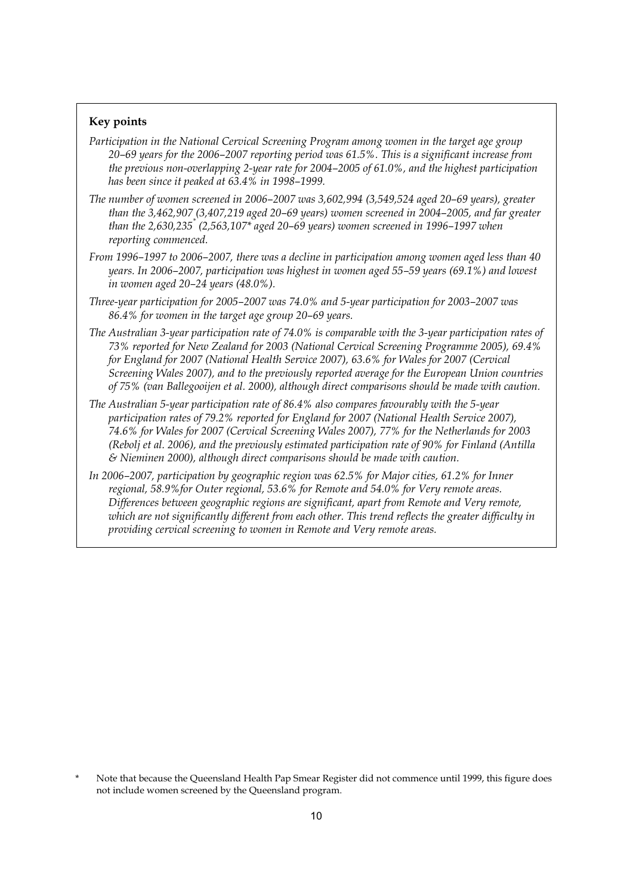#### **Key points**

- *Participation in the National Cervical Screening Program among women in the target age group 20–69 years for the 2006–2007 reporting period was 61.5%. This is a significant increase from the previous non-overlapping 2-year rate for 2004–2005 of 61.0%, and the highest participation has been since it peaked at 63.4% in 1998–1999.*
- *The number of women screened in 2006–2007 was 3,602,994 (3,549,524 aged 20–69 years), greater than the 3,462,907 (3,407,219 aged 20–69 years) women screened in 2004–2005, and far greater than the 2,630,235\* (2,563,107\* aged 20–69 years) women screened in 1996–1997 when reporting commenced.*
- *From 1996–1997 to 2006–2007, there was a decline in participation among women aged less than 40 years. In 2006–2007, participation was highest in women aged 55–59 years (69.1%) and lowest in women aged 20–24 years (48.0%).*
- *Three-year participation for 2005–2007 was 74.0% and 5-year participation for 2003–2007 was 86.4% for women in the target age group 20–69 years.*
- *The Australian 3-year participation rate of 74.0% is comparable with the 3-year participation rates of 73% reported for New Zealand for 2003 (National Cervical Screening Programme 2005), 69.4% for England for 2007 (National Health Service 2007), 63.6% for Wales for 2007 (Cervical Screening Wales 2007), and to the previously reported average for the European Union countries of 75% (van Ballegooijen et al. 2000), although direct comparisons should be made with caution.*
- *The Australian 5-year participation rate of 86.4% also compares favourably with the 5-year participation rates of 79.2% reported for England for 2007 (National Health Service 2007), 74.6% for Wales for 2007 (Cervical Screening Wales 2007), 77% for the Netherlands for 2003 (Rebolj et al. 2006), and the previously estimated participation rate of 90% for Finland (Antilla & Nieminen 2000), although direct comparisons should be made with caution.*
- *In 2006–2007, participation by geographic region was 62.5% for Major cities, 61.2% for Inner regional, 58.9%for Outer regional, 53.6% for Remote and 54.0% for Very remote areas. Differences between geographic regions are significant, apart from Remote and Very remote, which are not significantly different from each other. This trend reflects the greater difficulty in providing cervical screening to women in Remote and Very remote areas.*

Note that because the Queensland Health Pap Smear Register did not commence until 1999, this figure does not include women screened by the Queensland program.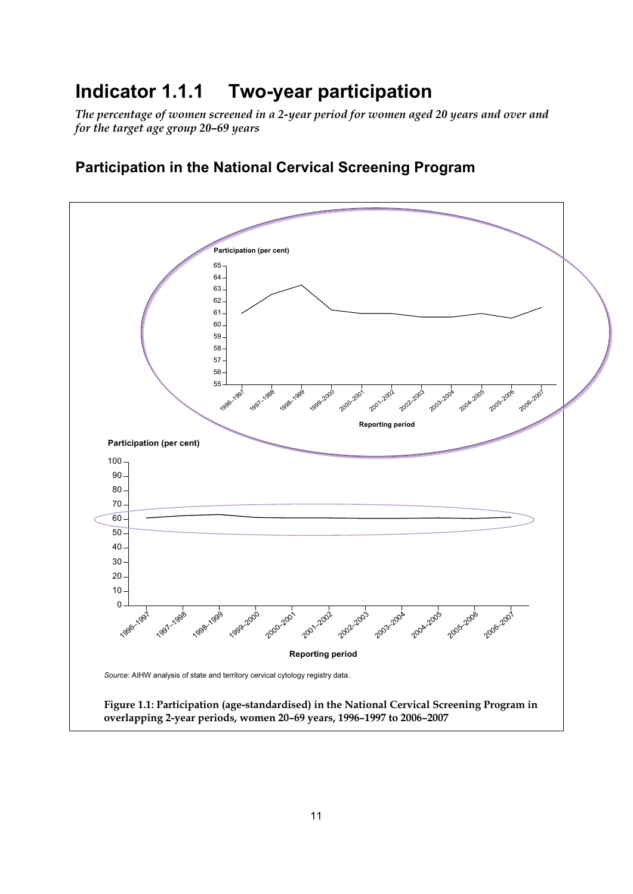## **Indicator 1.1.1 Two-year participation**

*The percentage of women screened in a 2-year period for women aged 20 years and over and for the target age group 20–69 years* 



## **Participation in the National Cervical Screening Program**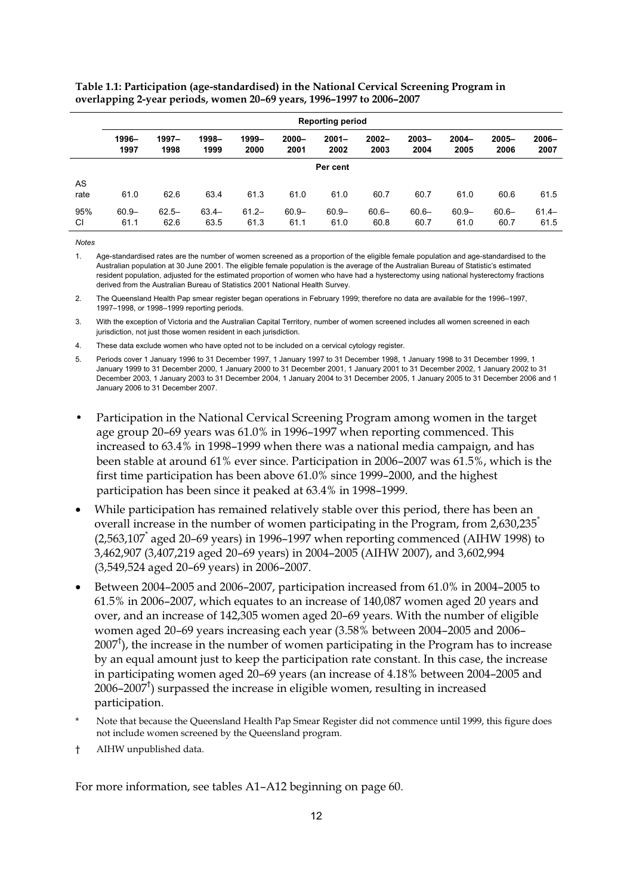**Table 1.1: Participation (age-standardised) in the National Cervical Screening Program in overlapping 2-year periods, women 20–69 years, 1996–1997 to 2006–2007** 

|            | <b>Reporting period</b> |                  |                  |                  |                  |                  |                  |                  |                  |                  |                  |  |  |
|------------|-------------------------|------------------|------------------|------------------|------------------|------------------|------------------|------------------|------------------|------------------|------------------|--|--|
|            | 1996-<br>1997           | $1997 -$<br>1998 | 1998-<br>1999    | 1999-<br>2000    | $2000 -$<br>2001 | $2001 -$<br>2002 | $2002 -$<br>2003 | $2003 -$<br>2004 | $2004 -$<br>2005 | $2005 -$<br>2006 | $2006 -$<br>2007 |  |  |
|            | Per cent                |                  |                  |                  |                  |                  |                  |                  |                  |                  |                  |  |  |
| AS<br>rate | 61.0                    | 62.6             | 63.4             | 61.3             | 61.0             | 61.0             | 60.7             | 60.7             | 61.0             | 60.6             | 61.5             |  |  |
| 95%<br>CI  | $60.9 -$<br>61.1        | $62.5 -$<br>62.6 | $63.4 -$<br>63.5 | $61.2 -$<br>61.3 | $60.9 -$<br>61.1 | $60.9 -$<br>61.0 | $60.6 -$<br>60.8 | $60.6 -$<br>60.7 | $60.9 -$<br>61.0 | $60.6 -$<br>60.7 | $61.4 -$<br>61.5 |  |  |

**Notes** 

1. Age-standardised rates are the number of women screened as a proportion of the eligible female population and age-standardised to the Australian population at 30 June 2001. The eligible female population is the average of the Australian Bureau of Statistic's estimated resident population, adjusted for the estimated proportion of women who have had a hysterectomy using national hysterectomy fractions derived from the Australian Bureau of Statistics 2001 National Health Survey.

2. The Queensland Health Pap smear register began operations in February 1999; therefore no data are available for the 1996–1997, 1997–1998, or 1998–1999 reporting periods.

3. With the exception of Victoria and the Australian Capital Territory, number of women screened includes all women screened in each jurisdiction, not just those women resident in each jurisdiction.

4. These data exclude women who have opted not to be included on a cervical cytology register.

- 5. Periods cover 1 January 1996 to 31 December 1997, 1 January 1997 to 31 December 1998, 1 January 1998 to 31 December 1999, 1 January 1999 to 31 December 2000, 1 January 2000 to 31 December 2001, 1 January 2001 to 31 December 2002, 1 January 2002 to 31 December 2003, 1 January 2003 to 31 December 2004, 1 January 2004 to 31 December 2005, 1 January 2005 to 31 December 2006 and 1 January 2006 to 31 December 2007.
- Participation in the National Cervical Screening Program among women in the target age group 20–69 years was 61.0% in 1996–1997 when reporting commenced. This increased to 63.4% in 1998–1999 when there was a national media campaign, and has been stable at around 61% ever since. Participation in 2006–2007 was 61.5%, which is the first time participation has been above 61.0% since 1999–2000, and the highest participation has been since it peaked at 63.4% in 1998–1999.
- While participation has remained relatively stable over this period, there has been an overall increase in the number of women participating in the Program, from  $2,630,235$ <sup>\*</sup> (2,563,107\* aged 20–69 years) in 1996–1997 when reporting commenced (AIHW 1998) to 3,462,907 (3,407,219 aged 20–69 years) in 2004–2005 (AIHW 2007), and 3,602,994 (3,549,524 aged 20–69 years) in 2006–2007.
- Between 2004–2005 and 2006–2007, participation increased from 61.0% in 2004–2005 to 61.5% in 2006–2007, which equates to an increase of 140,087 women aged 20 years and over, and an increase of 142,305 women aged 20–69 years. With the number of eligible women aged 20–69 years increasing each year (3.58% between 2004–2005 and 2006–  $2007<sup>\dagger</sup>$ ), the increase in the number of women participating in the Program has to increase by an equal amount just to keep the participation rate constant. In this case, the increase in participating women aged 20–69 years (an increase of 4.18% between 2004–2005 and 2006–2007† ) surpassed the increase in eligible women, resulting in increased participation.
- Note that because the Queensland Health Pap Smear Register did not commence until 1999, this figure does not include women screened by the Queensland program.
- † AIHW unpublished data.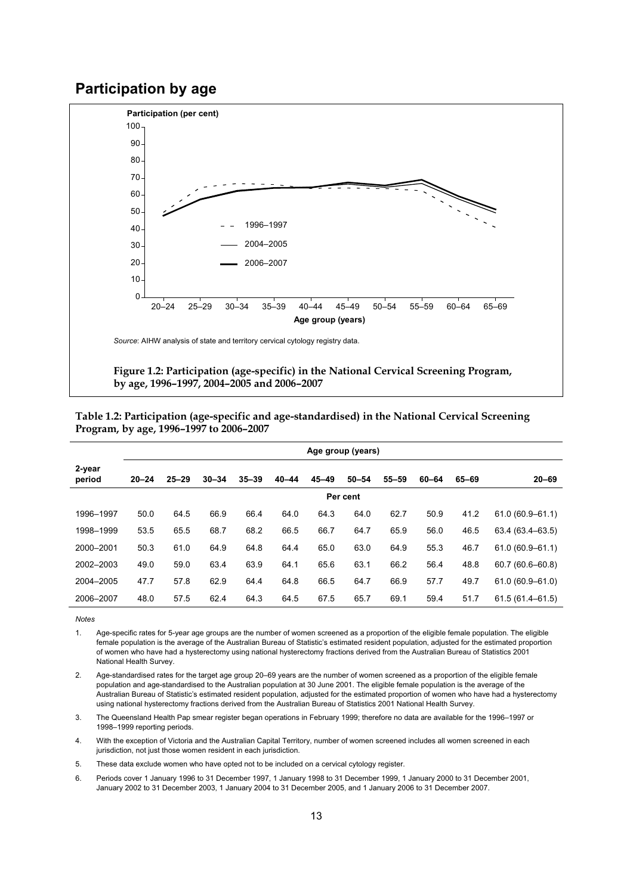### **Participation by age**



**Figure 1.2: Participation (age-specific) in the National Cervical Screening Program, by age, 1996–1997, 2004–2005 and 2006–2007** 

|                  | Age group (years) |           |           |           |           |           |           |           |       |       |                     |  |
|------------------|-------------------|-----------|-----------|-----------|-----------|-----------|-----------|-----------|-------|-------|---------------------|--|
| 2-year<br>period | $20 - 24$         | $25 - 29$ | $30 - 34$ | $35 - 39$ | $40 - 44$ | $45 - 49$ | $50 - 54$ | $55 - 59$ | 60-64 | 65-69 | $20 - 69$           |  |
|                  |                   |           |           |           |           |           | Per cent  |           |       |       |                     |  |
| 1996-1997        | 50.0              | 64.5      | 66.9      | 66.4      | 64.0      | 64.3      | 64.0      | 62.7      | 50.9  | 41.2  | $61.0(60.9 - 61.1)$ |  |
| 1998-1999        | 53.5              | 65.5      | 68.7      | 68.2      | 66.5      | 66.7      | 64.7      | 65.9      | 56.0  | 46.5  | $63.4(63.4 - 63.5)$ |  |
| 2000-2001        | 50.3              | 61.0      | 64.9      | 64.8      | 64.4      | 65.0      | 63.0      | 64.9      | 55.3  | 46.7  | $61.0(60.9 - 61.1)$ |  |
| 2002-2003        | 49.0              | 59.0      | 63.4      | 63.9      | 64.1      | 65.6      | 63.1      | 66.2      | 56.4  | 48.8  | $60.7(60.6 - 60.8)$ |  |
| 2004-2005        | 47.7              | 57.8      | 62.9      | 64.4      | 64.8      | 66.5      | 64.7      | 66.9      | 57.7  | 49.7  | $61.0(60.9 - 61.0)$ |  |
| 2006-2007        | 48.0              | 57.5      | 62.4      | 64.3      | 64.5      | 67.5      | 65.7      | 69.1      | 59.4  | 51.7  | $61.5(61.4 - 61.5)$ |  |

**Table 1.2: Participation (age-specific and age-standardised) in the National Cervical Screening Program, by age, 1996–1997 to 2006–2007** 

1. Age-specific rates for 5-year age groups are the number of women screened as a proportion of the eligible female population. The eligible female population is the average of the Australian Bureau of Statistic's estimated resident population, adjusted for the estimated proportion of women who have had a hysterectomy using national hysterectomy fractions derived from the Australian Bureau of Statistics 2001 National Health Survey.

2. Age-standardised rates for the target age group 20–69 years are the number of women screened as a proportion of the eligible female population and age-standardised to the Australian population at 30 June 2001. The eligible female population is the average of the Australian Bureau of Statistic's estimated resident population, adjusted for the estimated proportion of women who have had a hysterectomy using national hysterectomy fractions derived from the Australian Bureau of Statistics 2001 National Health Survey.

3. The Queensland Health Pap smear register began operations in February 1999; therefore no data are available for the 1996–1997 or 1998–1999 reporting periods.

4. With the exception of Victoria and the Australian Capital Territory, number of women screened includes all women screened in each jurisdiction, not just those women resident in each jurisdiction.

5. These data exclude women who have opted not to be included on a cervical cytology register.

6. Periods cover 1 January 1996 to 31 December 1997, 1 January 1998 to 31 December 1999, 1 January 2000 to 31 December 2001, January 2002 to 31 December 2003, 1 January 2004 to 31 December 2005, and 1 January 2006 to 31 December 2007.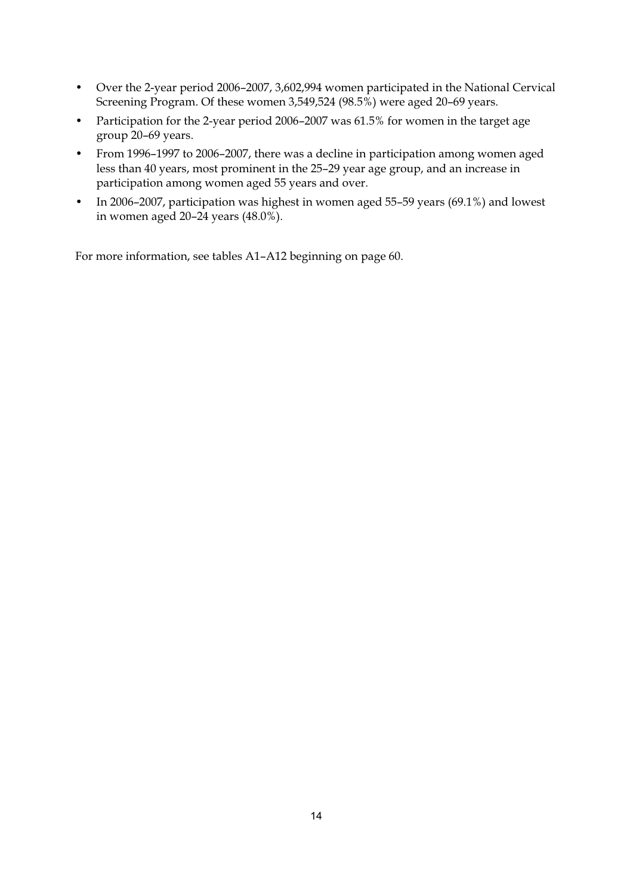- Over the 2-year period 2006–2007, 3,602,994 women participated in the National Cervical Screening Program. Of these women 3,549,524 (98.5%) were aged 20–69 years.
- Participation for the 2-year period 2006–2007 was 61.5% for women in the target age group 20–69 years.
- From 1996–1997 to 2006–2007, there was a decline in participation among women aged less than 40 years, most prominent in the 25–29 year age group, and an increase in participation among women aged 55 years and over.
- In 2006–2007, participation was highest in women aged 55–59 years (69.1%) and lowest in women aged 20–24 years (48.0%).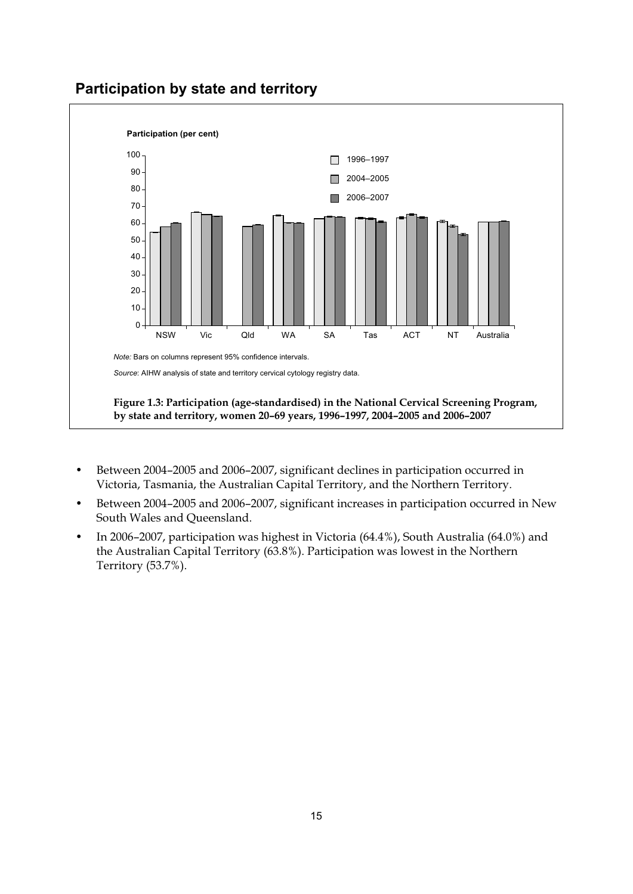



- Between 2004–2005 and 2006–2007, significant declines in participation occurred in Victoria, Tasmania, the Australian Capital Territory, and the Northern Territory.
- Between 2004–2005 and 2006–2007, significant increases in participation occurred in New South Wales and Queensland.
- In 2006–2007, participation was highest in Victoria (64.4%), South Australia (64.0%) and the Australian Capital Territory (63.8%). Participation was lowest in the Northern Territory (53.7%).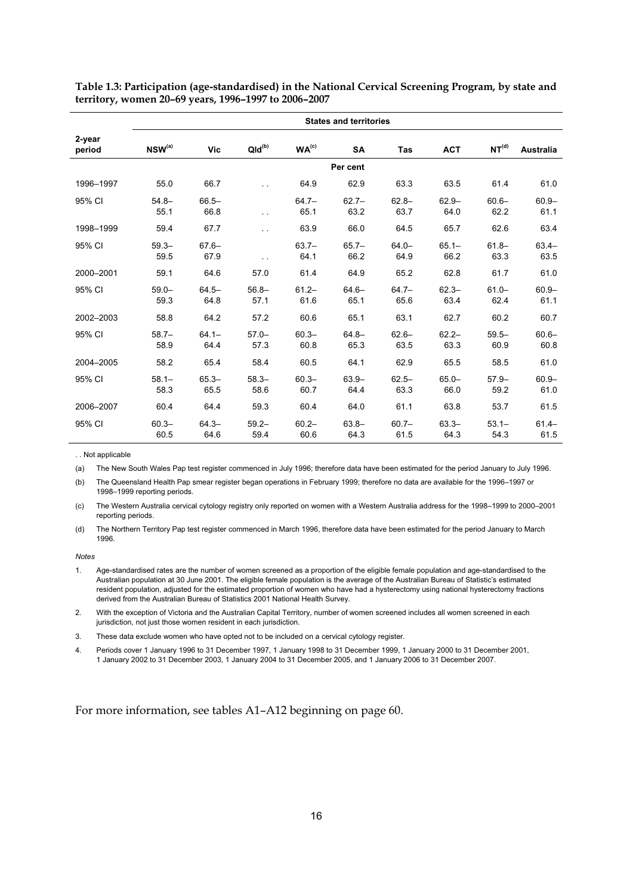|                  | <b>States and territories</b> |                  |                  |                   |                  |                  |                  |                   |                  |  |  |  |
|------------------|-------------------------------|------------------|------------------|-------------------|------------------|------------------|------------------|-------------------|------------------|--|--|--|
| 2-year<br>period | $NSW^{(a)}$                   | Vic              | $QId^{(b)}$      | WA <sup>(c)</sup> | <b>SA</b>        | <b>Tas</b>       | <b>ACT</b>       | NT <sup>(d)</sup> | Australia        |  |  |  |
|                  |                               |                  |                  |                   | Per cent         |                  |                  |                   |                  |  |  |  |
| 1996-1997        | 55.0                          | 66.7             | . .              | 64.9              | 62.9             | 63.3             | 63.5             | 61.4              | 61.0             |  |  |  |
| 95% CI           | $54.8 -$<br>55.1              | $66.5 -$<br>66.8 | . .              | $64.7 -$<br>65.1  | $62.7 -$<br>63.2 | $62.8 -$<br>63.7 | $62.9 -$<br>64.0 | $60.6 -$<br>62.2  | $60.9 -$<br>61.1 |  |  |  |
| 1998-1999        | 59.4                          | 67.7             | $\ddotsc$        | 63.9              | 66.0             | 64.5             | 65.7             | 62.6              | 63.4             |  |  |  |
| 95% CI           | $59.3 -$<br>59.5              | $67.6 -$<br>67.9 | . .              | $63.7 -$<br>64.1  | $65.7 -$<br>66.2 | $64.0 -$<br>64.9 | $65.1 -$<br>66.2 | $61.8 -$<br>63.3  | $63.4 -$<br>63.5 |  |  |  |
| 2000-2001        | 59.1                          | 64.6             | 57.0             | 61.4              | 64.9             | 65.2             | 62.8             | 61.7              | 61.0             |  |  |  |
| 95% CI           | $59.0 -$<br>59.3              | $64.5 -$<br>64.8 | $56.8 -$<br>57.1 | $61.2 -$<br>61.6  | $64.6 -$<br>65.1 | $64.7 -$<br>65.6 | $62.3 -$<br>63.4 | $61.0 -$<br>62.4  | $60.9 -$<br>61.1 |  |  |  |
| 2002-2003        | 58.8                          | 64.2             | 57.2             | 60.6              | 65.1             | 63.1             | 62.7             | 60.2              | 60.7             |  |  |  |
| 95% CI           | $58.7 -$<br>58.9              | $64.1 -$<br>64.4 | $57.0 -$<br>57.3 | $60.3 -$<br>60.8  | $64.8 -$<br>65.3 | $62.6 -$<br>63.5 | $62.2 -$<br>63.3 | $59.5 -$<br>60.9  | $60.6 -$<br>60.8 |  |  |  |
| 2004-2005        | 58.2                          | 65.4             | 58.4             | 60.5              | 64.1             | 62.9             | 65.5             | 58.5              | 61.0             |  |  |  |
| 95% CI           | $58.1 -$<br>58.3              | $65.3 -$<br>65.5 | $58.3 -$<br>58.6 | $60.3 -$<br>60.7  | $63.9 -$<br>64.4 | $62.5 -$<br>63.3 | $65.0 -$<br>66.0 | $57.9 -$<br>59.2  | $60.9 -$<br>61.0 |  |  |  |
| 2006-2007        | 60.4                          | 64.4             | 59.3             | 60.4              | 64.0             | 61.1             | 63.8             | 53.7              | 61.5             |  |  |  |
| 95% CI           | $60.3 -$<br>60.5              | $64.3 -$<br>64.6 | $59.2 -$<br>59.4 | $60.2 -$<br>60.6  | $63.8 -$<br>64.3 | $60.7 -$<br>61.5 | $63.3 -$<br>64.3 | $53.1 -$<br>54.3  | $61.4 -$<br>61.5 |  |  |  |

**Table 1.3: Participation (age-standardised) in the National Cervical Screening Program, by state and territory, women 20–69 years, 1996–1997 to 2006–2007** 

. . Not applicable

(a) The New South Wales Pap test register commenced in July 1996; therefore data have been estimated for the period January to July 1996.

(b) The Queensland Health Pap smear register began operations in February 1999; therefore no data are available for the 1996–1997 or 1998–1999 reporting periods.

(c) The Western Australia cervical cytology registry only reported on women with a Western Australia address for the 1998–1999 to 2000–2001 reporting periods.

(d) The Northern Territory Pap test register commenced in March 1996, therefore data have been estimated for the period January to March 1996.

*Notes* 

2. With the exception of Victoria and the Australian Capital Territory, number of women screened includes all women screened in each jurisdiction, not just those women resident in each jurisdiction.

3. These data exclude women who have opted not to be included on a cervical cytology register.

4. Periods cover 1 January 1996 to 31 December 1997, 1 January 1998 to 31 December 1999, 1 January 2000 to 31 December 2001, 1 January 2002 to 31 December 2003, 1 January 2004 to 31 December 2005, and 1 January 2006 to 31 December 2007.

<sup>1.</sup> Age-standardised rates are the number of women screened as a proportion of the eligible female population and age-standardised to the Australian population at 30 June 2001. The eligible female population is the average of the Australian Bureau of Statistic's estimated resident population, adjusted for the estimated proportion of women who have had a hysterectomy using national hysterectomy fractions derived from the Australian Bureau of Statistics 2001 National Health Survey.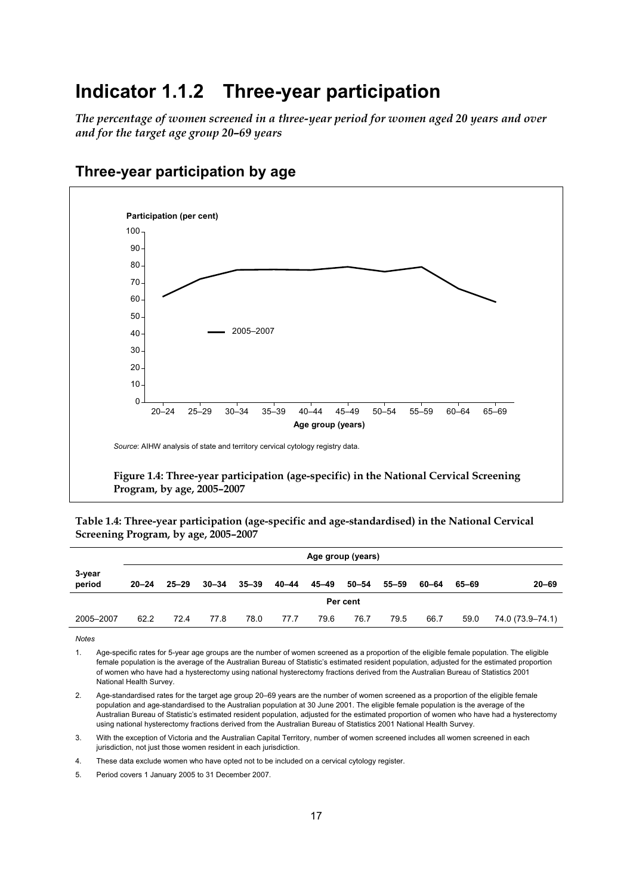## **Indicator 1.1.2 Three-year participation**

*The percentage of women screened in a three-year period for women aged 20 years and over and for the target age group 20–69 years* 



## **Three-year participation by age**

**Table 1.4: Three-year participation (age-specific and age-standardised) in the National Cervical Screening Program, by age, 2005–2007** 

|                  |           | Age group (years) |           |           |       |       |       |       |       |       |                  |  |
|------------------|-----------|-------------------|-----------|-----------|-------|-------|-------|-------|-------|-------|------------------|--|
| 3-year<br>period | $20 - 24$ | $25 - 29$         | $30 - 34$ | $35 - 39$ | 40–44 | 45–49 | 50–54 | 55–59 | 60–64 | 65–69 | $20 - 69$        |  |
|                  | Per cent  |                   |           |           |       |       |       |       |       |       |                  |  |
| 2005-2007        | 62.2      | 72.4              | 77.8      | 78.0      | 77.7  | 79.6  | 76.7  | 79.5  | 66.7  | 59.0  | 74.0 (73.9–74.1) |  |

**Notes** 

1. Age-specific rates for 5-year age groups are the number of women screened as a proportion of the eligible female population. The eligible female population is the average of the Australian Bureau of Statistic's estimated resident population, adjusted for the estimated proportion of women who have had a hysterectomy using national hysterectomy fractions derived from the Australian Bureau of Statistics 2001 National Health Survey.

2. Age-standardised rates for the target age group 20–69 years are the number of women screened as a proportion of the eligible female population and age-standardised to the Australian population at 30 June 2001. The eligible female population is the average of the Australian Bureau of Statistic's estimated resident population, adjusted for the estimated proportion of women who have had a hysterectomy using national hysterectomy fractions derived from the Australian Bureau of Statistics 2001 National Health Survey.

3. With the exception of Victoria and the Australian Capital Territory, number of women screened includes all women screened in each jurisdiction, not just those women resident in each jurisdiction.

4. These data exclude women who have opted not to be included on a cervical cytology register.

5. Period covers 1 January 2005 to 31 December 2007.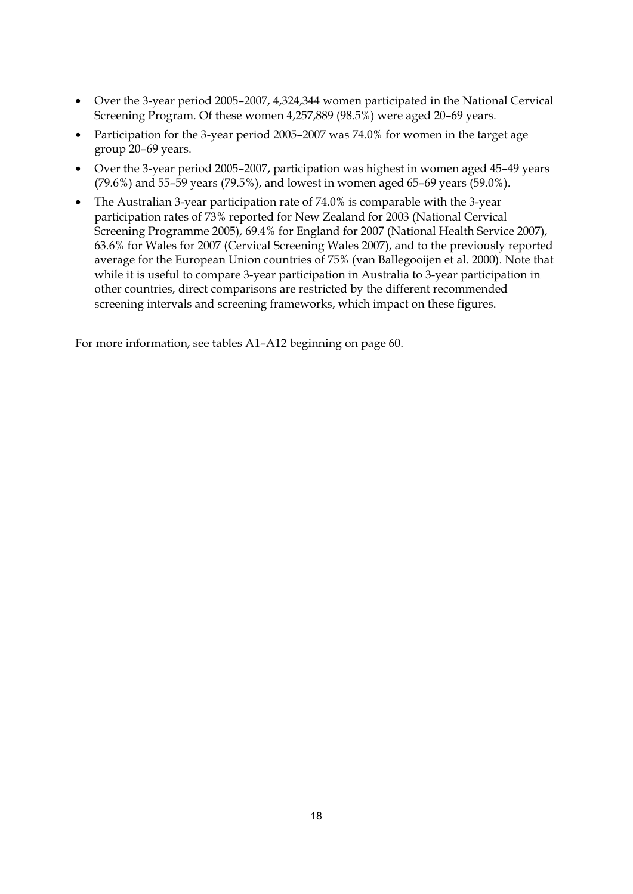- Over the 3-year period 2005–2007, 4,324,344 women participated in the National Cervical Screening Program. Of these women 4,257,889 (98.5%) were aged 20–69 years.
- Participation for the 3-year period 2005–2007 was 74.0% for women in the target age group 20–69 years.
- Over the 3-year period 2005–2007, participation was highest in women aged 45–49 years (79.6%) and 55–59 years (79.5%), and lowest in women aged 65–69 years (59.0%).
- The Australian 3-year participation rate of 74.0% is comparable with the 3-year participation rates of 73% reported for New Zealand for 2003 (National Cervical Screening Programme 2005), 69.4% for England for 2007 (National Health Service 2007), 63.6% for Wales for 2007 (Cervical Screening Wales 2007), and to the previously reported average for the European Union countries of 75% (van Ballegooijen et al. 2000). Note that while it is useful to compare 3-year participation in Australia to 3-year participation in other countries, direct comparisons are restricted by the different recommended screening intervals and screening frameworks, which impact on these figures.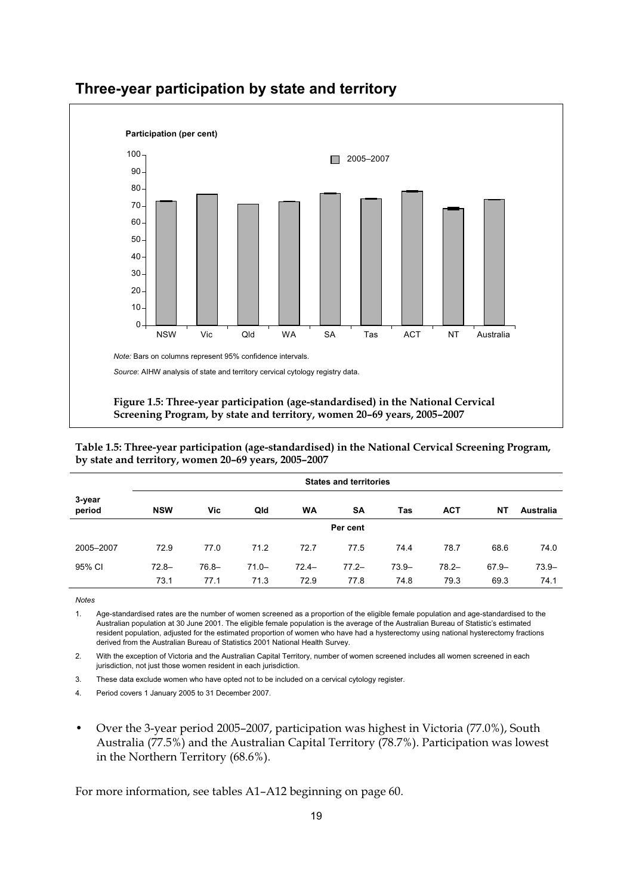

## **Three-year participation by state and territory**

**Table 1.5: Three-year participation (age-standardised) in the National Cervical Screening Program, by state and territory, women 20–69 years, 2005–2007** 

|                  | <b>States and territories</b> |          |          |          |           |          |            |          |           |  |  |  |  |
|------------------|-------------------------------|----------|----------|----------|-----------|----------|------------|----------|-----------|--|--|--|--|
| 3-year<br>period | <b>NSW</b>                    | Vic      | Qld      | WA       | <b>SA</b> | Tas      | <b>ACT</b> | NΤ       | Australia |  |  |  |  |
|                  | Per cent                      |          |          |          |           |          |            |          |           |  |  |  |  |
| 2005-2007        | 72.9                          | 77.0     | 71.2     | 72.7     | 77.5      | 74.4     | 78.7       | 68.6     | 74.0      |  |  |  |  |
| 95% CI           | $72.8 -$                      | $76.8 -$ | $71.0 -$ | $72.4 -$ | $77.2 -$  | $73.9 -$ | $78.2 -$   | $67.9 -$ | $73.9 -$  |  |  |  |  |
|                  | 73.1                          | 77.1     | 71.3     | 72.9     | 77.8      | 74.8     | 79.3       | 69.3     | 74.1      |  |  |  |  |

**Notes** 

1. Age-standardised rates are the number of women screened as a proportion of the eligible female population and age-standardised to the Australian population at 30 June 2001. The eligible female population is the average of the Australian Bureau of Statistic's estimated resident population, adjusted for the estimated proportion of women who have had a hysterectomy using national hysterectomy fractions derived from the Australian Bureau of Statistics 2001 National Health Survey.

2. With the exception of Victoria and the Australian Capital Territory, number of women screened includes all women screened in each jurisdiction, not just those women resident in each jurisdiction.

3. These data exclude women who have opted not to be included on a cervical cytology register.

4. Period covers 1 January 2005 to 31 December 2007.

• Over the 3-year period 2005–2007, participation was highest in Victoria (77.0%), South Australia (77.5%) and the Australian Capital Territory (78.7%). Participation was lowest in the Northern Territory (68.6%).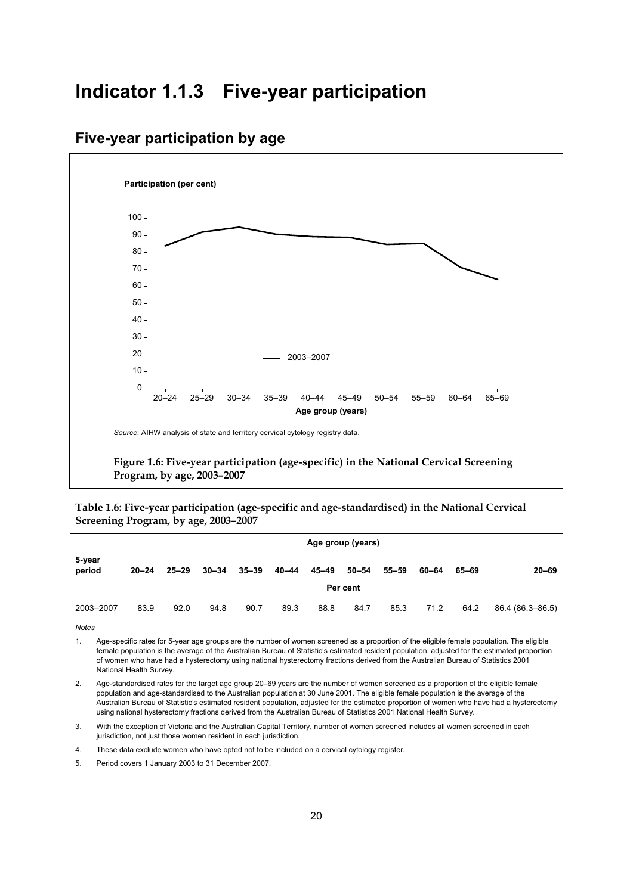## **Indicator 1.1.3 Five-year participation**

## **Five-year participation by age**



**Table 1.6: Five-year participation (age-specific and age-standardised) in the National Cervical Screening Program, by age, 2003–2007** 

|                  | Age group (years) |           |           |           |       |       |       |       |       |       |                  |  |
|------------------|-------------------|-----------|-----------|-----------|-------|-------|-------|-------|-------|-------|------------------|--|
| 5-year<br>period | $20 - 24$         | $25 - 29$ | $30 - 34$ | $35 - 39$ | 40-44 | 45–49 | 50–54 | 55–59 | 60–64 | 65–69 | $20 - 69$        |  |
|                  | Per cent          |           |           |           |       |       |       |       |       |       |                  |  |
| 2003-2007        | 83.9              | 92.0      | 94.8      | 90.7      | 89.3  | 88.8  | 84.7  | 85.3  | 71.2  | 64.2  | 86.4 (86.3–86.5) |  |
|                  |                   |           |           |           |       |       |       |       |       |       |                  |  |

**Notes** 

1. Age-specific rates for 5-year age groups are the number of women screened as a proportion of the eligible female population. The eligible female population is the average of the Australian Bureau of Statistic's estimated resident population, adjusted for the estimated proportion of women who have had a hysterectomy using national hysterectomy fractions derived from the Australian Bureau of Statistics 2001 National Health Survey.

2. Age-standardised rates for the target age group 20–69 years are the number of women screened as a proportion of the eligible female population and age-standardised to the Australian population at 30 June 2001. The eligible female population is the average of the Australian Bureau of Statistic's estimated resident population, adjusted for the estimated proportion of women who have had a hysterectomy using national hysterectomy fractions derived from the Australian Bureau of Statistics 2001 National Health Survey.

3. With the exception of Victoria and the Australian Capital Territory, number of women screened includes all women screened in each jurisdiction, not just those women resident in each jurisdiction.

4. These data exclude women who have opted not to be included on a cervical cytology register.

5. Period covers 1 January 2003 to 31 December 2007.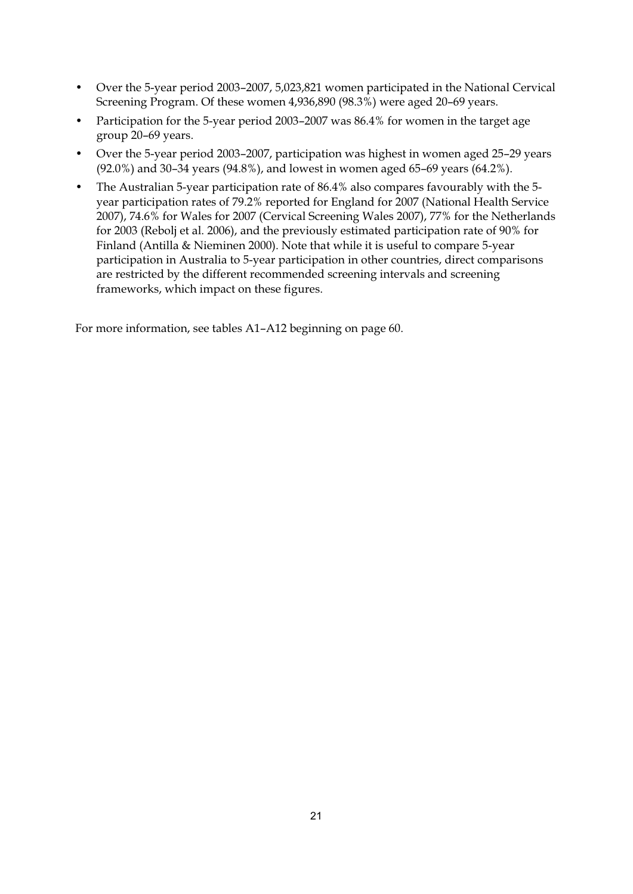- Over the 5-year period 2003–2007, 5,023,821 women participated in the National Cervical Screening Program. Of these women 4,936,890 (98.3%) were aged 20–69 years.
- Participation for the 5-year period 2003–2007 was 86.4% for women in the target age group 20–69 years.
- Over the 5-year period 2003–2007, participation was highest in women aged 25–29 years (92.0%) and 30–34 years (94.8%), and lowest in women aged 65–69 years (64.2%).
- The Australian 5-year participation rate of 86.4% also compares favourably with the 5 year participation rates of 79.2% reported for England for 2007 (National Health Service 2007), 74.6% for Wales for 2007 (Cervical Screening Wales 2007), 77% for the Netherlands for 2003 (Rebolj et al. 2006), and the previously estimated participation rate of 90% for Finland (Antilla & Nieminen 2000). Note that while it is useful to compare 5-year participation in Australia to 5-year participation in other countries, direct comparisons are restricted by the different recommended screening intervals and screening frameworks, which impact on these figures.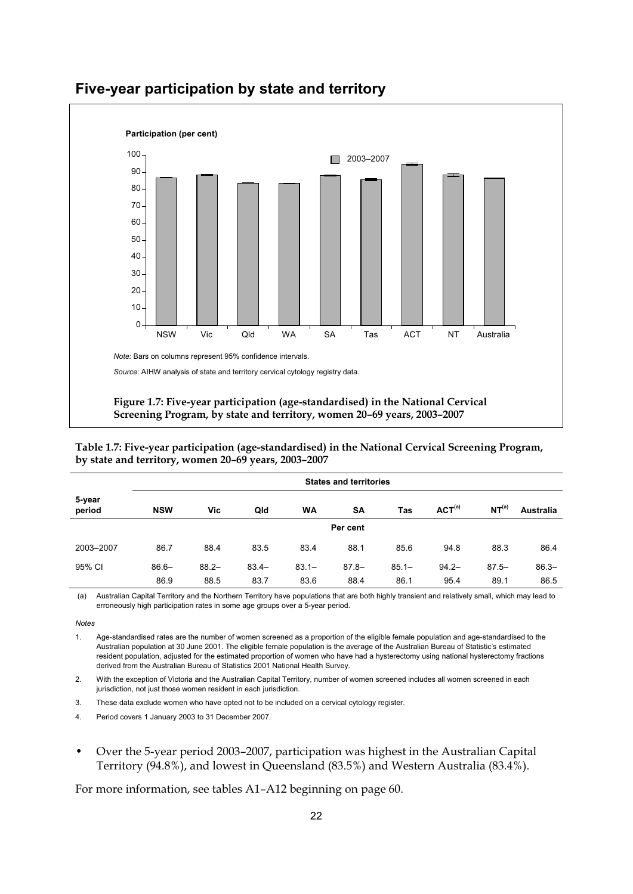

## **Five-year participation by state and territory**

**Table 1.7: Five-year participation (age-standardised) in the National Cervical Screening Program, by state and territory, women 20–69 years, 2003–2007** 

|                  | <b>States and territories</b> |          |          |           |           |          |                    |                   |                  |  |  |  |
|------------------|-------------------------------|----------|----------|-----------|-----------|----------|--------------------|-------------------|------------------|--|--|--|
| 5-year<br>period | <b>NSW</b>                    | Vic      | Qld      | <b>WA</b> | <b>SA</b> | Tas      | ACT <sup>(a)</sup> | NT <sup>(a)</sup> | <b>Australia</b> |  |  |  |
|                  | Per cent                      |          |          |           |           |          |                    |                   |                  |  |  |  |
| 2003-2007        | 86.7                          | 88.4     | 83.5     | 83.4      | 88.1      | 85.6     | 94.8               | 88.3              | 86.4             |  |  |  |
| 95% CI           | $86.6 -$                      | $88.2 -$ | $83.4 -$ | $83.1 -$  | $87.8 -$  | $85.1 -$ | $94.2 -$           | $87.5 -$          | $86.3 -$         |  |  |  |
|                  | 86.9                          | 88.5     | 83.7     | 83.6      | 88.4      | 86.1     | 95.4               | 89.1              | 86.5             |  |  |  |

 (a) Australian Capital Territory and the Northern Territory have populations that are both highly transient and relatively small, which may lead to erroneously high participation rates in some age groups over a 5-year period.

1. Age-standardised rates are the number of women screened as a proportion of the eligible female population and age-standardised to the Australian population at 30 June 2001. The eligible female population is the average of the Australian Bureau of Statistic's estimated resident population, adjusted for the estimated proportion of women who have had a hysterectomy using national hysterectomy fractions derived from the Australian Bureau of Statistics 2001 National Health Survey.

2. With the exception of Victoria and the Australian Capital Territory, number of women screened includes all women screened in each jurisdiction, not just those women resident in each jurisdiction.

3. These data exclude women who have opted not to be included on a cervical cytology register.

4. Period covers 1 January 2003 to 31 December 2007.

• Over the 5-year period 2003–2007, participation was highest in the Australian Capital Territory (94.8%), and lowest in Queensland (83.5%) and Western Australia (83.4%).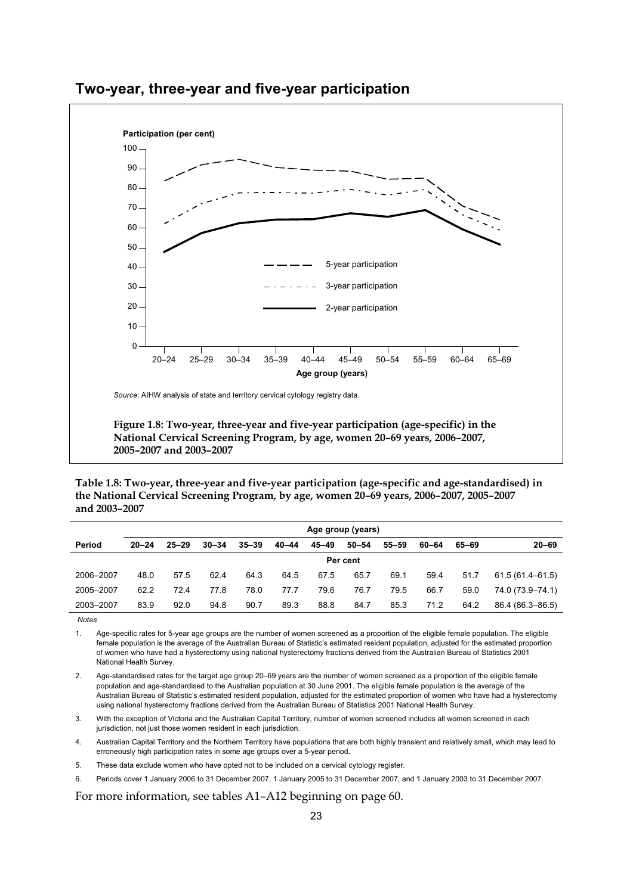

## **Two-year, three-year and five-year participation**

**Table 1.8: Two-year, three-year and five-year participation (age-specific and age-standardised) in the National Cervical Screening Program, by age, women 20–69 years, 2006–2007, 2005–2007 and 2003–2007** 

|           | Age group (years) |           |           |           |           |           |       |           |       |       |                     |
|-----------|-------------------|-----------|-----------|-----------|-----------|-----------|-------|-----------|-------|-------|---------------------|
| Period    | $20 - 24$         | $25 - 29$ | $30 - 34$ | $35 - 39$ | $40 - 44$ | $45 - 49$ | 50–54 | $55 - 59$ | 60-64 | 65-69 | $20 - 69$           |
|           | Per cent          |           |           |           |           |           |       |           |       |       |                     |
| 2006-2007 | 48.0              | 57.5      | 62.4      | 64.3      | 64.5      | 67.5      | 65.7  | 69.1      | 59.4  | 51.7  | $61.5(61.4 - 61.5)$ |
| 2005-2007 | 62.2              | 72.4      | 77.8      | 78.0      | 77.7      | 79.6      | 76.7  | 79.5      | 66.7  | 59.0  | 74.0 (73.9–74.1)    |
| 2003-2007 | 83.9              | 92.0      | 94.8      | 90.7      | 89.3      | 88.8      | 84.7  | 85.3      | 71.2  | 64.2  | 86.4 (86.3-86.5)    |

**Notes** 

1. Age-specific rates for 5-year age groups are the number of women screened as a proportion of the eligible female population. The eligible female population is the average of the Australian Bureau of Statistic's estimated resident population, adjusted for the estimated proportion of women who have had a hysterectomy using national hysterectomy fractions derived from the Australian Bureau of Statistics 2001 National Health Survey.

2. Age-standardised rates for the target age group 20–69 years are the number of women screened as a proportion of the eligible female population and age-standardised to the Australian population at 30 June 2001. The eligible female population is the average of the Australian Bureau of Statistic's estimated resident population, adjusted for the estimated proportion of women who have had a hysterectomy using national hysterectomy fractions derived from the Australian Bureau of Statistics 2001 National Health Survey.

3. With the exception of Victoria and the Australian Capital Territory, number of women screened includes all women screened in each jurisdiction, not just those women resident in each jurisdiction.

4. Australian Capital Territory and the Northern Territory have populations that are both highly transient and relatively small, which may lead to erroneously high participation rates in some age groups over a 5-year period.

5. These data exclude women who have opted not to be included on a cervical cytology register.

6. Periods cover 1 January 2006 to 31 December 2007, 1 January 2005 to 31 December 2007, and 1 January 2003 to 31 December 2007.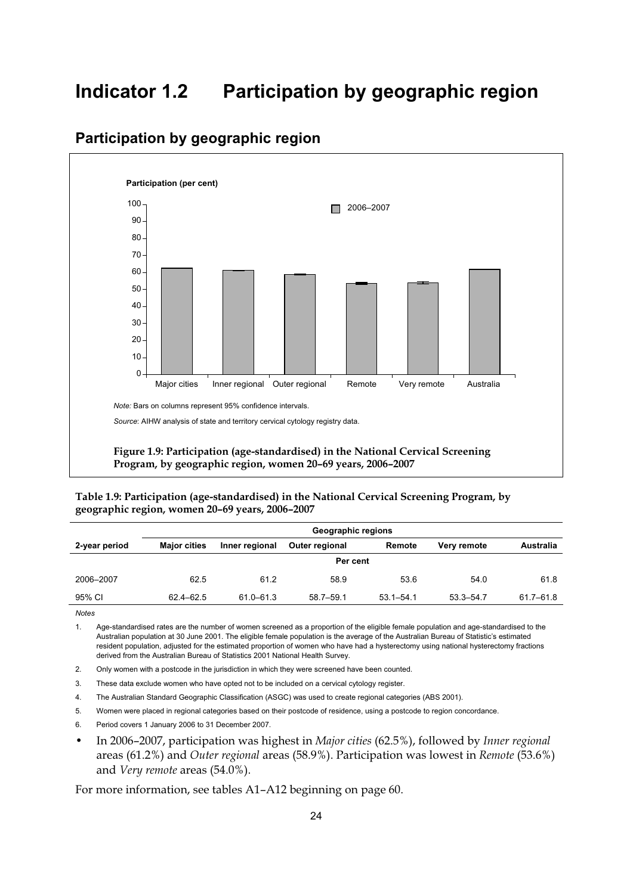## **Indicator 1.2 Participation by geographic region**



## **Participation by geographic region**

**Table 1.9: Participation (age-standardised) in the National Cervical Screening Program, by geographic region, women 20–69 years, 2006–2007** 

|               | Geographic regions  |                |                       |               |               |               |  |  |  |  |
|---------------|---------------------|----------------|-----------------------|---------------|---------------|---------------|--|--|--|--|
| 2-year period | <b>Major cities</b> | Inner regional | <b>Outer regional</b> | Remote        | Very remote   | Australia     |  |  |  |  |
|               | Per cent            |                |                       |               |               |               |  |  |  |  |
| 2006-2007     | 62.5                | 61.2           | 58.9                  | 53.6          | 54.0          | 61.8          |  |  |  |  |
| 95% CI        | 62.4-62.5           | 61.0-61.3      | $58.7 - 59.1$         | $53.1 - 54.1$ | $53.3 - 54.7$ | $61.7 - 61.8$ |  |  |  |  |

*Notes* 

1. Age-standardised rates are the number of women screened as a proportion of the eligible female population and age-standardised to the Australian population at 30 June 2001. The eligible female population is the average of the Australian Bureau of Statistic's estimated resident population, adjusted for the estimated proportion of women who have had a hysterectomy using national hysterectomy fractions derived from the Australian Bureau of Statistics 2001 National Health Survey.

- 2. Only women with a postcode in the jurisdiction in which they were screened have been counted.
- 3. These data exclude women who have opted not to be included on a cervical cytology register.
- 4. The Australian Standard Geographic Classification (ASGC) was used to create regional categories (ABS 2001).
- 5. Women were placed in regional categories based on their postcode of residence, using a postcode to region concordance.
- 6. Period covers 1 January 2006 to 31 December 2007.
- In 2006–2007, participation was highest in *Major cities* (62.5%), followed by *Inner regional* areas (61.2%) and *Outer regional* areas (58.9%). Participation was lowest in *Remote* (53.6%) and *Very remote* areas (54.0%).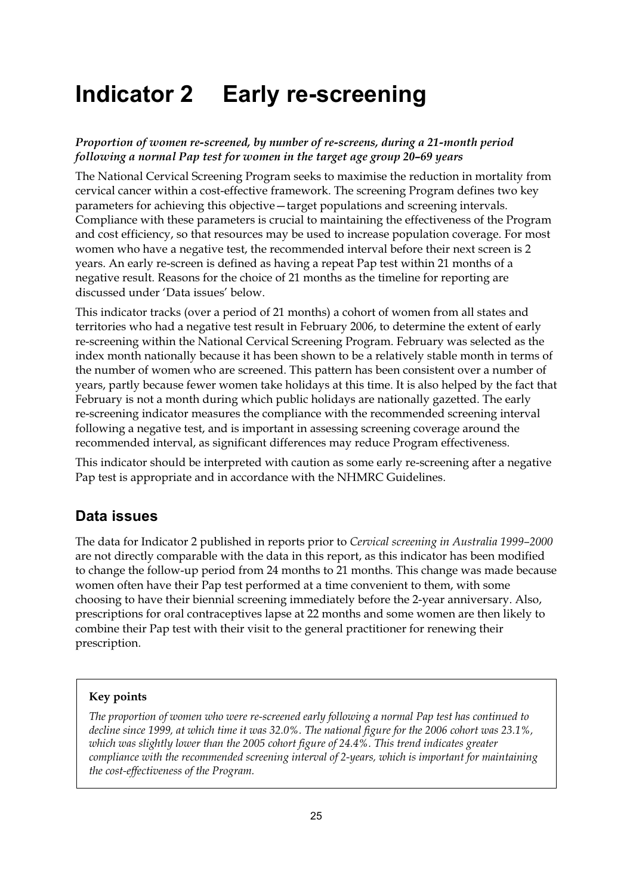# **Indicator 2 Early re-screening**

#### *Proportion of women re-screened, by number of re-screens, during a 21-month period following a normal Pap test for women in the target age group 20–69 years*

The National Cervical Screening Program seeks to maximise the reduction in mortality from cervical cancer within a cost-effective framework. The screening Program defines two key parameters for achieving this objective—target populations and screening intervals. Compliance with these parameters is crucial to maintaining the effectiveness of the Program and cost efficiency, so that resources may be used to increase population coverage. For most women who have a negative test, the recommended interval before their next screen is 2 years. An early re-screen is defined as having a repeat Pap test within 21 months of a negative result. Reasons for the choice of 21 months as the timeline for reporting are discussed under 'Data issues' below.

This indicator tracks (over a period of 21 months) a cohort of women from all states and territories who had a negative test result in February 2006, to determine the extent of early re-screening within the National Cervical Screening Program. February was selected as the index month nationally because it has been shown to be a relatively stable month in terms of the number of women who are screened. This pattern has been consistent over a number of years, partly because fewer women take holidays at this time. It is also helped by the fact that February is not a month during which public holidays are nationally gazetted. The early re-screening indicator measures the compliance with the recommended screening interval following a negative test, and is important in assessing screening coverage around the recommended interval, as significant differences may reduce Program effectiveness.

This indicator should be interpreted with caution as some early re-screening after a negative Pap test is appropriate and in accordance with the NHMRC Guidelines.

## **Data issues**

The data for Indicator 2 published in reports prior to *Cervical screening in Australia 1999–2000* are not directly comparable with the data in this report, as this indicator has been modified to change the follow-up period from 24 months to 21 months. This change was made because women often have their Pap test performed at a time convenient to them, with some choosing to have their biennial screening immediately before the 2-year anniversary. Also, prescriptions for oral contraceptives lapse at 22 months and some women are then likely to combine their Pap test with their visit to the general practitioner for renewing their prescription.

#### **Key points**

*The proportion of women who were re-screened early following a normal Pap test has continued to decline since 1999, at which time it was 32.0%. The national figure for the 2006 cohort was 23.1%,*  which was slightly lower than the 2005 cohort figure of 24.4%. This trend indicates greater *compliance with the recommended screening interval of 2-years, which is important for maintaining the cost-effectiveness of the Program.*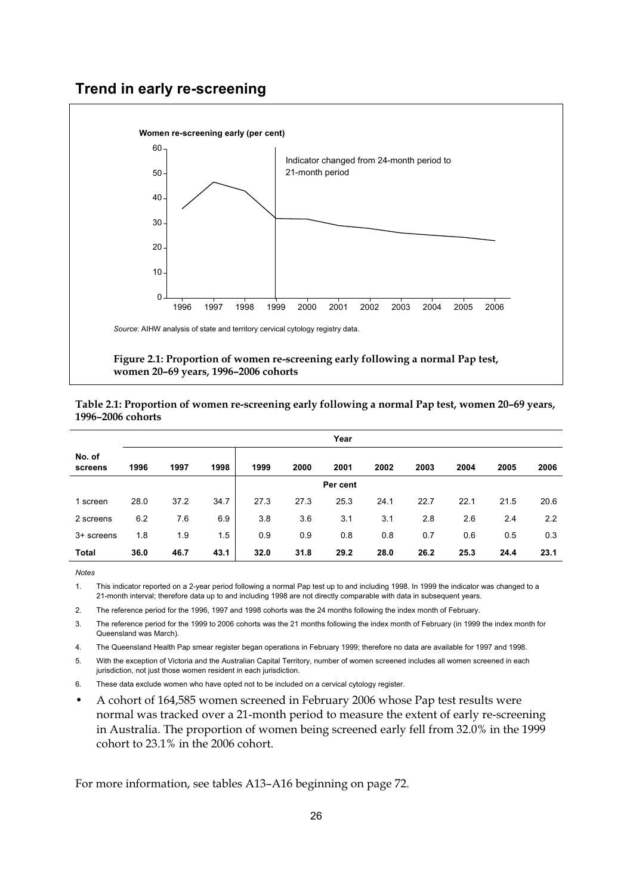## **Trend in early re-screening**



**women 20–69 years, 1996–2006 cohorts** 

| Table 2.1: Proportion of women re-screening early following a normal Pap test, women 20-69 years, |  |
|---------------------------------------------------------------------------------------------------|--|
| 1996–2006 cohorts                                                                                 |  |

|                   | Year     |      |      |      |      |      |      |      |      |      |      |
|-------------------|----------|------|------|------|------|------|------|------|------|------|------|
| No. of<br>screens | 1996     | 1997 | 1998 | 1999 | 2000 | 2001 | 2002 | 2003 | 2004 | 2005 | 2006 |
|                   | Per cent |      |      |      |      |      |      |      |      |      |      |
| 1 screen          | 28.0     | 37.2 | 34.7 | 27.3 | 27.3 | 25.3 | 24.1 | 22.7 | 22.1 | 21.5 | 20.6 |
| 2 screens         | 6.2      | 7.6  | 6.9  | 3.8  | 3.6  | 3.1  | 3.1  | 2.8  | 2.6  | 2.4  | 2.2  |
| 3+ screens        | 1.8      | 1.9  | 1.5  | 0.9  | 0.9  | 0.8  | 0.8  | 0.7  | 0.6  | 0.5  | 0.3  |
| Total             | 36.0     | 46.7 | 43.1 | 32.0 | 31.8 | 29.2 | 28.0 | 26.2 | 25.3 | 24.4 | 23.1 |

**Notes** 

1. This indicator reported on a 2-year period following a normal Pap test up to and including 1998. In 1999 the indicator was changed to a 21-month interval; therefore data up to and including 1998 are not directly comparable with data in subsequent years.

2. The reference period for the 1996, 1997 and 1998 cohorts was the 24 months following the index month of February.

3. The reference period for the 1999 to 2006 cohorts was the 21 months following the index month of February (in 1999 the index month for Queensland was March).

4. The Queensland Health Pap smear register began operations in February 1999; therefore no data are available for 1997 and 1998.

5. With the exception of Victoria and the Australian Capital Territory, number of women screened includes all women screened in each jurisdiction, not just those women resident in each jurisdiction.

6. These data exclude women who have opted not to be included on a cervical cytology register.

• A cohort of 164,585 women screened in February 2006 whose Pap test results were normal was tracked over a 21-month period to measure the extent of early re-screening in Australia. The proportion of women being screened early fell from 32.0% in the 1999 cohort to 23.1% in the 2006 cohort.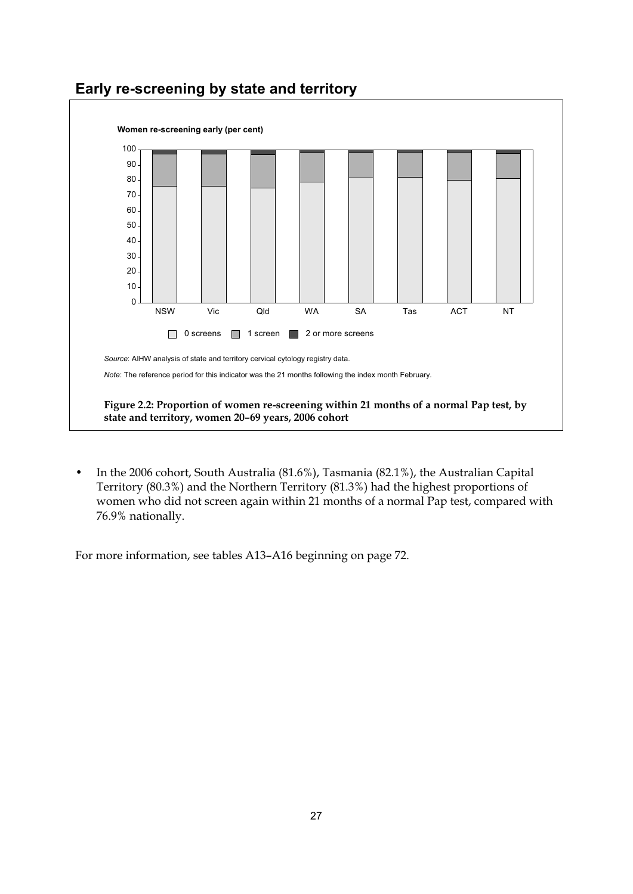

## **Early re-screening by state and territory**

• In the 2006 cohort, South Australia (81.6%), Tasmania (82.1%), the Australian Capital Territory (80.3%) and the Northern Territory (81.3%) had the highest proportions of women who did not screen again within 21 months of a normal Pap test, compared with 76.9% nationally.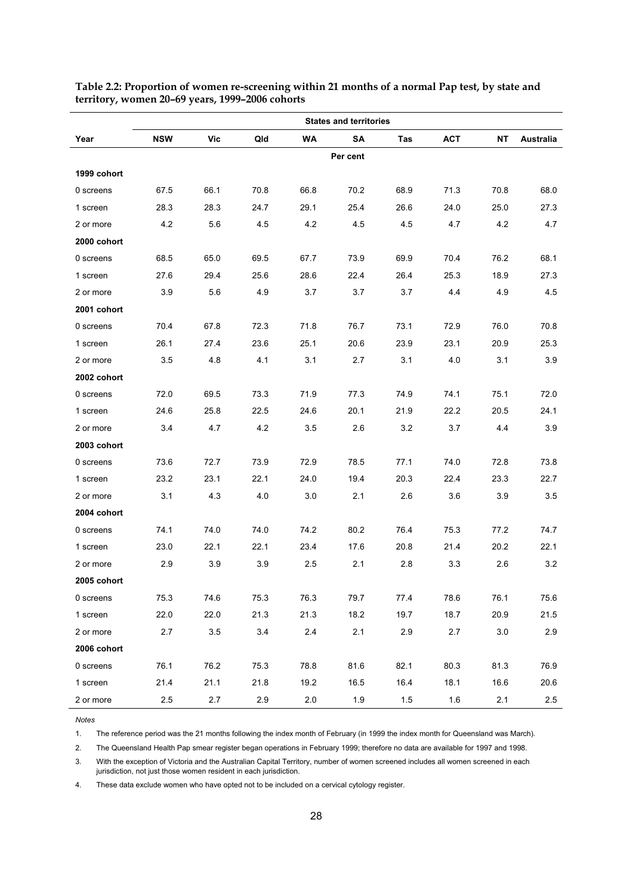|             | <b>States and territories</b> |      |      |           |          |      |            |           |           |  |
|-------------|-------------------------------|------|------|-----------|----------|------|------------|-----------|-----------|--|
| Year        | <b>NSW</b>                    | Vic  | Qld  | <b>WA</b> | SΑ       | Tas  | <b>ACT</b> | <b>NT</b> | Australia |  |
|             |                               |      |      |           | Per cent |      |            |           |           |  |
| 1999 cohort |                               |      |      |           |          |      |            |           |           |  |
| 0 screens   | 67.5                          | 66.1 | 70.8 | 66.8      | 70.2     | 68.9 | 71.3       | 70.8      | 68.0      |  |
| 1 screen    | 28.3                          | 28.3 | 24.7 | 29.1      | 25.4     | 26.6 | 24.0       | 25.0      | 27.3      |  |
| 2 or more   | 4.2                           | 5.6  | 4.5  | 4.2       | 4.5      | 4.5  | 4.7        | 4.2       | 4.7       |  |
| 2000 cohort |                               |      |      |           |          |      |            |           |           |  |
| 0 screens   | 68.5                          | 65.0 | 69.5 | 67.7      | 73.9     | 69.9 | 70.4       | 76.2      | 68.1      |  |
| 1 screen    | 27.6                          | 29.4 | 25.6 | 28.6      | 22.4     | 26.4 | 25.3       | 18.9      | 27.3      |  |
| 2 or more   | 3.9                           | 5.6  | 4.9  | 3.7       | 3.7      | 3.7  | 4.4        | 4.9       | 4.5       |  |
| 2001 cohort |                               |      |      |           |          |      |            |           |           |  |
| 0 screens   | 70.4                          | 67.8 | 72.3 | 71.8      | 76.7     | 73.1 | 72.9       | 76.0      | 70.8      |  |
| 1 screen    | 26.1                          | 27.4 | 23.6 | 25.1      | 20.6     | 23.9 | 23.1       | 20.9      | 25.3      |  |
| 2 or more   | 3.5                           | 4.8  | 4.1  | 3.1       | 2.7      | 3.1  | 4.0        | 3.1       | 3.9       |  |
| 2002 cohort |                               |      |      |           |          |      |            |           |           |  |
| 0 screens   | 72.0                          | 69.5 | 73.3 | 71.9      | 77.3     | 74.9 | 74.1       | 75.1      | 72.0      |  |
| 1 screen    | 24.6                          | 25.8 | 22.5 | 24.6      | 20.1     | 21.9 | 22.2       | 20.5      | 24.1      |  |
| 2 or more   | 3.4                           | 4.7  | 4.2  | 3.5       | 2.6      | 3.2  | 3.7        | 4.4       | 3.9       |  |
| 2003 cohort |                               |      |      |           |          |      |            |           |           |  |
| 0 screens   | 73.6                          | 72.7 | 73.9 | 72.9      | 78.5     | 77.1 | 74.0       | 72.8      | 73.8      |  |
| 1 screen    | 23.2                          | 23.1 | 22.1 | 24.0      | 19.4     | 20.3 | 22.4       | 23.3      | 22.7      |  |
| 2 or more   | 3.1                           | 4.3  | 4.0  | 3.0       | 2.1      | 2.6  | 3.6        | 3.9       | 3.5       |  |
| 2004 cohort |                               |      |      |           |          |      |            |           |           |  |
| 0 screens   | 74.1                          | 74.0 | 74.0 | 74.2      | 80.2     | 76.4 | 75.3       | 77.2      | 74.7      |  |
| 1 screen    | 23.0                          | 22.1 | 22.1 | 23.4      | 17.6     | 20.8 | 21.4       | 20.2      | 22.1      |  |
| 2 or more   | 2.9                           | 3.9  | 3.9  | 2.5       | 2.1      | 2.8  | 3.3        | 2.6       | 3.2       |  |
| 2005 cohort |                               |      |      |           |          |      |            |           |           |  |
| 0 screens   | 75.3                          | 74.6 | 75.3 | 76.3      | 79.7     | 77.4 | 78.6       | 76.1      | 75.6      |  |
| 1 screen    | 22.0                          | 22.0 | 21.3 | 21.3      | 18.2     | 19.7 | 18.7       | 20.9      | 21.5      |  |
| 2 or more   | 2.7                           | 3.5  | 3.4  | $2.4\,$   | 2.1      | 2.9  | 2.7        | $3.0\,$   | 2.9       |  |
| 2006 cohort |                               |      |      |           |          |      |            |           |           |  |
| 0 screens   | 76.1                          | 76.2 | 75.3 | 78.8      | 81.6     | 82.1 | 80.3       | 81.3      | 76.9      |  |
| 1 screen    | 21.4                          | 21.1 | 21.8 | 19.2      | 16.5     | 16.4 | 18.1       | 16.6      | 20.6      |  |
| 2 or more   | 2.5                           | 2.7  | 2.9  | 2.0       | 1.9      | 1.5  | 1.6        | 2.1       | 2.5       |  |

**Table 2.2: Proportion of women re-screening within 21 months of a normal Pap test, by state and territory, women 20–69 years, 1999–2006 cohorts** 

*Notes* 

The reference period was the 21 months following the index month of February (in 1999 the index month for Queensland was March).

2. The Queensland Health Pap smear register began operations in February 1999; therefore no data are available for 1997 and 1998.

3. With the exception of Victoria and the Australian Capital Territory, number of women screened includes all women screened in each jurisdiction, not just those women resident in each jurisdiction.

4. These data exclude women who have opted not to be included on a cervical cytology register.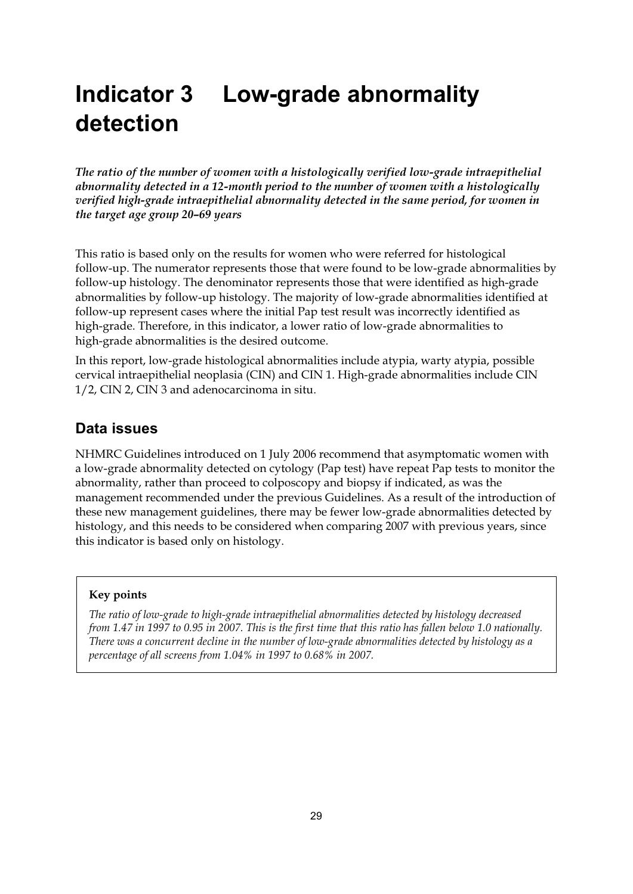# **Indicator 3 Low-grade abnormality detection**

*The ratio of the number of women with a histologically verified low-grade intraepithelial abnormality detected in a 12-month period to the number of women with a histologically verified high-grade intraepithelial abnormality detected in the same period, for women in the target age group 20–69 years* 

This ratio is based only on the results for women who were referred for histological follow-up. The numerator represents those that were found to be low-grade abnormalities by follow-up histology. The denominator represents those that were identified as high-grade abnormalities by follow-up histology. The majority of low-grade abnormalities identified at follow-up represent cases where the initial Pap test result was incorrectly identified as high-grade. Therefore, in this indicator, a lower ratio of low-grade abnormalities to high-grade abnormalities is the desired outcome.

In this report, low-grade histological abnormalities include atypia, warty atypia, possible cervical intraepithelial neoplasia (CIN) and CIN 1. High-grade abnormalities include CIN 1/2, CIN 2, CIN 3 and adenocarcinoma in situ.

# **Data issues**

NHMRC Guidelines introduced on 1 July 2006 recommend that asymptomatic women with a low-grade abnormality detected on cytology (Pap test) have repeat Pap tests to monitor the abnormality, rather than proceed to colposcopy and biopsy if indicated, as was the management recommended under the previous Guidelines. As a result of the introduction of these new management guidelines, there may be fewer low-grade abnormalities detected by histology, and this needs to be considered when comparing 2007 with previous years, since this indicator is based only on histology.

#### **Key points**

*The ratio of low-grade to high-grade intraepithelial abnormalities detected by histology decreased from 1.47 in 1997 to 0.95 in 2007. This is the first time that this ratio has fallen below 1.0 nationally. There was a concurrent decline in the number of low-grade abnormalities detected by histology as a percentage of all screens from 1.04% in 1997 to 0.68% in 2007.*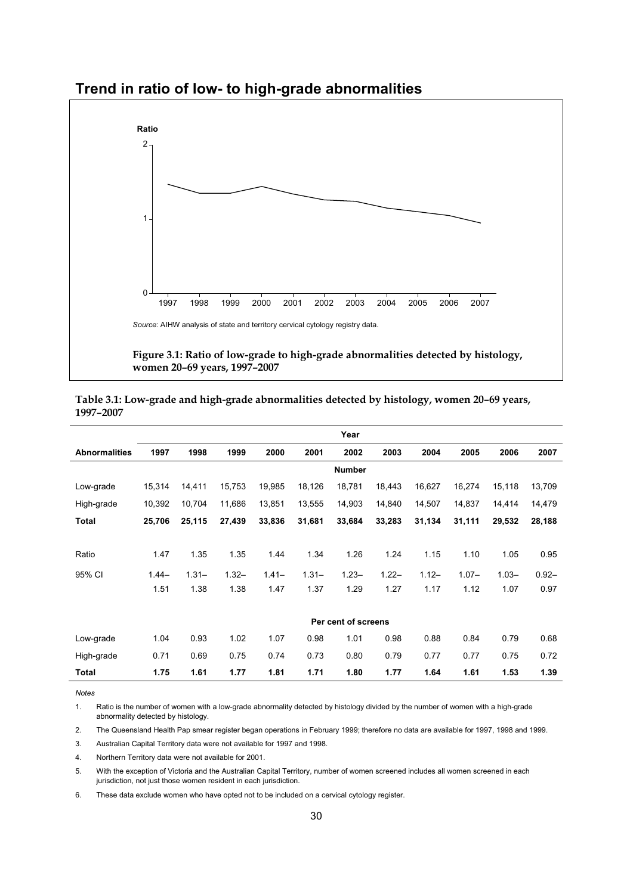

### **Trend in ratio of low- to high-grade abnormalities**

**women 20–69 years, 1997–2007** 

|                      |         |          |          |          |          | Year                |          |          |          |          |          |
|----------------------|---------|----------|----------|----------|----------|---------------------|----------|----------|----------|----------|----------|
| <b>Abnormalities</b> | 1997    | 1998     | 1999     | 2000     | 2001     | 2002                | 2003     | 2004     | 2005     | 2006     | 2007     |
|                      |         |          |          |          |          | <b>Number</b>       |          |          |          |          |          |
| Low-grade            | 15,314  | 14,411   | 15,753   | 19,985   | 18,126   | 18,781              | 18,443   | 16,627   | 16,274   | 15,118   | 13,709   |
| High-grade           | 10,392  | 10,704   | 11,686   | 13,851   | 13,555   | 14,903              | 14,840   | 14,507   | 14,837   | 14,414   | 14,479   |
| Total                | 25,706  | 25,115   | 27,439   | 33,836   | 31,681   | 33,684              | 33,283   | 31,134   | 31,111   | 29,532   | 28,188   |
|                      |         |          |          |          |          |                     |          |          |          |          |          |
| Ratio                | 1.47    | 1.35     | 1.35     | 1.44     | 1.34     | 1.26                | 1.24     | 1.15     | 1.10     | 1.05     | 0.95     |
| 95% CI               | $1.44-$ | $1.31 -$ | $1.32 -$ | $1.41 -$ | $1.31 -$ | $1.23 -$            | $1.22 -$ | $1.12 -$ | $1.07 -$ | $1.03 -$ | $0.92 -$ |
|                      | 1.51    | 1.38     | 1.38     | 1.47     | 1.37     | 1.29                | 1.27     | 1.17     | 1.12     | 1.07     | 0.97     |
|                      |         |          |          |          |          |                     |          |          |          |          |          |
|                      |         |          |          |          |          | Per cent of screens |          |          |          |          |          |
| Low-grade            | 1.04    | 0.93     | 1.02     | 1.07     | 0.98     | 1.01                | 0.98     | 0.88     | 0.84     | 0.79     | 0.68     |
| High-grade           | 0.71    | 0.69     | 0.75     | 0.74     | 0.73     | 0.80                | 0.79     | 0.77     | 0.77     | 0.75     | 0.72     |
| <b>Total</b>         | 1.75    | 1.61     | 1.77     | 1.81     | 1.71     | 1.80                | 1.77     | 1.64     | 1.61     | 1.53     | 1.39     |

| Table 3.1: Low-grade and high-grade abnormalities detected by histology, women 20-69 years, |  |
|---------------------------------------------------------------------------------------------|--|
| 1997-2007                                                                                   |  |

*Notes*  Ratio is the number of women with a low-grade abnormality detected by histology divided by the number of women with a high-grade abnormality detected by histology.

2. The Queensland Health Pap smear register began operations in February 1999; therefore no data are available for 1997, 1998 and 1999.

3. Australian Capital Territory data were not available for 1997 and 1998.

4. Northern Territory data were not available for 2001.

5. With the exception of Victoria and the Australian Capital Territory, number of women screened includes all women screened in each jurisdiction, not just those women resident in each jurisdiction.

6. These data exclude women who have opted not to be included on a cervical cytology register.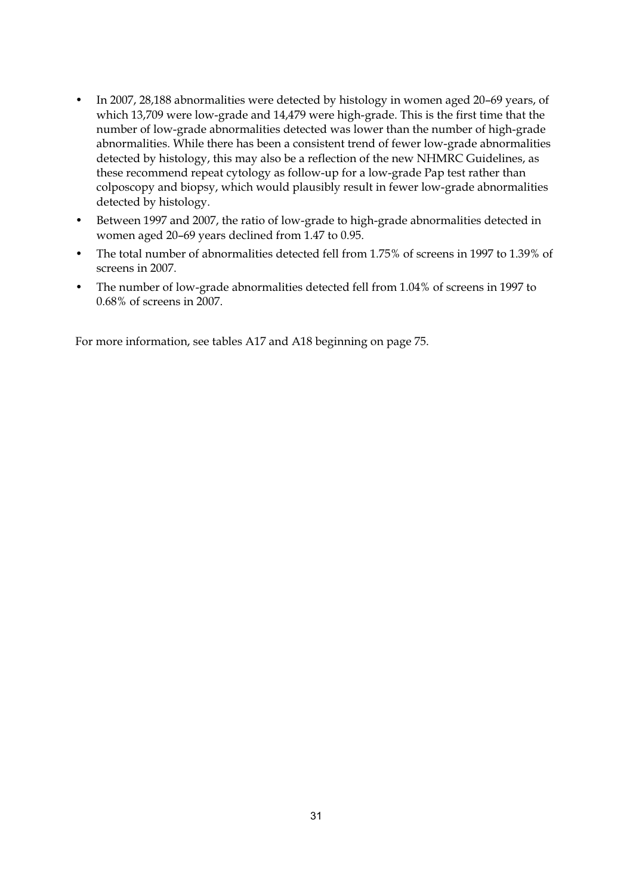- In 2007, 28,188 abnormalities were detected by histology in women aged 20–69 years, of which 13,709 were low-grade and 14,479 were high-grade. This is the first time that the number of low-grade abnormalities detected was lower than the number of high-grade abnormalities. While there has been a consistent trend of fewer low-grade abnormalities detected by histology, this may also be a reflection of the new NHMRC Guidelines, as these recommend repeat cytology as follow-up for a low-grade Pap test rather than colposcopy and biopsy, which would plausibly result in fewer low-grade abnormalities detected by histology.
- Between 1997 and 2007, the ratio of low-grade to high-grade abnormalities detected in women aged 20–69 years declined from 1.47 to 0.95.
- The total number of abnormalities detected fell from 1.75% of screens in 1997 to 1.39% of screens in 2007.
- The number of low-grade abnormalities detected fell from 1.04% of screens in 1997 to 0.68% of screens in 2007.

For more information, see tables A17 and A18 beginning on page 75.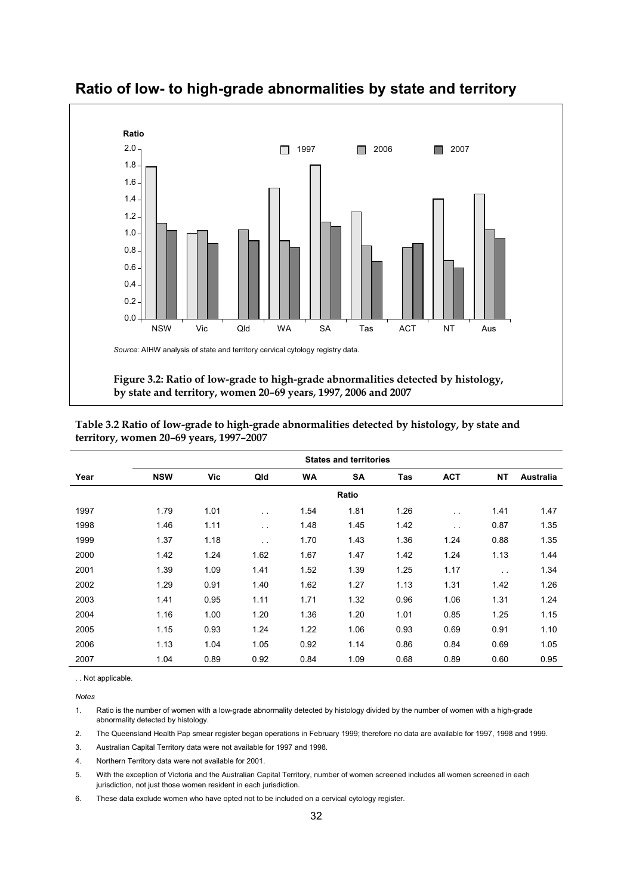

**Ratio of low- to high-grade abnormalities by state and territory** 

|      | <b>States and territories</b> |      |                      |      |           |      |            |               |           |  |  |  |
|------|-------------------------------|------|----------------------|------|-----------|------|------------|---------------|-----------|--|--|--|
| Year | <b>NSW</b>                    | Vic  | Qld                  | WA   | <b>SA</b> | Tas  | <b>ACT</b> | <b>NT</b>     | Australia |  |  |  |
|      |                               |      |                      |      | Ratio     |      |            |               |           |  |  |  |
| 1997 | 1.79                          | 1.01 | $\sim$ $\sim$        | 1.54 | 1.81      | 1.26 | $\sim$     | 1.41          | 1.47      |  |  |  |
| 1998 | 1.46                          | 1.11 | $\sim$ $\sim$        | 1.48 | 1.45      | 1.42 | $\sim$     | 0.87          | 1.35      |  |  |  |
| 1999 | 1.37                          | 1.18 | $\ddot{\phantom{0}}$ | 1.70 | 1.43      | 1.36 | 1.24       | 0.88          | 1.35      |  |  |  |
| 2000 | 1.42                          | 1.24 | 1.62                 | 1.67 | 1.47      | 1.42 | 1.24       | 1.13          | 1.44      |  |  |  |
| 2001 | 1.39                          | 1.09 | 1.41                 | 1.52 | 1.39      | 1.25 | 1.17       | $\sim$ $\sim$ | 1.34      |  |  |  |
| 2002 | 1.29                          | 0.91 | 1.40                 | 1.62 | 1.27      | 1.13 | 1.31       | 1.42          | 1.26      |  |  |  |
| 2003 | 1.41                          | 0.95 | 1.11                 | 1.71 | 1.32      | 0.96 | 1.06       | 1.31          | 1.24      |  |  |  |
| 2004 | 1.16                          | 1.00 | 1.20                 | 1.36 | 1.20      | 1.01 | 0.85       | 1.25          | 1.15      |  |  |  |
| 2005 | 1.15                          | 0.93 | 1.24                 | 1.22 | 1.06      | 0.93 | 0.69       | 0.91          | 1.10      |  |  |  |
| 2006 | 1.13                          | 1.04 | 1.05                 | 0.92 | 1.14      | 0.86 | 0.84       | 0.69          | 1.05      |  |  |  |
| 2007 | 1.04                          | 0.89 | 0.92                 | 0.84 | 1.09      | 0.68 | 0.89       | 0.60          | 0.95      |  |  |  |

**Table 3.2 Ratio of low-grade to high-grade abnormalities detected by histology, by state and territory, women 20–69 years, 1997–2007** 

. . Not applicable.

**Notes** 

1. Ratio is the number of women with a low-grade abnormality detected by histology divided by the number of women with a high-grade abnormality detected by histology.

2. The Queensland Health Pap smear register began operations in February 1999; therefore no data are available for 1997, 1998 and 1999.

3. Australian Capital Territory data were not available for 1997 and 1998.

4. Northern Territory data were not available for 2001.

5. With the exception of Victoria and the Australian Capital Territory, number of women screened includes all women screened in each jurisdiction, not just those women resident in each jurisdiction.

6. These data exclude women who have opted not to be included on a cervical cytology register.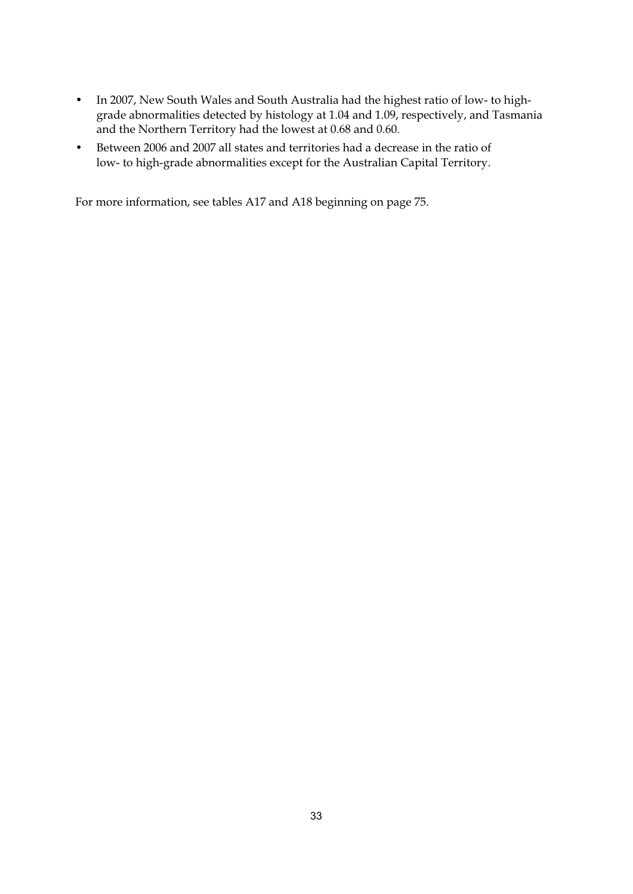- In 2007, New South Wales and South Australia had the highest ratio of low- to highgrade abnormalities detected by histology at 1.04 and 1.09, respectively, and Tasmania and the Northern Territory had the lowest at 0.68 and 0.60.
- Between 2006 and 2007 all states and territories had a decrease in the ratio of low- to high-grade abnormalities except for the Australian Capital Territory.

For more information, see tables A17 and A18 beginning on page 75.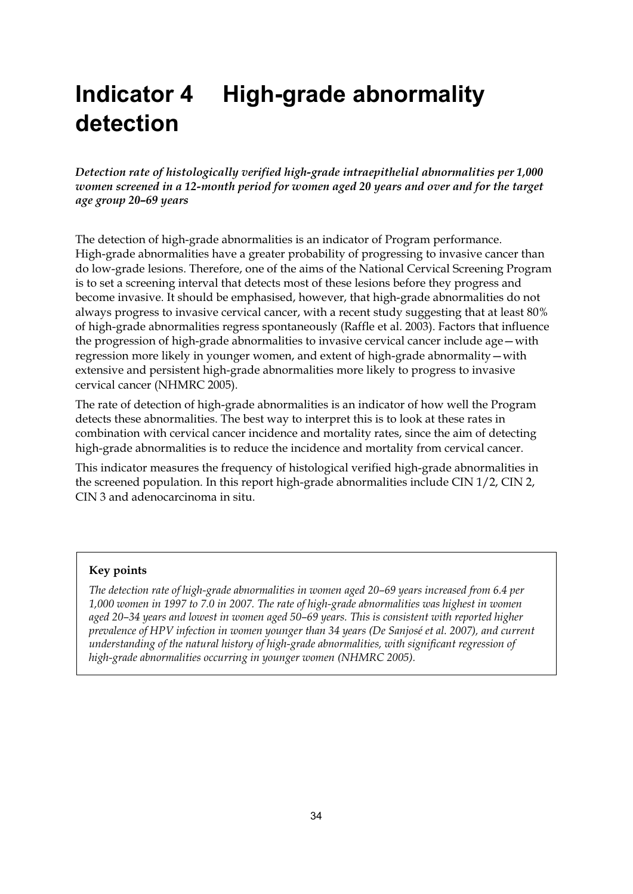# **Indicator 4 High-grade abnormality detection**

*Detection rate of histologically verified high-grade intraepithelial abnormalities per 1,000 women screened in a 12-month period for women aged 20 years and over and for the target age group 20–69 years* 

The detection of high-grade abnormalities is an indicator of Program performance. High-grade abnormalities have a greater probability of progressing to invasive cancer than do low-grade lesions. Therefore, one of the aims of the National Cervical Screening Program is to set a screening interval that detects most of these lesions before they progress and become invasive. It should be emphasised, however, that high-grade abnormalities do not always progress to invasive cervical cancer, with a recent study suggesting that at least 80% of high-grade abnormalities regress spontaneously (Raffle et al. 2003). Factors that influence the progression of high-grade abnormalities to invasive cervical cancer include age—with regression more likely in younger women, and extent of high-grade abnormality—with extensive and persistent high-grade abnormalities more likely to progress to invasive cervical cancer (NHMRC 2005).

The rate of detection of high-grade abnormalities is an indicator of how well the Program detects these abnormalities. The best way to interpret this is to look at these rates in combination with cervical cancer incidence and mortality rates, since the aim of detecting high-grade abnormalities is to reduce the incidence and mortality from cervical cancer.

This indicator measures the frequency of histological verified high-grade abnormalities in the screened population. In this report high-grade abnormalities include CIN 1/2, CIN 2, CIN 3 and adenocarcinoma in situ.

#### **Key points**

*The detection rate of high-grade abnormalities in women aged 20–69 years increased from 6.4 per 1,000 women in 1997 to 7.0 in 2007. The rate of high-grade abnormalities was highest in women aged 20–34 years and lowest in women aged 50–69 years. This is consistent with reported higher prevalence of HPV infection in women younger than 34 years (De Sanjosé et al. 2007), and current understanding of the natural history of high-grade abnormalities, with significant regression of high-grade abnormalities occurring in younger women (NHMRC 2005).*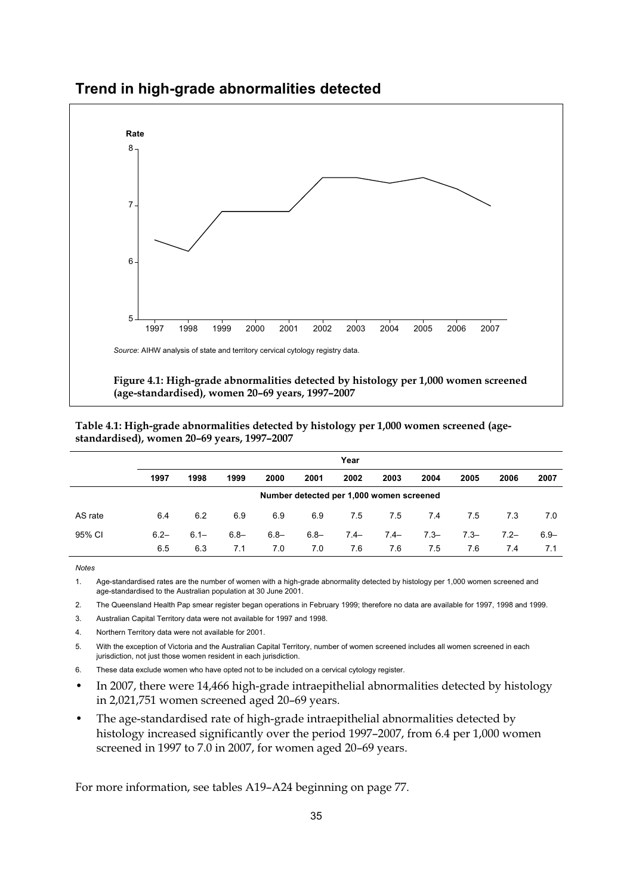

## **Trend in high-grade abnormalities detected**

**Figure 4.1: High-grade abnormalities detected by histology per 1,000 women screened (age-standardised), women 20–69 years, 1997–2007** 

**Table 4.1: High-grade abnormalities detected by histology per 1,000 women screened (agestandardised), women 20–69 years, 1997–2007** 

|         | Year                                     |         |         |         |         |        |        |         |         |        |         |  |  |
|---------|------------------------------------------|---------|---------|---------|---------|--------|--------|---------|---------|--------|---------|--|--|
|         | 1997                                     | 1998    | 1999    | 2000    | 2001    | 2002   | 2003   | 2004    | 2005    | 2006   | 2007    |  |  |
|         | Number detected per 1,000 women screened |         |         |         |         |        |        |         |         |        |         |  |  |
| AS rate | 6.4                                      | 6.2     | 6.9     | 6.9     | 6.9     | 7.5    | 7.5    | 7.4     | 7.5     | 7.3    | 7.0     |  |  |
| 95% CI  | $6.2 -$                                  | $6.1 -$ | $6.8 -$ | $6.8 -$ | $6.8 -$ | $7.4-$ | $7.4-$ | $7.3 -$ | $7.3 -$ | $7.2-$ | $6.9 -$ |  |  |
|         | 6.5                                      | 6.3     | 7.1     | 7.0     | 7.0     | 7.6    | 7.6    | 7.5     | 7.6     | 7.4    | 7.1     |  |  |

**Notes** 

1. Age-standardised rates are the number of women with a high-grade abnormality detected by histology per 1,000 women screened and age-standardised to the Australian population at 30 June 2001.

2. The Queensland Health Pap smear register began operations in February 1999; therefore no data are available for 1997, 1998 and 1999.

3. Australian Capital Territory data were not available for 1997 and 1998.

4. Northern Territory data were not available for 2001.

5. With the exception of Victoria and the Australian Capital Territory, number of women screened includes all women screened in each jurisdiction, not just those women resident in each jurisdiction.

- 6. These data exclude women who have opted not to be included on a cervical cytology register.
- In 2007, there were 14,466 high-grade intraepithelial abnormalities detected by histology in 2,021,751 women screened aged 20–69 years.
- The age-standardised rate of high-grade intraepithelial abnormalities detected by histology increased significantly over the period 1997–2007, from 6.4 per 1,000 women screened in 1997 to 7.0 in 2007, for women aged 20–69 years.

For more information, see tables A19–A24 beginning on page 77.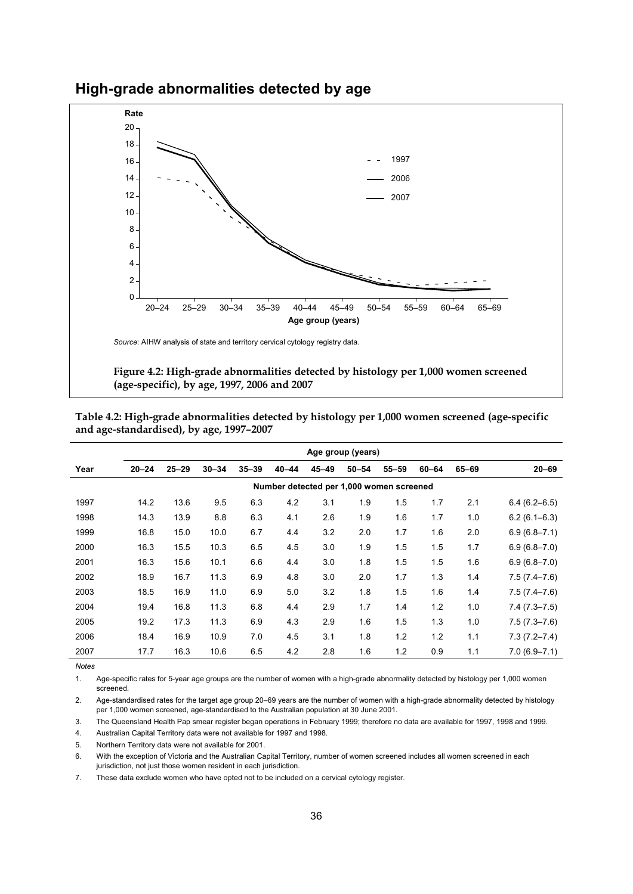

**High-grade abnormalities detected by age** 

**Figure 4.2: High-grade abnormalities detected by histology per 1,000 women screened (age-specific), by age, 1997, 2006 and 2007** 

**Table 4.2: High-grade abnormalities detected by histology per 1,000 women screened (age-specific and age-standardised), by age, 1997–2007** 

|      | Age group (years) |           |           |           |                                          |           |           |           |           |       |                  |
|------|-------------------|-----------|-----------|-----------|------------------------------------------|-----------|-----------|-----------|-----------|-------|------------------|
| Year | $20 - 24$         | $25 - 29$ | $30 - 34$ | $35 - 39$ | $40 - 44$                                | $45 - 49$ | $50 - 54$ | $55 - 59$ | $60 - 64$ | 65-69 | $20 - 69$        |
|      |                   |           |           |           | Number detected per 1,000 women screened |           |           |           |           |       |                  |
| 1997 | 14.2              | 13.6      | 9.5       | 6.3       | 4.2                                      | 3.1       | 1.9       | 1.5       | 1.7       | 2.1   | $6.4(6.2 - 6.5)$ |
| 1998 | 14.3              | 13.9      | 8.8       | 6.3       | 4.1                                      | 2.6       | 1.9       | 1.6       | 1.7       | 1.0   | $6.2(6.1 - 6.3)$ |
| 1999 | 16.8              | 15.0      | 10.0      | 6.7       | 4.4                                      | 3.2       | 2.0       | 1.7       | 1.6       | 2.0   | $6.9(6.8 - 7.1)$ |
| 2000 | 16.3              | 15.5      | 10.3      | 6.5       | 4.5                                      | 3.0       | 1.9       | 1.5       | 1.5       | 1.7   | $6.9(6.8 - 7.0)$ |
| 2001 | 16.3              | 15.6      | 10.1      | 6.6       | 4.4                                      | 3.0       | 1.8       | 1.5       | 1.5       | 1.6   | $6.9(6.8 - 7.0)$ |
| 2002 | 18.9              | 16.7      | 11.3      | 6.9       | 4.8                                      | 3.0       | 2.0       | 1.7       | 1.3       | 1.4   | $7.5(7.4 - 7.6)$ |
| 2003 | 18.5              | 16.9      | 11.0      | 6.9       | 5.0                                      | 3.2       | 1.8       | 1.5       | 1.6       | 1.4   | $7.5(7.4 - 7.6)$ |
| 2004 | 19.4              | 16.8      | 11.3      | 6.8       | 4.4                                      | 2.9       | 1.7       | 1.4       | 1.2       | 1.0   | $7.4(7.3 - 7.5)$ |
| 2005 | 19.2              | 17.3      | 11.3      | 6.9       | 4.3                                      | 2.9       | 1.6       | 1.5       | 1.3       | 1.0   | $7.5(7.3 - 7.6)$ |
| 2006 | 18.4              | 16.9      | 10.9      | 7.0       | 4.5                                      | 3.1       | 1.8       | 1.2       | 1.2       | 1.1   | $7.3(7.2 - 7.4)$ |
| 2007 | 17.7              | 16.3      | 10.6      | 6.5       | 4.2                                      | 2.8       | 1.6       | 1.2       | 0.9       | 1.1   | $7.0(6.9 - 7.1)$ |

*Notes* 

1. Age-specific rates for 5-year age groups are the number of women with a high-grade abnormality detected by histology per 1,000 women screened.

2. Age-standardised rates for the target age group 20–69 years are the number of women with a high-grade abnormality detected by histology per 1,000 women screened, age-standardised to the Australian population at 30 June 2001.

3. The Queensland Health Pap smear register began operations in February 1999; therefore no data are available for 1997, 1998 and 1999.

4. Australian Capital Territory data were not available for 1997 and 1998.

5. Northern Territory data were not available for 2001.

6. With the exception of Victoria and the Australian Capital Territory, number of women screened includes all women screened in each jurisdiction, not just those women resident in each jurisdiction.

7. These data exclude women who have opted not to be included on a cervical cytology register.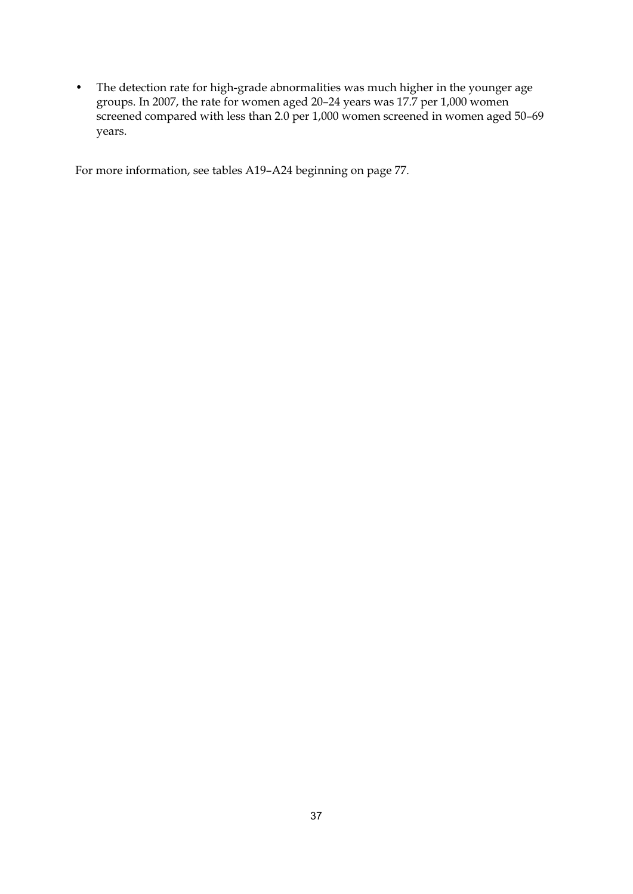• The detection rate for high-grade abnormalities was much higher in the younger age groups. In 2007, the rate for women aged 20–24 years was 17.7 per 1,000 women screened compared with less than 2.0 per 1,000 women screened in women aged 50–69 years.

For more information, see tables A19–A24 beginning on page 77.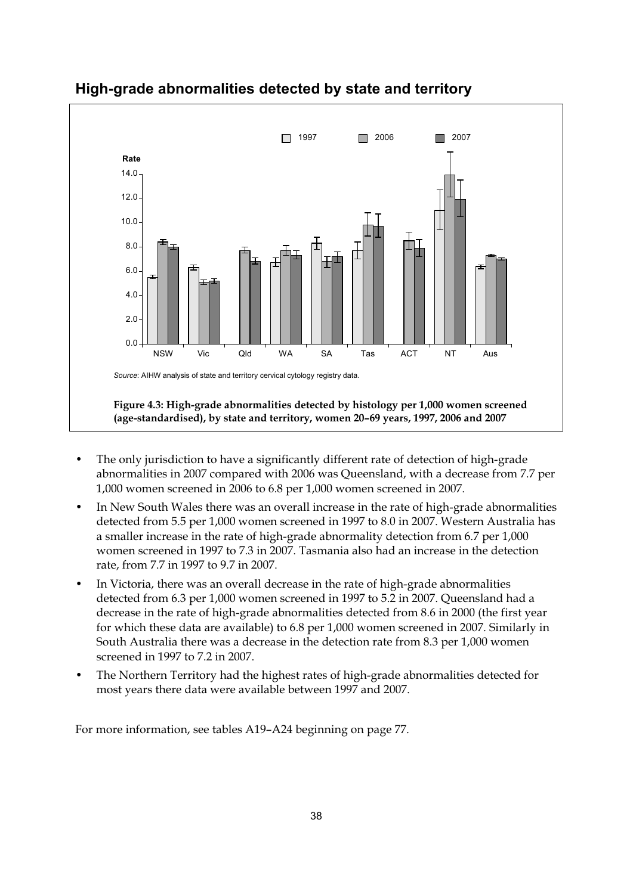

# **High-grade abnormalities detected by state and territory**

- The only jurisdiction to have a significantly different rate of detection of high-grade abnormalities in 2007 compared with 2006 was Queensland, with a decrease from 7.7 per 1,000 women screened in 2006 to 6.8 per 1,000 women screened in 2007.
- In New South Wales there was an overall increase in the rate of high-grade abnormalities detected from 5.5 per 1,000 women screened in 1997 to 8.0 in 2007. Western Australia has a smaller increase in the rate of high-grade abnormality detection from 6.7 per 1,000 women screened in 1997 to 7.3 in 2007. Tasmania also had an increase in the detection rate, from 7.7 in 1997 to 9.7 in 2007.
- In Victoria, there was an overall decrease in the rate of high-grade abnormalities detected from 6.3 per 1,000 women screened in 1997 to 5.2 in 2007. Queensland had a decrease in the rate of high-grade abnormalities detected from 8.6 in 2000 (the first year for which these data are available) to 6.8 per 1,000 women screened in 2007. Similarly in South Australia there was a decrease in the detection rate from 8.3 per 1,000 women screened in 1997 to 7.2 in 2007.
- The Northern Territory had the highest rates of high-grade abnormalities detected for most years there data were available between 1997 and 2007.

For more information, see tables A19–A24 beginning on page 77.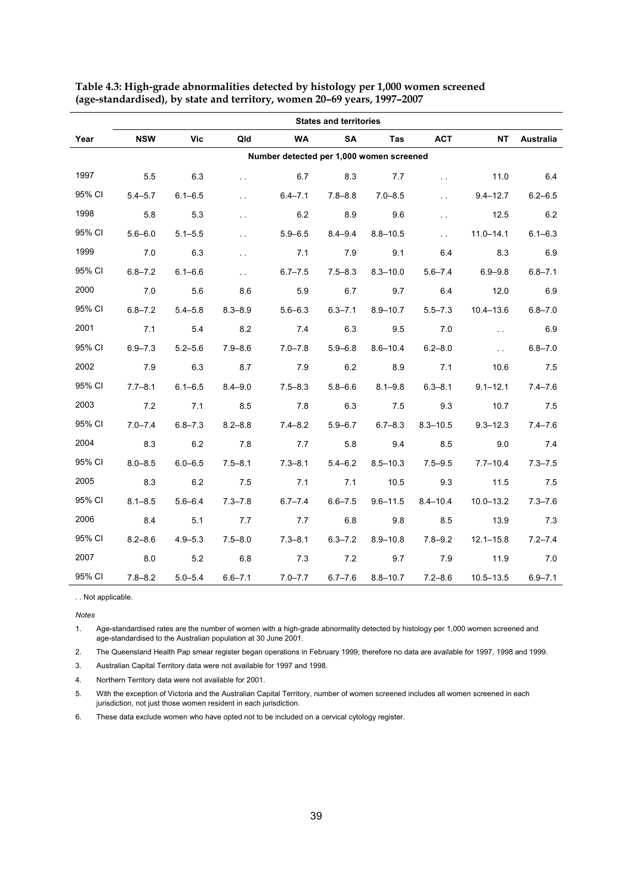|        | <b>States and territories</b> |             |                      |                                          |             |              |                      |               |             |  |  |
|--------|-------------------------------|-------------|----------------------|------------------------------------------|-------------|--------------|----------------------|---------------|-------------|--|--|
| Year   | <b>NSW</b>                    | <b>Vic</b>  | Qld                  | <b>WA</b>                                | <b>SA</b>   | Tas          | <b>ACT</b>           | NT            | Australia   |  |  |
|        |                               |             |                      | Number detected per 1,000 women screened |             |              |                      |               |             |  |  |
| 1997   | 5.5                           | 6.3         | $\ddotsc$            | 6.7                                      | 8.3         | 7.7          | $\ddotsc$            | 11.0          | 6.4         |  |  |
| 95% CI | $5.4 - 5.7$                   | $6.1 - 6.5$ | $\ddot{\phantom{0}}$ | $6.4 - 7.1$                              | 7.8–8.8     | $7.0 - 8.5$  | $\ddot{\phantom{a}}$ | $9.4 - 12.7$  | $6.2 - 6.5$ |  |  |
| 1998   | 5.8                           | 5.3         | $\ddotsc$            | 6.2                                      | 8.9         | 9.6          | $\ddotsc$            | 12.5          | 6.2         |  |  |
| 95% CI | $5.6 - 6.0$                   | $5.1 - 5.5$ | $\ddot{\phantom{0}}$ | $5.9 - 6.5$                              | $8.4 - 9.4$ | $8.8 - 10.5$ | $\sim 10$            | $11.0 - 14.1$ | $6.1 - 6.3$ |  |  |
| 1999   | 7.0                           | 6.3         | $\ddot{\phantom{0}}$ | 7.1                                      | 7.9         | 9.1          | 6.4                  | 8.3           | 6.9         |  |  |
| 95% CI | $6.8 - 7.2$                   | $6.1 - 6.6$ | $\ddot{\phantom{a}}$ | $6.7 - 7.5$                              | $7.5 - 8.3$ | $8.3 - 10.0$ | $5.6 - 7.4$          | $6.9 - 9.8$   | $6.8 - 7.1$ |  |  |
| 2000   | 7.0                           | 5.6         | 8.6                  | 5.9                                      | 6.7         | 9.7          | 6.4                  | 12.0          | 6.9         |  |  |
| 95% CI | $6.8 - 7.2$                   | $5.4 - 5.8$ | $8.3 - 8.9$          | $5.6 - 6.3$                              | $6.3 - 7.1$ | $8.9 - 10.7$ | $5.5 - 7.3$          | $10.4 - 13.6$ | $6.8 - 7.0$ |  |  |
| 2001   | 7.1                           | 5.4         | 8.2                  | 7.4                                      | 6.3         | 9.5          | 7.0                  | $\sim$ $\sim$ | 6.9         |  |  |
| 95% CI | $6.9 - 7.3$                   | $5.2 - 5.6$ | $7.9 - 8.6$          | $7.0 - 7.8$                              | $5.9 - 6.8$ | $8.6 - 10.4$ | $6.2 - 8.0$          | $\sim$ $\sim$ | $6.8 - 7.0$ |  |  |
| 2002   | 7.9                           | 6.3         | 8.7                  | 7.9                                      | 6.2         | 8.9          | 7.1                  | 10.6          | 7.5         |  |  |
| 95% CI | $7.7 - 8.1$                   | $6.1 - 6.5$ | $8.4 - 9.0$          | $7.5 - 8.3$                              | $5.8 - 6.6$ | $8.1 - 9.8$  | $6.3 - 8.1$          | $9.1 - 12.1$  | $7.4 - 7.6$ |  |  |
| 2003   | 7.2                           | 7.1         | 8.5                  | 7.8                                      | 6.3         | 7.5          | 9.3                  | 10.7          | 7.5         |  |  |
| 95% CI | $7.0 - 7.4$                   | $6.8 - 7.3$ | $8.2 - 8.8$          | $7.4 - 8.2$                              | $5.9 - 6.7$ | $6.7 - 8.3$  | $8.3 - 10.5$         | $9.3 - 12.3$  | $7.4 - 7.6$ |  |  |
| 2004   | 8.3                           | 6.2         | 7.8                  | 7.7                                      | 5.8         | 9.4          | 8.5                  | 9.0           | 7.4         |  |  |
| 95% CI | $8.0 - 8.5$                   | $6.0 - 6.5$ | $7.5 - 8.1$          | $7.3 - 8.1$                              | $5.4 - 6.2$ | $8.5 - 10.3$ | $7.5 - 9.5$          | $7.7 - 10.4$  | $7.3 - 7.5$ |  |  |
| 2005   | 8.3                           | 6.2         | 7.5                  | 7.1                                      | 7.1         | 10.5         | 9.3                  | 11.5          | 7.5         |  |  |
| 95% CI | $8.1 - 8.5$                   | $5.6 - 6.4$ | $7.3 - 7.8$          | $6.7 - 7.4$                              | $6.6 - 7.5$ | $9.6 - 11.5$ | $8.4 - 10.4$         | $10.0 - 13.2$ | $7.3 - 7.6$ |  |  |
| 2006   | 8.4                           | 5.1         | 7.7                  | 7.7                                      | 6.8         | 9.8          | 8.5                  | 13.9          | 7.3         |  |  |
| 95% CI | $8.2 - 8.6$                   | $4.9 - 5.3$ | $7.5 - 8.0$          | $7.3 - 8.1$                              | $6.3 - 7.2$ | $8.9 - 10.8$ | $7.8 - 9.2$          | $12.1 - 15.8$ | $7.2 - 7.4$ |  |  |
| 2007   | 8.0                           | 5.2         | 6.8                  | 7.3                                      | 7.2         | 9.7          | 7.9                  | 11.9          | 7.0         |  |  |
| 95% CI | $7.8 - 8.2$                   | $5.0 - 5.4$ | $6.6 - 7.1$          | $7.0 - 7.7$                              | $6.7 - 7.6$ | $8.8 - 10.7$ | $7.2 - 8.6$          | $10.5 - 13.5$ | $6.9 - 7.1$ |  |  |

**Table 4.3: High-grade abnormalities detected by histology per 1,000 women screened (age-standardised), by state and territory, women 20–69 years, 1997–2007** 

. . Not applicable.

**Notes** 

*Notes*  1. Age-standardised rates are the number of women with a high-grade abnormality detected by histology per 1,000 women screened and age-standardised to the Australian population at 30 June 2001.

2. The Queensland Health Pap smear register began operations in February 1999; therefore no data are available for 1997, 1998 and 1999.

3. Australian Capital Territory data were not available for 1997 and 1998.

4. Northern Territory data were not available for 2001.

5. With the exception of Victoria and the Australian Capital Territory, number of women screened includes all women screened in each jurisdiction, not just those women resident in each jurisdiction.

6. These data exclude women who have opted not to be included on a cervical cytology register.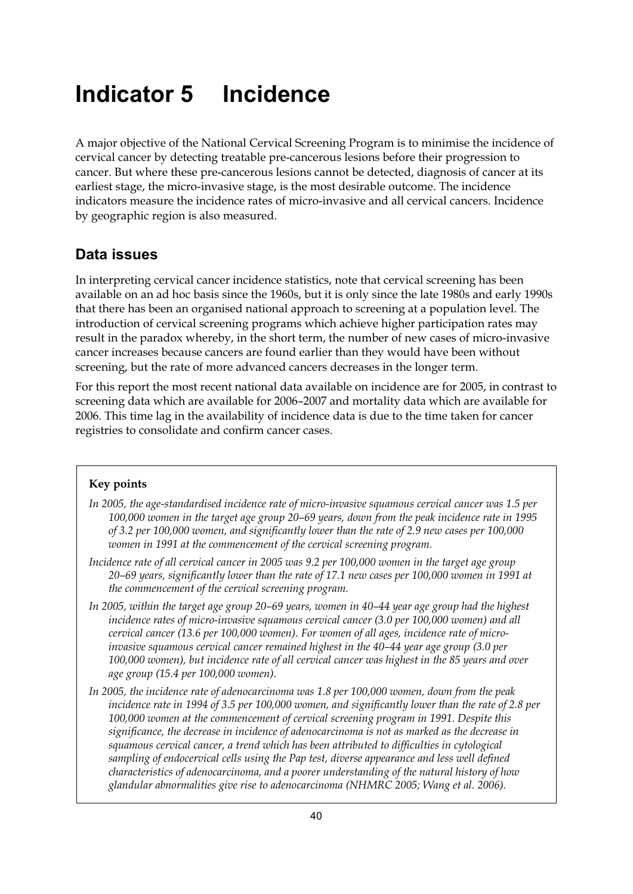# **Indicator 5 Incidence**

A major objective of the National Cervical Screening Program is to minimise the incidence of cervical cancer by detecting treatable pre-cancerous lesions before their progression to cancer. But where these pre-cancerous lesions cannot be detected, diagnosis of cancer at its earliest stage, the micro-invasive stage, is the most desirable outcome. The incidence indicators measure the incidence rates of micro-invasive and all cervical cancers. Incidence by geographic region is also measured.

# **Data issues**

In interpreting cervical cancer incidence statistics, note that cervical screening has been available on an ad hoc basis since the 1960s, but it is only since the late 1980s and early 1990s that there has been an organised national approach to screening at a population level. The introduction of cervical screening programs which achieve higher participation rates may result in the paradox whereby, in the short term, the number of new cases of micro-invasive cancer increases because cancers are found earlier than they would have been without screening, but the rate of more advanced cancers decreases in the longer term.

For this report the most recent national data available on incidence are for 2005, in contrast to screening data which are available for 2006–2007 and mortality data which are available for 2006. This time lag in the availability of incidence data is due to the time taken for cancer registries to consolidate and confirm cancer cases.

#### **Key points**

- *In 2005, the age-standardised incidence rate of micro-invasive squamous cervical cancer was 1.5 per 100,000 women in the target age group 20–69 years, down from the peak incidence rate in 1995 of 3.2 per 100,000 women, and significantly lower than the rate of 2.9 new cases per 100,000 women in 1991 at the commencement of the cervical screening program.*
- *Incidence rate of all cervical cancer in 2005 was 9.2 per 100,000 women in the target age group 20–69 years, significantly lower than the rate of 17.1 new cases per 100,000 women in 1991 at the commencement of the cervical screening program.*
- *In 2005, within the target age group 20–69 years, women in 40–44 year age group had the highest incidence rates of micro-invasive squamous cervical cancer (3.0 per 100,000 women) and all cervical cancer (13.6 per 100,000 women). For women of all ages, incidence rate of microinvasive squamous cervical cancer remained highest in the 40–44 year age group (3.0 per 100,000 women), but incidence rate of all cervical cancer was highest in the 85 years and over age group (15.4 per 100,000 women).*
- *In 2005, the incidence rate of adenocarcinoma was 1.8 per 100,000 women, down from the peak incidence rate in 1994 of 3.5 per 100,000 women, and significantly lower than the rate of 2.8 per 100,000 women at the commencement of cervical screening program in 1991. Despite this significance, the decrease in incidence of adenocarcinoma is not as marked as the decrease in squamous cervical cancer, a trend which has been attributed to difficulties in cytological sampling of endocervical cells using the Pap test, diverse appearance and less well defined characteristics of adenocarcinoma, and a poorer understanding of the natural history of how glandular abnormalities give rise to adenocarcinoma (NHMRC 2005; Wang et al. 2006).*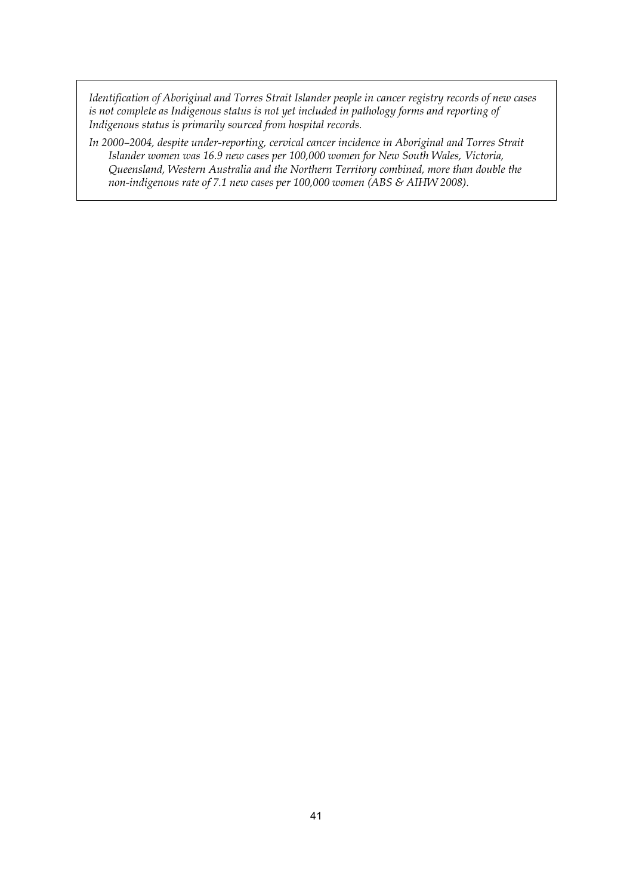*Identification of Aboriginal and Torres Strait Islander people in cancer registry records of new cases is not complete as Indigenous status is not yet included in pathology forms and reporting of Indigenous status is primarily sourced from hospital records.* 

*In 2000–2004, despite under-reporting, cervical cancer incidence in Aboriginal and Torres Strait Islander women was 16.9 new cases per 100,000 women for New South Wales, Victoria, Queensland, Western Australia and the Northern Territory combined, more than double the non-indigenous rate of 7.1 new cases per 100,000 women (ABS & AIHW 2008).*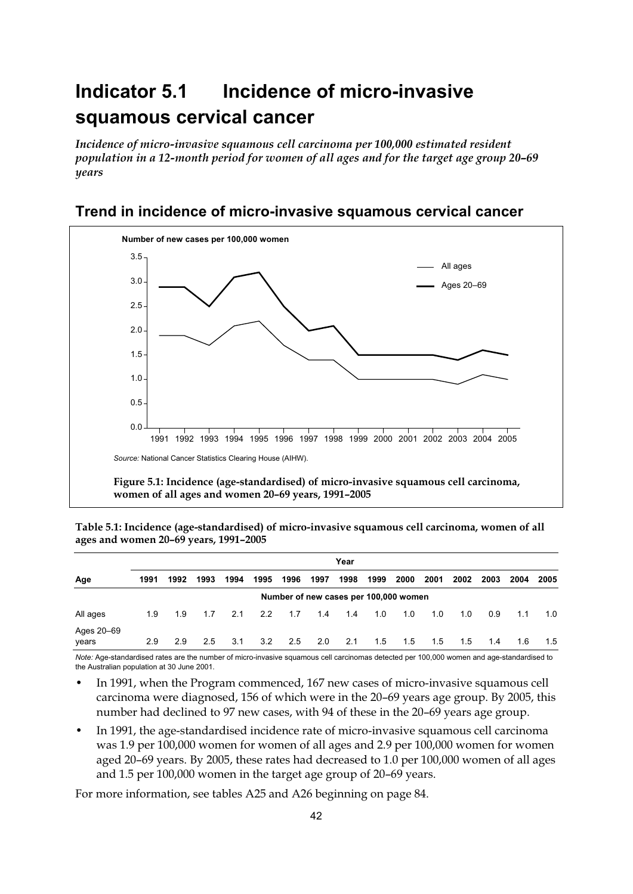# **Indicator 5.1 Incidence of micro-invasive squamous cervical cancer**

*Incidence of micro-invasive squamous cell carcinoma per 100,000 estimated resident population in a 12-month period for women of all ages and for the target age group 20–69 years* 



# **Trend in incidence of micro-invasive squamous cervical cancer**

**Table 5.1: Incidence (age-standardised) of micro-invasive squamous cell carcinoma, women of all ages and women 20–69 years, 1991–2005** 

|                     |      | Year |      |      |      |                                       |      |      |      |      |      |      |      |      |      |
|---------------------|------|------|------|------|------|---------------------------------------|------|------|------|------|------|------|------|------|------|
| Age                 | 1991 | 1992 | 1993 | 1994 | 1995 | 1996                                  | 1997 | 1998 | 1999 | 2000 | 2001 | 2002 | 2003 | 2004 | 2005 |
|                     |      |      |      |      |      | Number of new cases per 100,000 women |      |      |      |      |      |      |      |      |      |
| All ages            | 1.9  | 1.9  | 1.7  | 2.1  | 2.2  | 1.7                                   | 1.4  | 1.4  | 1.0  | 1.0  | 1.0  | 1.0  | 0.9  | 1.1  | 1.0  |
| Ages 20-69<br>years | 2.9  | 2.9  | 2.5  | 3.1  | 3.2  | 2.5                                   | 2.0  | 2.1  | 1.5  | 1.5  | 1.5  | 1.5  | 1.4  | 1.6  | 1.5  |

*Note:* Age-standardised rates are the number of micro-invasive squamous cell carcinomas detected per 100,000 women and age-standardised to the Australian population at 30 June 2001.

- In 1991, when the Program commenced, 167 new cases of micro-invasive squamous cell carcinoma were diagnosed, 156 of which were in the 20–69 years age group. By 2005, this number had declined to 97 new cases, with 94 of these in the 20–69 years age group.
- In 1991, the age-standardised incidence rate of micro-invasive squamous cell carcinoma was 1.9 per 100,000 women for women of all ages and 2.9 per 100,000 women for women aged 20–69 years. By 2005, these rates had decreased to 1.0 per 100,000 women of all ages and 1.5 per 100,000 women in the target age group of 20–69 years.

For more information, see tables A25 and A26 beginning on page 84.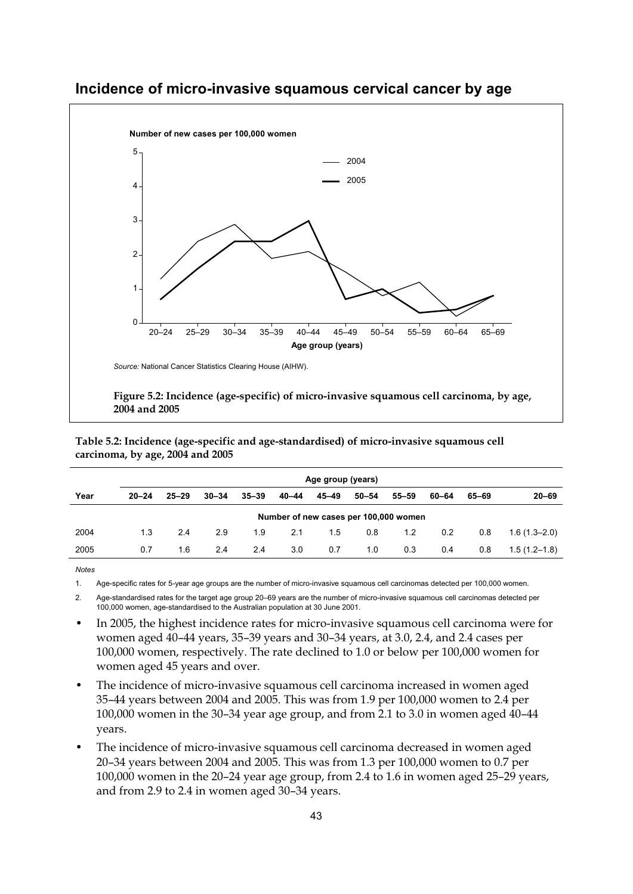

### **Incidence of micro-invasive squamous cervical cancer by age**

**2004 and 2005** 

| Table 5.2: Incidence (age-specific and age-standardised) of micro-invasive squamous cell |
|------------------------------------------------------------------------------------------|
| carcinoma, by age, 2004 and 2005                                                         |

|      | Age group (years) |           |           |           |       |           |                                       |           |       |       |                  |  |  |
|------|-------------------|-----------|-----------|-----------|-------|-----------|---------------------------------------|-----------|-------|-------|------------------|--|--|
| Year | $20 - 24$         | $25 - 29$ | $30 - 34$ | $35 - 39$ | 40-44 | $45 - 49$ | $50 - 54$                             | $55 - 59$ | 60-64 | 65–69 | $20 - 69$        |  |  |
|      |                   |           |           |           |       |           | Number of new cases per 100,000 women |           |       |       |                  |  |  |
| 2004 | 1.3               | 2.4       | 2.9       | 1.9       | 2.1   | 1.5       | 0.8                                   | 1.2       | 0.2   | 0.8   | $1.6(1.3 - 2.0)$ |  |  |
| 2005 | 0.7               | 1.6       | 2.4       | 2.4       | 3.0   | 0.7       | 1.0                                   | 0.3       | 0.4   | 0.8   | $1.5(1.2-1.8)$   |  |  |

1. Age-specific rates for 5-year age groups are the number of micro-invasive squamous cell carcinomas detected per 100,000 women.

2. Age-standardised rates for the target age group 20–69 years are the number of micro-invasive squamous cell carcinomas detected per 100,000 women, age-standardised to the Australian population at 30 June 2001.

- In 2005, the highest incidence rates for micro-invasive squamous cell carcinoma were for women aged 40–44 years, 35–39 years and 30–34 years, at 3.0, 2.4, and 2.4 cases per 100,000 women, respectively. The rate declined to 1.0 or below per 100,000 women for women aged 45 years and over.
- The incidence of micro-invasive squamous cell carcinoma increased in women aged 35–44 years between 2004 and 2005. This was from 1.9 per 100,000 women to 2.4 per 100,000 women in the 30–34 year age group, and from 2.1 to 3.0 in women aged 40–44 years.
- The incidence of micro-invasive squamous cell carcinoma decreased in women aged 20–34 years between 2004 and 2005. This was from 1.3 per 100,000 women to 0.7 per 100,000 women in the 20–24 year age group, from 2.4 to 1.6 in women aged 25–29 years, and from 2.9 to 2.4 in women aged 30–34 years.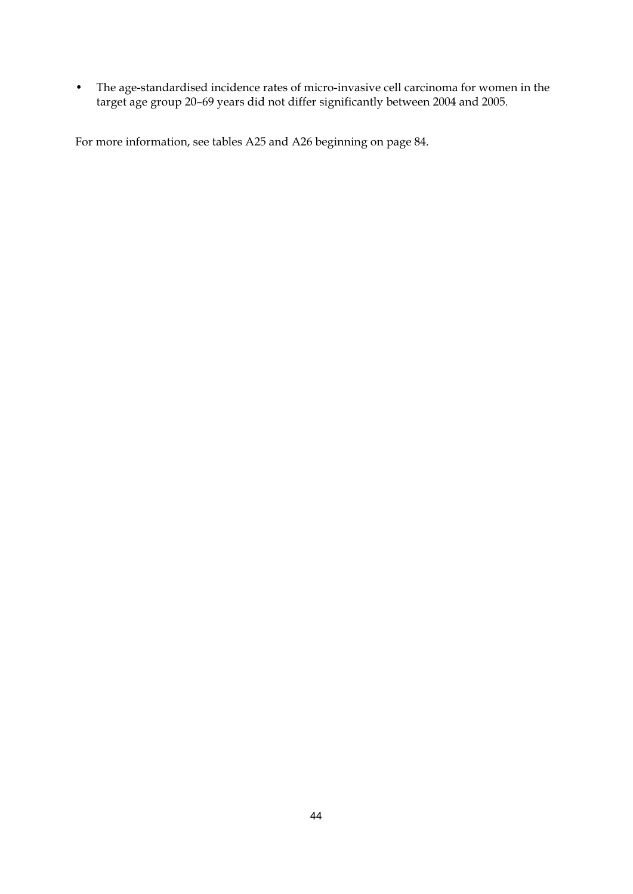• The age-standardised incidence rates of micro-invasive cell carcinoma for women in the target age group 20–69 years did not differ significantly between 2004 and 2005.

For more information, see tables A25 and A26 beginning on page 84.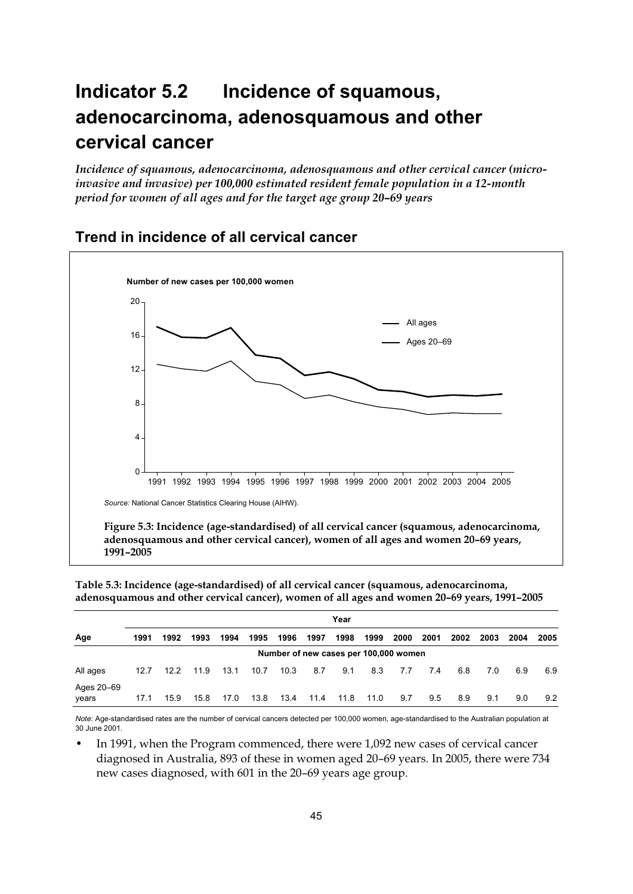# **Indicator 5.2 Incidence of squamous, adenocarcinoma, adenosquamous and other cervical cancer**

*Incidence of squamous, adenocarcinoma, adenosquamous and other cervical cancer (microinvasive and invasive) per 100,000 estimated resident female population in a 12-month period for women of all ages and for the target age group 20–69 years* 



## **Trend in incidence of all cervical cancer**

**Table 5.3: Incidence (age-standardised) of all cervical cancer (squamous, adenocarcinoma, adenosquamous and other cervical cancer), women of all ages and women 20–69 years, 1991–2005** 

|                     |      | Year |      |      |      |                                       |      |      |      |      |      |      |      |      |      |
|---------------------|------|------|------|------|------|---------------------------------------|------|------|------|------|------|------|------|------|------|
| Age                 | 1991 | 1992 | 1993 | 1994 | 1995 | 1996                                  | 1997 | 1998 | 1999 | 2000 | 2001 | 2002 | 2003 | 2004 | 2005 |
|                     |      |      |      |      |      | Number of new cases per 100,000 women |      |      |      |      |      |      |      |      |      |
| All ages            | 12.7 | 12.2 | 11.9 | 13.1 | 10.7 | 10.3                                  | 8.7  | 9.1  | 8.3  | 7.7  | 7.4  | 6.8  | 7.0  | 6.9  | 6.9  |
| Ages 20-69<br>years | 17.1 | 15.9 | 15.8 | 17.0 | 13.8 | 13.4                                  | 11.4 | 11.8 | 11.0 | 9.7  | 9.5  | 8.9  | 9.1  | 9.0  | 9.2  |

*Note*: Age-standardised rates are the number of cervical cancers detected per 100,000 women, age-standardised to the Australian population at 30 June 2001.

In 1991, when the Program commenced, there were 1,092 new cases of cervical cancer diagnosed in Australia, 893 of these in women aged 20–69 years. In 2005, there were 734 new cases diagnosed, with 601 in the 20–69 years age group.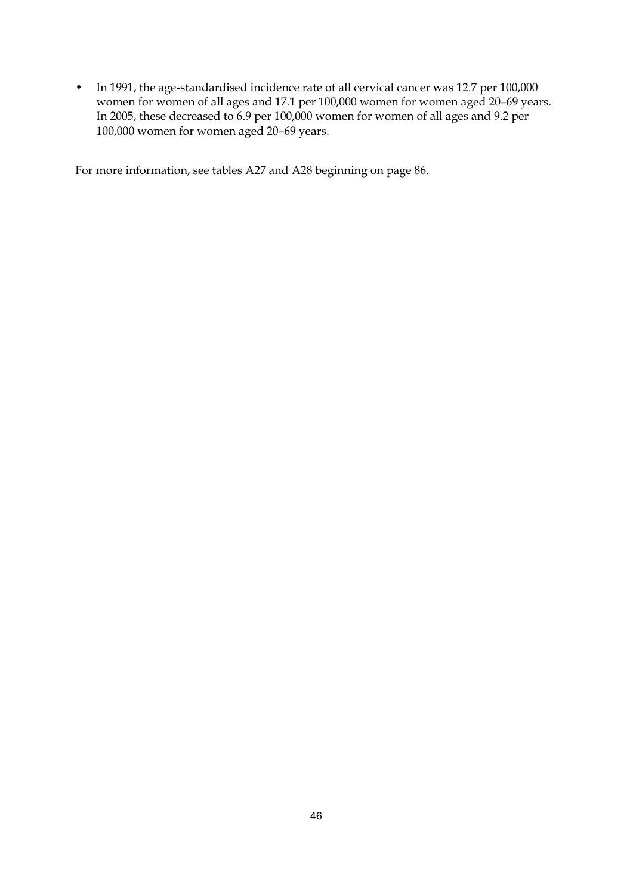• In 1991, the age-standardised incidence rate of all cervical cancer was 12.7 per 100,000 women for women of all ages and 17.1 per 100,000 women for women aged 20–69 years. In 2005, these decreased to 6.9 per 100,000 women for women of all ages and 9.2 per 100,000 women for women aged 20–69 years.

For more information, see tables A27 and A28 beginning on page 86.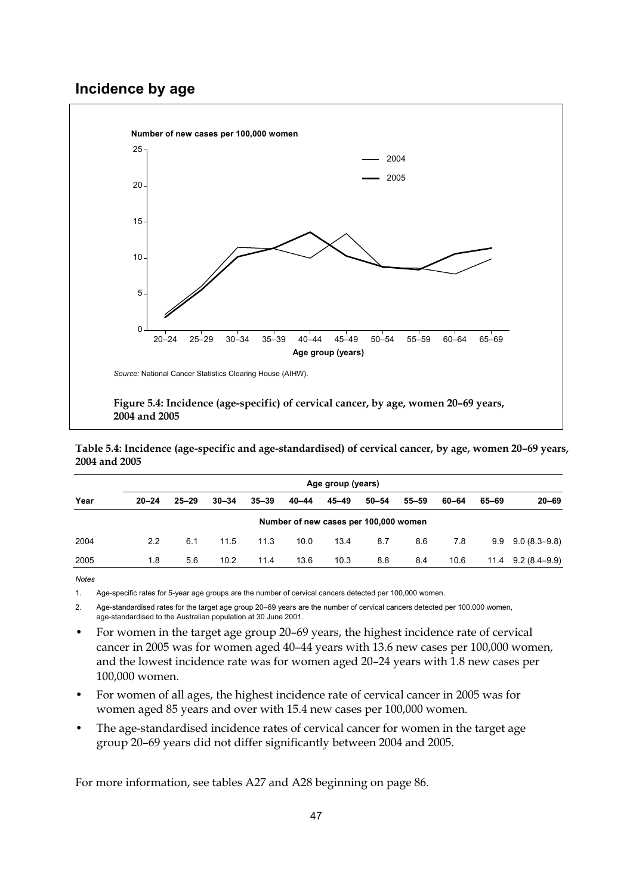# **Incidence by age**



**Table 5.4: Incidence (age-specific and age-standardised) of cervical cancer, by age, women 20–69 years, 2004 and 2005** 

|      | Age group (years) |           |           |           |                                       |           |           |           |       |       |                  |  |
|------|-------------------|-----------|-----------|-----------|---------------------------------------|-----------|-----------|-----------|-------|-------|------------------|--|
| Year | $20 - 24$         | $25 - 29$ | $30 - 34$ | $35 - 39$ | $40 - 44$                             | $45 - 49$ | $50 - 54$ | $55 - 59$ | 60-64 | 65–69 | $20 - 69$        |  |
|      |                   |           |           |           | Number of new cases per 100,000 women |           |           |           |       |       |                  |  |
| 2004 | 2.2               | 6.1       | 11.5      | 11.3      | 10.0                                  | 13.4      | 8.7       | 8.6       | 7.8   | 9.9   | $9.0(8.3 - 9.8)$ |  |
| 2005 | 1.8               | 5.6       | 10.2      | 11.4      | 13.6                                  | 10.3      | 8.8       | 8.4       | 10.6  | 11.4  | $9.2(8.4 - 9.9)$ |  |

**Notes** 

1. Age-specific rates for 5-year age groups are the number of cervical cancers detected per 100,000 women.

2. Age-standardised rates for the target age group 20–69 years are the number of cervical cancers detected per 100,000 women, age-standardised to the Australian population at 30 June 2001.

- For women in the target age group 20–69 years, the highest incidence rate of cervical cancer in 2005 was for women aged 40–44 years with 13.6 new cases per 100,000 women, and the lowest incidence rate was for women aged 20–24 years with 1.8 new cases per 100,000 women.
- For women of all ages, the highest incidence rate of cervical cancer in 2005 was for women aged 85 years and over with 15.4 new cases per 100,000 women.
- The age-standardised incidence rates of cervical cancer for women in the target age group 20–69 years did not differ significantly between 2004 and 2005.

For more information, see tables A27 and A28 beginning on page 86.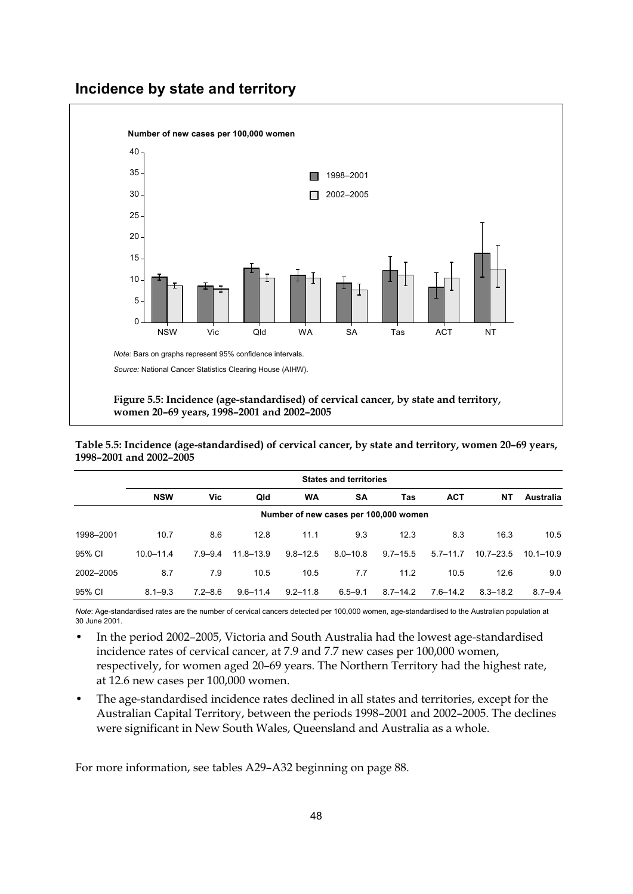## **Incidence by state and territory**



**Table 5.5: Incidence (age-standardised) of cervical cancer, by state and territory, women 20–69 years, 1998–2001 and 2002–2005** 

|           |               | <b>States and territories</b> |               |                                       |              |              |              |               |               |  |  |  |  |  |  |
|-----------|---------------|-------------------------------|---------------|---------------------------------------|--------------|--------------|--------------|---------------|---------------|--|--|--|--|--|--|
|           | <b>NSW</b>    | Vic.                          | Qld           | <b>WA</b>                             | SΑ           | Tas          | <b>ACT</b>   | NΤ            | Australia     |  |  |  |  |  |  |
|           |               |                               |               | Number of new cases per 100,000 women |              |              |              |               |               |  |  |  |  |  |  |
| 1998-2001 | 10.7          | 8.6                           | 12.8          | 11.1                                  | 9.3          | 12.3         | 8.3          | 16.3          | 10.5          |  |  |  |  |  |  |
| 95% CI    | $10.0 - 11.4$ | $7.9 - 9.4$                   | $11.8 - 13.9$ | $9.8 - 12.5$                          | $8.0 - 10.8$ | $9.7 - 15.5$ | $5.7 - 11.7$ | $10.7 - 23.5$ | $10.1 - 10.9$ |  |  |  |  |  |  |
| 2002-2005 | 8.7           | 7.9                           | 10.5          | 10.5                                  | 7.7          | 11.2         | 10.5         | 12.6          | 9.0           |  |  |  |  |  |  |
| 95% CI    | $8.1 - 9.3$   | $7.2 - 8.6$                   | $9.6 - 11.4$  | $9.2 - 11.8$                          | $6.5 - 9.1$  | $8.7 - 14.2$ | $7.6 - 14.2$ | $8.3 - 18.2$  | $8.7 - 9.4$   |  |  |  |  |  |  |

*Note*: Age-standardised rates are the number of cervical cancers detected per 100,000 women, age-standardised to the Australian population at 30 June 2001.

- In the period 2002–2005, Victoria and South Australia had the lowest age-standardised incidence rates of cervical cancer, at 7.9 and 7.7 new cases per 100,000 women, respectively, for women aged 20–69 years. The Northern Territory had the highest rate, at 12.6 new cases per 100,000 women.
- The age-standardised incidence rates declined in all states and territories, except for the Australian Capital Territory, between the periods 1998–2001 and 2002–2005. The declines were significant in New South Wales, Queensland and Australia as a whole.

For more information, see tables A29–A32 beginning on page 88.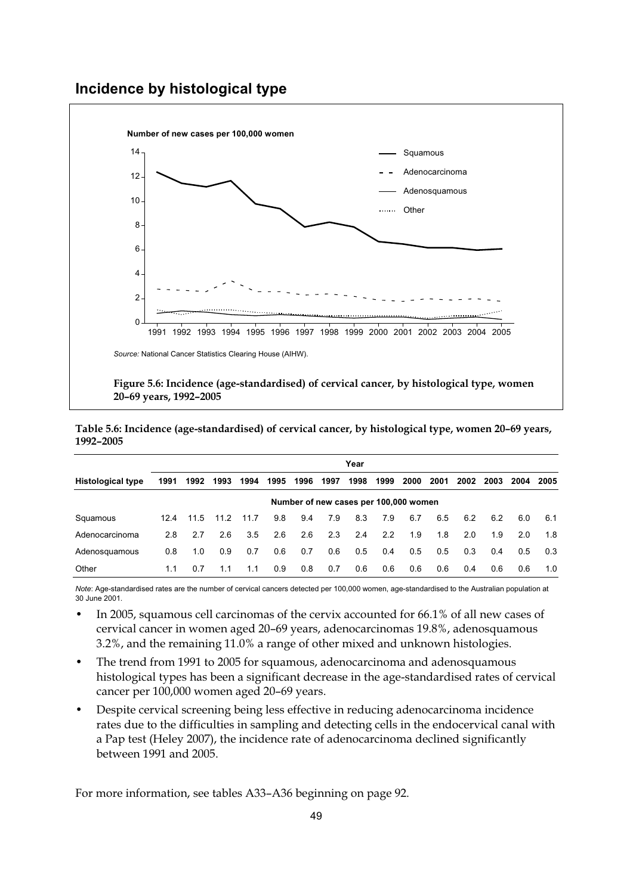### **Incidence by histological type**



**Table 5.6: Incidence (age-standardised) of cervical cancer, by histological type, women 20–69 years, 1992–2005** 

|                          |      |      |      |      |      |                                       |      | Year |      |      |      |      |      |      |      |
|--------------------------|------|------|------|------|------|---------------------------------------|------|------|------|------|------|------|------|------|------|
| <b>Histological type</b> | 1991 | 1992 | 1993 | 1994 | 1995 | 1996                                  | 1997 | 1998 | 1999 | 2000 | 2001 | 2002 | 2003 | 2004 | 2005 |
|                          |      |      |      |      |      | Number of new cases per 100,000 women |      |      |      |      |      |      |      |      |      |
| Squamous                 | 12.4 | 11.5 | 11.2 | 11.7 | 9.8  | 9.4                                   | 7.9  | 8.3  | 7.9  | 6.7  | 6.5  | 6.2  | 6.2  | 6.0  | 6.1  |
| Adenocarcinoma           | 2.8  | 2.7  | 2.6  | 3.5  | 2.6  | 2.6                                   | 2.3  | 2.4  | 2.2  | 1.9  | 1.8  | 2.0  | 1.9  | 2.0  | 1.8  |
| Adenosquamous            | 0.8  | 1.0  | 0.9  | 0.7  | 0.6  | 0.7                                   | 0.6  | 0.5  | 0.4  | 0.5  | 0.5  | 0.3  | 0.4  | 0.5  | 0.3  |
| Other                    | 1.1  | 0.7  | 1.1  | 1.1  | 0.9  | 0.8                                   | 0.7  | 0.6  | 0.6  | 0.6  | 0.6  | 0.4  | 0.6  | 0.6  | 1.0  |

*Note*: Age-standardised rates are the number of cervical cancers detected per 100,000 women, age-standardised to the Australian population at 30 June 2001.

- In 2005, squamous cell carcinomas of the cervix accounted for 66.1% of all new cases of cervical cancer in women aged 20–69 years, adenocarcinomas 19.8%, adenosquamous 3.2%, and the remaining 11.0% a range of other mixed and unknown histologies.
- The trend from 1991 to 2005 for squamous, adenocarcinoma and adenosquamous histological types has been a significant decrease in the age-standardised rates of cervical cancer per 100,000 women aged 20–69 years.
- Despite cervical screening being less effective in reducing adenocarcinoma incidence rates due to the difficulties in sampling and detecting cells in the endocervical canal with a Pap test (Heley 2007), the incidence rate of adenocarcinoma declined significantly between 1991 and 2005.

For more information, see tables A33–A36 beginning on page 92.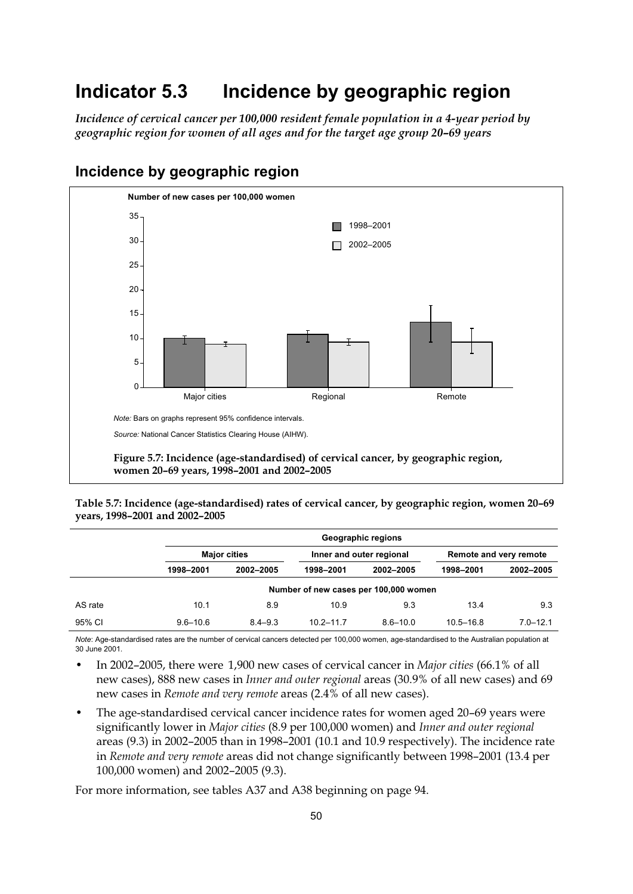# **Indicator 5.3 Incidence by geographic region**

*Incidence of cervical cancer per 100,000 resident female population in a 4-year period by geographic region for women of all ages and for the target age group 20–69 years* 



# **Incidence by geographic region**

**Table 5.7: Incidence (age-standardised) rates of cervical cancer, by geographic region, women 20–69 years, 1998–2001 and 2002–2005** 

|         |              |                     |               | Geographic regions                    |                        |              |  |  |
|---------|--------------|---------------------|---------------|---------------------------------------|------------------------|--------------|--|--|
|         |              | <b>Major cities</b> |               | Inner and outer regional              | Remote and very remote |              |  |  |
|         | 1998-2001    | 2002-2005           | 1998-2001     | 2002-2005                             | 1998-2001              | 2002-2005    |  |  |
|         |              |                     |               | Number of new cases per 100,000 women |                        |              |  |  |
| AS rate | 10.1         | 8.9                 | 10.9          | 9.3                                   | 13.4                   | 9.3          |  |  |
| 95% CI  | $9.6 - 10.6$ | $8.4 - 9.3$         | $10.2 - 11.7$ | $8.6 - 10.0$                          | $10.5 - 16.8$          | $7.0 - 12.1$ |  |  |

*Note*: Age-standardised rates are the number of cervical cancers detected per 100,000 women, age-standardised to the Australian population at 30 June 2001.

- In 2002–2005, there were 1,900 new cases of cervical cancer in *Major cities* (66.1% of all new cases), 888 new cases in *Inner and outer regional* areas (30.9% of all new cases) and 69 new cases in *Remote and very remote* areas (2.4% of all new cases).
- The age-standardised cervical cancer incidence rates for women aged 20–69 years were significantly lower in *Major cities* (8.9 per 100,000 women) and *Inner and outer regional* areas (9.3) in 2002–2005 than in 1998–2001 (10.1 and 10.9 respectively). The incidence rate in *Remote and very remote* areas did not change significantly between 1998–2001 (13.4 per 100,000 women) and 2002–2005 (9.3).

For more information, see tables A37 and A38 beginning on page 94.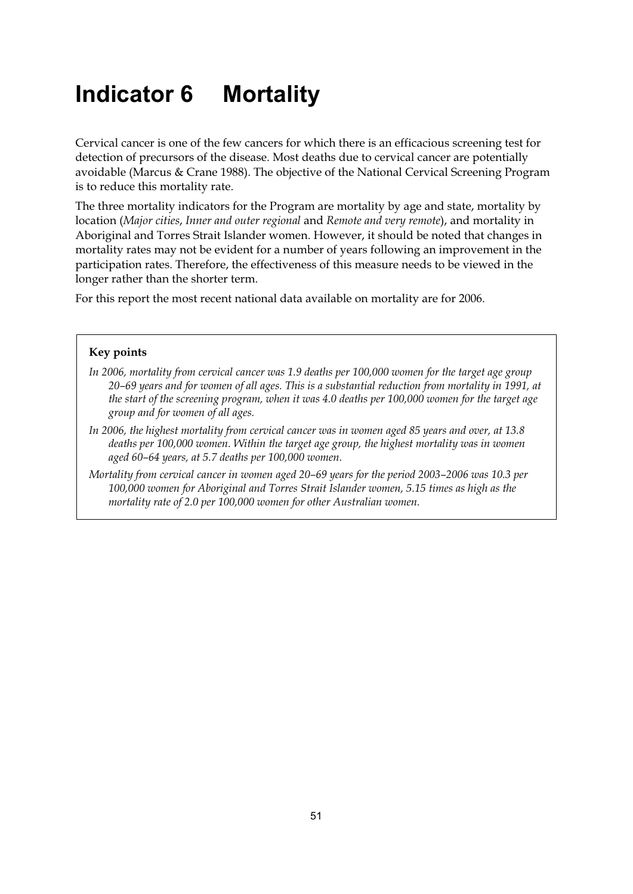# **Indicator 6 Mortality**

Cervical cancer is one of the few cancers for which there is an efficacious screening test for detection of precursors of the disease. Most deaths due to cervical cancer are potentially avoidable (Marcus & Crane 1988). The objective of the National Cervical Screening Program is to reduce this mortality rate.

The three mortality indicators for the Program are mortality by age and state, mortality by location (*Major cities*, *Inner and outer regional* and *Remote and very remote*), and mortality in Aboriginal and Torres Strait Islander women. However, it should be noted that changes in mortality rates may not be evident for a number of years following an improvement in the participation rates. Therefore, the effectiveness of this measure needs to be viewed in the longer rather than the shorter term.

For this report the most recent national data available on mortality are for 2006.

#### **Key points**

- *In 2006, mortality from cervical cancer was 1.9 deaths per 100,000 women for the target age group 20–69 years and for women of all ages. This is a substantial reduction from mortality in 1991, at the start of the screening program, when it was 4.0 deaths per 100,000 women for the target age group and for women of all ages.*
- *In 2006, the highest mortality from cervical cancer was in women aged 85 years and over, at 13.8 deaths per 100,000 women. Within the target age group, the highest mortality was in women aged 60–64 years, at 5.7 deaths per 100,000 women.*
- *Mortality from cervical cancer in women aged 20–69 years for the period 2003–2006 was 10.3 per 100,000 women for Aboriginal and Torres Strait Islander women, 5.15 times as high as the mortality rate of 2.0 per 100,000 women for other Australian women.*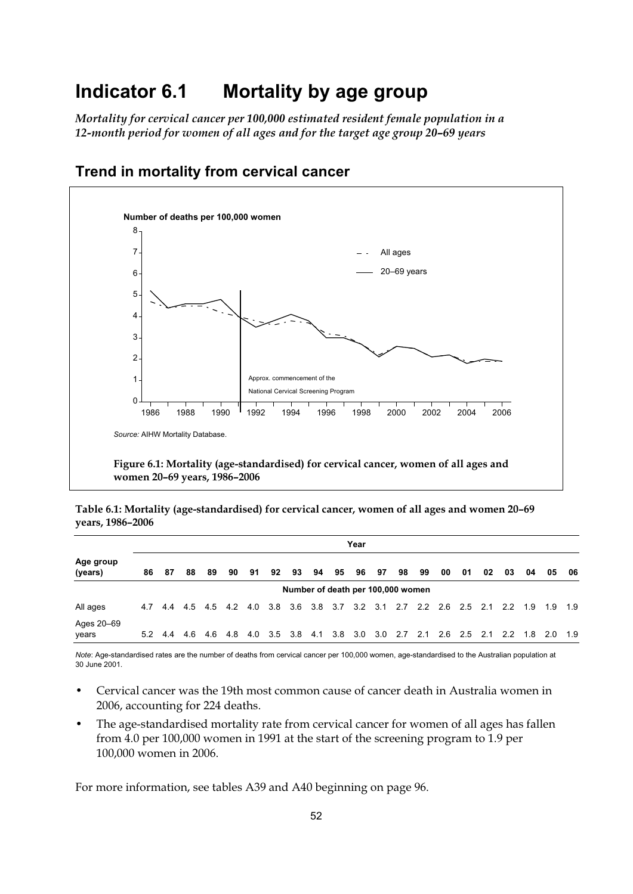# **Indicator 6.1 Mortality by age group**

*Mortality for cervical cancer per 100,000 estimated resident female population in a 12-month period for women of all ages and for the target age group 20–69 years* 



# **Trend in mortality from cervical cancer**

**Table 6.1: Mortality (age-standardised) for cervical cancer, women of all ages and women 20–69 years, 1986–2006** 

|                      |    |         |    |                 |    |    |             |    |    |    | Year |    |                                                                         |    |    |    |    |    |         |    |     |
|----------------------|----|---------|----|-----------------|----|----|-------------|----|----|----|------|----|-------------------------------------------------------------------------|----|----|----|----|----|---------|----|-----|
| Age group<br>(years) | 86 | -87     | 88 | 89              | 90 | 91 | 92          | 93 | 94 | 95 | 96   | 97 | 98                                                                      | 99 | 00 | 01 | 02 | 03 | 04      | 05 | 06  |
|                      |    |         |    |                 |    |    |             |    |    |    |      |    | Number of death per 100,000 women                                       |    |    |    |    |    |         |    |     |
| All ages             |    | 4.7 4.4 |    |                 |    |    |             |    |    |    |      |    | 4.5 4.5 4.2 4.0 3.8 3.6 3.8 3.7 3.2 3.1 2.7 2.2 2.6 2.5 2.1 2.2 1.9 1.9 |    |    |    |    |    |         |    | 1.9 |
| Ages 20-69<br>years  |    | 5.2 4.4 |    | 4.6 4.6 4.8 4.0 |    |    | $3.5$ $3.8$ |    |    |    |      |    | 4.1 3.8 3.0 3.0 2.7 2.1 2.6 2.5 2.1 2.2                                 |    |    |    |    |    | 1.8 2.0 |    | 1.9 |

*Note*: Age-standardised rates are the number of deaths from cervical cancer per 100,000 women, age-standardised to the Australian population at 30 June 2001.

- Cervical cancer was the 19th most common cause of cancer death in Australia women in 2006, accounting for 224 deaths.
- The age-standardised mortality rate from cervical cancer for women of all ages has fallen from 4.0 per 100,000 women in 1991 at the start of the screening program to 1.9 per 100,000 women in 2006.

For more information, see tables A39 and A40 beginning on page 96.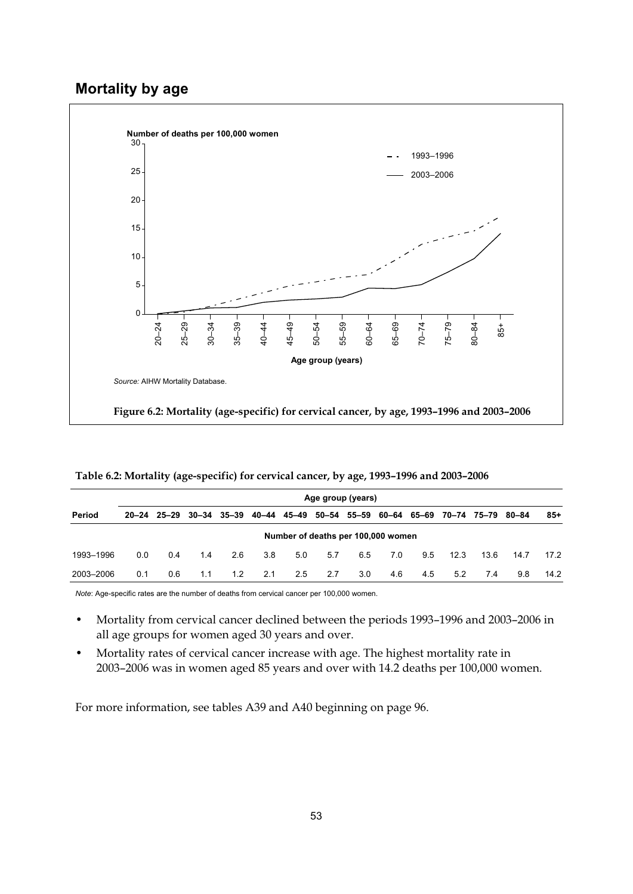## **Mortality by age**



|           | Age group (years) |     |     |     |                                                                               |                                    |     |     |     |     |      |      |      |      |
|-----------|-------------------|-----|-----|-----|-------------------------------------------------------------------------------|------------------------------------|-----|-----|-----|-----|------|------|------|------|
| Period    |                   |     |     |     | 20-24 25-29 30-34 35-39 40-44 45-49 50-54 55-59 60-64 65-69 70-74 75-79 80-84 |                                    |     |     |     |     |      |      |      | 85+  |
|           |                   |     |     |     |                                                                               | Number of deaths per 100,000 women |     |     |     |     |      |      |      |      |
| 1993-1996 | 0.0               | 0.4 | 1.4 | 2.6 | 3.8                                                                           | 5.0                                | 5.7 | 6.5 | 7.0 | 9.5 | 12.3 | 13.6 | 14.7 | 17.2 |
| 2003-2006 | 0.1               | 0.6 | 1.1 | 1.2 | 2.1                                                                           | 2.5                                | 2.7 | 3.0 | 4.6 | 4.5 | 5.2  | 7.4  | 9.8  | 14.2 |

**Table 6.2: Mortality (age-specific) for cervical cancer, by age, 1993–1996 and 2003–2006** 

*Note*: Age-specific rates are the number of deaths from cervical cancer per 100,000 women.

- Mortality from cervical cancer declined between the periods 1993–1996 and 2003–2006 in all age groups for women aged 30 years and over.
- Mortality rates of cervical cancer increase with age. The highest mortality rate in 2003–2006 was in women aged 85 years and over with 14.2 deaths per 100,000 women.

For more information, see tables A39 and A40 beginning on page 96.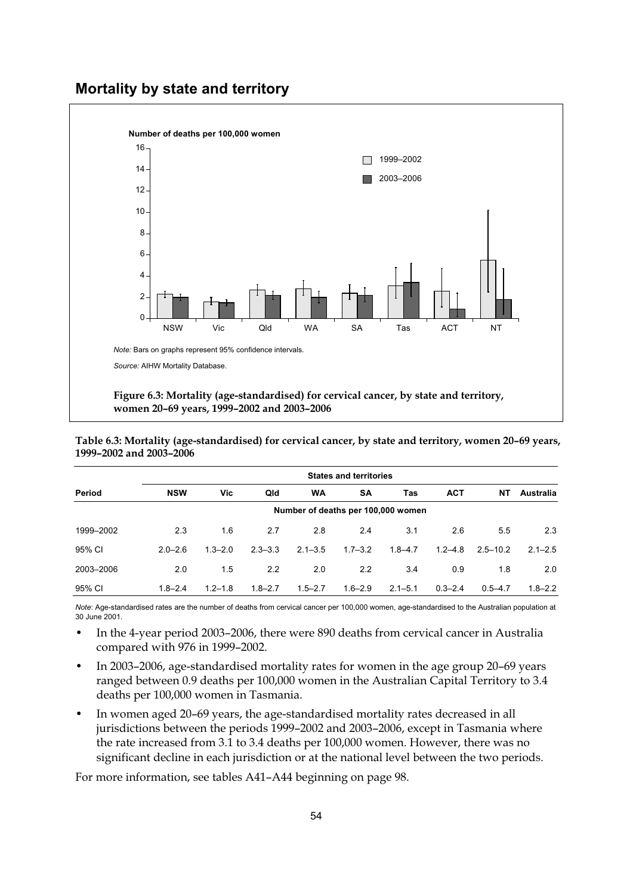### **Mortality by state and territory**



**Table 6.3: Mortality (age-standardised) for cervical cancer, by state and territory, women 20–69 years, 1999–2002 and 2003–2006** 

|           | <b>States and territories</b> |             |             |             |                                    |             |             |              |             |  |  |  |
|-----------|-------------------------------|-------------|-------------|-------------|------------------------------------|-------------|-------------|--------------|-------------|--|--|--|
| Period    | <b>NSW</b>                    | Vic         | Qld         | <b>WA</b>   | <b>SA</b>                          | Tas         | <b>ACT</b>  | NΤ           | Australia   |  |  |  |
|           |                               |             |             |             | Number of deaths per 100,000 women |             |             |              |             |  |  |  |
| 1999-2002 | 2.3                           | 1.6         | 2.7         | 2.8         | 2.4                                | 3.1         | 2.6         | 5.5          | 2.3         |  |  |  |
| 95% CI    | $2.0 - 2.6$                   | $1.3 - 2.0$ | $2.3 - 3.3$ | $2.1 - 3.5$ | $1.7 - 3.2$                        | $1.8 - 4.7$ | $1.2 - 4.8$ | $2.5 - 10.2$ | $2.1 - 2.5$ |  |  |  |
| 2003-2006 | 2.0                           | 1.5         | 2.2         | 2.0         | 2.2                                | 3.4         | 0.9         | 1.8          | 2.0         |  |  |  |
| 95% CI    | $1.8 - 2.4$                   | $1.2 - 1.8$ | $1.8 - 2.7$ | $1.5 - 2.7$ | $1.6 - 2.9$                        | $2.1 - 5.1$ | $0.3 - 2.4$ | $0.5 - 4.7$  | $1.8 - 2.2$ |  |  |  |

*Note*: Age-standardised rates are the number of deaths from cervical cancer per 100,000 women, age-standardised to the Australian population at 30 June 2001.

- In the 4-year period 2003–2006, there were 890 deaths from cervical cancer in Australia compared with 976 in 1999–2002.
- In 2003–2006, age-standardised mortality rates for women in the age group 20–69 years ranged between 0.9 deaths per 100,000 women in the Australian Capital Territory to 3.4 deaths per 100,000 women in Tasmania.
- In women aged 20–69 years, the age-standardised mortality rates decreased in all jurisdictions between the periods 1999–2002 and 2003–2006, except in Tasmania where the rate increased from 3.1 to 3.4 deaths per 100,000 women. However, there was no significant decline in each jurisdiction or at the national level between the two periods.

For more information, see tables A41–A44 beginning on page 98.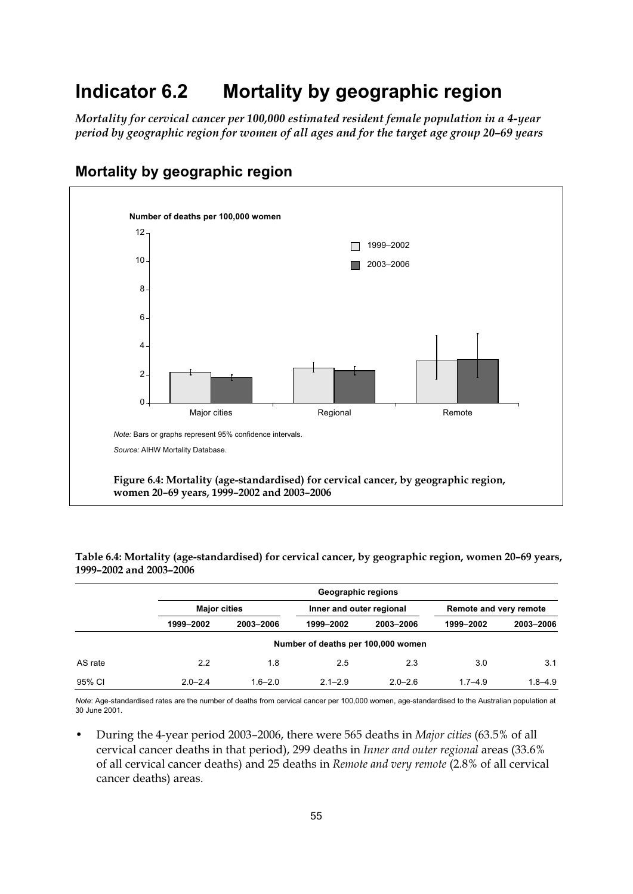# **Indicator 6.2 Mortality by geographic region**

*Mortality for cervical cancer per 100,000 estimated resident female population in a 4-year period by geographic region for women of all ages and for the target age group 20–69 years* 



# **Mortality by geographic region**

**Table 6.4: Mortality (age-standardised) for cervical cancer, by geographic region, women 20–69 years, 1999–2002 and 2003–2006** 

|         |                     | Geographic regions |                                    |             |                        |             |  |  |  |  |  |
|---------|---------------------|--------------------|------------------------------------|-------------|------------------------|-------------|--|--|--|--|--|
|         | <b>Major cities</b> |                    | Inner and outer regional           |             | Remote and very remote |             |  |  |  |  |  |
|         | 1999-2002           | 2003-2006          | 1999-2002                          | 2003-2006   | 1999-2002              | 2003-2006   |  |  |  |  |  |
|         |                     |                    | Number of deaths per 100,000 women |             |                        |             |  |  |  |  |  |
| AS rate | 2.2                 | 1.8                | 2.5                                | 2.3         | 3.0                    | 3.1         |  |  |  |  |  |
| 95% CI  | $2.0 - 2.4$         | $1.6 - 2.0$        | $2.1 - 2.9$                        | $2.0 - 2.6$ | $1.7 - 4.9$            | $1.8 - 4.9$ |  |  |  |  |  |

*Note*: Age-standardised rates are the number of deaths from cervical cancer per 100,000 women, age-standardised to the Australian population at 30 June 2001.

• During the 4-year period 2003–2006, there were 565 deaths in *Major cities* (63.5% of all cervical cancer deaths in that period), 299 deaths in *Inner and outer regional* areas (33.6% of all cervical cancer deaths) and 25 deaths in *Remote and very remote* (2.8% of all cervical cancer deaths) areas.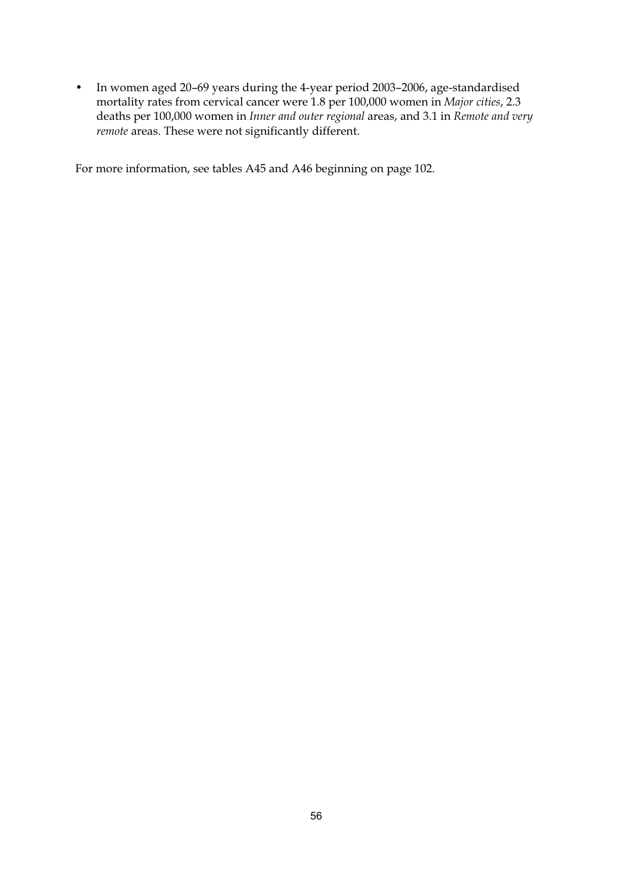• In women aged 20–69 years during the 4-year period 2003–2006, age-standardised mortality rates from cervical cancer were 1.8 per 100,000 women in *Major cities*, 2.3 deaths per 100,000 women in *Inner and outer regional* areas, and 3.1 in *Remote and very remote* areas. These were not significantly different.

For more information, see tables A45 and A46 beginning on page 102.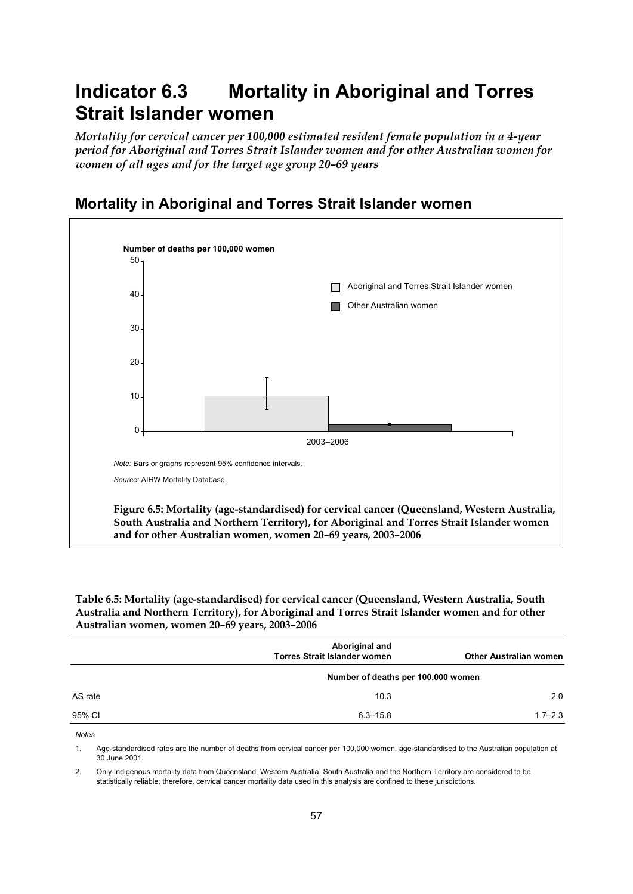# **Indicator 6.3 Mortality in Aboriginal and Torres Strait Islander women**

*Mortality for cervical cancer per 100,000 estimated resident female population in a 4-year period for Aboriginal and Torres Strait Islander women and for other Australian women for women of all ages and for the target age group 20–69 years* 



### **Mortality in Aboriginal and Torres Strait Islander women**

**Table 6.5: Mortality (age-standardised) for cervical cancer (Queensland, Western Australia, South Australia and Northern Territory), for Aboriginal and Torres Strait Islander women and for other Australian women, women 20–69 years, 2003–2006** 

|         | Aboriginal and<br><b>Torres Strait Islander women</b> | <b>Other Australian women</b> |
|---------|-------------------------------------------------------|-------------------------------|
|         | Number of deaths per 100,000 women                    |                               |
| AS rate | 10.3                                                  | 2.0                           |
| 95% CI  | $6.3 - 15.8$                                          | $1.7 - 2.3$                   |

**Notes** 

1. Age-standardised rates are the number of deaths from cervical cancer per 100,000 women, age-standardised to the Australian population at 30 June 2001.

2. Only Indigenous mortality data from Queensland, Western Australia, South Australia and the Northern Territory are considered to be statistically reliable; therefore, cervical cancer mortality data used in this analysis are confined to these jurisdictions.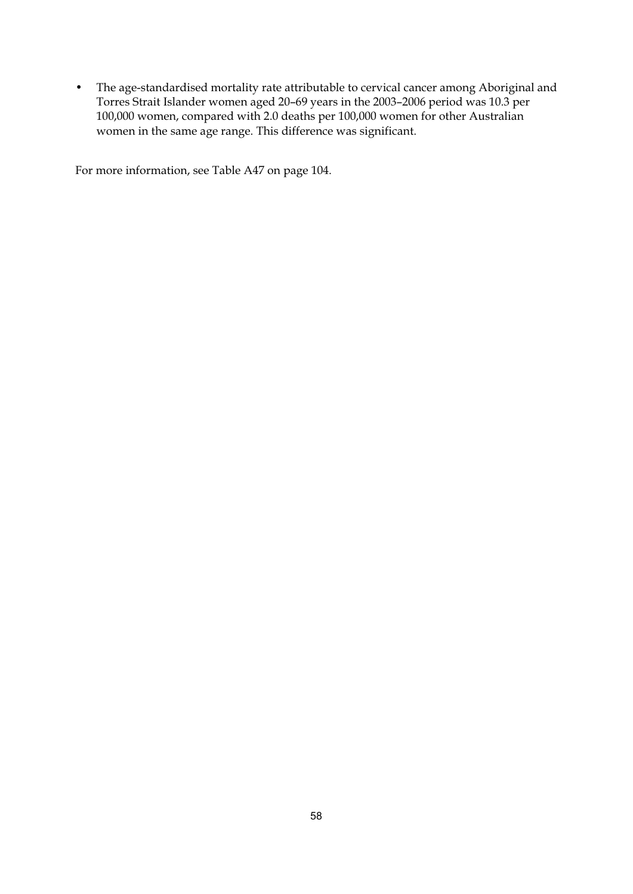• The age-standardised mortality rate attributable to cervical cancer among Aboriginal and Torres Strait Islander women aged 20–69 years in the 2003–2006 period was 10.3 per 100,000 women, compared with 2.0 deaths per 100,000 women for other Australian women in the same age range. This difference was significant.

For more information, see Table A47 on page 104.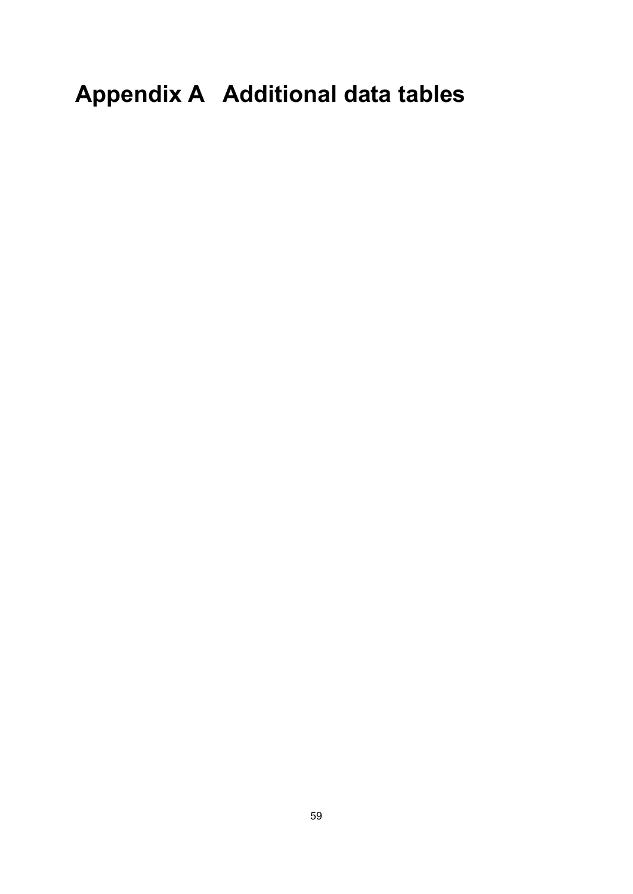# **Appendix A Additional data tables**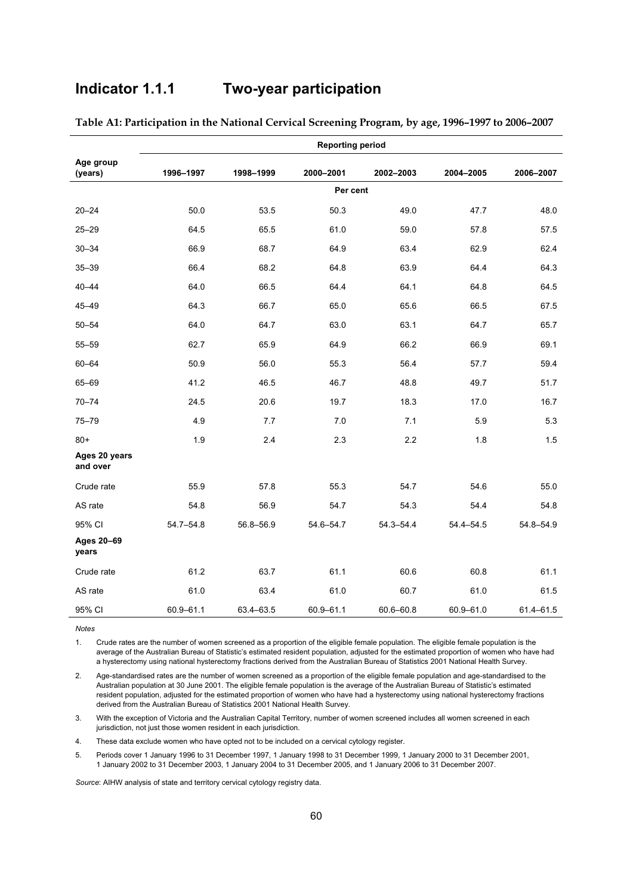# **Indicator 1.1.1 Two-year participation**

|                           |               |           | <b>Reporting period</b> |               |               |           |
|---------------------------|---------------|-----------|-------------------------|---------------|---------------|-----------|
| Age group<br>(years)      | 1996-1997     | 1998-1999 | 2000-2001               | 2002-2003     | 2004-2005     | 2006-2007 |
|                           |               |           | Per cent                |               |               |           |
| $20 - 24$                 | 50.0          | 53.5      | 50.3                    | 49.0          | 47.7          | 48.0      |
| $25 - 29$                 | 64.5          | 65.5      | 61.0                    | 59.0          | 57.8          | 57.5      |
| $30 - 34$                 | 66.9          | 68.7      | 64.9                    | 63.4          | 62.9          | 62.4      |
| $35 - 39$                 | 66.4          | 68.2      | 64.8                    | 63.9          | 64.4          | 64.3      |
| $40 - 44$                 | 64.0          | 66.5      | 64.4                    | 64.1          | 64.8          | 64.5      |
| $45 - 49$                 | 64.3          | 66.7      | 65.0                    | 65.6          | 66.5          | 67.5      |
| $50 - 54$                 | 64.0          | 64.7      | 63.0                    | 63.1          | 64.7          | 65.7      |
| $55 - 59$                 | 62.7          | 65.9      | 64.9                    | 66.2          | 66.9          | 69.1      |
| $60 - 64$                 | 50.9          | 56.0      | 55.3                    | 56.4          | 57.7          | 59.4      |
| 65-69                     | 41.2          | 46.5      | 46.7                    | 48.8          | 49.7          | 51.7      |
| $70 - 74$                 | 24.5          | 20.6      | 19.7                    | 18.3          | 17.0          | 16.7      |
| $75 - 79$                 | 4.9           | 7.7       | 7.0                     | 7.1           | 5.9           | 5.3       |
| $80+$                     | 1.9           | 2.4       | 2.3                     | 2.2           | 1.8           | 1.5       |
| Ages 20 years<br>and over |               |           |                         |               |               |           |
| Crude rate                | 55.9          | 57.8      | 55.3                    | 54.7          | 54.6          | 55.0      |
| AS rate                   | 54.8          | 56.9      | 54.7                    | 54.3          | 54.4          | 54.8      |
| 95% CI                    | $54.7 - 54.8$ | 56.8-56.9 | 54.6-54.7               | $54.3 - 54.4$ | $54.4 - 54.5$ | 54.8-54.9 |
| Ages 20-69<br>years       |               |           |                         |               |               |           |
| Crude rate                | 61.2          | 63.7      | 61.1                    | 60.6          | 60.8          | 61.1      |
| AS rate                   | 61.0          | 63.4      | 61.0                    | 60.7          | 61.0          | 61.5      |
| 95% CI                    | 60.9-61.1     | 63.4-63.5 | 60.9-61.1               | 60.6-60.8     | 60.9-61.0     | 61.4-61.5 |

**Table A1: Participation in the National Cervical Screening Program, by age, 1996–1997 to 2006–2007** 

1. Crude rates are the number of women screened as a proportion of the eligible female population. The eligible female population is the average of the Australian Bureau of Statistic's estimated resident population, adjusted for the estimated proportion of women who have had a hysterectomy using national hysterectomy fractions derived from the Australian Bureau of Statistics 2001 National Health Survey.

2. Age-standardised rates are the number of women screened as a proportion of the eligible female population and age-standardised to the Australian population at 30 June 2001. The eligible female population is the average of the Australian Bureau of Statistic's estimated resident population, adjusted for the estimated proportion of women who have had a hysterectomy using national hysterectomy fractions derived from the Australian Bureau of Statistics 2001 National Health Survey.

3. With the exception of Victoria and the Australian Capital Territory, number of women screened includes all women screened in each jurisdiction, not just those women resident in each jurisdiction.

4. These data exclude women who have opted not to be included on a cervical cytology register.

5. Periods cover 1 January 1996 to 31 December 1997, 1 January 1998 to 31 December 1999, 1 January 2000 to 31 December 2001, 1 January 2002 to 31 December 2003, 1 January 2004 to 31 December 2005, and 1 January 2006 to 31 December 2007.

*Source*: AIHW analysis of state and territory cervical cytology registry data.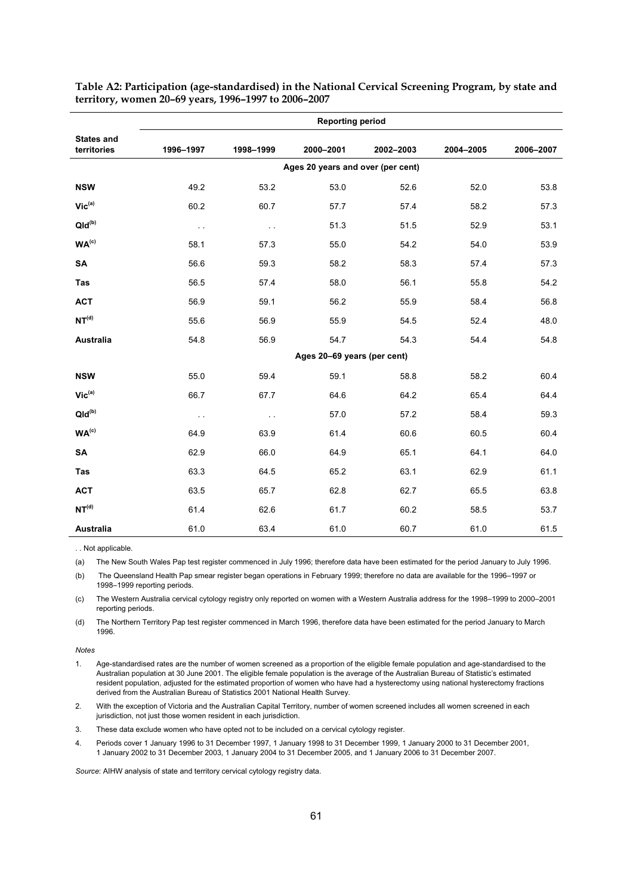|                                  | <b>Reporting period</b> |               |                                   |           |           |           |  |  |  |
|----------------------------------|-------------------------|---------------|-----------------------------------|-----------|-----------|-----------|--|--|--|
| <b>States and</b><br>territories | 1996-1997               | 1998-1999     | 2000-2001                         | 2002-2003 | 2004-2005 | 2006-2007 |  |  |  |
|                                  |                         |               | Ages 20 years and over (per cent) |           |           |           |  |  |  |
| <b>NSW</b>                       | 49.2                    | 53.2          | 53.0                              | 52.6      | 52.0      | 53.8      |  |  |  |
| $Vic^{(a)}$                      | 60.2                    | 60.7          | 57.7                              | 57.4      | 58.2      | 57.3      |  |  |  |
| $QId^{(b)}$                      | $\ddotsc$               | $\sim$ .      | 51.3                              | 51.5      | 52.9      | 53.1      |  |  |  |
| WA <sup>(c)</sup>                | 58.1                    | 57.3          | 55.0                              | 54.2      | 54.0      | 53.9      |  |  |  |
| SA                               | 56.6                    | 59.3          | 58.2                              | 58.3      | 57.4      | 57.3      |  |  |  |
| Tas                              | 56.5                    | 57.4          | 58.0                              | 56.1      | 55.8      | 54.2      |  |  |  |
| <b>ACT</b>                       | 56.9                    | 59.1          | 56.2                              | 55.9      | 58.4      | 56.8      |  |  |  |
| NT <sup>(d)</sup>                | 55.6                    | 56.9          | 55.9                              | 54.5      | 52.4      | 48.0      |  |  |  |
| Australia                        | 54.8                    | 56.9          | 54.7                              | 54.3      | 54.4      | 54.8      |  |  |  |
|                                  |                         |               | Ages 20-69 years (per cent)       |           |           |           |  |  |  |
| <b>NSW</b>                       | 55.0                    | 59.4          | 59.1                              | 58.8      | 58.2      | 60.4      |  |  |  |
| $Vic^{(a)}$                      | 66.7                    | 67.7          | 64.6                              | 64.2      | 65.4      | 64.4      |  |  |  |
| $Qld^{(b)}$                      | $\sim$ $\sim$           | $\sim$ $\sim$ | 57.0                              | 57.2      | 58.4      | 59.3      |  |  |  |
| WA <sup>(c)</sup>                | 64.9                    | 63.9          | 61.4                              | 60.6      | 60.5      | 60.4      |  |  |  |
| <b>SA</b>                        | 62.9                    | 66.0          | 64.9                              | 65.1      | 64.1      | 64.0      |  |  |  |
| <b>Tas</b>                       | 63.3                    | 64.5          | 65.2                              | 63.1      | 62.9      | 61.1      |  |  |  |
| <b>ACT</b>                       | 63.5                    | 65.7          | 62.8                              | 62.7      | 65.5      | 63.8      |  |  |  |
| NT <sup>(d)</sup>                | 61.4                    | 62.6          | 61.7                              | 60.2      | 58.5      | 53.7      |  |  |  |
| Australia                        | 61.0                    | 63.4          | 61.0                              | 60.7      | 61.0      | 61.5      |  |  |  |

**Table A2: Participation (age-standardised) in the National Cervical Screening Program, by state and territory, women 20–69 years, 1996–1997 to 2006–2007** 

. . Not applicable.

(a) The New South Wales Pap test register commenced in July 1996; therefore data have been estimated for the period January to July 1996.

(b) The Queensland Health Pap smear register began operations in February 1999; therefore no data are available for the 1996–1997 or 1998–1999 reporting periods.

(c) The Western Australia cervical cytology registry only reported on women with a Western Australia address for the 1998–1999 to 2000–2001 reporting periods.

(d) The Northern Territory Pap test register commenced in March 1996, therefore data have been estimated for the period January to March 1996.

#### **Notes**

1. Age-standardised rates are the number of women screened as a proportion of the eligible female population and age-standardised to the Australian population at 30 June 2001. The eligible female population is the average of the Australian Bureau of Statistic's estimated resident population, adjusted for the estimated proportion of women who have had a hysterectomy using national hysterectomy fractions derived from the Australian Bureau of Statistics 2001 National Health Survey.

2. With the exception of Victoria and the Australian Capital Territory, number of women screened includes all women screened in each jurisdiction, not just those women resident in each jurisdiction.

3. These data exclude women who have opted not to be included on a cervical cytology register.

4. Periods cover 1 January 1996 to 31 December 1997, 1 January 1998 to 31 December 1999, 1 January 2000 to 31 December 2001, 1 January 2002 to 31 December 2003, 1 January 2004 to 31 December 2005, and 1 January 2006 to 31 December 2007.

*Source*: AIHW analysis of state and territory cervical cytology registry data.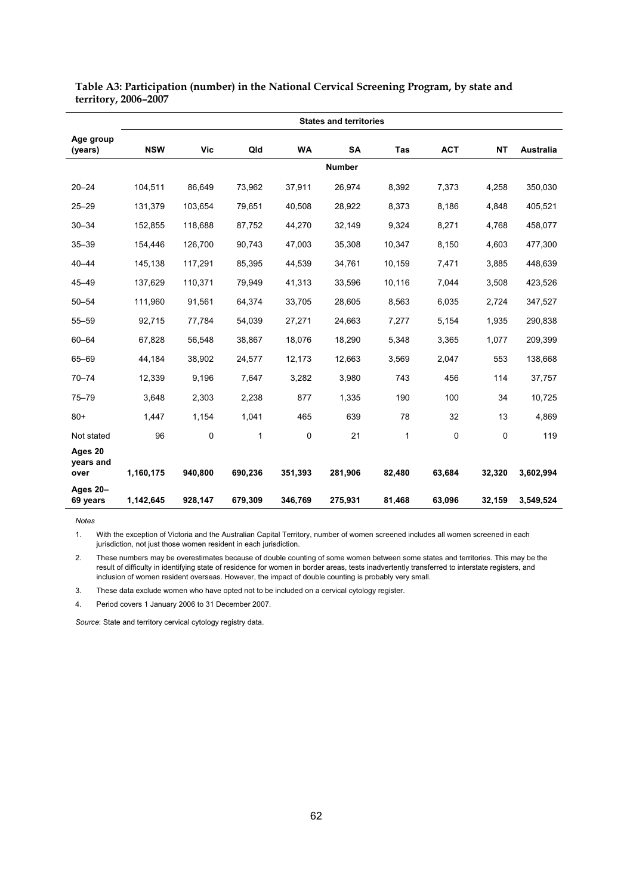|                              | <b>States and territories</b> |             |         |           |               |        |             |           |           |  |
|------------------------------|-------------------------------|-------------|---------|-----------|---------------|--------|-------------|-----------|-----------|--|
| Age group<br>(years)         | <b>NSW</b>                    | <b>Vic</b>  | Qld     | <b>WA</b> | <b>SA</b>     | Tas    | <b>ACT</b>  | <b>NT</b> | Australia |  |
|                              |                               |             |         |           | <b>Number</b> |        |             |           |           |  |
| $20 - 24$                    | 104,511                       | 86,649      | 73,962  | 37,911    | 26,974        | 8,392  | 7,373       | 4,258     | 350,030   |  |
| $25 - 29$                    | 131,379                       | 103,654     | 79,651  | 40,508    | 28,922        | 8,373  | 8,186       | 4,848     | 405,521   |  |
| $30 - 34$                    | 152,855                       | 118,688     | 87,752  | 44,270    | 32,149        | 9,324  | 8,271       | 4,768     | 458,077   |  |
| $35 - 39$                    | 154,446                       | 126,700     | 90,743  | 47,003    | 35,308        | 10,347 | 8,150       | 4,603     | 477,300   |  |
| $40 - 44$                    | 145,138                       | 117,291     | 85,395  | 44,539    | 34,761        | 10,159 | 7,471       | 3,885     | 448,639   |  |
| $45 - 49$                    | 137,629                       | 110,371     | 79,949  | 41,313    | 33,596        | 10,116 | 7,044       | 3,508     | 423,526   |  |
| $50 - 54$                    | 111,960                       | 91,561      | 64,374  | 33,705    | 28,605        | 8,563  | 6,035       | 2,724     | 347,527   |  |
| $55 - 59$                    | 92,715                        | 77,784      | 54,039  | 27,271    | 24,663        | 7,277  | 5,154       | 1,935     | 290,838   |  |
| $60 - 64$                    | 67,828                        | 56,548      | 38,867  | 18,076    | 18,290        | 5,348  | 3,365       | 1,077     | 209,399   |  |
| 65-69                        | 44,184                        | 38,902      | 24,577  | 12,173    | 12,663        | 3,569  | 2,047       | 553       | 138,668   |  |
| $70 - 74$                    | 12,339                        | 9,196       | 7,647   | 3,282     | 3,980         | 743    | 456         | 114       | 37,757    |  |
| $75 - 79$                    | 3,648                         | 2,303       | 2,238   | 877       | 1,335         | 190    | 100         | 34        | 10,725    |  |
| $80+$                        | 1,447                         | 1,154       | 1,041   | 465       | 639           | 78     | 32          | 13        | 4,869     |  |
| Not stated                   | 96                            | $\mathsf 0$ | 1       | 0         | 21            | 1      | $\mathbf 0$ | $\pmb{0}$ | 119       |  |
| Ages 20<br>years and<br>over | 1,160,175                     | 940,800     | 690,236 | 351,393   | 281,906       | 82,480 | 63,684      | 32,320    | 3,602,994 |  |
| Ages 20-<br>69 years         | 1,142,645                     | 928,147     | 679,309 | 346,769   | 275,931       | 81,468 | 63,096      | 32,159    | 3,549,524 |  |

**Table A3: Participation (number) in the National Cervical Screening Program, by state and territory, 2006–2007** 

*Notes* 1. With the exception of Victoria and the Australian Capital Territory, number of women screened includes all women screened in each jurisdiction, not just those women resident in each jurisdiction.

2. These numbers may be overestimates because of double counting of some women between some states and territories. This may be the result of difficulty in identifying state of residence for women in border areas, tests inadvertently transferred to interstate registers, and inclusion of women resident overseas. However, the impact of double counting is probably very small.

3. These data exclude women who have opted not to be included on a cervical cytology register.

4. Period covers 1 January 2006 to 31 December 2007.

*Source*: State and territory cervical cytology registry data.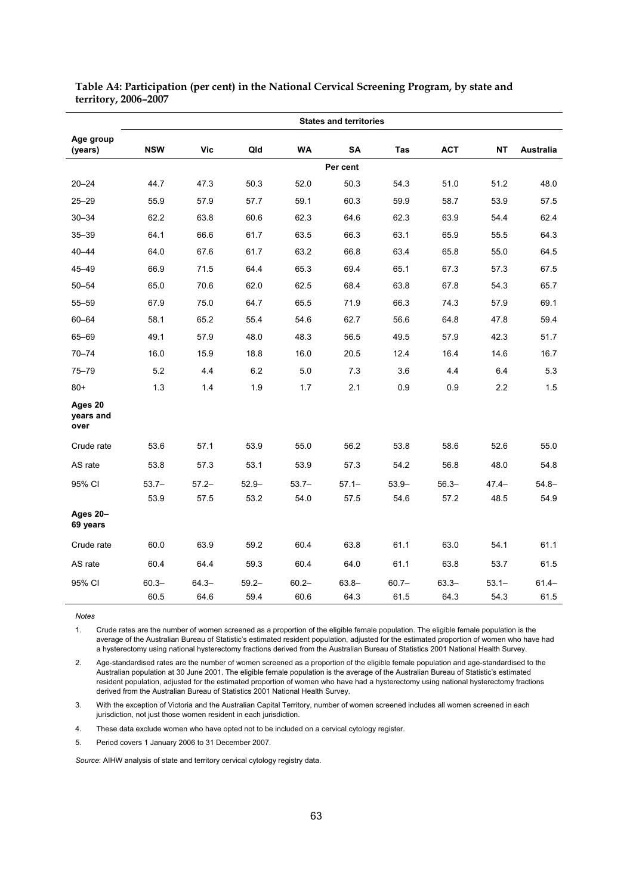|                              |                  |                  |                  |                  | <b>States and territories</b> |                  |                  |                  |                  |
|------------------------------|------------------|------------------|------------------|------------------|-------------------------------|------------------|------------------|------------------|------------------|
| Age group<br>(years)         | <b>NSW</b>       | Vic              | Qld              | <b>WA</b>        | SA                            | Tas              | <b>ACT</b>       | <b>NT</b>        | Australia        |
|                              |                  |                  |                  |                  | Per cent                      |                  |                  |                  |                  |
| $20 - 24$                    | 44.7             | 47.3             | 50.3             | 52.0             | 50.3                          | 54.3             | 51.0             | 51.2             | 48.0             |
| $25 - 29$                    | 55.9             | 57.9             | 57.7             | 59.1             | 60.3                          | 59.9             | 58.7             | 53.9             | 57.5             |
| $30 - 34$                    | 62.2             | 63.8             | 60.6             | 62.3             | 64.6                          | 62.3             | 63.9             | 54.4             | 62.4             |
| $35 - 39$                    | 64.1             | 66.6             | 61.7             | 63.5             | 66.3                          | 63.1             | 65.9             | 55.5             | 64.3             |
| $40 - 44$                    | 64.0             | 67.6             | 61.7             | 63.2             | 66.8                          | 63.4             | 65.8             | 55.0             | 64.5             |
| $45 - 49$                    | 66.9             | 71.5             | 64.4             | 65.3             | 69.4                          | 65.1             | 67.3             | 57.3             | 67.5             |
| $50 - 54$                    | 65.0             | 70.6             | 62.0             | 62.5             | 68.4                          | 63.8             | 67.8             | 54.3             | 65.7             |
| $55 - 59$                    | 67.9             | 75.0             | 64.7             | 65.5             | 71.9                          | 66.3             | 74.3             | 57.9             | 69.1             |
| $60 - 64$                    | 58.1             | 65.2             | 55.4             | 54.6             | 62.7                          | 56.6             | 64.8             | 47.8             | 59.4             |
| 65-69                        | 49.1             | 57.9             | 48.0             | 48.3             | 56.5                          | 49.5             | 57.9             | 42.3             | 51.7             |
| $70 - 74$                    | 16.0             | 15.9             | 18.8             | 16.0             | 20.5                          | 12.4             | 16.4             | 14.6             | 16.7             |
| $75 - 79$                    | 5.2              | 4.4              | 6.2              | 5.0              | 7.3                           | 3.6              | 4.4              | 6.4              | 5.3              |
| $80+$                        | 1.3              | 1.4              | 1.9              | 1.7              | 2.1                           | 0.9              | 0.9              | 2.2              | 1.5              |
| Ages 20<br>vears and<br>over |                  |                  |                  |                  |                               |                  |                  |                  |                  |
| Crude rate                   | 53.6             | 57.1             | 53.9             | 55.0             | 56.2                          | 53.8             | 58.6             | 52.6             | 55.0             |
| AS rate                      | 53.8             | 57.3             | 53.1             | 53.9             | 57.3                          | 54.2             | 56.8             | 48.0             | 54.8             |
| 95% CI                       | $53.7 -$<br>53.9 | $57.2 -$<br>57.5 | $52.9 -$<br>53.2 | $53.7-$<br>54.0  | $57.1 -$<br>57.5              | $53.9 -$<br>54.6 | $56.3 -$<br>57.2 | $47.4 -$<br>48.5 | $54.8 -$<br>54.9 |
| Ages 20-<br>69 years         |                  |                  |                  |                  |                               |                  |                  |                  |                  |
| Crude rate                   | 60.0             | 63.9             | 59.2             | 60.4             | 63.8                          | 61.1             | 63.0             | 54.1             | 61.1             |
| AS rate                      | 60.4             | 64.4             | 59.3             | 60.4             | 64.0                          | 61.1             | 63.8             | 53.7             | 61.5             |
| 95% CI                       | $60.3 -$<br>60.5 | $64.3 -$<br>64.6 | $59.2 -$<br>59.4 | $60.2 -$<br>60.6 | $63.8 -$<br>64.3              | $60.7 -$<br>61.5 | $63.3 -$<br>64.3 | $53.1 -$<br>54.3 | $61.4 -$<br>61.5 |

#### **Table A4: Participation (per cent) in the National Cervical Screening Program, by state and territory, 2006–2007**

*Notes* 

1. Crude rates are the number of women screened as a proportion of the eligible female population. The eligible female population is the average of the Australian Bureau of Statistic's estimated resident population, adjusted for the estimated proportion of women who have had a hysterectomy using national hysterectomy fractions derived from the Australian Bureau of Statistics 2001 National Health Survey.

2. Age-standardised rates are the number of women screened as a proportion of the eligible female population and age-standardised to the Australian population at 30 June 2001. The eligible female population is the average of the Australian Bureau of Statistic's estimated resident population, adjusted for the estimated proportion of women who have had a hysterectomy using national hysterectomy fractions derived from the Australian Bureau of Statistics 2001 National Health Survey.

3. With the exception of Victoria and the Australian Capital Territory, number of women screened includes all women screened in each jurisdiction, not just those women resident in each jurisdiction.

4. These data exclude women who have opted not to be included on a cervical cytology register.

5. Period covers 1 January 2006 to 31 December 2007.

*Source*: AIHW analysis of state and territory cervical cytology registry data.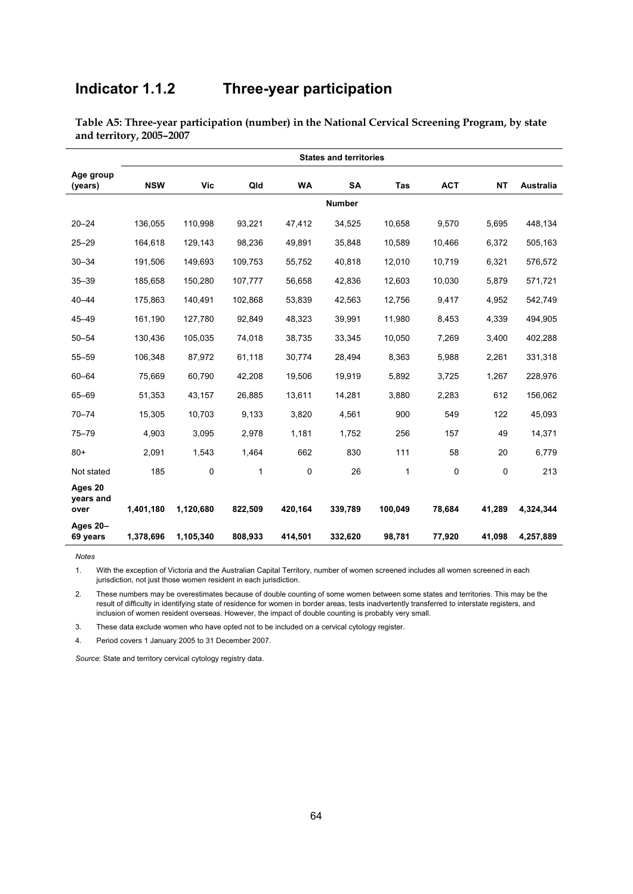# **Indicator 1.1.2 Three-year participation**

|                              | <b>States and territories</b> |           |         |           |               |              |            |           |           |  |
|------------------------------|-------------------------------|-----------|---------|-----------|---------------|--------------|------------|-----------|-----------|--|
| Age group<br>(years)         | <b>NSW</b>                    | Vic       | Qld     | <b>WA</b> | <b>SA</b>     | <b>Tas</b>   | <b>ACT</b> | <b>NT</b> | Australia |  |
|                              |                               |           |         |           | <b>Number</b> |              |            |           |           |  |
| $20 - 24$                    | 136,055                       | 110,998   | 93,221  | 47,412    | 34,525        | 10,658       | 9,570      | 5,695     | 448,134   |  |
| $25 - 29$                    | 164,618                       | 129,143   | 98,236  | 49,891    | 35,848        | 10,589       | 10,466     | 6,372     | 505,163   |  |
| $30 - 34$                    | 191,506                       | 149,693   | 109,753 | 55,752    | 40,818        | 12,010       | 10,719     | 6,321     | 576,572   |  |
| $35 - 39$                    | 185,658                       | 150,280   | 107,777 | 56,658    | 42,836        | 12,603       | 10,030     | 5,879     | 571,721   |  |
| $40 - 44$                    | 175,863                       | 140,491   | 102,868 | 53,839    | 42,563        | 12,756       | 9,417      | 4,952     | 542,749   |  |
| $45 - 49$                    | 161,190                       | 127,780   | 92,849  | 48,323    | 39,991        | 11,980       | 8,453      | 4,339     | 494,905   |  |
| $50 - 54$                    | 130,436                       | 105,035   | 74,018  | 38,735    | 33,345        | 10,050       | 7,269      | 3,400     | 402,288   |  |
| $55 - 59$                    | 106,348                       | 87,972    | 61,118  | 30,774    | 28,494        | 8,363        | 5,988      | 2,261     | 331,318   |  |
| $60 - 64$                    | 75,669                        | 60,790    | 42,208  | 19,506    | 19,919        | 5,892        | 3,725      | 1,267     | 228,976   |  |
| 65-69                        | 51,353                        | 43,157    | 26,885  | 13,611    | 14,281        | 3,880        | 2,283      | 612       | 156,062   |  |
| $70 - 74$                    | 15,305                        | 10,703    | 9,133   | 3,820     | 4,561         | 900          | 549        | 122       | 45,093    |  |
| $75 - 79$                    | 4,903                         | 3,095     | 2,978   | 1,181     | 1,752         | 256          | 157        | 49        | 14,371    |  |
| $80+$                        | 2,091                         | 1,543     | 1,464   | 662       | 830           | 111          | 58         | 20        | 6,779     |  |
| Not stated                   | 185                           | $\Omega$  | 1       | $\Omega$  | 26            | $\mathbf{1}$ | $\Omega$   | 0         | 213       |  |
| Ages 20<br>years and<br>over | 1,401,180                     | 1,120,680 | 822,509 | 420,164   | 339,789       | 100,049      | 78,684     | 41,289    | 4,324,344 |  |
| Ages 20-<br>69 years         | 1,378,696                     | 1,105,340 | 808,933 | 414,501   | 332,620       | 98,781       | 77,920     | 41,098    | 4,257,889 |  |

**Table A5: Three-year participation (number) in the National Cervical Screening Program, by state and territory, 2005–2007** 

*Notes*

1. With the exception of Victoria and the Australian Capital Territory, number of women screened includes all women screened in each jurisdiction, not just those women resident in each jurisdiction.

2. These numbers may be overestimates because of double counting of some women between some states and territories. This may be the result of difficulty in identifying state of residence for women in border areas, tests inadvertently transferred to interstate registers, and inclusion of women resident overseas. However, the impact of double counting is probably very small.

3. These data exclude women who have opted not to be included on a cervical cytology register.

4. Period covers 1 January 2005 to 31 December 2007.

*Source*: State and territory cervical cytology registry data.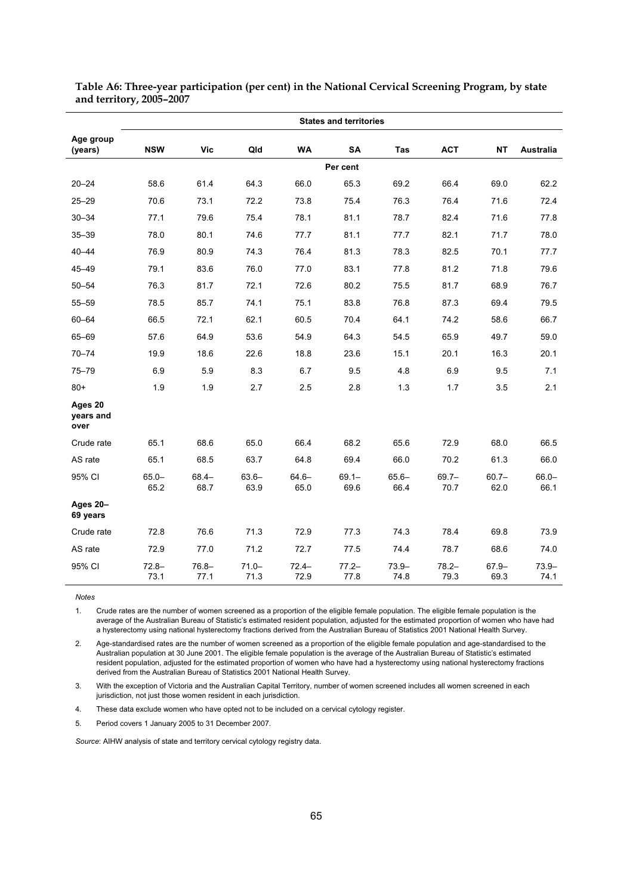|                              | <b>States and territories</b> |                  |                  |                  |                  |                  |                  |                  |                  |  |
|------------------------------|-------------------------------|------------------|------------------|------------------|------------------|------------------|------------------|------------------|------------------|--|
| Age group<br>(years)         | <b>NSW</b>                    | <b>Vic</b>       | Qld              | <b>WA</b>        | <b>SA</b>        | Tas              | <b>ACT</b>       | <b>NT</b>        | Australia        |  |
|                              |                               |                  |                  |                  | Per cent         |                  |                  |                  |                  |  |
| $20 - 24$                    | 58.6                          | 61.4             | 64.3             | 66.0             | 65.3             | 69.2             | 66.4             | 69.0             | 62.2             |  |
| $25 - 29$                    | 70.6                          | 73.1             | 72.2             | 73.8             | 75.4             | 76.3             | 76.4             | 71.6             | 72.4             |  |
| $30 - 34$                    | 77.1                          | 79.6             | 75.4             | 78.1             | 81.1             | 78.7             | 82.4             | 71.6             | 77.8             |  |
| $35 - 39$                    | 78.0                          | 80.1             | 74.6             | 77.7             | 81.1             | 77.7             | 82.1             | 71.7             | 78.0             |  |
| $40 - 44$                    | 76.9                          | 80.9             | 74.3             | 76.4             | 81.3             | 78.3             | 82.5             | 70.1             | 77.7             |  |
| 45-49                        | 79.1                          | 83.6             | 76.0             | 77.0             | 83.1             | 77.8             | 81.2             | 71.8             | 79.6             |  |
| $50 - 54$                    | 76.3                          | 81.7             | 72.1             | 72.6             | 80.2             | 75.5             | 81.7             | 68.9             | 76.7             |  |
| $55 - 59$                    | 78.5                          | 85.7             | 74.1             | 75.1             | 83.8             | 76.8             | 87.3             | 69.4             | 79.5             |  |
| $60 - 64$                    | 66.5                          | 72.1             | 62.1             | 60.5             | 70.4             | 64.1             | 74.2             | 58.6             | 66.7             |  |
| 65-69                        | 57.6                          | 64.9             | 53.6             | 54.9             | 64.3             | 54.5             | 65.9             | 49.7             | 59.0             |  |
| $70 - 74$                    | 19.9                          | 18.6             | 22.6             | 18.8             | 23.6             | 15.1             | 20.1             | 16.3             | 20.1             |  |
| $75 - 79$                    | 6.9                           | 5.9              | 8.3              | 6.7              | 9.5              | 4.8              | 6.9              | 9.5              | 7.1              |  |
| $80+$                        | 1.9                           | 1.9              | 2.7              | 2.5              | 2.8              | 1.3              | 1.7              | 3.5              | 2.1              |  |
| Ages 20<br>years and<br>over |                               |                  |                  |                  |                  |                  |                  |                  |                  |  |
| Crude rate                   | 65.1                          | 68.6             | 65.0             | 66.4             | 68.2             | 65.6             | 72.9             | 68.0             | 66.5             |  |
| AS rate                      | 65.1                          | 68.5             | 63.7             | 64.8             | 69.4             | 66.0             | 70.2             | 61.3             | 66.0             |  |
| 95% CI                       | $65.0 -$<br>65.2              | $68.4 -$<br>68.7 | $63.6 -$<br>63.9 | $64.6 -$<br>65.0 | $69.1 -$<br>69.6 | $65.6 -$<br>66.4 | $69.7 -$<br>70.7 | $60.7 -$<br>62.0 | $66.0 -$<br>66.1 |  |
| Ages 20-<br>69 years         |                               |                  |                  |                  |                  |                  |                  |                  |                  |  |
| Crude rate                   | 72.8                          | 76.6             | 71.3             | 72.9             | 77.3             | 74.3             | 78.4             | 69.8             | 73.9             |  |
| AS rate                      | 72.9                          | 77.0             | 71.2             | 72.7             | 77.5             | 74.4             | 78.7             | 68.6             | 74.0             |  |
| 95% CI                       | $72.8 -$<br>73.1              | $76.8 -$<br>77.1 | $71.0 -$<br>71.3 | $72.4 -$<br>72.9 | $77.2 -$<br>77.8 | $73.9 -$<br>74.8 | $78.2 -$<br>79.3 | $67.9 -$<br>69.3 | $73.9 -$<br>74.1 |  |

**Table A6: Three-year participation (per cent) in the National Cervical Screening Program, by state and territory, 2005–2007** 

1. Crude rates are the number of women screened as a proportion of the eligible female population. The eligible female population is the average of the Australian Bureau of Statistic's estimated resident population, adjusted for the estimated proportion of women who have had a hysterectomy using national hysterectomy fractions derived from the Australian Bureau of Statistics 2001 National Health Survey.

2. Age-standardised rates are the number of women screened as a proportion of the eligible female population and age-standardised to the Australian population at 30 June 2001. The eligible female population is the average of the Australian Bureau of Statistic's estimated resident population, adjusted for the estimated proportion of women who have had a hysterectomy using national hysterectomy fractions derived from the Australian Bureau of Statistics 2001 National Health Survey.

3. With the exception of Victoria and the Australian Capital Territory, number of women screened includes all women screened in each jurisdiction, not just those women resident in each jurisdiction.

4. These data exclude women who have opted not to be included on a cervical cytology register.

5. Period covers 1 January 2005 to 31 December 2007.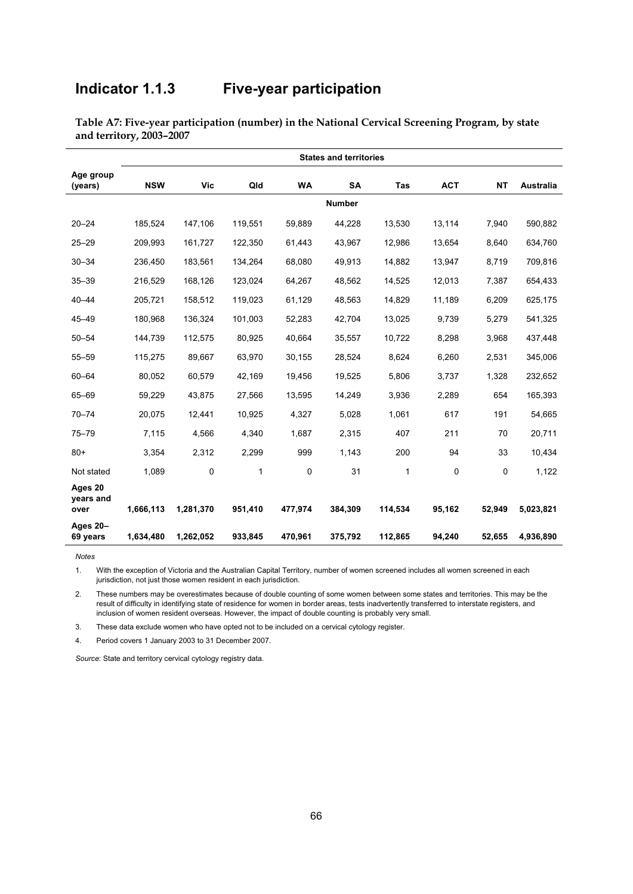## **Indicator 1.1.3 Five-year participation**

|                              | <b>States and territories</b> |            |         |           |               |            |            |             |           |  |
|------------------------------|-------------------------------|------------|---------|-----------|---------------|------------|------------|-------------|-----------|--|
| Age group<br>(years)         | <b>NSW</b>                    | <b>Vic</b> | Qld     | <b>WA</b> | <b>SA</b>     | <b>Tas</b> | <b>ACT</b> | <b>NT</b>   | Australia |  |
|                              |                               |            |         |           | <b>Number</b> |            |            |             |           |  |
| $20 - 24$                    | 185,524                       | 147,106    | 119.551 | 59,889    | 44,228        | 13,530     | 13,114     | 7,940       | 590,882   |  |
| $25 - 29$                    | 209,993                       | 161,727    | 122,350 | 61,443    | 43,967        | 12,986     | 13,654     | 8,640       | 634,760   |  |
| $30 - 34$                    | 236,450                       | 183,561    | 134,264 | 68,080    | 49,913        | 14,882     | 13,947     | 8,719       | 709,816   |  |
| $35 - 39$                    | 216,529                       | 168,126    | 123,024 | 64,267    | 48,562        | 14,525     | 12,013     | 7,387       | 654,433   |  |
| $40 - 44$                    | 205,721                       | 158,512    | 119,023 | 61,129    | 48,563        | 14,829     | 11,189     | 6,209       | 625,175   |  |
| $45 - 49$                    | 180,968                       | 136,324    | 101,003 | 52,283    | 42,704        | 13,025     | 9,739      | 5,279       | 541,325   |  |
| $50 - 54$                    | 144,739                       | 112,575    | 80,925  | 40,664    | 35,557        | 10,722     | 8,298      | 3,968       | 437,448   |  |
| $55 - 59$                    | 115,275                       | 89,667     | 63,970  | 30,155    | 28,524        | 8,624      | 6,260      | 2,531       | 345,006   |  |
| $60 - 64$                    | 80,052                        | 60,579     | 42,169  | 19,456    | 19,525        | 5,806      | 3,737      | 1,328       | 232,652   |  |
| 65-69                        | 59,229                        | 43,875     | 27,566  | 13,595    | 14,249        | 3,936      | 2,289      | 654         | 165,393   |  |
| $70 - 74$                    | 20,075                        | 12,441     | 10,925  | 4,327     | 5,028         | 1,061      | 617        | 191         | 54,665    |  |
| $75 - 79$                    | 7,115                         | 4,566      | 4,340   | 1,687     | 2,315         | 407        | 211        | 70          | 20,711    |  |
| $80+$                        | 3,354                         | 2,312      | 2,299   | 999       | 1,143         | 200        | 94         | 33          | 10,434    |  |
| Not stated                   | 1,089                         | $\Omega$   | 1       | $\Omega$  | 31            | 1          | 0          | $\mathbf 0$ | 1,122     |  |
| Ages 20<br>years and<br>over | 1,666,113                     | 1,281,370  | 951,410 | 477,974   | 384,309       | 114,534    | 95,162     | 52,949      | 5,023,821 |  |
| Ages 20-<br>69 years         | 1,634,480                     | 1,262,052  | 933,845 | 470.961   | 375,792       | 112,865    | 94,240     | 52,655      | 4,936,890 |  |

**Table A7: Five-year participation (number) in the National Cervical Screening Program, by state and territory, 2003–2007** 

*Notes*

1. With the exception of Victoria and the Australian Capital Territory, number of women screened includes all women screened in each jurisdiction, not just those women resident in each jurisdiction.

2. These numbers may be overestimates because of double counting of some women between some states and territories. This may be the result of difficulty in identifying state of residence for women in border areas, tests inadvertently transferred to interstate registers, and inclusion of women resident overseas. However, the impact of double counting is probably very small.

3. These data exclude women who have opted not to be included on a cervical cytology register.

4. Period covers 1 January 2003 to 31 December 2007.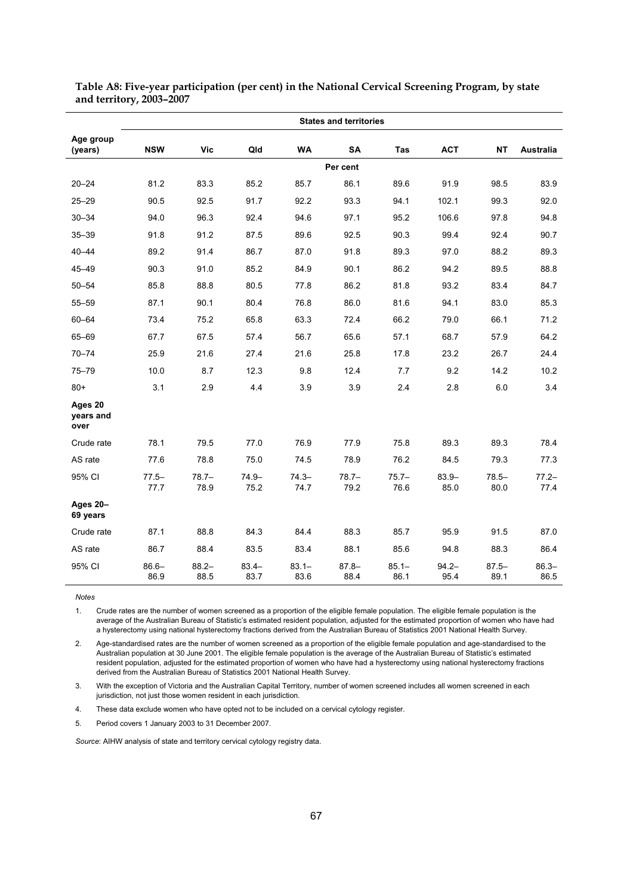|                              | <b>States and territories</b> |                  |                  |                  |                  |                  |                  |                  |                  |  |
|------------------------------|-------------------------------|------------------|------------------|------------------|------------------|------------------|------------------|------------------|------------------|--|
| Age group<br>(years)         | <b>NSW</b>                    | <b>Vic</b>       | Qld              | <b>WA</b>        | <b>SA</b>        | Tas              | <b>ACT</b>       | <b>NT</b>        | Australia        |  |
|                              |                               |                  |                  |                  | Per cent         |                  |                  |                  |                  |  |
| $20 - 24$                    | 81.2                          | 83.3             | 85.2             | 85.7             | 86.1             | 89.6             | 91.9             | 98.5             | 83.9             |  |
| $25 - 29$                    | 90.5                          | 92.5             | 91.7             | 92.2             | 93.3             | 94.1             | 102.1            | 99.3             | 92.0             |  |
| $30 - 34$                    | 94.0                          | 96.3             | 92.4             | 94.6             | 97.1             | 95.2             | 106.6            | 97.8             | 94.8             |  |
| $35 - 39$                    | 91.8                          | 91.2             | 87.5             | 89.6             | 92.5             | 90.3             | 99.4             | 92.4             | 90.7             |  |
| $40 - 44$                    | 89.2                          | 91.4             | 86.7             | 87.0             | 91.8             | 89.3             | 97.0             | 88.2             | 89.3             |  |
| $45 - 49$                    | 90.3                          | 91.0             | 85.2             | 84.9             | 90.1             | 86.2             | 94.2             | 89.5             | 88.8             |  |
| $50 - 54$                    | 85.8                          | 88.8             | 80.5             | 77.8             | 86.2             | 81.8             | 93.2             | 83.4             | 84.7             |  |
| $55 - 59$                    | 87.1                          | 90.1             | 80.4             | 76.8             | 86.0             | 81.6             | 94.1             | 83.0             | 85.3             |  |
| 60-64                        | 73.4                          | 75.2             | 65.8             | 63.3             | 72.4             | 66.2             | 79.0             | 66.1             | 71.2             |  |
| 65-69                        | 67.7                          | 67.5             | 57.4             | 56.7             | 65.6             | 57.1             | 68.7             | 57.9             | 64.2             |  |
| $70 - 74$                    | 25.9                          | 21.6             | 27.4             | 21.6             | 25.8             | 17.8             | 23.2             | 26.7             | 24.4             |  |
| $75 - 79$                    | 10.0                          | 8.7              | 12.3             | 9.8              | 12.4             | 7.7              | 9.2              | 14.2             | 10.2             |  |
| $80+$                        | 3.1                           | 2.9              | 4.4              | 3.9              | 3.9              | 2.4              | 2.8              | 6.0              | 3.4              |  |
| Ages 20<br>vears and<br>over |                               |                  |                  |                  |                  |                  |                  |                  |                  |  |
| Crude rate                   | 78.1                          | 79.5             | 77.0             | 76.9             | 77.9             | 75.8             | 89.3             | 89.3             | 78.4             |  |
| AS rate                      | 77.6                          | 78.8             | 75.0             | 74.5             | 78.9             | 76.2             | 84.5             | 79.3             | 77.3             |  |
| 95% CI                       | $77.5 -$<br>77.7              | $78.7 -$<br>78.9 | $74.9 -$<br>75.2 | $74.3 -$<br>74.7 | $78.7 -$<br>79.2 | $75.7 -$<br>76.6 | $83.9 -$<br>85.0 | $78.5 -$<br>80.0 | $77.2 -$<br>77.4 |  |
| Ages 20-<br>69 years         |                               |                  |                  |                  |                  |                  |                  |                  |                  |  |
| Crude rate                   | 87.1                          | 88.8             | 84.3             | 84.4             | 88.3             | 85.7             | 95.9             | 91.5             | 87.0             |  |
| AS rate                      | 86.7                          | 88.4             | 83.5             | 83.4             | 88.1             | 85.6             | 94.8             | 88.3             | 86.4             |  |
| 95% CI                       | $86.6 -$<br>86.9              | $88.2 -$<br>88.5 | $83.4 -$<br>83.7 | $83.1 -$<br>83.6 | $87.8 -$<br>88.4 | $85.1 -$<br>86.1 | $94.2 -$<br>95.4 | $87.5 -$<br>89.1 | $86.3 -$<br>86.5 |  |

**Table A8: Five-year participation (per cent) in the National Cervical Screening Program, by state and territory, 2003–2007** 

1. Crude rates are the number of women screened as a proportion of the eligible female population. The eligible female population is the average of the Australian Bureau of Statistic's estimated resident population, adjusted for the estimated proportion of women who have had a hysterectomy using national hysterectomy fractions derived from the Australian Bureau of Statistics 2001 National Health Survey.

2. Age-standardised rates are the number of women screened as a proportion of the eligible female population and age-standardised to the Australian population at 30 June 2001. The eligible female population is the average of the Australian Bureau of Statistic's estimated resident population, adjusted for the estimated proportion of women who have had a hysterectomy using national hysterectomy fractions derived from the Australian Bureau of Statistics 2001 National Health Survey.

3. With the exception of Victoria and the Australian Capital Territory, number of women screened includes all women screened in each jurisdiction, not just those women resident in each jurisdiction.

4. These data exclude women who have opted not to be included on a cervical cytology register.

5. Period covers 1 January 2003 to 31 December 2007.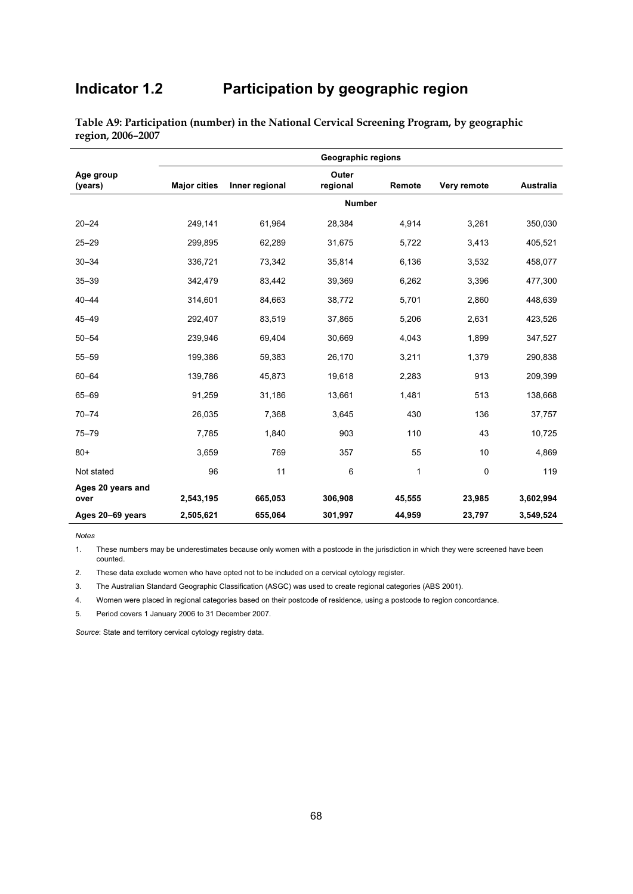# **Indicator 1.2 Participation by geographic region**

|                           | <b>Geographic regions</b> |                |                   |               |             |                  |  |  |  |  |
|---------------------------|---------------------------|----------------|-------------------|---------------|-------------|------------------|--|--|--|--|
| Age group<br>(years)      | <b>Major cities</b>       | Inner regional | Outer<br>regional | Remote        | Very remote | <b>Australia</b> |  |  |  |  |
|                           |                           |                |                   | <b>Number</b> |             |                  |  |  |  |  |
| $20 - 24$                 | 249,141                   | 61,964         | 28,384            | 4,914         | 3,261       | 350,030          |  |  |  |  |
| $25 - 29$                 | 299,895                   | 62,289         | 31,675            | 5,722         | 3,413       | 405,521          |  |  |  |  |
| $30 - 34$                 | 336,721                   | 73,342         | 35,814            | 6,136         | 3,532       | 458,077          |  |  |  |  |
| $35 - 39$                 | 342,479                   | 83,442         | 39,369            | 6,262         | 3,396       | 477,300          |  |  |  |  |
| $40 - 44$                 | 314,601                   | 84,663         | 38,772            | 5,701         | 2,860       | 448,639          |  |  |  |  |
| $45 - 49$                 | 292,407                   | 83,519         | 37,865            | 5,206         | 2,631       | 423,526          |  |  |  |  |
| $50 - 54$                 | 239,946                   | 69,404         | 30,669            | 4,043         | 1,899       | 347,527          |  |  |  |  |
| $55 - 59$                 | 199,386                   | 59,383         | 26,170            | 3,211         | 1,379       | 290,838          |  |  |  |  |
| $60 - 64$                 | 139,786                   | 45,873         | 19,618            | 2,283         | 913         | 209,399          |  |  |  |  |
| 65-69                     | 91,259                    | 31,186         | 13,661            | 1,481         | 513         | 138,668          |  |  |  |  |
| $70 - 74$                 | 26,035                    | 7,368          | 3,645             | 430           | 136         | 37,757           |  |  |  |  |
| $75 - 79$                 | 7,785                     | 1,840          | 903               | 110           | 43          | 10,725           |  |  |  |  |
| $80+$                     | 3,659                     | 769            | 357               | 55            | 10          | 4,869            |  |  |  |  |
| Not stated                | 96                        | 11             | 6                 | 1             | 0           | 119              |  |  |  |  |
| Ages 20 years and<br>over | 2,543,195                 | 665,053        | 306,908           | 45,555        | 23,985      | 3,602,994        |  |  |  |  |
| Ages 20-69 years          | 2,505,621                 | 655,064        | 301,997           | 44,959        | 23,797      | 3,549,524        |  |  |  |  |

**Table A9: Participation (number) in the National Cervical Screening Program, by geographic region, 2006–2007** 

*Notes* 

These numbers may be underestimates because only women with a postcode in the jurisdiction in which they were screened have been counted.

2. These data exclude women who have opted not to be included on a cervical cytology register.

3. The Australian Standard Geographic Classification (ASGC) was used to create regional categories (ABS 2001).

4. Women were placed in regional categories based on their postcode of residence, using a postcode to region concordance.

5. Period covers 1 January 2006 to 31 December 2007.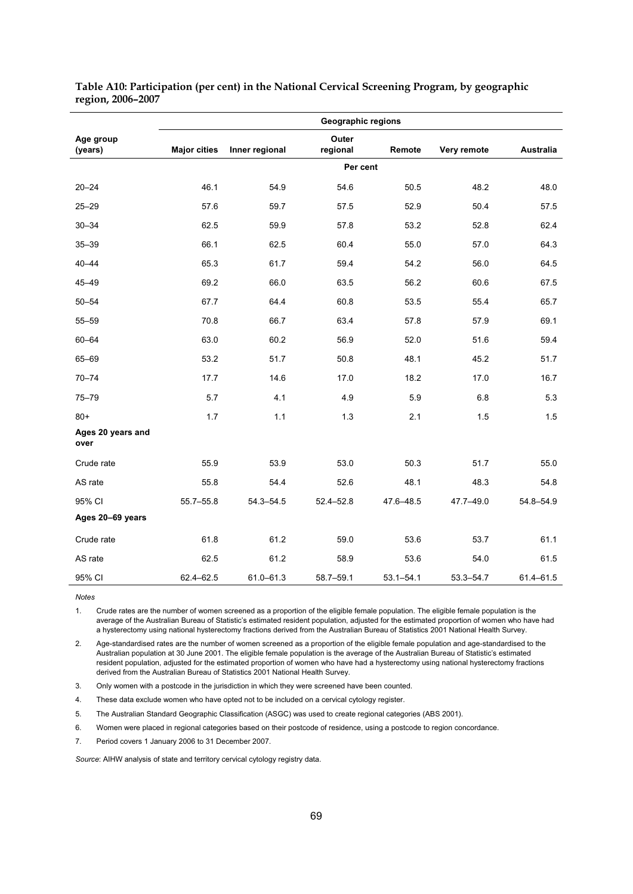|                           | <b>Geographic regions</b> |                |                   |               |               |               |  |  |  |
|---------------------------|---------------------------|----------------|-------------------|---------------|---------------|---------------|--|--|--|
| Age group<br>(years)      | <b>Major cities</b>       | Inner regional | Outer<br>regional | Remote        | Very remote   | Australia     |  |  |  |
|                           |                           |                |                   | Per cent      |               |               |  |  |  |
| $20 - 24$                 | 46.1                      | 54.9           | 54.6              | 50.5          | 48.2          | 48.0          |  |  |  |
| $25 - 29$                 | 57.6                      | 59.7           | 57.5              | 52.9          | 50.4          | 57.5          |  |  |  |
| $30 - 34$                 | 62.5                      | 59.9           | 57.8              | 53.2          | 52.8          | 62.4          |  |  |  |
| $35 - 39$                 | 66.1                      | 62.5           | 60.4              | 55.0          | 57.0          | 64.3          |  |  |  |
| $40 - 44$                 | 65.3                      | 61.7           | 59.4              | 54.2          | 56.0          | 64.5          |  |  |  |
| $45 - 49$                 | 69.2                      | 66.0           | 63.5              | 56.2          | 60.6          | 67.5          |  |  |  |
| $50 - 54$                 | 67.7                      | 64.4           | 60.8              | 53.5          | 55.4          | 65.7          |  |  |  |
| $55 - 59$                 | 70.8                      | 66.7           | 63.4              | 57.8          | 57.9          | 69.1          |  |  |  |
| $60 - 64$                 | 63.0                      | 60.2           | 56.9              | 52.0          | 51.6          | 59.4          |  |  |  |
| 65-69                     | 53.2                      | 51.7           | 50.8              | 48.1          | 45.2          | 51.7          |  |  |  |
| $70 - 74$                 | 17.7                      | 14.6           | 17.0              | 18.2          | 17.0          | 16.7          |  |  |  |
| $75 - 79$                 | 5.7                       | 4.1            | 4.9               | 5.9           | 6.8           | 5.3           |  |  |  |
| $80+$                     | 1.7                       | 1.1            | 1.3               | 2.1           | 1.5           | 1.5           |  |  |  |
| Ages 20 years and<br>over |                           |                |                   |               |               |               |  |  |  |
| Crude rate                | 55.9                      | 53.9           | 53.0              | 50.3          | 51.7          | 55.0          |  |  |  |
| AS rate                   | 55.8                      | 54.4           | 52.6              | 48.1          | 48.3          | 54.8          |  |  |  |
| 95% CI                    | $55.7 - 55.8$             | $54.3 - 54.5$  | $52.4 - 52.8$     | 47.6-48.5     | 47.7-49.0     | 54.8-54.9     |  |  |  |
| Ages 20-69 years          |                           |                |                   |               |               |               |  |  |  |
| Crude rate                | 61.8                      | 61.2           | 59.0              | 53.6          | 53.7          | 61.1          |  |  |  |
| AS rate                   | 62.5                      | 61.2           | 58.9              | 53.6          | 54.0          | 61.5          |  |  |  |
| 95% CI                    | 62.4-62.5                 | $61.0 - 61.3$  | $58.7 - 59.1$     | $53.1 - 54.1$ | $53.3 - 54.7$ | $61.4 - 61.5$ |  |  |  |

**Table A10: Participation (per cent) in the National Cervical Screening Program, by geographic region, 2006–2007** 

**Notes** 

1. Crude rates are the number of women screened as a proportion of the eligible female population. The eligible female population is the average of the Australian Bureau of Statistic's estimated resident population, adjusted for the estimated proportion of women who have had a hysterectomy using national hysterectomy fractions derived from the Australian Bureau of Statistics 2001 National Health Survey.

2. Age-standardised rates are the number of women screened as a proportion of the eligible female population and age-standardised to the Australian population at 30 June 2001. The eligible female population is the average of the Australian Bureau of Statistic's estimated resident population, adjusted for the estimated proportion of women who have had a hysterectomy using national hysterectomy fractions derived from the Australian Bureau of Statistics 2001 National Health Survey.

3. Only women with a postcode in the jurisdiction in which they were screened have been counted.

4. These data exclude women who have opted not to be included on a cervical cytology register.

5. The Australian Standard Geographic Classification (ASGC) was used to create regional categories (ABS 2001).

6. Women were placed in regional categories based on their postcode of residence, using a postcode to region concordance.

7. Period covers 1 January 2006 to 31 December 2007.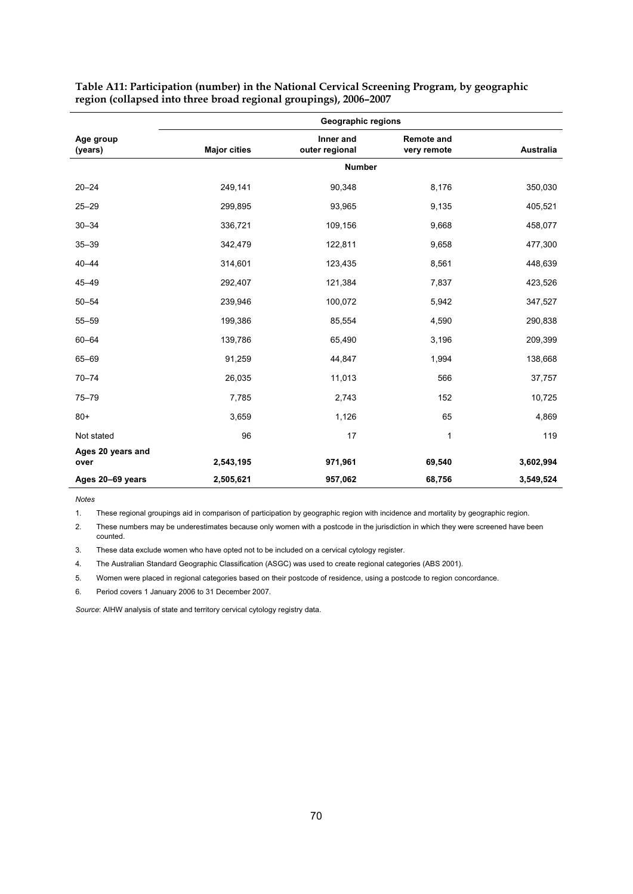| <b>Geographic regions</b> |                                               |                                      |                                 |  |  |  |  |  |  |
|---------------------------|-----------------------------------------------|--------------------------------------|---------------------------------|--|--|--|--|--|--|
|                           | Inner and                                     | <b>Remote and</b>                    | <b>Australia</b>                |  |  |  |  |  |  |
|                           | <b>Number</b>                                 |                                      |                                 |  |  |  |  |  |  |
| 249,141                   | 90,348                                        | 8,176                                | 350,030                         |  |  |  |  |  |  |
| 299,895                   | 93,965                                        | 9,135                                | 405,521                         |  |  |  |  |  |  |
| 336,721                   | 109,156                                       | 9,668                                | 458,077                         |  |  |  |  |  |  |
| 342,479                   | 122,811                                       | 9,658                                | 477,300                         |  |  |  |  |  |  |
| 314,601                   | 123,435                                       | 8,561                                | 448,639                         |  |  |  |  |  |  |
| 292,407                   | 121,384                                       | 7,837                                | 423,526                         |  |  |  |  |  |  |
| 239,946                   | 100,072                                       | 5,942                                | 347,527                         |  |  |  |  |  |  |
| 199,386                   | 85,554                                        | 4,590                                | 290,838                         |  |  |  |  |  |  |
| 139,786                   | 65,490                                        | 3,196                                | 209,399                         |  |  |  |  |  |  |
| 91,259                    | 44,847                                        | 1,994                                | 138,668                         |  |  |  |  |  |  |
| 26,035                    | 11,013                                        | 566                                  | 37,757                          |  |  |  |  |  |  |
| 7,785                     | 2,743                                         | 152                                  | 10,725                          |  |  |  |  |  |  |
| 3,659                     | 1,126                                         | 65                                   | 4,869                           |  |  |  |  |  |  |
| 96                        | 17                                            | 1                                    | 119                             |  |  |  |  |  |  |
|                           |                                               |                                      |                                 |  |  |  |  |  |  |
|                           |                                               |                                      | 3,602,994<br>3,549,524          |  |  |  |  |  |  |
|                           | <b>Major cities</b><br>2,543,195<br>2,505,621 | outer regional<br>971,961<br>957,062 | very remote<br>69,540<br>68,756 |  |  |  |  |  |  |

**Table A11: Participation (number) in the National Cervical Screening Program, by geographic region (collapsed into three broad regional groupings), 2006–2007** 

*Notes* 

1. These regional groupings aid in comparison of participation by geographic region with incidence and mortality by geographic region.

2. These numbers may be underestimates because only women with a postcode in the jurisdiction in which they were screened have been counted.

3. These data exclude women who have opted not to be included on a cervical cytology register.

4. The Australian Standard Geographic Classification (ASGC) was used to create regional categories (ABS 2001).

5. Women were placed in regional categories based on their postcode of residence, using a postcode to region concordance.

6. Period covers 1 January 2006 to 31 December 2007.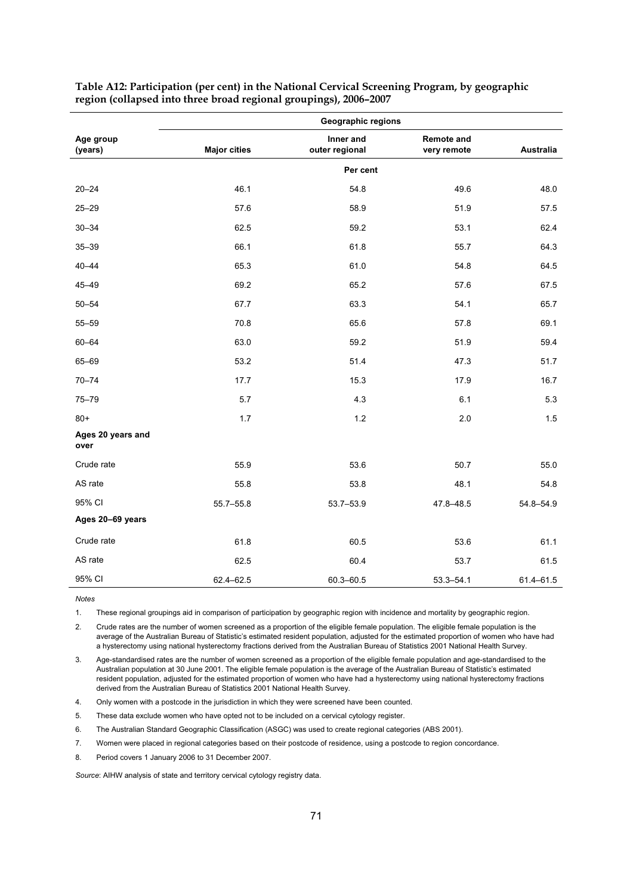|                           | <b>Geographic regions</b> |                             |                                  |           |  |  |  |  |  |
|---------------------------|---------------------------|-----------------------------|----------------------------------|-----------|--|--|--|--|--|
| Age group<br>(years)      | <b>Major cities</b>       | Inner and<br>outer regional | <b>Remote and</b><br>very remote | Australia |  |  |  |  |  |
|                           |                           | Per cent                    |                                  |           |  |  |  |  |  |
| $20 - 24$                 | 46.1                      | 54.8                        | 49.6                             | 48.0      |  |  |  |  |  |
| $25 - 29$                 | 57.6                      | 58.9                        | 51.9                             | 57.5      |  |  |  |  |  |
| $30 - 34$                 | 62.5                      | 59.2                        | 53.1                             | 62.4      |  |  |  |  |  |
| $35 - 39$                 | 66.1                      | 61.8                        | 55.7                             | 64.3      |  |  |  |  |  |
| $40 - 44$                 | 65.3                      | 61.0                        | 54.8                             | 64.5      |  |  |  |  |  |
| $45 - 49$                 | 69.2                      | 65.2                        | 57.6                             | 67.5      |  |  |  |  |  |
| $50 - 54$                 | 67.7                      | 63.3                        | 54.1                             | 65.7      |  |  |  |  |  |
| $55 - 59$                 | 70.8                      | 65.6                        | 57.8                             | 69.1      |  |  |  |  |  |
| $60 - 64$                 | 63.0                      | 59.2                        | 51.9                             | 59.4      |  |  |  |  |  |
| 65-69                     | 53.2                      | 51.4                        | 47.3                             | 51.7      |  |  |  |  |  |
| $70 - 74$                 | 17.7                      | 15.3                        | 17.9                             | 16.7      |  |  |  |  |  |
| $75 - 79$                 | 5.7                       | 4.3                         | 6.1                              | 5.3       |  |  |  |  |  |
| $80+$                     | 1.7                       | 1.2                         | 2.0                              | 1.5       |  |  |  |  |  |
| Ages 20 years and<br>over |                           |                             |                                  |           |  |  |  |  |  |
| Crude rate                | 55.9                      | 53.6                        | 50.7                             | 55.0      |  |  |  |  |  |
| AS rate                   | 55.8                      | 53.8                        | 48.1                             | 54.8      |  |  |  |  |  |
| 95% CI                    | 55.7-55.8                 | 53.7-53.9                   | 47.8-48.5                        | 54.8-54.9 |  |  |  |  |  |
| Ages 20-69 years          |                           |                             |                                  |           |  |  |  |  |  |
| Crude rate                | 61.8                      | 60.5                        | 53.6                             | 61.1      |  |  |  |  |  |
| AS rate                   | 62.5                      | 60.4                        | 53.7                             | 61.5      |  |  |  |  |  |
| 95% CI                    | 62.4-62.5                 | 60.3-60.5                   | $53.3 - 54.1$                    | 61.4-61.5 |  |  |  |  |  |

**Table A12: Participation (per cent) in the National Cervical Screening Program, by geographic region (collapsed into three broad regional groupings), 2006–2007** 

*Notes* 

1. These regional groupings aid in comparison of participation by geographic region with incidence and mortality by geographic region.

2. Crude rates are the number of women screened as a proportion of the eligible female population. The eligible female population is the average of the Australian Bureau of Statistic's estimated resident population, adjusted for the estimated proportion of women who have had a hysterectomy using national hysterectomy fractions derived from the Australian Bureau of Statistics 2001 National Health Survey.

3. Age-standardised rates are the number of women screened as a proportion of the eligible female population and age-standardised to the Australian population at 30 June 2001. The eligible female population is the average of the Australian Bureau of Statistic's estimated resident population, adjusted for the estimated proportion of women who have had a hysterectomy using national hysterectomy fractions derived from the Australian Bureau of Statistics 2001 National Health Survey.

4. Only women with a postcode in the jurisdiction in which they were screened have been counted.

5. These data exclude women who have opted not to be included on a cervical cytology register.

6. The Australian Standard Geographic Classification (ASGC) was used to create regional categories (ABS 2001).

7. Women were placed in regional categories based on their postcode of residence, using a postcode to region concordance.

8. Period covers 1 January 2006 to 31 December 2007.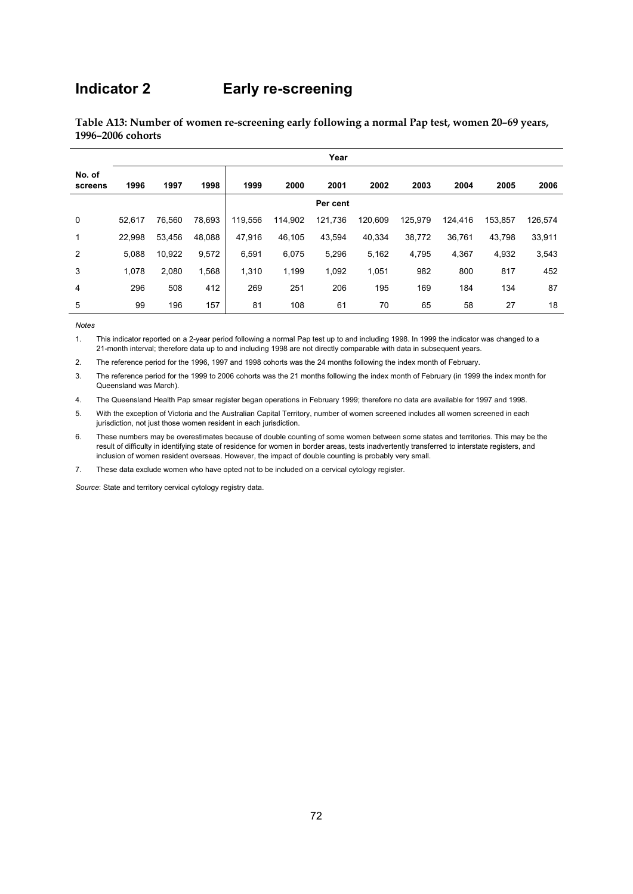## **Indicator 2 Early re-screening**

|                   | Year   |        |        |         |         |          |         |         |         |         |         |
|-------------------|--------|--------|--------|---------|---------|----------|---------|---------|---------|---------|---------|
| No. of<br>screens | 1996   | 1997   | 1998   | 1999    | 2000    | 2001     | 2002    | 2003    | 2004    | 2005    | 2006    |
|                   |        |        |        |         |         | Per cent |         |         |         |         |         |
| 0                 | 52,617 | 76,560 | 78,693 | 119,556 | 114,902 | 121,736  | 120,609 | 125,979 | 124,416 | 153,857 | 126,574 |
| 1                 | 22,998 | 53,456 | 48,088 | 47,916  | 46,105  | 43,594   | 40,334  | 38,772  | 36,761  | 43,798  | 33,911  |
| 2                 | 5,088  | 10,922 | 9,572  | 6,591   | 6,075   | 5,296    | 5,162   | 4,795   | 4,367   | 4,932   | 3,543   |
| 3                 | 1,078  | 2,080  | 1,568  | 1,310   | 1,199   | 1,092    | 1,051   | 982     | 800     | 817     | 452     |
| 4                 | 296    | 508    | 412    | 269     | 251     | 206      | 195     | 169     | 184     | 134     | 87      |
| 5                 | 99     | 196    | 157    | 81      | 108     | 61       | 70      | 65      | 58      | 27      | 18      |

**Table A13: Number of women re-screening early following a normal Pap test, women 20–69 years, 1996–2006 cohorts** 

1. This indicator reported on a 2-year period following a normal Pap test up to and including 1998. In 1999 the indicator was changed to a 21-month interval; therefore data up to and including 1998 are not directly comparable with data in subsequent years.

2. The reference period for the 1996, 1997 and 1998 cohorts was the 24 months following the index month of February.

3. The reference period for the 1999 to 2006 cohorts was the 21 months following the index month of February (in 1999 the index month for Queensland was March).

4. The Queensland Health Pap smear register began operations in February 1999; therefore no data are available for 1997 and 1998.

5. With the exception of Victoria and the Australian Capital Territory, number of women screened includes all women screened in each jurisdiction, not just those women resident in each jurisdiction.

6. These numbers may be overestimates because of double counting of some women between some states and territories. This may be the result of difficulty in identifying state of residence for women in border areas, tests inadvertently transferred to interstate registers, and inclusion of women resident overseas. However, the impact of double counting is probably very small.

7. These data exclude women who have opted not to be included on a cervical cytology register.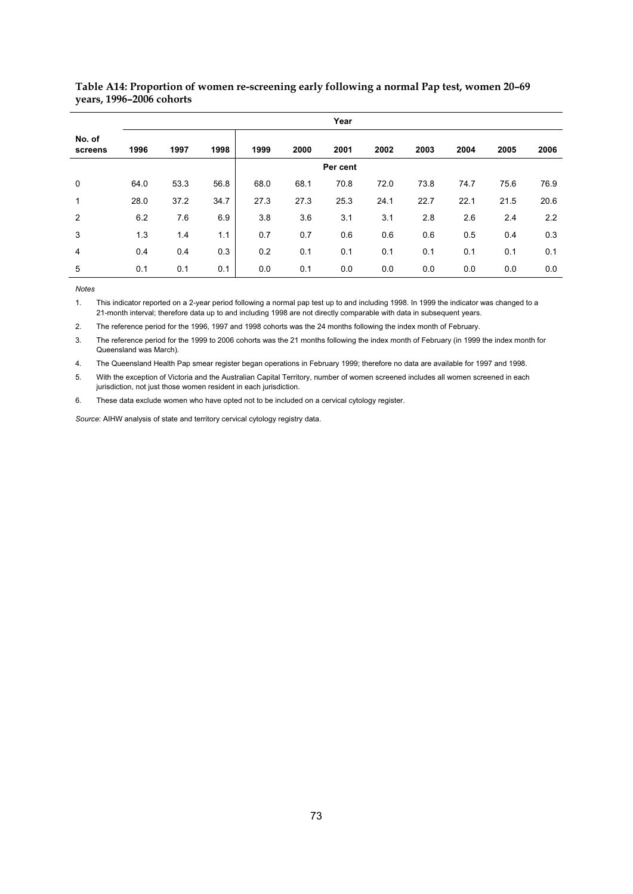|                   | Year     |      |      |      |      |      |      |      |      |      |      |
|-------------------|----------|------|------|------|------|------|------|------|------|------|------|
| No. of<br>screens | 1996     | 1997 | 1998 | 1999 | 2000 | 2001 | 2002 | 2003 | 2004 | 2005 | 2006 |
|                   | Per cent |      |      |      |      |      |      |      |      |      |      |
| $\mathbf 0$       | 64.0     | 53.3 | 56.8 | 68.0 | 68.1 | 70.8 | 72.0 | 73.8 | 74.7 | 75.6 | 76.9 |
| 1                 | 28.0     | 37.2 | 34.7 | 27.3 | 27.3 | 25.3 | 24.1 | 22.7 | 22.1 | 21.5 | 20.6 |
| 2                 | 6.2      | 7.6  | 6.9  | 3.8  | 3.6  | 3.1  | 3.1  | 2.8  | 2.6  | 2.4  | 2.2  |
| 3                 | 1.3      | 1.4  | 1.1  | 0.7  | 0.7  | 0.6  | 0.6  | 0.6  | 0.5  | 0.4  | 0.3  |
| $\overline{4}$    | 0.4      | 0.4  | 0.3  | 0.2  | 0.1  | 0.1  | 0.1  | 0.1  | 0.1  | 0.1  | 0.1  |
| 5                 | 0.1      | 0.1  | 0.1  | 0.0  | 0.1  | 0.0  | 0.0  | 0.0  | 0.0  | 0.0  | 0.0  |

**Table A14: Proportion of women re-screening early following a normal Pap test, women 20–69 years, 1996–2006 cohorts** 

*Notes*  This indicator reported on a 2-year period following a normal pap test up to and including 1998. In 1999 the indicator was changed to a 21-month interval; therefore data up to and including 1998 are not directly comparable with data in subsequent years.

2. The reference period for the 1996, 1997 and 1998 cohorts was the 24 months following the index month of February.

3. The reference period for the 1999 to 2006 cohorts was the 21 months following the index month of February (in 1999 the index month for Queensland was March).

4. The Queensland Health Pap smear register began operations in February 1999; therefore no data are available for 1997 and 1998.

5. With the exception of Victoria and the Australian Capital Territory, number of women screened includes all women screened in each jurisdiction, not just those women resident in each jurisdiction.

6. These data exclude women who have opted not to be included on a cervical cytology register.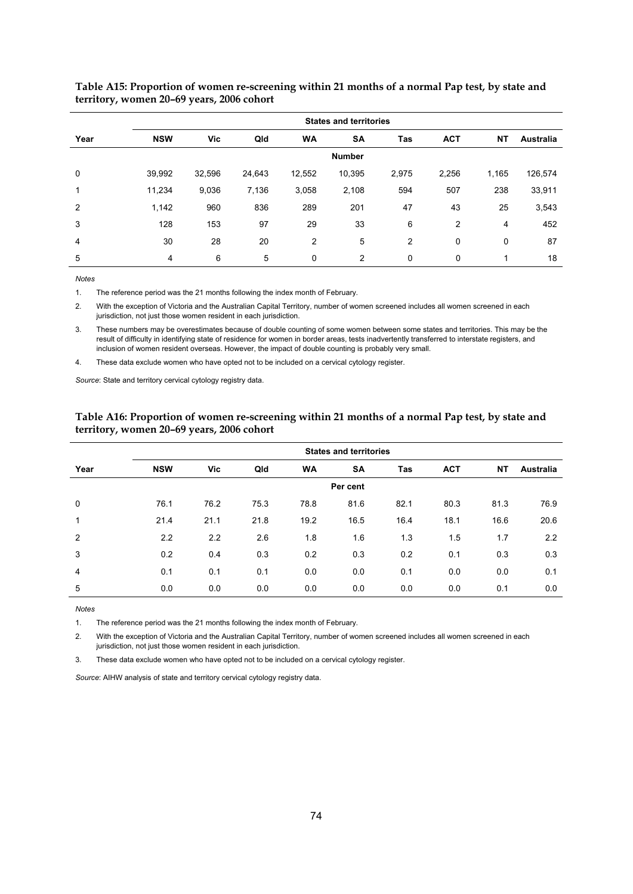|                | <b>States and territories</b> |        |        |           |           |            |            |           |           |  |  |
|----------------|-------------------------------|--------|--------|-----------|-----------|------------|------------|-----------|-----------|--|--|
| Year           | <b>NSW</b>                    | Vic    | Qld    | <b>WA</b> | <b>SA</b> | <b>Tas</b> | <b>ACT</b> | <b>NT</b> | Australia |  |  |
|                | <b>Number</b>                 |        |        |           |           |            |            |           |           |  |  |
| 0              | 39,992                        | 32,596 | 24,643 | 12,552    | 10,395    | 2,975      | 2,256      | 1,165     | 126,574   |  |  |
| 1              | 11,234                        | 9,036  | 7,136  | 3,058     | 2,108     | 594        | 507        | 238       | 33,911    |  |  |
| 2              | 1,142                         | 960    | 836    | 289       | 201       | 47         | 43         | 25        | 3,543     |  |  |
| 3              | 128                           | 153    | 97     | 29        | 33        | 6          | 2          | 4         | 452       |  |  |
| $\overline{4}$ | 30                            | 28     | 20     | 2         | 5         | 2          | 0          | 0         | 87        |  |  |
| 5              | 4                             | 6      | 5      | 0         | 2         | 0          | 0          |           | 18        |  |  |

**Table A15: Proportion of women re-screening within 21 months of a normal Pap test, by state and territory, women 20–69 years, 2006 cohort** 

 $M$ otes

1. The reference period was the 21 months following the index month of February.

2. With the exception of Victoria and the Australian Capital Territory, number of women screened includes all women screened in each jurisdiction, not just those women resident in each jurisdiction.

3. These numbers may be overestimates because of double counting of some women between some states and territories. This may be the result of difficulty in identifying state of residence for women in border areas, tests inadvertently transferred to interstate registers, and inclusion of women resident overseas. However, the impact of double counting is probably very small.

4. These data exclude women who have opted not to be included on a cervical cytology register.

*Source*: State and territory cervical cytology registry data.

|                | <b>States and territories</b> |      |      |           |           |      |            |           |                  |  |  |
|----------------|-------------------------------|------|------|-----------|-----------|------|------------|-----------|------------------|--|--|
| Year           | <b>NSW</b>                    | Vic  | Qld  | <b>WA</b> | <b>SA</b> | Tas  | <b>ACT</b> | <b>NT</b> | <b>Australia</b> |  |  |
|                | Per cent                      |      |      |           |           |      |            |           |                  |  |  |
| $\mathbf 0$    | 76.1                          | 76.2 | 75.3 | 78.8      | 81.6      | 82.1 | 80.3       | 81.3      | 76.9             |  |  |
| 1              | 21.4                          | 21.1 | 21.8 | 19.2      | 16.5      | 16.4 | 18.1       | 16.6      | 20.6             |  |  |
| 2              | 2.2                           | 2.2  | 2.6  | 1.8       | 1.6       | 1.3  | 1.5        | 1.7       | 2.2              |  |  |
| 3              | 0.2                           | 0.4  | 0.3  | 0.2       | 0.3       | 0.2  | 0.1        | 0.3       | 0.3              |  |  |
| $\overline{4}$ | 0.1                           | 0.1  | 0.1  | 0.0       | 0.0       | 0.1  | 0.0        | 0.0       | 0.1              |  |  |
| 5              | 0.0                           | 0.0  | 0.0  | 0.0       | 0.0       | 0.0  | 0.0        | 0.1       | 0.0              |  |  |

### **Table A16: Proportion of women re-screening within 21 months of a normal Pap test, by state and territory, women 20–69 years, 2006 cohort**

*Notes*  The reference period was the 21 months following the index month of February.

2. With the exception of Victoria and the Australian Capital Territory, number of women screened includes all women screened in each jurisdiction, not just those women resident in each jurisdiction.

3. These data exclude women who have opted not to be included on a cervical cytology register.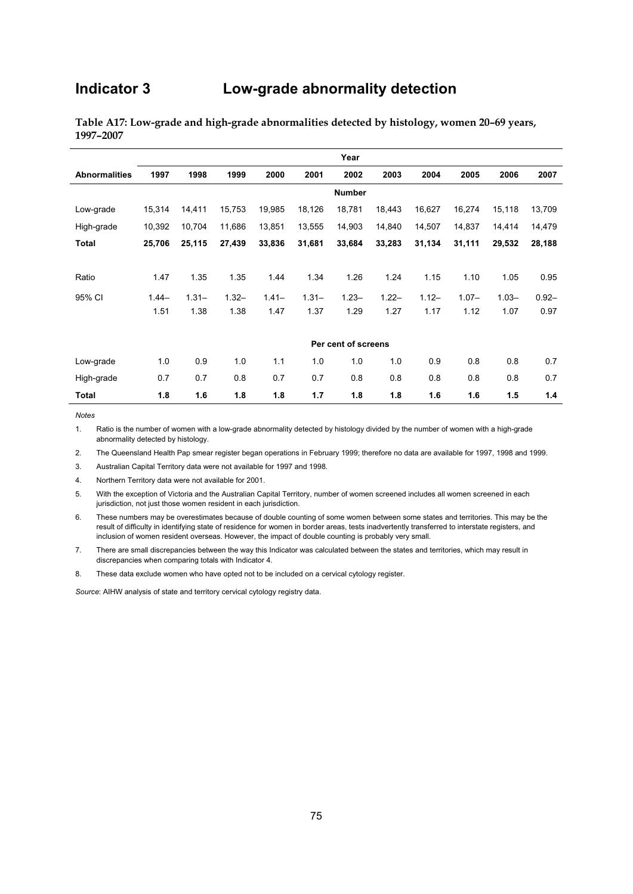## **Indicator 3 Low-grade abnormality detection**

|                      | Year    |          |          |          |          |                     |          |          |          |          |          |
|----------------------|---------|----------|----------|----------|----------|---------------------|----------|----------|----------|----------|----------|
| <b>Abnormalities</b> | 1997    | 1998     | 1999     | 2000     | 2001     | 2002                | 2003     | 2004     | 2005     | 2006     | 2007     |
|                      |         |          |          |          |          | <b>Number</b>       |          |          |          |          |          |
| Low-grade            | 15,314  | 14,411   | 15,753   | 19,985   | 18,126   | 18,781              | 18,443   | 16,627   | 16,274   | 15,118   | 13,709   |
| High-grade           | 10,392  | 10,704   | 11,686   | 13,851   | 13,555   | 14,903              | 14,840   | 14,507   | 14,837   | 14,414   | 14,479   |
| Total                | 25,706  | 25,115   | 27,439   | 33,836   | 31,681   | 33,684              | 33,283   | 31,134   | 31,111   | 29,532   | 28,188   |
|                      |         |          |          |          |          |                     |          |          |          |          |          |
| Ratio                | 1.47    | 1.35     | 1.35     | 1.44     | 1.34     | 1.26                | 1.24     | 1.15     | 1.10     | 1.05     | 0.95     |
| 95% CI               | $1.44-$ | $1.31 -$ | $1.32 -$ | $1.41 -$ | $1.31 -$ | $1.23 -$            | $1.22 -$ | $1.12 -$ | $1.07 -$ | $1.03 -$ | $0.92 -$ |
|                      | 1.51    | 1.38     | 1.38     | 1.47     | 1.37     | 1.29                | 1.27     | 1.17     | 1.12     | 1.07     | 0.97     |
|                      |         |          |          |          |          |                     |          |          |          |          |          |
|                      |         |          |          |          |          | Per cent of screens |          |          |          |          |          |
| Low-grade            | 1.0     | 0.9      | 1.0      | 1.1      | 1.0      | 1.0                 | 1.0      | 0.9      | 0.8      | 0.8      | 0.7      |
| High-grade           | 0.7     | 0.7      | 0.8      | 0.7      | 0.7      | 0.8                 | 0.8      | 0.8      | 0.8      | 0.8      | 0.7      |
| <b>Total</b>         | 1.8     | 1.6      | 1.8      | 1.8      | 1.7      | 1.8                 | 1.8      | 1.6      | 1.6      | 1.5      | 1.4      |

**Table A17: Low-grade and high-grade abnormalities detected by histology, women 20–69 years, 1997–2007** 

**Notes** 

1. Ratio is the number of women with a low-grade abnormality detected by histology divided by the number of women with a high-grade abnormality detected by histology.

2. The Queensland Health Pap smear register began operations in February 1999; therefore no data are available for 1997, 1998 and 1999.

3. Australian Capital Territory data were not available for 1997 and 1998.

4. Northern Territory data were not available for 2001.

- 5. With the exception of Victoria and the Australian Capital Territory, number of women screened includes all women screened in each jurisdiction, not just those women resident in each jurisdiction.
- 6. These numbers may be overestimates because of double counting of some women between some states and territories. This may be the result of difficulty in identifying state of residence for women in border areas, tests inadvertently transferred to interstate registers, and inclusion of women resident overseas. However, the impact of double counting is probably very small.
- 7. There are small discrepancies between the way this Indicator was calculated between the states and territories, which may result in discrepancies when comparing totals with Indicator 4.
- 8. These data exclude women who have opted not to be included on a cervical cytology register.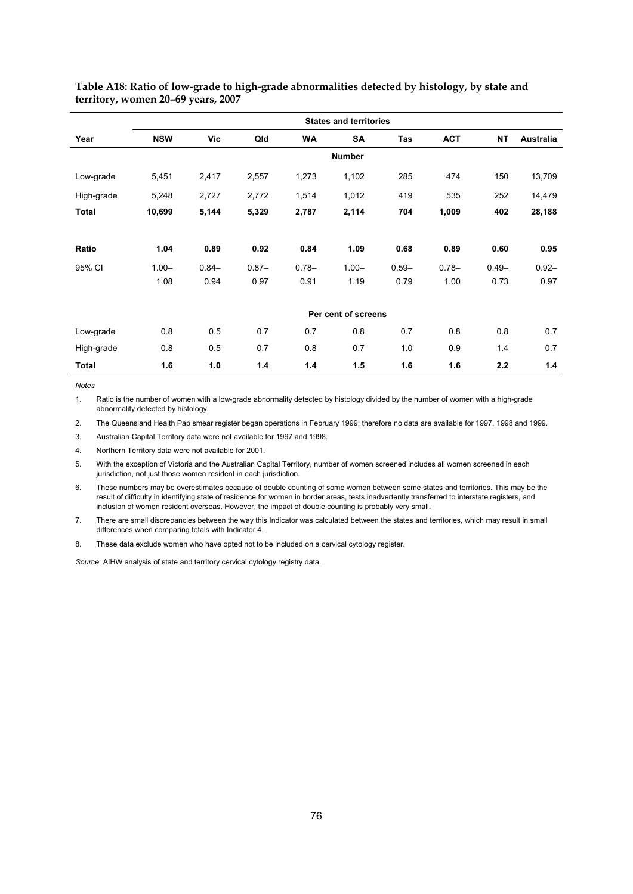|              | <b>States and territories</b> |          |          |           |                     |          |            |           |                  |  |  |  |  |
|--------------|-------------------------------|----------|----------|-----------|---------------------|----------|------------|-----------|------------------|--|--|--|--|
| Year         | <b>NSW</b>                    | Vic      | Qld      | <b>WA</b> | <b>SA</b>           | Tas      | <b>ACT</b> | <b>NT</b> | <b>Australia</b> |  |  |  |  |
|              |                               |          |          |           | <b>Number</b>       |          |            |           |                  |  |  |  |  |
| Low-grade    | 5,451                         | 2,417    | 2,557    | 1,273     | 1,102               | 285      | 474        | 150       | 13,709           |  |  |  |  |
| High-grade   | 5,248                         | 2,727    | 2,772    | 1,514     | 1,012               | 419      | 535        | 252       | 14,479           |  |  |  |  |
| <b>Total</b> | 10,699                        | 5,144    | 5,329    | 2,787     | 2,114               | 704      | 1,009      | 402       | 28,188           |  |  |  |  |
|              |                               |          |          |           |                     |          |            |           |                  |  |  |  |  |
| Ratio        | 1.04                          | 0.89     | 0.92     | 0.84      | 1.09                | 0.68     | 0.89       | 0.60      | 0.95             |  |  |  |  |
| 95% CI       | $1.00 -$                      | $0.84 -$ | $0.87 -$ | $0.78 -$  | $1.00 -$            | $0.59 -$ | $0.78 -$   | $0.49 -$  | $0.92 -$         |  |  |  |  |
|              | 1.08                          | 0.94     | 0.97     | 0.91      | 1.19                | 0.79     | 1.00       | 0.73      | 0.97             |  |  |  |  |
|              |                               |          |          |           |                     |          |            |           |                  |  |  |  |  |
|              |                               |          |          |           | Per cent of screens |          |            |           |                  |  |  |  |  |
| Low-grade    | 0.8                           | 0.5      | 0.7      | 0.7       | 0.8                 | 0.7      | 0.8        | 0.8       | 0.7              |  |  |  |  |
| High-grade   | 0.8                           | 0.5      | 0.7      | 0.8       | 0.7                 | 1.0      | 0.9        | 1.4       | 0.7              |  |  |  |  |
| Total        | 1.6                           | 1.0      | 1.4      | 1.4       | 1.5                 | 1.6      | 1.6        | 2.2       | 1.4              |  |  |  |  |

**Table A18: Ratio of low-grade to high-grade abnormalities detected by histology, by state and territory, women 20–69 years, 2007** 

**Notes** 

*Notes*  Ratio is the number of women with a low-grade abnormality detected by histology divided by the number of women with a high-grade abnormality detected by histology.

2. The Queensland Health Pap smear register began operations in February 1999; therefore no data are available for 1997, 1998 and 1999.

3. Australian Capital Territory data were not available for 1997 and 1998.

4. Northern Territory data were not available for 2001.

5. With the exception of Victoria and the Australian Capital Territory, number of women screened includes all women screened in each jurisdiction, not just those women resident in each jurisdiction.

6. These numbers may be overestimates because of double counting of some women between some states and territories. This may be the result of difficulty in identifying state of residence for women in border areas, tests inadvertently transferred to interstate registers, and inclusion of women resident overseas. However, the impact of double counting is probably very small.

7. There are small discrepancies between the way this Indicator was calculated between the states and territories, which may result in small differences when comparing totals with Indicator 4.

8. These data exclude women who have opted not to be included on a cervical cytology register.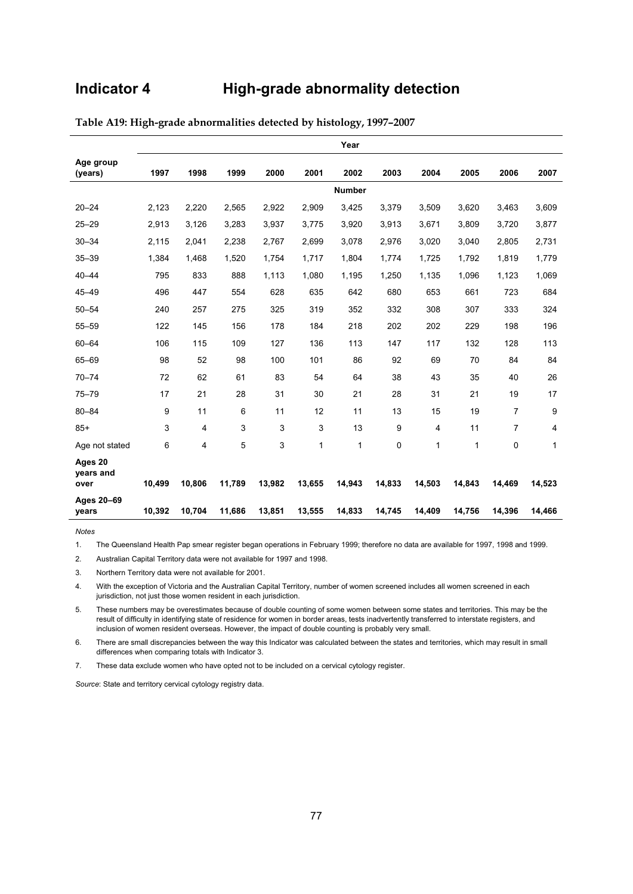## **Indicator 4 High-grade abnormality detection**

|                              | Year   |        |        |        |        |               |             |        |        |                |        |  |
|------------------------------|--------|--------|--------|--------|--------|---------------|-------------|--------|--------|----------------|--------|--|
| Age group<br>(years)         | 1997   | 1998   | 1999   | 2000   | 2001   | 2002          | 2003        | 2004   | 2005   | 2006           | 2007   |  |
|                              |        |        |        |        |        | <b>Number</b> |             |        |        |                |        |  |
| $20 - 24$                    | 2,123  | 2,220  | 2,565  | 2,922  | 2,909  | 3,425         | 3,379       | 3,509  | 3,620  | 3,463          | 3,609  |  |
| $25 - 29$                    | 2,913  | 3,126  | 3,283  | 3,937  | 3,775  | 3,920         | 3,913       | 3,671  | 3,809  | 3,720          | 3,877  |  |
| $30 - 34$                    | 2,115  | 2,041  | 2,238  | 2,767  | 2,699  | 3,078         | 2,976       | 3,020  | 3,040  | 2,805          | 2,731  |  |
| $35 - 39$                    | 1,384  | 1,468  | 1,520  | 1,754  | 1,717  | 1,804         | 1,774       | 1,725  | 1,792  | 1,819          | 1,779  |  |
| $40 - 44$                    | 795    | 833    | 888    | 1,113  | 1,080  | 1,195         | 1,250       | 1,135  | 1,096  | 1,123          | 1,069  |  |
| $45 - 49$                    | 496    | 447    | 554    | 628    | 635    | 642           | 680         | 653    | 661    | 723            | 684    |  |
| $50 - 54$                    | 240    | 257    | 275    | 325    | 319    | 352           | 332         | 308    | 307    | 333            | 324    |  |
| $55 - 59$                    | 122    | 145    | 156    | 178    | 184    | 218           | 202         | 202    | 229    | 198            | 196    |  |
| $60 - 64$                    | 106    | 115    | 109    | 127    | 136    | 113           | 147         | 117    | 132    | 128            | 113    |  |
| 65-69                        | 98     | 52     | 98     | 100    | 101    | 86            | 92          | 69     | 70     | 84             | 84     |  |
| $70 - 74$                    | 72     | 62     | 61     | 83     | 54     | 64            | 38          | 43     | 35     | 40             | 26     |  |
| $75 - 79$                    | 17     | 21     | 28     | 31     | 30     | 21            | 28          | 31     | 21     | 19             | 17     |  |
| $80 - 84$                    | 9      | 11     | 6      | 11     | 12     | 11            | 13          | 15     | 19     | $\overline{7}$ | 9      |  |
| $85+$                        | 3      | 4      | 3      | 3      | 3      | 13            | 9           | 4      | 11     | $\overline{7}$ | 4      |  |
| Age not stated               | 6      | 4      | 5      | 3      | 1      | 1             | $\mathbf 0$ | 1      | 1      | 0              | 1      |  |
| Ages 20<br>years and<br>over | 10,499 | 10,806 | 11,789 | 13,982 | 13,655 | 14,943        | 14,833      | 14,503 | 14,843 | 14,469         | 14,523 |  |
| Ages 20-69<br>vears          | 10,392 | 10,704 | 11,686 | 13,851 | 13,555 | 14,833        | 14,745      | 14,409 | 14,756 | 14,396         | 14,466 |  |

**Table A19: High-grade abnormalities detected by histology, 1997–2007** 

**Notes** 

1. The Queensland Health Pap smear register began operations in February 1999; therefore no data are available for 1997, 1998 and 1999.

2. Australian Capital Territory data were not available for 1997 and 1998.

3. Northern Territory data were not available for 2001.

4. With the exception of Victoria and the Australian Capital Territory, number of women screened includes all women screened in each jurisdiction, not just those women resident in each jurisdiction.

5. These numbers may be overestimates because of double counting of some women between some states and territories. This may be the result of difficulty in identifying state of residence for women in border areas, tests inadvertently transferred to interstate registers, and inclusion of women resident overseas. However, the impact of double counting is probably very small.

6. There are small discrepancies between the way this Indicator was calculated between the states and territories, which may result in small differences when comparing totals with Indicator 3.

7. These data exclude women who have opted not to be included on a cervical cytology register.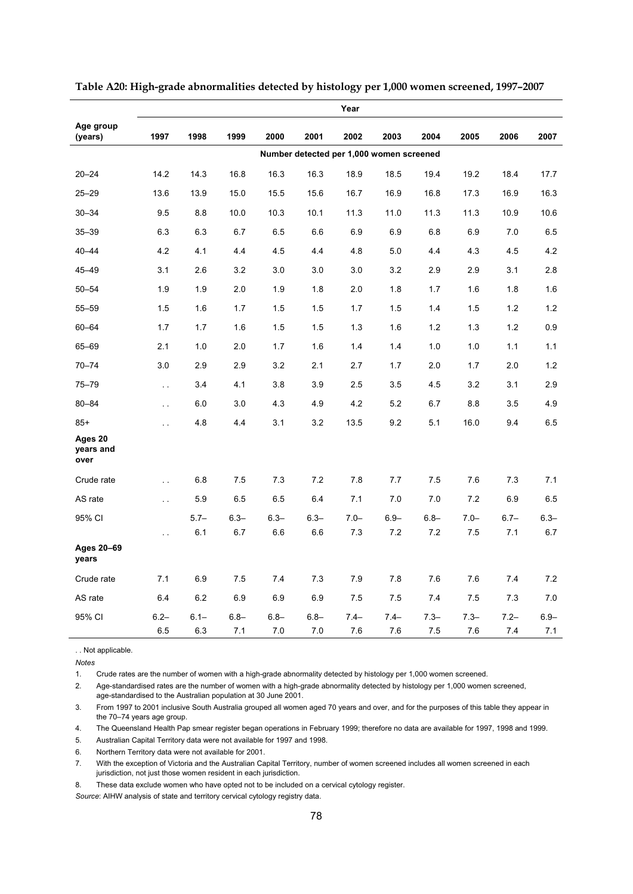|                              |                      |                |                |                |                | Year                                     |                |                |                |                |                |
|------------------------------|----------------------|----------------|----------------|----------------|----------------|------------------------------------------|----------------|----------------|----------------|----------------|----------------|
| Age group<br>(years)         | 1997                 | 1998           | 1999           | 2000           | 2001           | 2002                                     | 2003           | 2004           | 2005           | 2006           | 2007           |
|                              |                      |                |                |                |                | Number detected per 1,000 women screened |                |                |                |                |                |
| $20 - 24$                    | 14.2                 | 14.3           | 16.8           | 16.3           | 16.3           | 18.9                                     | 18.5           | 19.4           | 19.2           | 18.4           | 17.7           |
| $25 - 29$                    | 13.6                 | 13.9           | 15.0           | 15.5           | 15.6           | 16.7                                     | 16.9           | 16.8           | 17.3           | 16.9           | 16.3           |
| $30 - 34$                    | 9.5                  | 8.8            | 10.0           | 10.3           | 10.1           | 11.3                                     | 11.0           | 11.3           | 11.3           | 10.9           | 10.6           |
| $35 - 39$                    | 6.3                  | 6.3            | 6.7            | 6.5            | 6.6            | 6.9                                      | 6.9            | 6.8            | 6.9            | 7.0            | 6.5            |
| $40 - 44$                    | 4.2                  | 4.1            | 4.4            | 4.5            | 4.4            | 4.8                                      | 5.0            | 4.4            | 4.3            | 4.5            | 4.2            |
| $45 - 49$                    | 3.1                  | 2.6            | 3.2            | 3.0            | 3.0            | 3.0                                      | 3.2            | 2.9            | 2.9            | 3.1            | 2.8            |
| $50 - 54$                    | 1.9                  | 1.9            | 2.0            | 1.9            | 1.8            | 2.0                                      | 1.8            | 1.7            | 1.6            | 1.8            | 1.6            |
| $55 - 59$                    | 1.5                  | 1.6            | 1.7            | 1.5            | 1.5            | 1.7                                      | 1.5            | 1.4            | 1.5            | 1.2            | 1.2            |
| $60 - 64$                    | 1.7                  | 1.7            | 1.6            | 1.5            | 1.5            | 1.3                                      | 1.6            | 1.2            | 1.3            | 1.2            | 0.9            |
| 65-69                        | 2.1                  | 1.0            | 2.0            | 1.7            | 1.6            | 1.4                                      | 1.4            | 1.0            | 1.0            | 1.1            | 1.1            |
| $70 - 74$                    | 3.0                  | 2.9            | 2.9            | 3.2            | 2.1            | 2.7                                      | 1.7            | 2.0            | 1.7            | 2.0            | 1.2            |
| $75 - 79$                    | $\ddotsc$            | 3.4            | 4.1            | 3.8            | 3.9            | 2.5                                      | 3.5            | 4.5            | 3.2            | 3.1            | 2.9            |
| $80 - 84$                    | $\ddotsc$            | 6.0            | 3.0            | 4.3            | 4.9            | 4.2                                      | 5.2            | 6.7            | 8.8            | 3.5            | 4.9            |
| $85+$                        | $\ddotsc$            | 4.8            | 4.4            | 3.1            | 3.2            | 13.5                                     | 9.2            | 5.1            | 16.0           | 9.4            | 6.5            |
| Ages 20<br>years and<br>over |                      |                |                |                |                |                                          |                |                |                |                |                |
| Crude rate                   | $\ddot{\phantom{0}}$ | 6.8            | 7.5            | 7.3            | 7.2            | 7.8                                      | 7.7            | 7.5            | 7.6            | 7.3            | 7.1            |
| AS rate                      | $\ddot{\phantom{a}}$ | 5.9            | 6.5            | 6.5            | 6.4            | 7.1                                      | 7.0            | 7.0            | 7.2            | 6.9            | 6.5            |
| 95% CI                       |                      | $5.7 -$        | $6.3 -$        | $6.3 -$        | $6.3 -$        | $7.0 -$                                  | $6.9 -$        | $6.8 -$        | $7.0 -$        | $6.7 -$        | $6.3 -$        |
| Ages 20-69<br>years          | $\sim$               | 6.1            | 6.7            | 6.6            | 6.6            | 7.3                                      | 7.2            | 7.2            | 7.5            | 7.1            | 6.7            |
| Crude rate                   | 7.1                  | 6.9            | 7.5            | 7.4            | 7.3            | 7.9                                      | 7.8            | 7.6            | 7.6            | 7.4            | 7.2            |
| AS rate                      | 6.4                  | $6.2\,$        | 6.9            | 6.9            | 6.9            | 7.5                                      | 7.5            | 7.4            | 7.5            | 7.3            | 7.0            |
| 95% CI                       | $6.2 -$<br>6.5       | $6.1 -$<br>6.3 | $6.8 -$<br>7.1 | $6.8 -$<br>7.0 | $6.8 -$<br>7.0 | $7.4 -$<br>7.6                           | $7.4 -$<br>7.6 | $7.3 -$<br>7.5 | $7.3 -$<br>7.6 | $7.2 -$<br>7.4 | $6.9 -$<br>7.1 |

**Table A20: High-grade abnormalities detected by histology per 1,000 women screened, 1997–2007** 

. . Not applicable.

*Notes* 

1. Crude rates are the number of women with a high-grade abnormality detected by histology per 1,000 women screened.

2. Age-standardised rates are the number of women with a high-grade abnormality detected by histology per 1,000 women screened, age-standardised to the Australian population at 30 June 2001.

3. From 1997 to 2001 inclusive South Australia grouped all women aged 70 years and over, and for the purposes of this table they appear in the 70–74 years age group.

4. The Queensland Health Pap smear register began operations in February 1999; therefore no data are available for 1997, 1998 and 1999.

5. Australian Capital Territory data were not available for 1997 and 1998.

6. Northern Territory data were not available for 2001.

7. With the exception of Victoria and the Australian Capital Territory, number of women screened includes all women screened in each jurisdiction, not just those women resident in each jurisdiction.

8. These data exclude women who have opted not to be included on a cervical cytology register.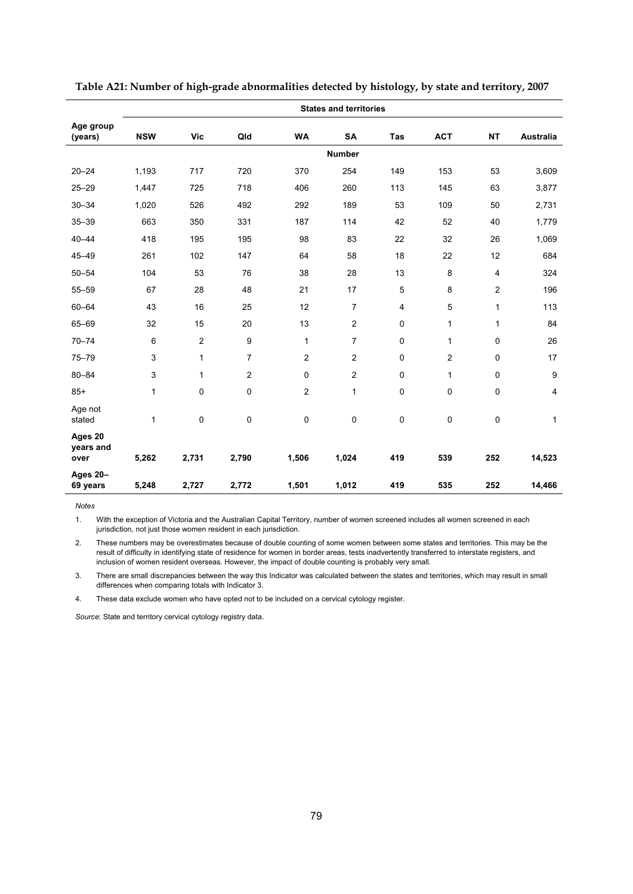|                              | <b>States and territories</b> |              |                |                |                |                |            |                |                  |  |  |  |  |
|------------------------------|-------------------------------|--------------|----------------|----------------|----------------|----------------|------------|----------------|------------------|--|--|--|--|
| Age group<br>(years)         | <b>NSW</b>                    | <b>Vic</b>   | Qld            | <b>WA</b>      | SA             | Tas            | <b>ACT</b> | <b>NT</b>      | Australia        |  |  |  |  |
|                              |                               |              |                |                | <b>Number</b>  |                |            |                |                  |  |  |  |  |
| $20 - 24$                    | 1,193                         | 717          | 720            | 370            | 254            | 149            | 153        | 53             | 3,609            |  |  |  |  |
| $25 - 29$                    | 1,447                         | 725          | 718            | 406            | 260            | 113            | 145        | 63             | 3,877            |  |  |  |  |
| $30 - 34$                    | 1,020                         | 526          | 492            | 292            | 189            | 53             | 109        | 50             | 2,731            |  |  |  |  |
| $35 - 39$                    | 663                           | 350          | 331            | 187            | 114            | 42             | 52         | 40             | 1,779            |  |  |  |  |
| $40 - 44$                    | 418                           | 195          | 195            | 98             | 83             | 22             | 32         | 26             | 1,069            |  |  |  |  |
| $45 - 49$                    | 261                           | 102          | 147            | 64             | 58             | 18             | 22         | 12             | 684              |  |  |  |  |
| $50 - 54$                    | 104                           | 53           | 76             | 38             | 28             | 13             | 8          | $\overline{4}$ | 324              |  |  |  |  |
| $55 - 59$                    | 67                            | 28           | 48             | 21             | 17             | 5              | 8          | $\overline{2}$ | 196              |  |  |  |  |
| $60 - 64$                    | 43                            | 16           | 25             | 12             | $\overline{7}$ | $\overline{4}$ | 5          | $\mathbf{1}$   | 113              |  |  |  |  |
| 65-69                        | 32                            | 15           | 20             | 13             | $\overline{2}$ | 0              | 1          | 1              | 84               |  |  |  |  |
| $70 - 74$                    | $\,6$                         | $\mathbf 2$  | 9              | 1              | $\overline{7}$ | 0              | 1          | $\mathbf 0$    | 26               |  |  |  |  |
| $75 - 79$                    | 3                             | 1            | $\overline{7}$ | $\overline{2}$ | 2              | 0              | 2          | $\mathbf 0$    | 17               |  |  |  |  |
| $80 - 84$                    | 3                             | $\mathbf{1}$ | $\overline{2}$ | $\pmb{0}$      | $\overline{2}$ | 0              | 1          | $\pmb{0}$      | $\boldsymbol{9}$ |  |  |  |  |
| $85+$                        | 1                             | $\mathbf 0$  | 0              | $\overline{c}$ | $\mathbf{1}$   | 0              | 0          | $\mathbf 0$    | $\overline{4}$   |  |  |  |  |
| Age not<br>stated            | 1                             | $\mathbf 0$  | 0              | 0              | 0              | 0              | 0          | 0              | $\mathbf{1}$     |  |  |  |  |
| Ages 20<br>years and<br>over | 5,262                         | 2,731        | 2,790          | 1,506          | 1,024          | 419            | 539        | 252            | 14,523           |  |  |  |  |
| Ages 20-<br>69 years         | 5,248                         | 2,727        | 2,772          | 1,501          | 1,012          | 419            | 535        | 252            | 14,466           |  |  |  |  |

**Table A21: Number of high-grade abnormalities detected by histology, by state and territory, 2007** 

*Notes* 

J.

1. With the exception of Victoria and the Australian Capital Territory, number of women screened includes all women screened in each jurisdiction, not just those women resident in each jurisdiction.

2. These numbers may be overestimates because of double counting of some women between some states and territories. This may be the result of difficulty in identifying state of residence for women in border areas, tests inadvertently transferred to interstate registers, and inclusion of women resident overseas. However, the impact of double counting is probably very small.

3. There are small discrepancies between the way this Indicator was calculated between the states and territories, which may result in small differences when comparing totals with Indicator 3.

4. These data exclude women who have opted not to be included on a cervical cytology register.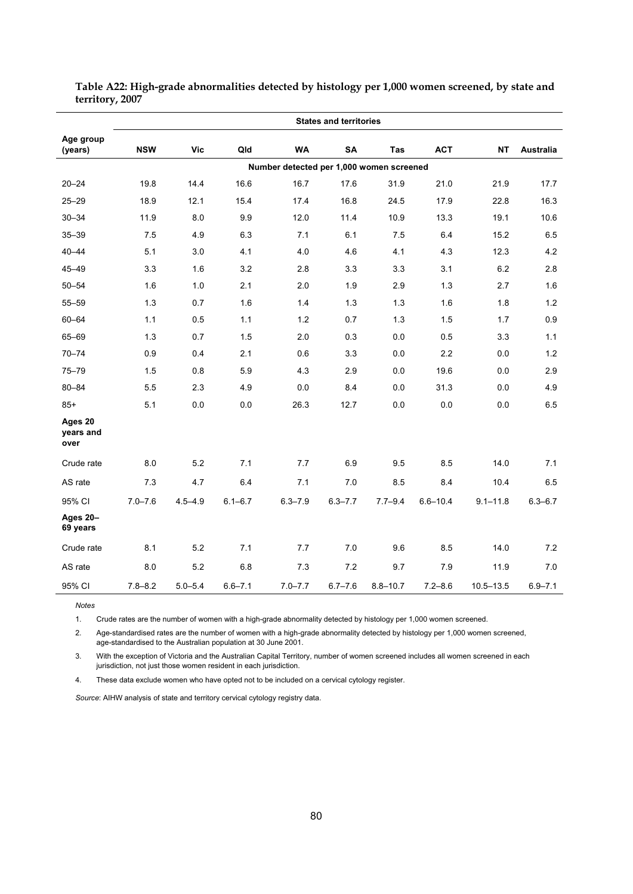|                              | <b>States and territories</b> |             |             |                                          |             |              |              |               |             |  |  |  |
|------------------------------|-------------------------------|-------------|-------------|------------------------------------------|-------------|--------------|--------------|---------------|-------------|--|--|--|
| Age group<br>(years)         | <b>NSW</b>                    | <b>Vic</b>  | Qld         | <b>WA</b>                                | <b>SA</b>   | Tas          | <b>ACT</b>   | NΤ            | Australia   |  |  |  |
|                              |                               |             |             | Number detected per 1,000 women screened |             |              |              |               |             |  |  |  |
| $20 - 24$                    | 19.8                          | 14.4        | 16.6        | 16.7                                     | 17.6        | 31.9         | 21.0         | 21.9          | 17.7        |  |  |  |
| $25 - 29$                    | 18.9                          | 12.1        | 15.4        | 17.4                                     | 16.8        | 24.5         | 17.9         | 22.8          | 16.3        |  |  |  |
| $30 - 34$                    | 11.9                          | 8.0         | 9.9         | 12.0                                     | 11.4        | 10.9         | 13.3         | 19.1          | 10.6        |  |  |  |
| $35 - 39$                    | 7.5                           | 4.9         | 6.3         | 7.1                                      | 6.1         | 7.5          | 6.4          | 15.2          | 6.5         |  |  |  |
| $40 - 44$                    | 5.1                           | 3.0         | 4.1         | 4.0                                      | 4.6         | 4.1          | 4.3          | 12.3          | 4.2         |  |  |  |
| $45 - 49$                    | 3.3                           | 1.6         | 3.2         | 2.8                                      | 3.3         | 3.3          | 3.1          | 6.2           | 2.8         |  |  |  |
| $50 - 54$                    | 1.6                           | 1.0         | 2.1         | 2.0                                      | 1.9         | 2.9          | 1.3          | 2.7           | 1.6         |  |  |  |
| $55 - 59$                    | 1.3                           | 0.7         | 1.6         | 1.4                                      | 1.3         | 1.3          | 1.6          | 1.8           | 1.2         |  |  |  |
| 60-64                        | 1.1                           | 0.5         | 1.1         | 1.2                                      | 0.7         | 1.3          | 1.5          | 1.7           | 0.9         |  |  |  |
| 65-69                        | 1.3                           | 0.7         | 1.5         | 2.0                                      | 0.3         | 0.0          | 0.5          | 3.3           | 1.1         |  |  |  |
| $70 - 74$                    | 0.9                           | 0.4         | 2.1         | 0.6                                      | 3.3         | 0.0          | 2.2          | 0.0           | 1.2         |  |  |  |
| $75 - 79$                    | 1.5                           | 0.8         | 5.9         | 4.3                                      | 2.9         | 0.0          | 19.6         | 0.0           | 2.9         |  |  |  |
| 80-84                        | 5.5                           | 2.3         | 4.9         | 0.0                                      | 8.4         | 0.0          | 31.3         | 0.0           | 4.9         |  |  |  |
| $85+$                        | 5.1                           | 0.0         | 0.0         | 26.3                                     | 12.7        | 0.0          | 0.0          | 0.0           | 6.5         |  |  |  |
| Ages 20<br>years and<br>over |                               |             |             |                                          |             |              |              |               |             |  |  |  |
| Crude rate                   | 8.0                           | 5.2         | 7.1         | 7.7                                      | 6.9         | 9.5          | 8.5          | 14.0          | 7.1         |  |  |  |
| AS rate                      | 7.3                           | 4.7         | 6.4         | 7.1                                      | 7.0         | 8.5          | 8.4          | 10.4          | 6.5         |  |  |  |
| 95% CI                       | $7.0 - 7.6$                   | $4.5 - 4.9$ | $6.1 - 6.7$ | $6.3 - 7.9$                              | $6.3 - 7.7$ | $7.7 - 9.4$  | $6.6 - 10.4$ | $9.1 - 11.8$  | $6.3 - 6.7$ |  |  |  |
| Ages 20-<br>69 years         |                               |             |             |                                          |             |              |              |               |             |  |  |  |
| Crude rate                   | 8.1                           | 5.2         | 7.1         | 7.7                                      | 7.0         | 9.6          | 8.5          | 14.0          | 7.2         |  |  |  |
| AS rate                      | 8.0                           | 5.2         | 6.8         | 7.3                                      | 7.2         | 9.7          | 7.9          | 11.9          | 7.0         |  |  |  |
| 95% CI                       | $7.8 - 8.2$                   | $5.0 - 5.4$ | $6.6 - 7.1$ | $7.0 - 7.7$                              | $6.7 - 7.6$ | $8.8 - 10.7$ | $7.2 - 8.6$  | $10.5 - 13.5$ | $6.9 - 7.1$ |  |  |  |

**Table A22: High-grade abnormalities detected by histology per 1,000 women screened, by state and territory, 2007** 

*Notes*  1. Crude rates are the number of women with a high-grade abnormality detected by histology per 1,000 women screened.

2. Age-standardised rates are the number of women with a high-grade abnormality detected by histology per 1,000 women screened, age-standardised to the Australian population at 30 June 2001.

3. With the exception of Victoria and the Australian Capital Territory, number of women screened includes all women screened in each jurisdiction, not just those women resident in each jurisdiction.

4. These data exclude women who have opted not to be included on a cervical cytology register.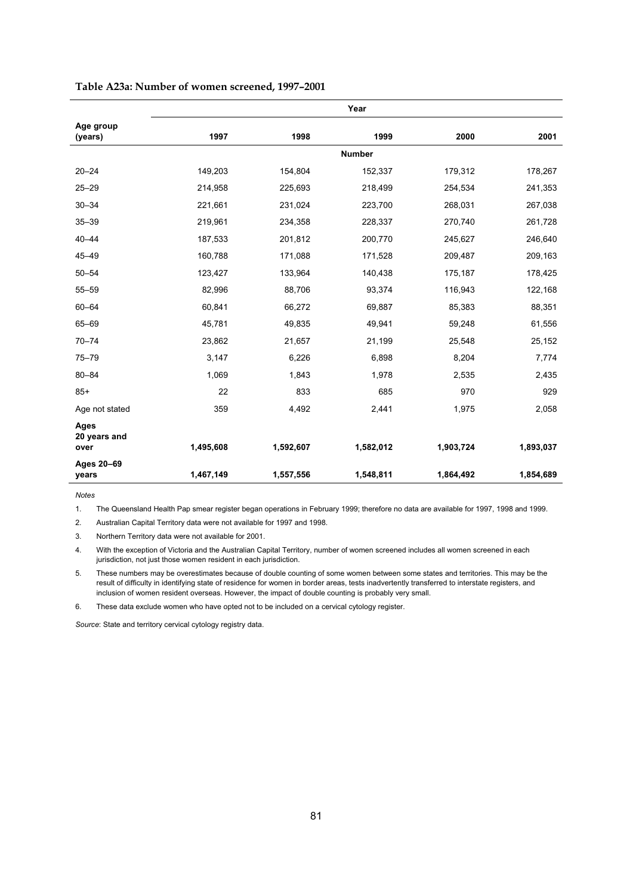|                             | Year      |           |               |           |           |  |  |  |  |  |  |
|-----------------------------|-----------|-----------|---------------|-----------|-----------|--|--|--|--|--|--|
| Age group<br>(years)        | 1997      | 1998      | 1999          | 2000      | 2001      |  |  |  |  |  |  |
|                             |           |           | <b>Number</b> |           |           |  |  |  |  |  |  |
|                             |           |           |               |           |           |  |  |  |  |  |  |
| $20 - 24$                   | 149,203   | 154,804   | 152,337       | 179,312   | 178,267   |  |  |  |  |  |  |
| $25 - 29$                   | 214,958   | 225,693   | 218,499       | 254,534   | 241,353   |  |  |  |  |  |  |
| $30 - 34$                   | 221,661   | 231,024   | 223,700       | 268,031   | 267,038   |  |  |  |  |  |  |
| $35 - 39$                   | 219,961   | 234,358   | 228,337       | 270,740   | 261,728   |  |  |  |  |  |  |
| $40 - 44$                   | 187,533   | 201,812   | 200,770       | 245,627   | 246,640   |  |  |  |  |  |  |
| $45 - 49$                   | 160,788   | 171,088   | 171,528       | 209,487   | 209,163   |  |  |  |  |  |  |
| $50 - 54$                   | 123,427   | 133,964   | 140,438       | 175,187   | 178,425   |  |  |  |  |  |  |
| $55 - 59$                   | 82,996    | 88,706    | 93,374        | 116,943   | 122,168   |  |  |  |  |  |  |
| $60 - 64$                   | 60,841    | 66,272    | 69,887        | 85,383    | 88,351    |  |  |  |  |  |  |
| 65-69                       | 45,781    | 49,835    | 49,941        | 59,248    | 61,556    |  |  |  |  |  |  |
| $70 - 74$                   | 23,862    | 21,657    | 21,199        | 25,548    | 25,152    |  |  |  |  |  |  |
| $75 - 79$                   | 3,147     | 6,226     | 6,898         | 8,204     | 7,774     |  |  |  |  |  |  |
| $80 - 84$                   | 1,069     | 1,843     | 1,978         | 2,535     | 2,435     |  |  |  |  |  |  |
| $85+$                       | 22        | 833       | 685           | 970       | 929       |  |  |  |  |  |  |
| Age not stated              | 359       | 4,492     | 2,441         | 1,975     | 2,058     |  |  |  |  |  |  |
| <b>Ages</b><br>20 years and |           |           |               |           |           |  |  |  |  |  |  |
| over                        | 1,495,608 | 1,592,607 | 1,582,012     | 1,903,724 | 1,893,037 |  |  |  |  |  |  |
| Ages 20-69<br>years         | 1,467,149 | 1,557,556 | 1,548,811     | 1,864,492 | 1,854,689 |  |  |  |  |  |  |

#### **Table A23a: Number of women screened, 1997–2001**

*Notes* 

1. The Queensland Health Pap smear register began operations in February 1999; therefore no data are available for 1997, 1998 and 1999.

2. Australian Capital Territory data were not available for 1997 and 1998.

3. Northern Territory data were not available for 2001.

4. With the exception of Victoria and the Australian Capital Territory, number of women screened includes all women screened in each jurisdiction, not just those women resident in each jurisdiction.

5. These numbers may be overestimates because of double counting of some women between some states and territories. This may be the result of difficulty in identifying state of residence for women in border areas, tests inadvertently transferred to interstate registers, and inclusion of women resident overseas. However, the impact of double counting is probably very small.

6. These data exclude women who have opted not to be included on a cervical cytology register.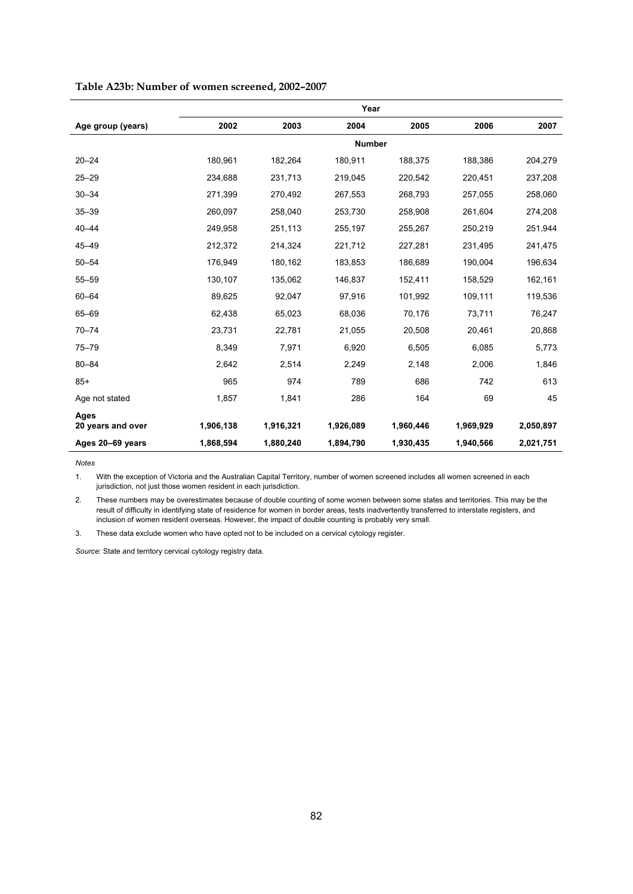|                           | Year      |           |               |           |           |           |  |  |  |  |
|---------------------------|-----------|-----------|---------------|-----------|-----------|-----------|--|--|--|--|
| Age group (years)         | 2002      | 2003      | 2004          | 2005      | 2006      | 2007      |  |  |  |  |
|                           |           |           | <b>Number</b> |           |           |           |  |  |  |  |
| $20 - 24$                 | 180,961   | 182,264   | 180,911       | 188,375   | 188,386   | 204,279   |  |  |  |  |
| $25 - 29$                 | 234,688   | 231,713   | 219,045       | 220,542   | 220,451   | 237,208   |  |  |  |  |
| $30 - 34$                 | 271,399   | 270,492   | 267,553       | 268,793   | 257,055   | 258,060   |  |  |  |  |
| $35 - 39$                 | 260,097   | 258,040   | 253,730       | 258,908   | 261,604   | 274,208   |  |  |  |  |
| $40 - 44$                 | 249,958   | 251,113   | 255,197       | 255,267   | 250,219   | 251,944   |  |  |  |  |
| $45 - 49$                 | 212,372   | 214,324   | 221,712       | 227,281   | 231,495   | 241,475   |  |  |  |  |
| $50 - 54$                 | 176,949   | 180,162   | 183,853       | 186,689   | 190,004   | 196,634   |  |  |  |  |
| $55 - 59$                 | 130,107   | 135,062   | 146,837       | 152,411   | 158.529   | 162,161   |  |  |  |  |
| $60 - 64$                 | 89,625    | 92,047    | 97,916        | 101,992   | 109,111   | 119,536   |  |  |  |  |
| 65-69                     | 62,438    | 65,023    | 68,036        | 70,176    | 73,711    | 76,247    |  |  |  |  |
| $70 - 74$                 | 23,731    | 22,781    | 21,055        | 20,508    | 20,461    | 20,868    |  |  |  |  |
| $75 - 79$                 | 8,349     | 7,971     | 6,920         | 6,505     | 6,085     | 5,773     |  |  |  |  |
| $80 - 84$                 | 2,642     | 2,514     | 2,249         | 2,148     | 2,006     | 1,846     |  |  |  |  |
| $85+$                     | 965       | 974       | 789           | 686       | 742       | 613       |  |  |  |  |
| Age not stated            | 1,857     | 1,841     | 286           | 164       | 69        | 45        |  |  |  |  |
| Ages<br>20 years and over | 1,906,138 | 1,916,321 | 1,926,089     | 1,960,446 | 1,969,929 | 2,050,897 |  |  |  |  |
| Ages 20-69 years          | 1,868,594 | 1,880,240 | 1,894,790     | 1,930,435 | 1,940,566 | 2,021,751 |  |  |  |  |

#### **Table A23b: Number of women screened, 2002–2007**

**Notes** 

1. With the exception of Victoria and the Australian Capital Territory, number of women screened includes all women screened in each jurisdiction, not just those women resident in each jurisdiction.

2. These numbers may be overestimates because of double counting of some women between some states and territories. This may be the result of difficulty in identifying state of residence for women in border areas, tests inadvertently transferred to interstate registers, and inclusion of women resident overseas. However, the impact of double counting is probably very small.

3. These data exclude women who have opted not to be included on a cervical cytology register.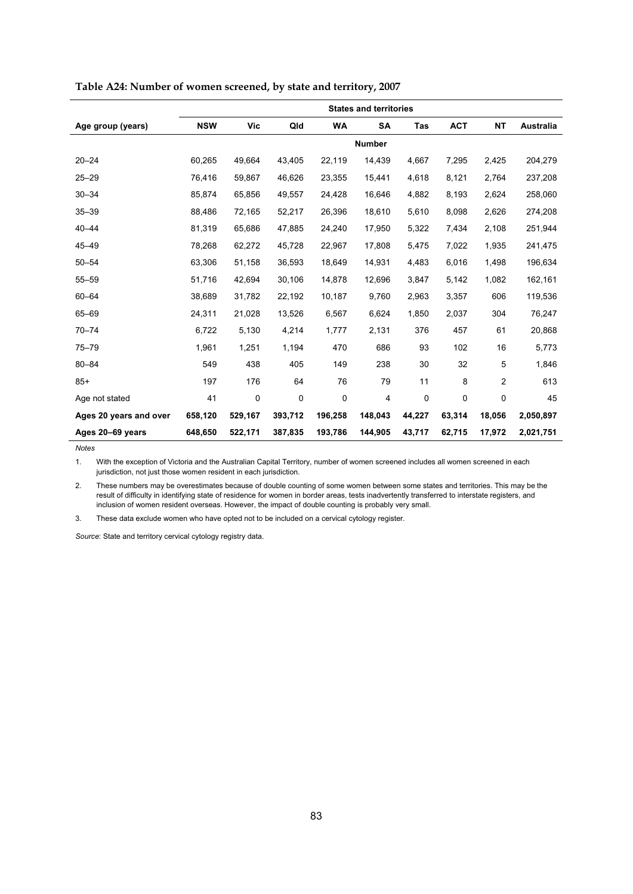|                        | <b>States and territories</b> |         |         |           |               |            |            |                |                  |  |  |  |
|------------------------|-------------------------------|---------|---------|-----------|---------------|------------|------------|----------------|------------------|--|--|--|
| Age group (years)      | <b>NSW</b>                    | Vic     | Qld     | <b>WA</b> | SA            | <b>Tas</b> | <b>ACT</b> | <b>NT</b>      | <b>Australia</b> |  |  |  |
|                        |                               |         |         |           | <b>Number</b> |            |            |                |                  |  |  |  |
| $20 - 24$              | 60,265                        | 49,664  | 43,405  | 22,119    | 14,439        | 4,667      | 7,295      | 2,425          | 204,279          |  |  |  |
| $25 - 29$              | 76,416                        | 59,867  | 46,626  | 23,355    | 15,441        | 4,618      | 8,121      | 2,764          | 237,208          |  |  |  |
| $30 - 34$              | 85,874                        | 65,856  | 49,557  | 24,428    | 16,646        | 4,882      | 8,193      | 2,624          | 258,060          |  |  |  |
| $35 - 39$              | 88,486                        | 72,165  | 52,217  | 26,396    | 18,610        | 5,610      | 8,098      | 2,626          | 274,208          |  |  |  |
| $40 - 44$              | 81,319                        | 65,686  | 47.885  | 24,240    | 17,950        | 5,322      | 7,434      | 2,108          | 251,944          |  |  |  |
| $45 - 49$              | 78,268                        | 62,272  | 45,728  | 22,967    | 17,808        | 5,475      | 7,022      | 1,935          | 241,475          |  |  |  |
| $50 - 54$              | 63,306                        | 51,158  | 36,593  | 18,649    | 14,931        | 4,483      | 6,016      | 1,498          | 196,634          |  |  |  |
| $55 - 59$              | 51,716                        | 42,694  | 30,106  | 14,878    | 12,696        | 3,847      | 5,142      | 1,082          | 162,161          |  |  |  |
| $60 - 64$              | 38,689                        | 31,782  | 22,192  | 10,187    | 9,760         | 2,963      | 3,357      | 606            | 119,536          |  |  |  |
| 65-69                  | 24,311                        | 21,028  | 13,526  | 6,567     | 6,624         | 1,850      | 2,037      | 304            | 76,247           |  |  |  |
| $70 - 74$              | 6,722                         | 5,130   | 4,214   | 1,777     | 2,131         | 376        | 457        | 61             | 20,868           |  |  |  |
| $75 - 79$              | 1,961                         | 1,251   | 1,194   | 470       | 686           | 93         | 102        | 16             | 5,773            |  |  |  |
| $80 - 84$              | 549                           | 438     | 405     | 149       | 238           | 30         | 32         | 5              | 1,846            |  |  |  |
| $85+$                  | 197                           | 176     | 64      | 76        | 79            | 11         | 8          | $\overline{2}$ | 613              |  |  |  |
| Age not stated         | 41                            | 0       | 0       | 0         | 4             | 0          | 0          | 0              | 45               |  |  |  |
| Ages 20 years and over | 658,120                       | 529,167 | 393,712 | 196,258   | 148,043       | 44,227     | 63,314     | 18,056         | 2,050,897        |  |  |  |
| Ages 20-69 years       | 648,650                       | 522,171 | 387,835 | 193,786   | 144,905       | 43,717     | 62,715     | 17,972         | 2,021,751        |  |  |  |

#### **Table A24: Number of women screened, by state and territory, 2007**

*Notes* 

1. With the exception of Victoria and the Australian Capital Territory, number of women screened includes all women screened in each jurisdiction, not just those women resident in each jurisdiction.

2. These numbers may be overestimates because of double counting of some women between some states and territories. This may be the result of difficulty in identifying state of residence for women in border areas, tests inadvertently transferred to interstate registers, and inclusion of women resident overseas. However, the impact of double counting is probably very small.

3. These data exclude women who have opted not to be included on a cervical cytology register.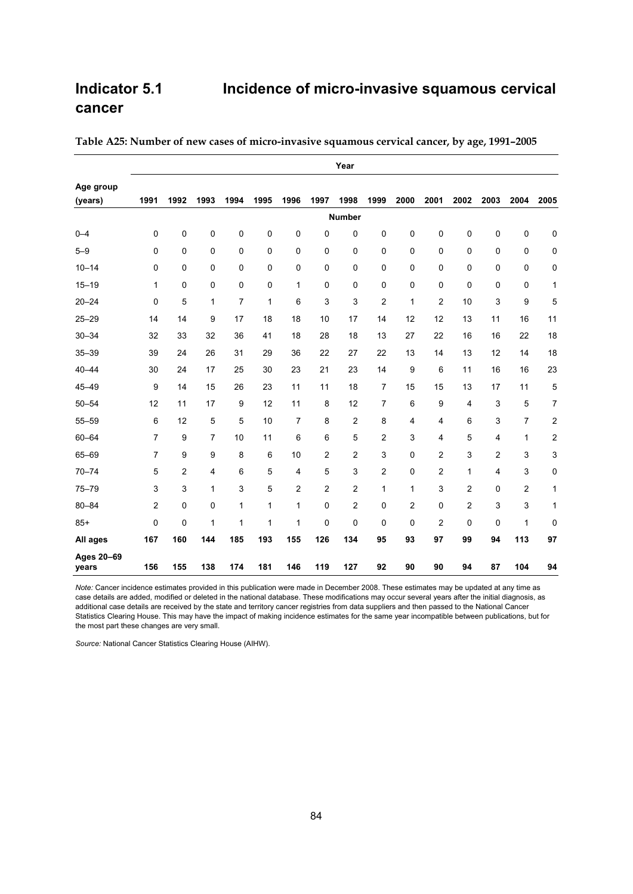## **Indicator 5.1 Incidence of micro-invasive squamous cervical cancer**

|                     | Year      |      |      |      |      |      |                |                |                         |      |                |      |                |              |                  |
|---------------------|-----------|------|------|------|------|------|----------------|----------------|-------------------------|------|----------------|------|----------------|--------------|------------------|
| Age group           |           |      |      |      |      |      |                |                |                         |      |                |      |                |              |                  |
| (years)             | 1991      | 1992 | 1993 | 1994 | 1995 | 1996 | 1997           | 1998           | 1999                    | 2000 | 2001           | 2002 | 2003           | 2004         | 2005             |
|                     |           |      |      |      |      |      |                | <b>Number</b>  |                         |      |                |      |                |              |                  |
| $0 - 4$             | $\pmb{0}$ | 0    | 0    | 0    | 0    | 0    | 0              | 0              | $\pmb{0}$               | 0    | $\pmb{0}$      | 0    | 0              | 0            | 0                |
| $5 - 9$             | 0         | 0    | 0    | 0    | 0    | 0    | 0              | 0              | $\mathbf 0$             | 0    | $\mathbf 0$    | 0    | 0              | 0            | 0                |
| $10 - 14$           | 0         | 0    | 0    | 0    | 0    | 0    | $\pmb{0}$      | 0              | $\mathbf 0$             | 0    | $\mathbf 0$    | 0    | 0              | 0            | 0                |
| $15 - 19$           | 1         | 0    | 0    | 0    | 0    | 1    | $\mathbf 0$    | 0              | $\mathbf 0$             | 0    | $\mathbf 0$    | 0    | 0              | 0            | 1                |
| $20 - 24$           | 0         | 5    | 1    | 7    | 1    | 6    | 3              | 3              | 2                       | 1    | 2              | 10   | 3              | 9            | 5                |
| $25 - 29$           | 14        | 14   | 9    | 17   | 18   | 18   | 10             | 17             | 14                      | 12   | 12             | 13   | 11             | 16           | 11               |
| $30 - 34$           | 32        | 33   | 32   | 36   | 41   | 18   | 28             | 18             | 13                      | 27   | 22             | 16   | 16             | 22           | 18               |
| $35 - 39$           | 39        | 24   | 26   | 31   | 29   | 36   | 22             | 27             | 22                      | 13   | 14             | 13   | 12             | 14           | 18               |
| $40 - 44$           | 30        | 24   | 17   | 25   | 30   | 23   | 21             | 23             | 14                      | 9    | 6              | 11   | 16             | 16           | 23               |
| $45 - 49$           | 9         | 14   | 15   | 26   | 23   | 11   | 11             | 18             | $\overline{7}$          | 15   | 15             | 13   | 17             | 11           | 5                |
| $50 - 54$           | 12        | 11   | 17   | 9    | 12   | 11   | 8              | 12             | $\overline{7}$          | 6    | 9              | 4    | 3              | 5            | 7                |
| $55 - 59$           | 6         | 12   | 5    | 5    | 10   | 7    | 8              | 2              | 8                       | 4    | 4              | 6    | 3              | 7            | 2                |
| $60 - 64$           | 7         | 9    | 7    | 10   | 11   | 6    | 6              | 5              | $\overline{\mathbf{c}}$ | 3    | 4              | 5    | 4              | $\mathbf{1}$ | $\boldsymbol{2}$ |
| 65-69               | 7         | 9    | 9    | 8    | 6    | 10   | $\overline{2}$ | $\overline{2}$ | 3                       | 0    | $\overline{2}$ | 3    | $\overline{2}$ | 3            | 3                |
| $70 - 74$           | 5         | 2    | 4    | 6    | 5    | 4    | 5              | 3              | 2                       | 0    | 2              | 1    | 4              | 3            | 0                |
| $75 - 79$           | 3         | 3    | 1    | 3    | 5    | 2    | 2              | 2              | 1                       | 1    | 3              | 2    | 0              | 2            | 1                |
| $80 - 84$           | 2         | 0    | 0    | 1    | 1    | 1    | $\pmb{0}$      | $\overline{2}$ | $\pmb{0}$               | 2    | $\pmb{0}$      | 2    | 3              | 3            | 1                |
| $85+$               | $\pmb{0}$ | 0    | 1    | 1    | 1    | 1    | $\mathbf 0$    | $\mathbf 0$    | 0                       | 0    | 2              | 0    | 0              | 1            | 0                |
| All ages            | 167       | 160  | 144  | 185  | 193  | 155  | 126            | 134            | 95                      | 93   | 97             | 99   | 94             | 113          | 97               |
| Ages 20-69<br>years | 156       | 155  | 138  | 174  | 181  | 146  | 119            | 127            | 92                      | 90   | 90             | 94   | 87             | 104          | 94               |

**Table A25: Number of new cases of micro-invasive squamous cervical cancer, by age, 1991–2005** 

*Note:* Cancer incidence estimates provided in this publication were made in December 2008. These estimates may be updated at any time as case details are added, modified or deleted in the national database. These modifications may occur several years after the initial diagnosis, as additional case details are received by the state and territory cancer registries from data suppliers and then passed to the National Cancer Statistics Clearing House. This may have the impact of making incidence estimates for the same year incompatible between publications, but for the most part these changes are very small.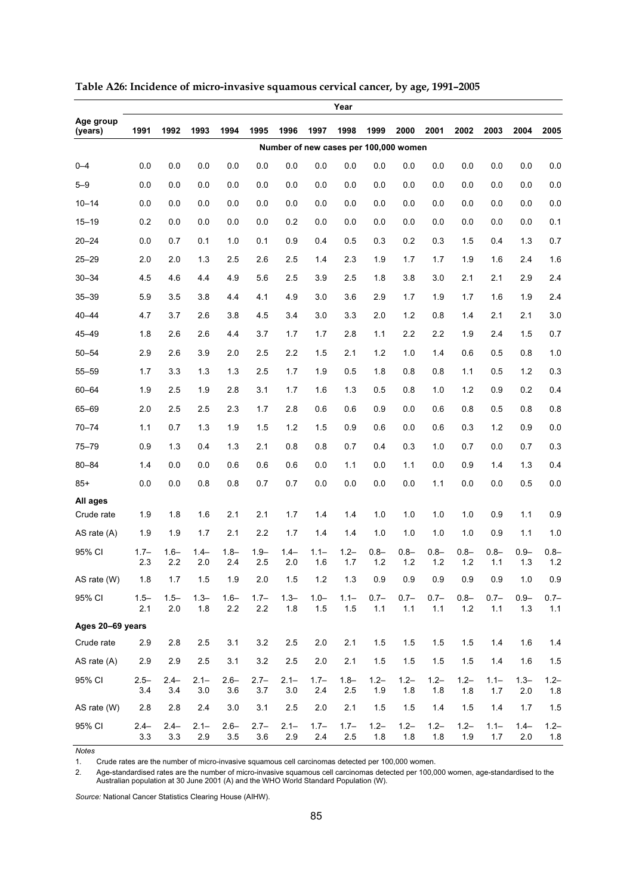|                        | Year           |                |                |                |                    |                |                                       |                    |                |                |                    |                  |                  |                |                    |
|------------------------|----------------|----------------|----------------|----------------|--------------------|----------------|---------------------------------------|--------------------|----------------|----------------|--------------------|------------------|------------------|----------------|--------------------|
| Age group<br>(years)   | 1991           | 1992           | 1993           | 1994           | 1995               | 1996           | 1997                                  | 1998               | 1999           | 2000           | 2001               | 2002             | 2003             | 2004           | 2005               |
|                        |                |                |                |                |                    |                | Number of new cases per 100,000 women |                    |                |                |                    |                  |                  |                |                    |
| $0 - 4$                | 0.0            | 0.0            | 0.0            | 0.0            | 0.0                | 0.0            | 0.0                                   | 0.0                | 0.0            | 0.0            | 0.0                | 0.0              | 0.0              | 0.0            | 0.0                |
| $5 - 9$                | 0.0            | 0.0            | 0.0            | 0.0            | 0.0                | 0.0            | 0.0                                   | 0.0                | 0.0            | 0.0            | 0.0                | 0.0              | 0.0              | 0.0            | 0.0                |
| $10 - 14$              | 0.0            | 0.0            | 0.0            | 0.0            | 0.0                | 0.0            | 0.0                                   | 0.0                | 0.0            | 0.0            | 0.0                | 0.0              | 0.0              | 0.0            | 0.0                |
| $15 - 19$              | 0.2            | 0.0            | 0.0            | 0.0            | 0.0                | 0.2            | 0.0                                   | 0.0                | 0.0            | 0.0            | 0.0                | 0.0              | 0.0              | 0.0            | 0.1                |
| $20 - 24$              | 0.0            | 0.7            | 0.1            | 1.0            | 0.1                | 0.9            | 0.4                                   | 0.5                | 0.3            | 0.2            | 0.3                | 1.5              | 0.4              | 1.3            | 0.7                |
| $25 - 29$              | 2.0            | 2.0            | 1.3            | 2.5            | 2.6                | 2.5            | 1.4                                   | 2.3                | 1.9            | 1.7            | 1.7                | 1.9              | 1.6              | 2.4            | 1.6                |
| $30 - 34$              | 4.5            | 4.6            | 4.4            | 4.9            | 5.6                | 2.5            | 3.9                                   | 2.5                | 1.8            | 3.8            | 3.0                | 2.1              | 2.1              | 2.9            | 2.4                |
| $35 - 39$              | 5.9            | 3.5            | 3.8            | 4.4            | 4.1                | 4.9            | 3.0                                   | 3.6                | 2.9            | 1.7            | 1.9                | 1.7              | 1.6              | 1.9            | 2.4                |
| $40 - 44$              | 4.7            | 3.7            | 2.6            | 3.8            | 4.5                | 3.4            | 3.0                                   | 3.3                | 2.0            | 1.2            | 0.8                | 1.4              | 2.1              | 2.1            | 3.0                |
| $45 - 49$              | 1.8            | 2.6            | 2.6            | 4.4            | 3.7                | 1.7            | 1.7                                   | 2.8                | 1.1            | 2.2            | 2.2                | 1.9              | 2.4              | 1.5            | 0.7                |
| $50 - 54$              | 2.9            | 2.6            | 3.9            | 2.0            | 2.5                | 2.2            | 1.5                                   | 2.1                | 1.2            | 1.0            | 1.4                | 0.6              | 0.5              | 0.8            | 1.0                |
| $55 - 59$              | 1.7            | 3.3            | 1.3            | 1.3            | 2.5                | 1.7            | 1.9                                   | 0.5                | 1.8            | 0.8            | 0.8                | 1.1              | 0.5              | 1.2            | 0.3                |
| $60 - 64$              | 1.9            | 2.5            | 1.9            | 2.8            | 3.1                | 1.7            | 1.6                                   | 1.3                | 0.5            | 0.8            | 1.0                | 1.2              | 0.9              | 0.2            | 0.4                |
| 65-69                  | 2.0            | 2.5            | 2.5            | 2.3            | 1.7                | 2.8            | 0.6                                   | 0.6                | 0.9            | 0.0            | 0.6                | 0.8              | 0.5              | 0.8            | 0.8                |
| $70 - 74$              | 1.1            | 0.7            | 1.3            | 1.9            | 1.5                | 1.2            | 1.5                                   | 0.9                | 0.6            | 0.0            | 0.6                | 0.3              | 1.2              | 0.9            | 0.0                |
| $75 - 79$              | 0.9            | 1.3            | 0.4            | 1.3            | 2.1                | 0.8            | 0.8                                   | 0.7                | 0.4            | 0.3            | 1.0                | 0.7              | 0.0              | 0.7            | 0.3                |
| $80 - 84$              | 1.4            | 0.0            | 0.0            | 0.6            | 0.6                | 0.6            | 0.0                                   | 1.1                | 0.0            | 1.1            | 0.0                | 0.9              | 1.4              | 1.3            | 0.4                |
| $85+$                  | 0.0            | 0.0            | 0.8            | 0.8            | 0.7                | 0.7            | 0.0                                   | 0.0                | 0.0            | 0.0            | 1.1                | 0.0              | 0.0              | 0.5            | 0.0                |
| All ages<br>Crude rate | 1.9            | 1.8            | 1.6            | 2.1            | 2.1                | 1.7            | 1.4                                   | 1.4                | 1.0            | 1.0            | 1.0                | 1.0              | 0.9              | 1.1            | 0.9                |
| AS rate (A)            | 1.9            | 1.9            | 1.7            | 2.1            | 2.2                | 1.7            | 1.4                                   | 1.4                | 1.0            | 1.0            | 1.0                | 1.0              | 0.9              | 1.1            | 1.0                |
| 95% CI                 | $1.7 -$<br>2.3 | $1.6 -$<br>2.2 | $1.4 -$<br>2.0 | $1.8 -$<br>2.4 | $1.9 -$<br>2.5     | $1.4 -$<br>2.0 | $1.1 -$<br>1.6                        | $1.2 -$<br>1.7     | $0.8 -$<br>1.2 | $0.8 -$<br>1.2 | $0.8 -$<br>1.2     | $0.8 -$<br>1.2   | $0.8 -$<br>1.1   | $0.9 -$<br>1.3 | $0.8 -$<br>1.2     |
| AS rate (W)            | 1.8            | $1.7$          | $1.5\,$        | 1.9            | $2.0\,$            | $1.5\,$        | $1.2\,$                               | 1.3                | $0.9\,$        | 0.9            | $0.9\,$            | $0.9\,$          | $0.9\,$          | $1.0$          | $0.9\,$            |
| 95% CI                 | $1.5 -$<br>2.1 | $1.5 -$<br>2.0 | $1.3 -$<br>1.8 | $1.6 -$<br>2.2 | $1.7 -$<br>$2.2\,$ | $1.3 -$<br>1.8 | $1.0 -$<br>$1.5$                      | $1.1 -$<br>1.5     | $0.7 -$<br>1.1 | $0.7 -$<br>1.1 | $0.7 -$<br>1.1     | $0.8 -$<br>$1.2$ | $0.7 -$<br>$1.1$ | $0.9 -$<br>1.3 | $0.7 -$<br>1.1     |
| Ages 20-69 years       |                |                |                |                |                    |                |                                       |                    |                |                |                    |                  |                  |                |                    |
| Crude rate             | 2.9            | 2.8            | 2.5            | 3.1            | 3.2                | 2.5            | 2.0                                   | 2.1                | 1.5            | 1.5            | 1.5                | 1.5              | 1.4              | 1.6            | 1.4                |
| AS rate (A)            | 2.9            | 2.9            | 2.5            | 3.1            | 3.2                | 2.5            | 2.0                                   | 2.1                | 1.5            | 1.5            | 1.5                | 1.5              | 1.4              | 1.6            | 1.5                |
| 95% CI                 | $2.5 -$<br>3.4 | $2.4 -$<br>3.4 | $2.1 -$<br>3.0 | $2.6 -$<br>3.6 | $2.7 -$<br>$3.7\,$ | $2.1 -$<br>3.0 | $1.7 -$<br>2.4                        | $1.8 -$<br>$2.5\,$ | $1.2 -$<br>1.9 | $1.2 -$<br>1.8 | $1.2 -$<br>1.8     | $1.2 -$<br>1.8   | $1.1 -$<br>1.7   | $1.3 -$<br>2.0 | $1.2 -$<br>$1.8\,$ |
| AS rate (W)            | 2.8            | 2.8            | 2.4            | 3.0            | 3.1                | 2.5            | 2.0                                   | 2.1                | 1.5            | 1.5            | 1.4                | 1.5              | 1.4              | 1.7            | 1.5                |
| 95% CI                 | $2.4 -$<br>3.3 | $2.4 -$<br>3.3 | $2.1 -$<br>2.9 | $2.6 -$<br>3.5 | $2.7 -$<br>3.6     | $2.1 -$<br>2.9 | $1.7 -$<br>$2.4\,$                    | $1.7 -$<br>$2.5\,$ | $1.2 -$<br>1.8 | $1.2 -$<br>1.8 | $1.2 -$<br>$1.8\,$ | $1.2 -$<br>1.9   | $1.1 -$<br>1.7   | $1.4 -$<br>2.0 | $1.2 -$<br>1.8     |

**Table A26: Incidence of micro-invasive squamous cervical cancer, by age, 1991–2005** 

1. Crude rates are the number of micro-invasive squamous cell carcinomas detected per 100,000 women.

2. Age-standardised rates are the number of micro-invasive squamous cell carcinomas detected per 100,000 women, age-standardised to the

Australian population at 30 June 2001 (A) and the WHO World Standard Population (W).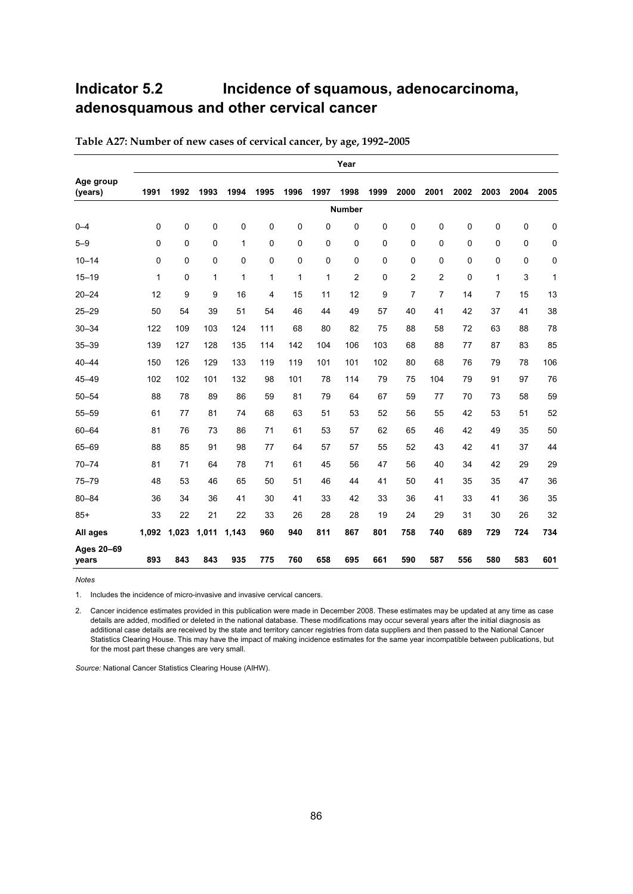# **Indicator 5.2 Incidence of squamous, adenocarcinoma, adenosquamous and other cervical cancer**

|                      | Year  |              |             |       |              |      |              |                |      |                |                |      |                |      |      |
|----------------------|-------|--------------|-------------|-------|--------------|------|--------------|----------------|------|----------------|----------------|------|----------------|------|------|
| Age group<br>(years) | 1991  | 1992         | 1993        | 1994  | 1995         | 1996 | 1997         | 1998           | 1999 | 2000           | 2001           | 2002 | 2003           | 2004 | 2005 |
|                      |       |              |             |       |              |      |              | <b>Number</b>  |      |                |                |      |                |      |      |
| $0 - 4$              | 0     | $\mathbf 0$  | 0           | 0     | $\mathbf 0$  | 0    | 0            | $\Omega$       | 0    | $\mathbf 0$    | 0              | 0    | $\mathbf 0$    | 0    | 0    |
| $5 - 9$              | 0     | $\mathbf 0$  | $\mathbf 0$ | 1     | 0            | 0    | 0            | $\mathbf 0$    | 0    | 0              | 0              | 0    | $\mathbf 0$    | 0    | 0    |
| $10 - 14$            | 0     | $\mathbf{0}$ | $\Omega$    | 0     | $\mathbf 0$  | 0    | 0            | $\Omega$       | 0    | $\mathbf 0$    | 0              | 0    | $\Omega$       | 0    | 0    |
| $15 - 19$            | 1     | $\mathbf{0}$ | 1           | 1     | $\mathbf{1}$ | 1    | $\mathbf{1}$ | $\overline{2}$ | 0    | $\overline{2}$ | $\overline{2}$ | 0    | $\mathbf{1}$   | 3    | 1    |
| $20 - 24$            | 12    | 9            | 9           | 16    | 4            | 15   | 11           | 12             | 9    | $\overline{7}$ | 7              | 14   | $\overline{7}$ | 15   | 13   |
| $25 - 29$            | 50    | 54           | 39          | 51    | 54           | 46   | 44           | 49             | 57   | 40             | 41             | 42   | 37             | 41   | 38   |
| $30 - 34$            | 122   | 109          | 103         | 124   | 111          | 68   | 80           | 82             | 75   | 88             | 58             | 72   | 63             | 88   | 78   |
| $35 - 39$            | 139   | 127          | 128         | 135   | 114          | 142  | 104          | 106            | 103  | 68             | 88             | 77   | 87             | 83   | 85   |
| $40 - 44$            | 150   | 126          | 129         | 133   | 119          | 119  | 101          | 101            | 102  | 80             | 68             | 76   | 79             | 78   | 106  |
| $45 - 49$            | 102   | 102          | 101         | 132   | 98           | 101  | 78           | 114            | 79   | 75             | 104            | 79   | 91             | 97   | 76   |
| $50 - 54$            | 88    | 78           | 89          | 86    | 59           | 81   | 79           | 64             | 67   | 59             | 77             | 70   | 73             | 58   | 59   |
| $55 - 59$            | 61    | 77           | 81          | 74    | 68           | 63   | 51           | 53             | 52   | 56             | 55             | 42   | 53             | 51   | 52   |
| $60 - 64$            | 81    | 76           | 73          | 86    | 71           | 61   | 53           | 57             | 62   | 65             | 46             | 42   | 49             | 35   | 50   |
| 65-69                | 88    | 85           | 91          | 98    | 77           | 64   | 57           | 57             | 55   | 52             | 43             | 42   | 41             | 37   | 44   |
| $70 - 74$            | 81    | 71           | 64          | 78    | 71           | 61   | 45           | 56             | 47   | 56             | 40             | 34   | 42             | 29   | 29   |
| $75 - 79$            | 48    | 53           | 46          | 65    | 50           | 51   | 46           | 44             | 41   | 50             | 41             | 35   | 35             | 47   | 36   |
| $80 - 84$            | 36    | 34           | 36          | 41    | 30           | 41   | 33           | 42             | 33   | 36             | 41             | 33   | 41             | 36   | 35   |
| $85+$                | 33    | 22           | 21          | 22    | 33           | 26   | 28           | 28             | 19   | 24             | 29             | 31   | 30             | 26   | 32   |
| All ages             | 1,092 | 1,023        | 1,011       | 1,143 | 960          | 940  | 811          | 867            | 801  | 758            | 740            | 689  | 729            | 724  | 734  |
| Ages 20-69<br>vears  | 893   | 843          | 843         | 935   | 775          | 760  | 658          | 695            | 661  | 590            | 587            | 556  | 580            | 583  | 601  |

**Table A27: Number of new cases of cervical cancer, by age, 1992–2005** 

**Notes** 

1. Includes the incidence of micro-invasive and invasive cervical cancers.

2. Cancer incidence estimates provided in this publication were made in December 2008. These estimates may be updated at any time as case details are added, modified or deleted in the national database. These modifications may occur several years after the initial diagnosis as additional case details are received by the state and territory cancer registries from data suppliers and then passed to the National Cancer Statistics Clearing House. This may have the impact of making incidence estimates for the same year incompatible between publications, but for the most part these changes are very small.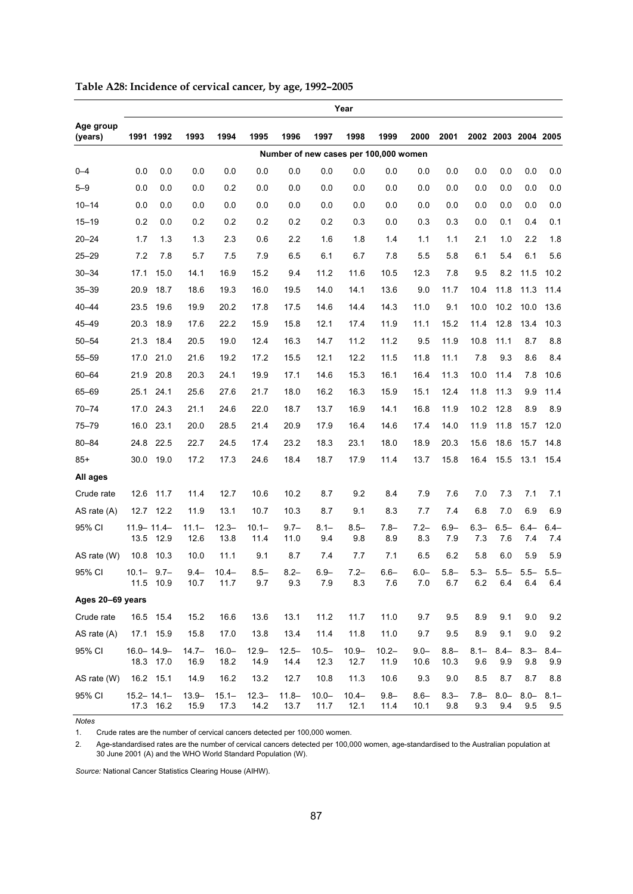|                      |                         |                      |                  |                  |                  |                  |                  | Year             |                                       |                    |                 |                |                     |                    |                |
|----------------------|-------------------------|----------------------|------------------|------------------|------------------|------------------|------------------|------------------|---------------------------------------|--------------------|-----------------|----------------|---------------------|--------------------|----------------|
| Age group<br>(years) |                         | 1991 1992            | 1993             | 1994             | 1995             | 1996             | 1997             | 1998             | 1999                                  | 2000               | 2001            |                | 2002 2003 2004 2005 |                    |                |
|                      |                         |                      |                  |                  |                  |                  |                  |                  | Number of new cases per 100,000 women |                    |                 |                |                     |                    |                |
| $0 - 4$              | 0.0                     | 0.0                  | 0.0              | 0.0              | 0.0              | 0.0              | 0.0              | 0.0              | 0.0                                   | 0.0                | 0.0             | 0.0            | 0.0                 | 0.0                | 0.0            |
| $5 - 9$              | 0.0                     | 0.0                  | 0.0              | 0.2              | 0.0              | 0.0              | 0.0              | 0.0              | 0.0                                   | 0.0                | 0.0             | 0.0            | 0.0                 | 0.0                | 0.0            |
| $10 - 14$            | 0.0                     | 0.0                  | 0.0              | 0.0              | 0.0              | 0.0              | 0.0              | 0.0              | 0.0                                   | 0.0                | 0.0             | 0.0            | 0.0                 | 0.0                | 0.0            |
| $15 - 19$            | 0.2                     | 0.0                  | 0.2              | 0.2              | 0.2              | 0.2              | 0.2              | 0.3              | 0.0                                   | 0.3                | 0.3             | 0.0            | 0.1                 | 0.4                | 0.1            |
| $20 - 24$            | 1.7                     | 1.3                  | 1.3              | 2.3              | 0.6              | 2.2              | 1.6              | 1.8              | 1.4                                   | 1.1                | 1.1             | 2.1            | 1.0                 | 2.2                | 1.8            |
| $25 - 29$            | 7.2                     | 7.8                  | 5.7              | 7.5              | 7.9              | 6.5              | 6.1              | 6.7              | 7.8                                   | 5.5                | 5.8             | 6.1            | 5.4                 | 6.1                | 5.6            |
| $30 - 34$            | 17.1                    | 15.0                 | 14.1             | 16.9             | 15.2             | 9.4              | 11.2             | 11.6             | 10.5                                  | 12.3               | 7.8             | 9.5            | 8.2                 | 11.5               | 10.2           |
| $35 - 39$            | 20.9                    | 18.7                 | 18.6             | 19.3             | 16.0             | 19.5             | 14.0             | 14.1             | 13.6                                  | 9.0                | 11.7            | 10.4           | 11.8                | 11.3               | 11.4           |
| $40 - 44$            | 23.5                    | 19.6                 | 19.9             | 20.2             | 17.8             | 17.5             | 14.6             | 14.4             | 14.3                                  | 11.0               | 9.1             | 10.0           | 10.2                | 10.0               | 13.6           |
| 45-49                | 20.3                    | 18.9                 | 17.6             | 22.2             | 15.9             | 15.8             | 12.1             | 17.4             | 11.9                                  | 11.1               | 15.2            | 11.4           | 12.8                | 13.4               | 10.3           |
| $50 - 54$            | 21.3                    | 18.4                 | 20.5             | 19.0             | 12.4             | 16.3             | 14.7             | 11.2             | 11.2                                  | 9.5                | 11.9            | 10.8           | 11.1                | 8.7                | 8.8            |
| $55 - 59$            | 17.0                    | 21.0                 | 21.6             | 19.2             | 17.2             | 15.5             | 12.1             | 12.2             | 11.5                                  | 11.8               | 11.1            | 7.8            | 9.3                 | 8.6                | 8.4            |
| $60 - 64$            | 21.9                    | 20.8                 | 20.3             | 24.1             | 19.9             | 17.1             | 14.6             | 15.3             | 16.1                                  | 16.4               | 11.3            | 10.0           | 11.4                | 7.8                | 10.6           |
| 65-69                |                         | 25.1 24.1            | 25.6             | 27.6             | 21.7             | 18.0             | 16.2             | 16.3             | 15.9                                  | 15.1               | 12.4            | 11.8           | 11.3                | 9.9                | 11.4           |
| $70 - 74$            | 17.0                    | 24.3                 | 21.1             | 24.6             | 22.0             | 18.7             | 13.7             | 16.9             | 14.1                                  | 16.8               | 11.9            | 10.2           | 12.8                | 8.9                | 8.9            |
| $75 - 79$            | 16.0                    | 23.1                 | 20.0             | 28.5             | 21.4             | 20.9             | 17.9             | 16.4             | 14.6                                  | 17.4               | 14.0            | 11.9           | 11.8                | 15.7               | 12.0           |
| $80 - 84$            |                         | 24.8 22.5            | 22.7             | 24.5             | 17.4             | 23.2             | 18.3             | 23.1             | 18.0                                  | 18.9               | 20.3            | 15.6           | 18.6                | 15.7               | 14.8           |
| $85+$                | 30.0                    | 19.0                 | 17.2             | 17.3             | 24.6             | 18.4             | 18.7             | 17.9             | 11.4                                  | 13.7               | 15.8            | 16.4           | 15.5                | 13.1               | 15.4           |
| All ages             |                         |                      |                  |                  |                  |                  |                  |                  |                                       |                    |                 |                |                     |                    |                |
| Crude rate           |                         | 12.6 11.7            | 11.4             | 12.7             | 10.6             | 10.2             | 8.7              | 9.2              | 8.4                                   | 7.9                | 7.6             | 7.0            | 7.3                 | 7.1                | 7.1            |
| AS rate $(A)$        | 12.7                    | 12.2                 | 11.9             | 13.1             | 10.7             | 10.3             | 8.7              | 9.1              | 8.3                                   | 7.7                | 7.4             | 6.8            | 7.0                 | 6.9                | 6.9            |
| 95% CI               | $11.9 - 11.4 -$<br>13.5 | 12.9                 | $11.1 -$<br>12.6 | $12.3 -$<br>13.8 | $10.1 -$<br>11.4 | $9.7 -$<br>11.0  | $8.1 -$<br>9.4   | $8.5 -$<br>9.8   | $7.8 -$<br>8.9                        | $7.2 -$<br>8.3     | $6.9 -$<br>7.9  | $6.3 -$<br>7.3 | $6.5 -$<br>7.6      | $6.4 -$<br>7.4     | $6.4 -$<br>7.4 |
| AS rate (W)          | 10.8                    | 10.3                 | 10.0             | 11.1             | 9.1              | 8.7              | 7.4              | 7.7              | 7.1                                   | 6.5                | 6.2             | 5.8            | 6.0                 | 5.9                | 5.9            |
| 95% CI               | $10.1 -$                | $9.7 -$<br>11.5 10.9 | $9.4 -$<br>10.7  | $10.4 -$<br>11.7 | $8.5 -$<br>9.7   | $8.2 -$<br>9.3   | $6.9 -$<br>$7.9$ | $7.2 -$<br>8.3   | $6.6 -$<br>$7.6\,$                    | $6.0 -$<br>$7.0\,$ | $5.8 -$<br>6.7  | $5.3 -$<br>6.2 | $5.5 -$<br>6.4      | $5.5 -$<br>$6.4\,$ | $5.5 -$<br>6.4 |
| Ages 20-69 years     |                         |                      |                  |                  |                  |                  |                  |                  |                                       |                    |                 |                |                     |                    |                |
| Crude rate           |                         | 16.5 15.4            | 15.2             | 16.6             | 13.6             | 13.1             | 11.2             | 11.7             | 11.0                                  | 9.7                | 9.5             | 8.9            | 9.1                 | 9.0                | 9.2            |
| AS rate (A)          |                         | 17.1 15.9            | 15.8             | 17.0             | 13.8             | 13.4             | 11.4             | 11.8             | 11.0                                  | 9.7                | 9.5             | 8.9            | 9.1                 | 9.0                | 9.2            |
| 95% CI               | $16.0 - 14.9 -$         | 18.3 17.0            | $14.7 -$<br>16.9 | $16.0 -$<br>18.2 | $12.9 -$<br>14.9 | $12.5 -$<br>14.4 | $10.5 -$<br>12.3 | $10.9 -$<br>12.7 | $10.2 -$<br>11.9                      | $9.0 -$<br>10.6    | $8.8 -$<br>10.3 | $8.1 -$<br>9.6 | $8.4 -$<br>9.9      | $8.3 -$<br>9.8     | $8.4 -$<br>9.9 |
| AS rate (W)          |                         | 16.2 15.1            | 14.9             | 16.2             | 13.2             | 12.7             | 10.8             | 11.3             | 10.6                                  | 9.3                | 9.0             | 8.5            | 8.7                 | 8.7                | 8.8            |
| 95% CI               | $15.2 - 14.1 -$         | 17.3 16.2            | $13.9 -$<br>15.9 | $15.1 -$<br>17.3 | $12.3 -$<br>14.2 | $11.8 -$<br>13.7 | $10.0 -$<br>11.7 | $10.4 -$<br>12.1 | $9.8 -$<br>11.4                       | $8.6 -$<br>10.1    | $8.3 -$<br>9.8  | $7.8 -$<br>9.3 | $8.0 -$<br>9.4      | $8.0 -$<br>9.5     | $8.1 -$<br>9.5 |

| Table A28: Incidence of cervical cancer, by age, 1992-2005 |  |  |
|------------------------------------------------------------|--|--|
|                                                            |  |  |

*Notes*  1. Crude rates are the number of cervical cancers detected per 100,000 women.

2. Age-standardised rates are the number of cervical cancers detected per 100,000 women, age-standardised to the Australian population at 30 June 2001 (A) and the WHO World Standard Population (W).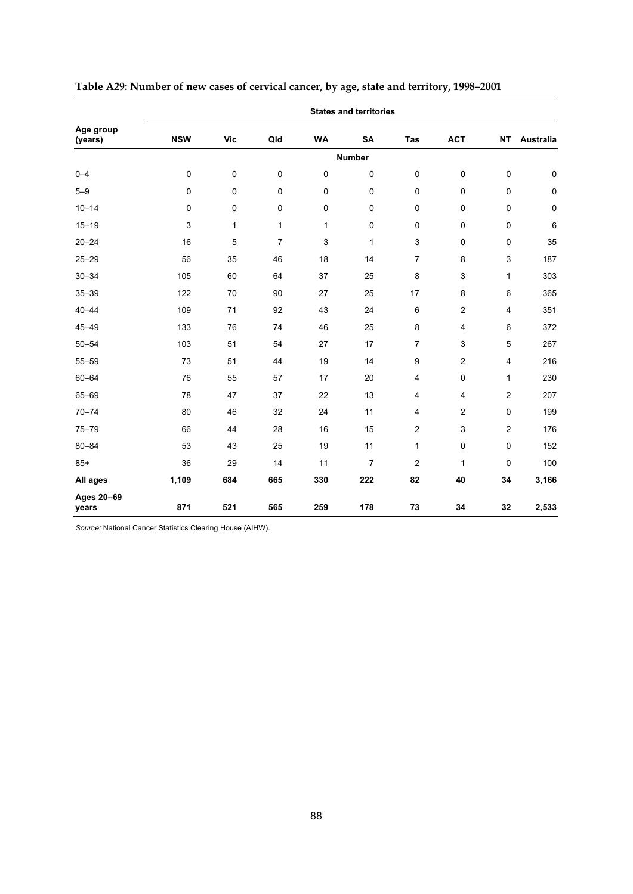|                      |             |              |                |              | <b>States and territories</b> |                  |                         |                         |           |
|----------------------|-------------|--------------|----------------|--------------|-------------------------------|------------------|-------------------------|-------------------------|-----------|
| Age group<br>(years) | <b>NSW</b>  | <b>Vic</b>   | Qld            | <b>WA</b>    | SA                            | Tas              | <b>ACT</b>              | <b>NT</b>               | Australia |
|                      |             |              |                |              | <b>Number</b>                 |                  |                         |                         |           |
| $0 - 4$              | $\pmb{0}$   | $\pmb{0}$    | $\mathbf 0$    | $\mathbf 0$  | $\mathbf 0$                   | $\mathbf 0$      | $\pmb{0}$               | 0                       | $\pmb{0}$ |
| $5 - 9$              | $\mathbf 0$ | $\pmb{0}$    | $\mathsf 0$    | $\pmb{0}$    | $\pmb{0}$                     | $\pmb{0}$        | $\mathsf 0$             | $\pmb{0}$               | $\pmb{0}$ |
| $10 - 14$            | $\mathbf 0$ | $\mathbf 0$  | 0              | 0            | $\pmb{0}$                     | $\mathbf 0$      | $\mathsf 0$             | 0                       | $\pmb{0}$ |
| $15 - 19$            | 3           | $\mathbf{1}$ | $\mathbf{1}$   | $\mathbf{1}$ | $\mathbf 0$                   | $\mathbf 0$      | $\mathbf 0$             | 0                       | $\,6$     |
| $20 - 24$            | 16          | 5            | $\overline{7}$ | 3            | $\mathbf{1}$                  | 3                | $\mathbf 0$             | 0                       | 35        |
| $25 - 29$            | 56          | 35           | 46             | 18           | 14                            | $\overline{7}$   | 8                       | 3                       | 187       |
| $30 - 34$            | 105         | 60           | 64             | 37           | 25                            | 8                | $\mathsf 3$             | 1                       | 303       |
| $35 - 39$            | 122         | 70           | 90             | 27           | 25                            | 17               | 8                       | 6                       | 365       |
| $40 - 44$            | 109         | 71           | 92             | 43           | 24                            | 6                | $\overline{\mathbf{c}}$ | 4                       | 351       |
| $45 - 49$            | 133         | 76           | 74             | 46           | 25                            | 8                | $\overline{4}$          | 6                       | 372       |
| $50 - 54$            | 103         | 51           | 54             | 27           | 17                            | $\overline{7}$   | 3                       | 5                       | 267       |
| $55 - 59$            | 73          | 51           | 44             | 19           | 14                            | $\boldsymbol{9}$ | 2                       | $\overline{\mathbf{4}}$ | 216       |
| $60 - 64$            | 76          | 55           | 57             | 17           | 20                            | 4                | $\mathsf 0$             | 1                       | 230       |
| 65-69                | 78          | 47           | 37             | 22           | 13                            | 4                | 4                       | $\overline{2}$          | 207       |
| $70 - 74$            | 80          | 46           | 32             | 24           | 11                            | 4                | 2                       | 0                       | 199       |
| $75 - 79$            | 66          | 44           | 28             | 16           | 15                            | $\overline{2}$   | 3                       | $\overline{2}$          | 176       |
| $80 - 84$            | 53          | 43           | 25             | 19           | 11                            | $\mathbf{1}$     | $\pmb{0}$               | $\pmb{0}$               | 152       |
| $85+$                | 36          | 29           | 14             | 11           | $\overline{7}$                | $\overline{2}$   | 1                       | $\mathbf{0}$            | 100       |
| All ages             | 1,109       | 684          | 665            | 330          | 222                           | 82               | 40                      | 34                      | 3,166     |
| Ages 20-69<br>years  | 871         | 521          | 565            | 259          | 178                           | 73               | 34                      | 32                      | 2,533     |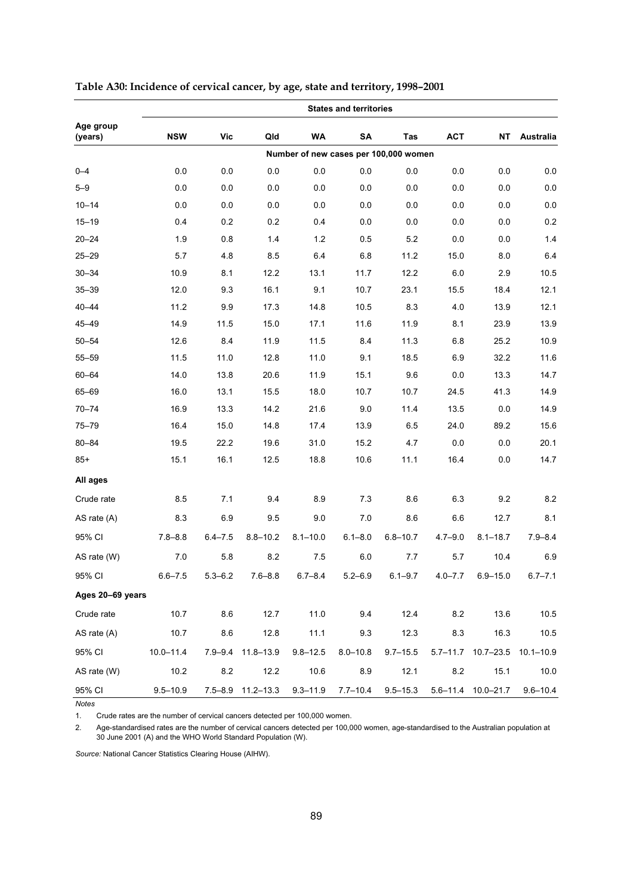|                      |               |             |                   |                                       | <b>States and territories</b> |              |             |                              |              |
|----------------------|---------------|-------------|-------------------|---------------------------------------|-------------------------------|--------------|-------------|------------------------------|--------------|
| Age group<br>(years) | <b>NSW</b>    | Vic         | Qld               | WA                                    | SA                            | Tas          | <b>ACT</b>  | <b>NT</b>                    | Australia    |
|                      |               |             |                   | Number of new cases per 100,000 women |                               |              |             |                              |              |
| $0 - 4$              | 0.0           | 0.0         | 0.0               | 0.0                                   | 0.0                           | 0.0          | 0.0         | 0.0                          | 0.0          |
| $5 - 9$              | 0.0           | 0.0         | 0.0               | 0.0                                   | 0.0                           | 0.0          | 0.0         | 0.0                          | $0.0\,$      |
| $10 - 14$            | 0.0           | 0.0         | 0.0               | 0.0                                   | 0.0                           | 0.0          | 0.0         | 0.0                          | $0.0\,$      |
| $15 - 19$            | 0.4           | 0.2         | 0.2               | 0.4                                   | 0.0                           | 0.0          | 0.0         | 0.0                          | 0.2          |
| $20 - 24$            | 1.9           | 0.8         | 1.4               | 1.2                                   | 0.5                           | 5.2          | 0.0         | 0.0                          | 1.4          |
| $25 - 29$            | 5.7           | 4.8         | 8.5               | 6.4                                   | 6.8                           | 11.2         | 15.0        | 8.0                          | 6.4          |
| $30 - 34$            | 10.9          | 8.1         | 12.2              | 13.1                                  | 11.7                          | 12.2         | 6.0         | 2.9                          | 10.5         |
| $35 - 39$            | 12.0          | 9.3         | 16.1              | 9.1                                   | 10.7                          | 23.1         | 15.5        | 18.4                         | 12.1         |
| $40 - 44$            | 11.2          | 9.9         | 17.3              | 14.8                                  | 10.5                          | 8.3          | 4.0         | 13.9                         | 12.1         |
| $45 - 49$            | 14.9          | 11.5        | 15.0              | 17.1                                  | 11.6                          | 11.9         | 8.1         | 23.9                         | 13.9         |
| $50 - 54$            | 12.6          | 8.4         | 11.9              | 11.5                                  | 8.4                           | 11.3         | 6.8         | 25.2                         | 10.9         |
| $55 - 59$            | 11.5          | 11.0        | 12.8              | 11.0                                  | 9.1                           | 18.5         | 6.9         | 32.2                         | 11.6         |
| $60 - 64$            | 14.0          | 13.8        | 20.6              | 11.9                                  | 15.1                          | 9.6          | 0.0         | 13.3                         | 14.7         |
| 65-69                | 16.0          | 13.1        | 15.5              | 18.0                                  | 10.7                          | 10.7         | 24.5        | 41.3                         | 14.9         |
| $70 - 74$            | 16.9          | 13.3        | 14.2              | 21.6                                  | 9.0                           | 11.4         | 13.5        | 0.0                          | 14.9         |
| $75 - 79$            | 16.4          | 15.0        | 14.8              | 17.4                                  | 13.9                          | 6.5          | 24.0        | 89.2                         | 15.6         |
| $80 - 84$            | 19.5          | 22.2        | 19.6              | 31.0                                  | 15.2                          | 4.7          | 0.0         | 0.0                          | 20.1         |
| $85+$                | 15.1          | 16.1        | 12.5              | 18.8                                  | 10.6                          | 11.1         | 16.4        | 0.0                          | 14.7         |
| All ages             |               |             |                   |                                       |                               |              |             |                              |              |
| Crude rate           | 8.5           | 7.1         | 9.4               | 8.9                                   | 7.3                           | 8.6          | 6.3         | 9.2                          | 8.2          |
| AS rate (A)          | 8.3           | 6.9         | 9.5               | 9.0                                   | 7.0                           | 8.6          | 6.6         | 12.7                         | 8.1          |
| 95% CI               | $7.8 - 8.8$   | $6.4 - 7.5$ | $8.8 - 10.2$      | $8.1 - 10.0$                          | $6.1 - 8.0$                   | $6.8 - 10.7$ | $4.7 - 9.0$ | $8.1 - 18.7$                 | $7.9 - 8.4$  |
| AS rate (W)          | 7.0           | 5.8         | 8.2               | 7.5                                   | 6.0                           | 7.7          | 5.7         | 10.4                         | 6.9          |
| 95% CI               | $6.6 - 7.5$   | $5.3 - 6.2$ | $7.6 - 8.8$       | $6.7 - 8.4$                           | $5.2 - 6.9$                   | $6.1 - 9.7$  | $4.0 - 7.7$ | $6.9 - 15.0$                 | $6.7 - 7.1$  |
| Ages 20-69 years     |               |             |                   |                                       |                               |              |             |                              |              |
| Crude rate           | 10.7          | 8.6         | 12.7              | 11.0                                  | 9.4                           | 12.4         | 8.2         | 13.6                         | 10.5         |
| AS rate $(A)$        | 10.7          | 8.6         | 12.8              | 11.1                                  | 9.3                           | 12.3         | 8.3         | 16.3                         | 10.5         |
| 95% CI               | $10.0 - 11.4$ |             | 7.9-9.4 11.8-13.9 | $9.8 - 12.5$                          | $8.0 - 10.8$                  | $9.7 - 15.5$ |             | 5.7-11.7 10.7-23.5 10.1-10.9 |              |
| AS rate (W)          | 10.2          | 8.2         | 12.2              | 10.6                                  | 8.9                           | 12.1         | 8.2         | 15.1                         | 10.0         |
| 95% CI               | $9.5 - 10.9$  |             | 7.5-8.9 11.2-13.3 | $9.3 - 11.9$                          | $7.7 - 10.4$                  | $9.5 - 15.3$ |             | 5.6-11.4 10.0-21.7           | $9.6 - 10.4$ |

**Table A30: Incidence of cervical cancer, by age, state and territory, 1998–2001** 

*Notes*  1. Crude rates are the number of cervical cancers detected per 100,000 women.

2. Age-standardised rates are the number of cervical cancers detected per 100,000 women, age-standardised to the Australian population at 30 June 2001 (A) and the WHO World Standard Population (W).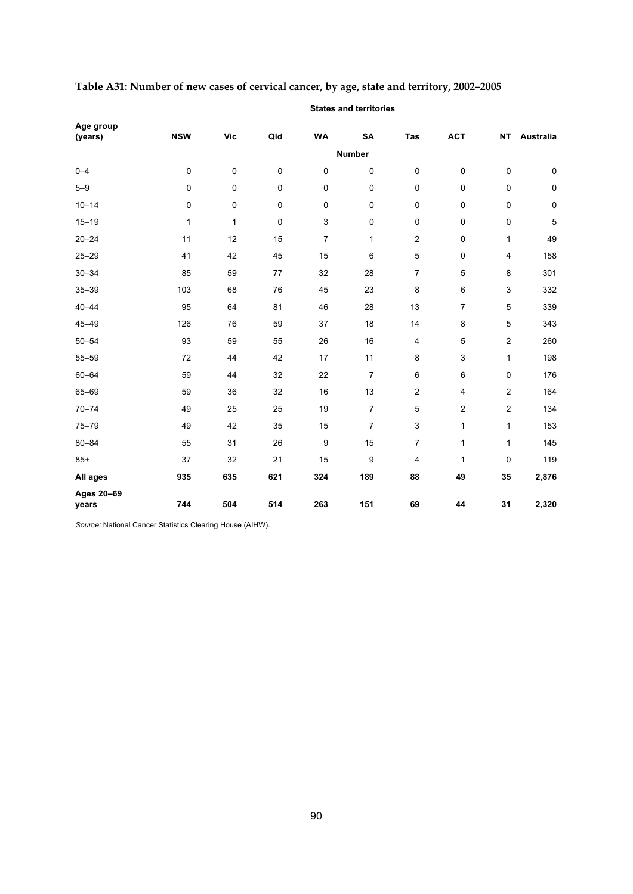|                      |              |              |             |                | <b>States and territories</b> |                         |                |                |           |
|----------------------|--------------|--------------|-------------|----------------|-------------------------------|-------------------------|----------------|----------------|-----------|
| Age group<br>(years) | <b>NSW</b>   | <b>Vic</b>   | Qld         | <b>WA</b>      | SA                            | Tas                     | <b>ACT</b>     | <b>NT</b>      | Australia |
|                      |              |              |             |                | <b>Number</b>                 |                         |                |                |           |
| $0 - 4$              | $\mathbf 0$  | $\pmb{0}$    | $\mathsf 0$ | 0              | $\pmb{0}$                     | $\pmb{0}$               | $\mathsf 0$    | $\pmb{0}$      | $\pmb{0}$ |
| $5 - 9$              | $\pmb{0}$    | $\pmb{0}$    | $\pmb{0}$   | $\pmb{0}$      | $\pmb{0}$                     | $\pmb{0}$               | $\pmb{0}$      | $\pmb{0}$      | $\pmb{0}$ |
| $10 - 14$            | $\mathbf 0$  | $\mathbf 0$  | 0           | $\mathbf 0$    | $\mathbf 0$                   | $\mathbf 0$             | $\mathbf 0$    | $\mathbf 0$    | $\pmb{0}$ |
| $15 - 19$            | $\mathbf{1}$ | $\mathbf{1}$ | 0           | $\mathsf 3$    | $\pmb{0}$                     | $\pmb{0}$               | $\mathsf 0$    | $\pmb{0}$      | 5         |
| $20 - 24$            | 11           | 12           | 15          | $\overline{7}$ | $\mathbf{1}$                  | $\overline{2}$          | $\mathbf 0$    | 1              | 49        |
| $25 - 29$            | 41           | 42           | 45          | 15             | 6                             | 5                       | 0              | 4              | 158       |
| $30 - 34$            | 85           | 59           | 77          | 32             | 28                            | $\overline{7}$          | 5              | 8              | 301       |
| $35 - 39$            | 103          | 68           | 76          | 45             | 23                            | 8                       | 6              | 3              | 332       |
| $40 - 44$            | 95           | 64           | 81          | 46             | 28                            | 13                      | $\overline{7}$ | 5              | 339       |
| $45 - 49$            | 126          | 76           | 59          | 37             | 18                            | 14                      | 8              | 5              | 343       |
| $50 - 54$            | 93           | 59           | 55          | 26             | 16                            | $\overline{\mathbf{4}}$ | 5              | $\overline{c}$ | 260       |
| $55 - 59$            | 72           | 44           | 42          | 17             | 11                            | 8                       | 3              | 1              | 198       |
| $60 - 64$            | 59           | 44           | 32          | 22             | $\overline{7}$                | 6                       | 6              | 0              | 176       |
| 65-69                | 59           | 36           | 32          | 16             | 13                            | $\overline{c}$          | $\overline{4}$ | $\overline{2}$ | 164       |
| $70 - 74$            | 49           | 25           | 25          | 19             | $\overline{7}$                | 5                       | 2              | $\mathbf 2$    | 134       |
| $75 - 79$            | 49           | 42           | 35          | 15             | $\overline{7}$                | 3                       | 1              | 1              | 153       |
| $80 - 84$            | 55           | 31           | 26          | 9              | 15                            | $\overline{7}$          | 1              | 1              | 145       |
| $85+$                | 37           | 32           | 21          | 15             | 9                             | 4                       | $\mathbf{1}$   | 0              | 119       |
| All ages             | 935          | 635          | 621         | 324            | 189                           | 88                      | 49             | 35             | 2,876     |
| Ages 20-69<br>years  | 744          | 504          | 514         | 263            | 151                           | 69                      | 44             | 31             | 2,320     |

| Table A31: Number of new cases of cervical cancer, by age, state and territory, 2002-2005 |
|-------------------------------------------------------------------------------------------|
|                                                                                           |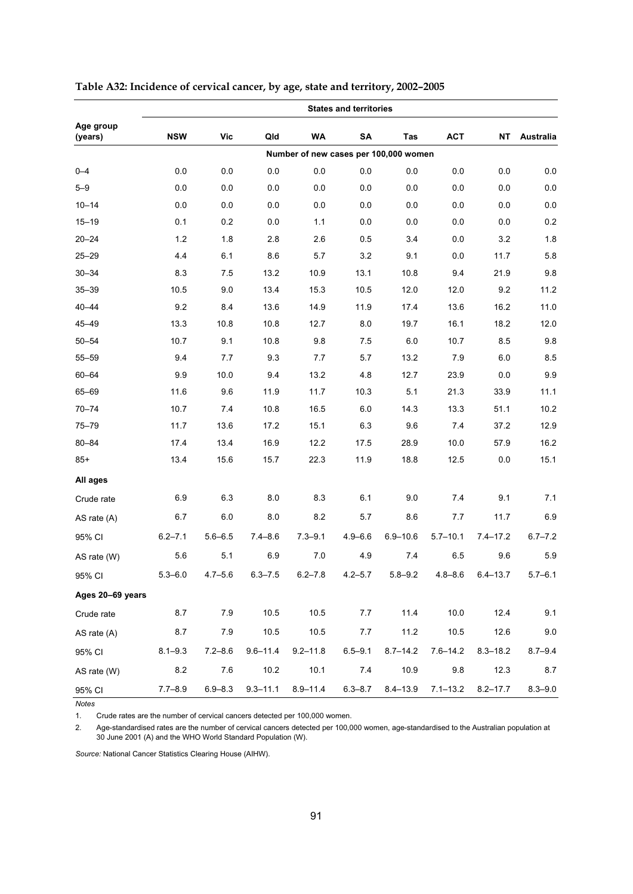|                      |             |             |              |              | <b>States and territories</b>         |              |              |              |             |
|----------------------|-------------|-------------|--------------|--------------|---------------------------------------|--------------|--------------|--------------|-------------|
| Age group<br>(years) | <b>NSW</b>  | Vic         | Qld          | WA           | SA                                    | Tas          | <b>ACT</b>   | <b>NT</b>    | Australia   |
|                      |             |             |              |              | Number of new cases per 100,000 women |              |              |              |             |
| $0 - 4$              | 0.0         | 0.0         | 0.0          | 0.0          | 0.0                                   | 0.0          | 0.0          | 0.0          | 0.0         |
| $5 - 9$              | 0.0         | 0.0         | 0.0          | 0.0          | 0.0                                   | 0.0          | 0.0          | 0.0          | $0.0\,$     |
| $10 - 14$            | 0.0         | 0.0         | 0.0          | 0.0          | 0.0                                   | 0.0          | 0.0          | 0.0          | $0.0\,$     |
| $15 - 19$            | 0.1         | 0.2         | 0.0          | 1.1          | 0.0                                   | 0.0          | 0.0          | 0.0          | 0.2         |
| $20 - 24$            | 1.2         | 1.8         | 2.8          | 2.6          | 0.5                                   | 3.4          | 0.0          | 3.2          | 1.8         |
| $25 - 29$            | 4.4         | 6.1         | 8.6          | 5.7          | 3.2                                   | 9.1          | 0.0          | 11.7         | 5.8         |
| $30 - 34$            | 8.3         | 7.5         | 13.2         | 10.9         | 13.1                                  | 10.8         | 9.4          | 21.9         | 9.8         |
| $35 - 39$            | 10.5        | 9.0         | 13.4         | 15.3         | 10.5                                  | 12.0         | 12.0         | 9.2          | 11.2        |
| $40 - 44$            | 9.2         | 8.4         | 13.6         | 14.9         | 11.9                                  | 17.4         | 13.6         | 16.2         | 11.0        |
| $45 - 49$            | 13.3        | 10.8        | 10.8         | 12.7         | 8.0                                   | 19.7         | 16.1         | 18.2         | 12.0        |
| $50 - 54$            | 10.7        | 9.1         | 10.8         | 9.8          | 7.5                                   | 6.0          | 10.7         | 8.5          | 9.8         |
| $55 - 59$            | 9.4         | 7.7         | 9.3          | 7.7          | 5.7                                   | 13.2         | 7.9          | 6.0          | 8.5         |
| $60 - 64$            | 9.9         | 10.0        | 9.4          | 13.2         | 4.8                                   | 12.7         | 23.9         | 0.0          | 9.9         |
| 65-69                | 11.6        | 9.6         | 11.9         | 11.7         | 10.3                                  | 5.1          | 21.3         | 33.9         | 11.1        |
| $70 - 74$            | 10.7        | 7.4         | 10.8         | 16.5         | 6.0                                   | 14.3         | 13.3         | 51.1         | 10.2        |
| $75 - 79$            | 11.7        | 13.6        | 17.2         | 15.1         | 6.3                                   | 9.6          | 7.4          | 37.2         | 12.9        |
| $80 - 84$            | 17.4        | 13.4        | 16.9         | 12.2         | 17.5                                  | 28.9         | 10.0         | 57.9         | 16.2        |
| $85+$                | 13.4        | 15.6        | 15.7         | 22.3         | 11.9                                  | 18.8         | 12.5         | 0.0          | 15.1        |
| All ages             |             |             |              |              |                                       |              |              |              |             |
| Crude rate           | 6.9         | 6.3         | 8.0          | 8.3          | 6.1                                   | 9.0          | 7.4          | 9.1          | 7.1         |
| AS rate (A)          | 6.7         | 6.0         | 8.0          | 8.2          | 5.7                                   | 8.6          | 7.7          | 11.7         | 6.9         |
| 95% CI               | $6.2 - 7.1$ | $5.6 - 6.5$ | $7.4 - 8.6$  | $7.3 - 9.1$  | $4.9 - 6.6$                           | $6.9 - 10.6$ | $5.7 - 10.1$ | $7.4 - 17.2$ | $6.7 - 7.2$ |
| AS rate (W)          | 5.6         | 5.1         | 6.9          | 7.0          | 4.9                                   | 7.4          | 6.5          | 9.6          | 5.9         |
| 95% CI               | $5.3 - 6.0$ | $4.7 - 5.6$ | $6.3 - 7.5$  | $6.2 - 7.8$  | $4.2 - 5.7$                           | $5.8 - 9.2$  | $4.8 - 8.6$  | $6.4 - 13.7$ | $5.7 - 6.1$ |
| Ages 20-69 years     |             |             |              |              |                                       |              |              |              |             |
| Crude rate           | 8.7         | 7.9         | 10.5         | 10.5         | 7.7                                   | 11.4         | 10.0         | 12.4         | 9.1         |
| AS rate (A)          | 8.7         | 7.9         | 10.5         | 10.5         | 7.7                                   | 11.2         | 10.5         | 12.6         | $9.0\,$     |
| 95% CI               | $8.1 - 9.3$ | $7.2 - 8.6$ | $9.6 - 11.4$ | $9.2 - 11.8$ | $6.5 - 9.1$                           | $8.7 - 14.2$ | $7.6 - 14.2$ | $8.3 - 18.2$ | $8.7 - 9.4$ |
| AS rate (W)          | 8.2         | $7.6\,$     | 10.2         | 10.1         | 7.4                                   | 10.9         | $9.8\,$      | 12.3         | 8.7         |
| 95% CI               | $7.7 - 8.9$ | $6.9 - 8.3$ | $9.3 - 11.1$ | $8.9 - 11.4$ | $6.3 - 8.7$                           | $8.4 - 13.9$ | $7.1 - 13.2$ | $8.2 - 17.7$ | $8.3 - 9.0$ |

| Table A32: Incidence of cervical cancer, by age, state and territory, 2002-2005 |  |
|---------------------------------------------------------------------------------|--|
|---------------------------------------------------------------------------------|--|

*Notes* 

1. Crude rates are the number of cervical cancers detected per 100,000 women.

2. Age-standardised rates are the number of cervical cancers detected per 100,000 women, age-standardised to the Australian population at 30 June 2001 (A) and the WHO World Standard Population (W).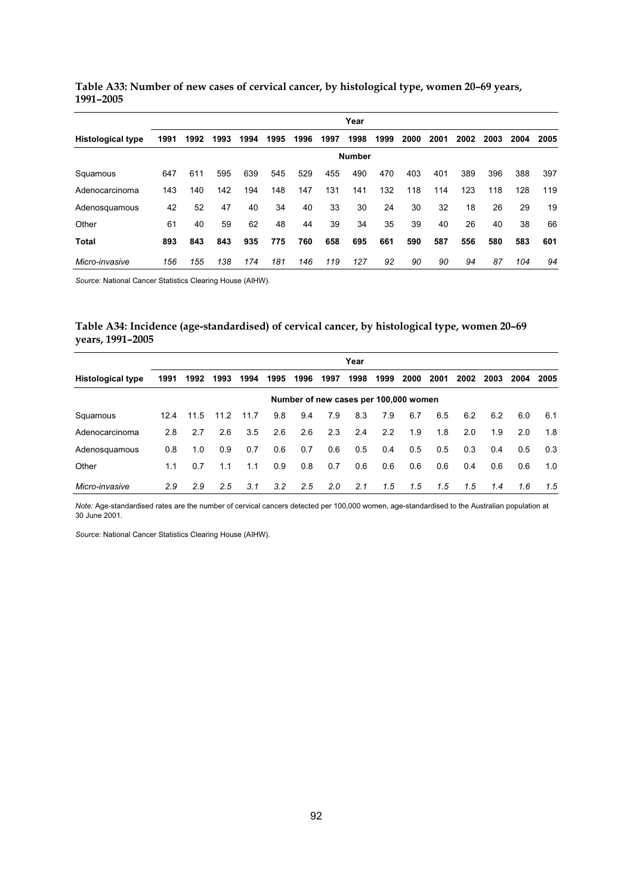|                          |      |      |      |      |      |      |      | Year          |      |      |      |      |      |      |      |
|--------------------------|------|------|------|------|------|------|------|---------------|------|------|------|------|------|------|------|
| <b>Histological type</b> | 1991 | 1992 | 1993 | 1994 | 1995 | 1996 | 1997 | 1998          | 1999 | 2000 | 2001 | 2002 | 2003 | 2004 | 2005 |
|                          |      |      |      |      |      |      |      | <b>Number</b> |      |      |      |      |      |      |      |
| Squamous                 | 647  | 611  | 595  | 639  | 545  | 529  | 455  | 490           | 470  | 403  | 401  | 389  | 396  | 388  | 397  |
| Adenocarcinoma           | 143  | 140  | 142  | 194  | 148  | 147  | 131  | 141           | 132  | 118  | 114  | 123  | 118  | 128  | 119  |
| Adenosquamous            | 42   | 52   | 47   | 40   | 34   | 40   | 33   | 30            | 24   | 30   | 32   | 18   | 26   | 29   | 19   |
| Other                    | 61   | 40   | 59   | 62   | 48   | 44   | 39   | 34            | 35   | 39   | 40   | 26   | 40   | 38   | 66   |
| Total                    | 893  | 843  | 843  | 935  | 775  | 760  | 658  | 695           | 661  | 590  | 587  | 556  | 580  | 583  | 601  |
| Micro-invasive           | 156  | 155  | 138  | 174  | 181  | 146  | 119  | 127           | 92   | 90   | 90   | 94   | 87   | 104  | 94   |

**Table A33: Number of new cases of cervical cancer, by histological type, women 20–69 years, 1991–2005** 

*Source:* National Cancer Statistics Clearing House (AIHW).

### **Table A34: Incidence (age-standardised) of cervical cancer, by histological type, women 20–69 years, 1991–2005**

|                          |      |      |      |      |               |      |               | Year                                  |      |      |               |      |      |      |      |
|--------------------------|------|------|------|------|---------------|------|---------------|---------------------------------------|------|------|---------------|------|------|------|------|
| <b>Histological type</b> | 1991 | 1992 | 1993 | 1994 | 1995          | 1996 | 1997          | 1998                                  | 1999 | 2000 | 2001          | 2002 | 2003 | 2004 | 2005 |
|                          |      |      |      |      |               |      |               | Number of new cases per 100,000 women |      |      |               |      |      |      |      |
| Squamous                 | 12.4 | 11.5 | 11.2 | 11.7 | 9.8           | 9.4  | 7.9           | 8.3                                   | 7.9  | 6.7  | 6.5           | 6.2  | 6.2  | 6.0  | 6.1  |
| Adenocarcinoma           | 2.8  | 2.7  | 2.6  | 3.5  | 2.6           | 2.6  | 2.3           | 2.4                                   | 2.2  | 1.9  | 1.8           | 2.0  | 1.9  | 2.0  | 1.8  |
| Adenosquamous            | 0.8  | 1.0  | 0.9  | 0.7  | 0.6           | 0.7  | 0.6           | 0.5                                   | 0.4  | 0.5  | 0.5           | 0.3  | 0.4  | 0.5  | 0.3  |
| Other                    | 1.1  | 0.7  | 1.1  | 1.1  | 0.9           | 0.8  | 0.7           | 0.6                                   | 0.6  | 0.6  | 0.6           | 0.4  | 0.6  | 0.6  | 1.0  |
| Micro-invasive           | 2.9  | 2.9  | 2.5  | 3.1  | $3.2^{\circ}$ | 2.5  | $2.0^{\circ}$ | 2.1                                   | 1.5  | 1.5  | $1.5^{\circ}$ | 1.5  | 1.4  | 1.6  | 1.5  |

*Note:* Age-standardised rates are the number of cervical cancers detected per 100,000 women, age-standardised to the Australian population at 30 June 2001.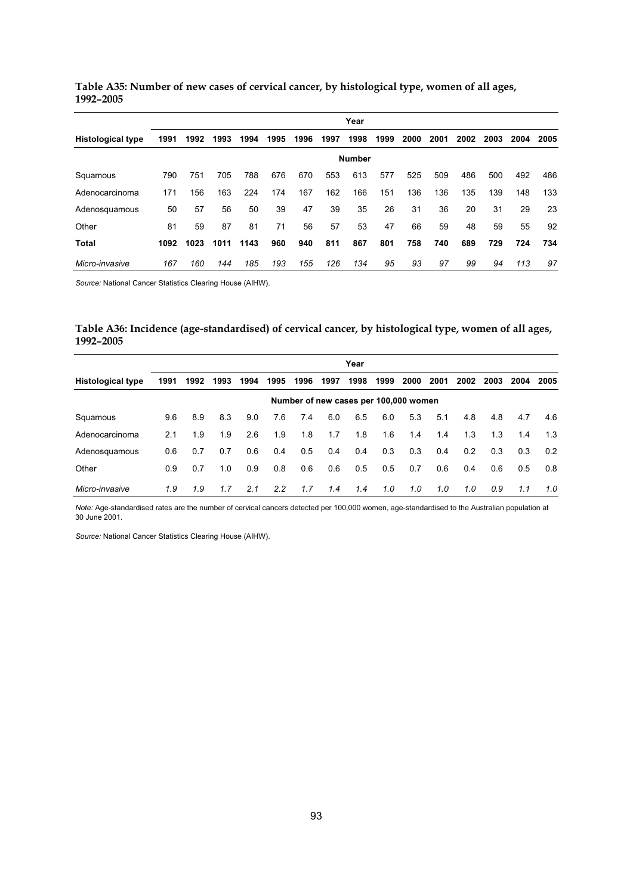|                          |      |      |      |      |      |      |      | Year          |      |      |      |      |      |      |      |
|--------------------------|------|------|------|------|------|------|------|---------------|------|------|------|------|------|------|------|
| <b>Histological type</b> | 1991 | 1992 | 1993 | 1994 | 1995 | 1996 | 1997 | 1998          | 1999 | 2000 | 2001 | 2002 | 2003 | 2004 | 2005 |
|                          |      |      |      |      |      |      |      | <b>Number</b> |      |      |      |      |      |      |      |
| Squamous                 | 790  | 751  | 705  | 788  | 676  | 670  | 553  | 613           | 577  | 525  | 509  | 486  | 500  | 492  | 486  |
| Adenocarcinoma           | 171  | 156  | 163  | 224  | 174  | 167  | 162  | 166           | 151  | 136  | 136  | 135  | 139  | 148  | 133  |
| Adenosquamous            | 50   | 57   | 56   | 50   | 39   | 47   | 39   | 35            | 26   | 31   | 36   | 20   | 31   | 29   | 23   |
| Other                    | 81   | 59   | 87   | 81   | 71   | 56   | 57   | 53            | 47   | 66   | 59   | 48   | 59   | 55   | 92   |
| Total                    | 1092 | 1023 | 1011 | 1143 | 960  | 940  | 811  | 867           | 801  | 758  | 740  | 689  | 729  | 724  | 734  |
| Micro-invasive           | 167  | 160  | 144  | 185  | 193  | 155  | 126  | 134           | 95   | 93   | 97   | 99   | 94   | 113  | 97   |

**Table A35: Number of new cases of cervical cancer, by histological type, women of all ages, 1992–2005** 

*Source:* National Cancer Statistics Clearing House (AIHW).

| Table A36: Incidence (age-standardised) of cervical cancer, by histological type, women of all ages, |  |  |  |
|------------------------------------------------------------------------------------------------------|--|--|--|
| 1992-2005                                                                                            |  |  |  |

|                          |                                       |      |      |      |      |      |      | Year |      |      |      |      |      |      |      |
|--------------------------|---------------------------------------|------|------|------|------|------|------|------|------|------|------|------|------|------|------|
| <b>Histological type</b> | 1991                                  | 1992 | 1993 | 1994 | 1995 | 1996 | 1997 | 1998 | 1999 | 2000 | 2001 | 2002 | 2003 | 2004 | 2005 |
|                          | Number of new cases per 100,000 women |      |      |      |      |      |      |      |      |      |      |      |      |      |      |
| Squamous                 | 9.6                                   | 8.9  | 8.3  | 9.0  | 7.6  | 7.4  | 6.0  | 6.5  | 6.0  | 5.3  | 5.1  | 4.8  | 4.8  | 4.7  | 4.6  |
| Adenocarcinoma           | 2.1                                   | 1.9  | 1.9  | 2.6  | 1.9  | 1.8  | 1.7  | 1.8  | 1.6  | 1.4  | 1.4  | 1.3  | 1.3  | 1.4  | 1.3  |
| Adenosquamous            | 0.6                                   | 0.7  | 0.7  | 0.6  | 0.4  | 0.5  | 0.4  | 0.4  | 0.3  | 0.3  | 0.4  | 0.2  | 0.3  | 0.3  | 0.2  |
| Other                    | 0.9                                   | 0.7  | 1.0  | 0.9  | 0.8  | 0.6  | 0.6  | 0.5  | 0.5  | 0.7  | 0.6  | 0.4  | 0.6  | 0.5  | 0.8  |
| Micro-invasive           | 1.9                                   | 1.9  | 1.7  | 2.1  | 2.2  | 1.7  | 1.4  | 1.4  | 1.0  | 1.0  | 1.0  | 1.0  | 0.9  | 1.1  | 1.0  |

*Note:* Age-standardised rates are the number of cervical cancers detected per 100,000 women, age-standardised to the Australian population at<br>30 June 2001.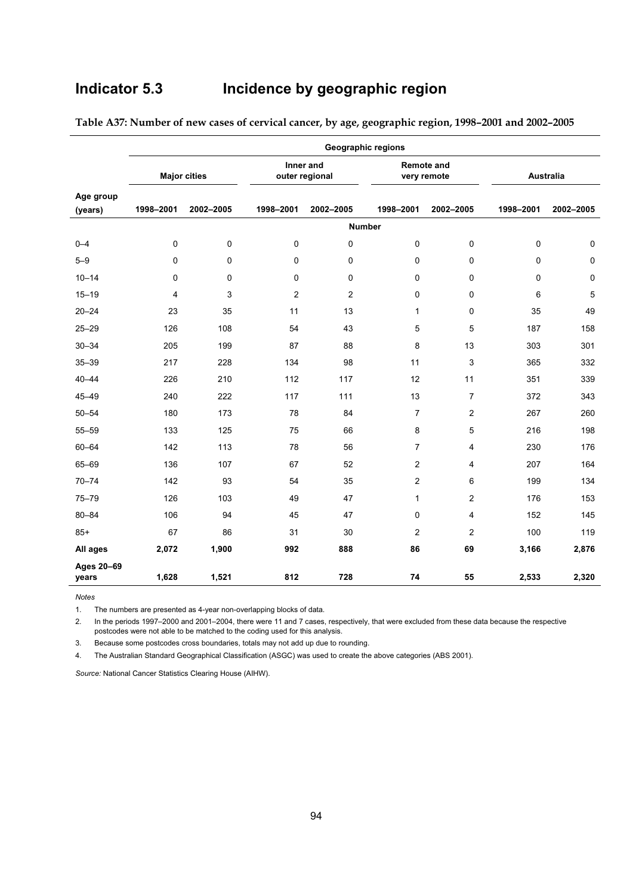# **Indicator 5.3 Incidence by geographic region**

|                      |           |                     |                |                             | <b>Geographic regions</b>        |                |           |           |
|----------------------|-----------|---------------------|----------------|-----------------------------|----------------------------------|----------------|-----------|-----------|
|                      |           | <b>Major cities</b> |                | Inner and<br>outer regional | <b>Remote and</b><br>very remote |                |           | Australia |
| Age group<br>(years) | 1998-2001 | 2002-2005           | 1998-2001      | 2002-2005                   | 1998-2001                        | 2002-2005      | 1998-2001 | 2002-2005 |
|                      |           |                     |                |                             | <b>Number</b>                    |                |           |           |
| $0 - 4$              | 0         | 0                   | 0              | $\mathbf 0$                 | $\mathbf 0$                      | $\mathbf 0$    | 0         | 0         |
| $5 - 9$              | 0         | 0                   | 0              | $\mathbf 0$                 | $\mathbf 0$                      | $\mathbf 0$    | 0         | 0         |
| $10 - 14$            | 0         | 0                   | 0              | $\mathbf 0$                 | $\mathbf 0$                      | $\mathbf 0$    | 0         | 0         |
| $15 - 19$            | 4         | 3                   | $\overline{2}$ | $\overline{2}$              | 0                                | 0              | 6         | 5         |
| $20 - 24$            | 23        | 35                  | 11             | 13                          | $\mathbf{1}$                     | 0              | 35        | 49        |
| $25 - 29$            | 126       | 108                 | 54             | 43                          | 5                                | 5              | 187       | 158       |
| $30 - 34$            | 205       | 199                 | 87             | 88                          | 8                                | 13             | 303       | 301       |
| $35 - 39$            | 217       | 228                 | 134            | 98                          | 11                               | 3              | 365       | 332       |
| $40 - 44$            | 226       | 210                 | 112            | 117                         | 12                               | 11             | 351       | 339       |
| $45 - 49$            | 240       | 222                 | 117            | 111                         | 13                               | $\overline{7}$ | 372       | 343       |
| $50 - 54$            | 180       | 173                 | 78             | 84                          | 7                                | 2              | 267       | 260       |
| $55 - 59$            | 133       | 125                 | 75             | 66                          | 8                                | 5              | 216       | 198       |
| $60 - 64$            | 142       | 113                 | 78             | 56                          | $\overline{7}$                   | 4              | 230       | 176       |
| 65-69                | 136       | 107                 | 67             | 52                          | 2                                | 4              | 207       | 164       |
| $70 - 74$            | 142       | 93                  | 54             | 35                          | $\overline{2}$                   | 6              | 199       | 134       |
| $75 - 79$            | 126       | 103                 | 49             | 47                          | $\mathbf{1}$                     | 2              | 176       | 153       |
| $80 - 84$            | 106       | 94                  | 45             | 47                          | $\mathbf 0$                      | 4              | 152       | 145       |
| $85+$                | 67        | 86                  | 31             | 30                          | 2                                | 2              | 100       | 119       |
| All ages             | 2,072     | 1,900               | 992            | 888                         | 86                               | 69             | 3,166     | 2,876     |
| Ages 20-69<br>years  | 1,628     | 1,521               | 812            | 728                         | 74                               | 55             | 2,533     | 2,320     |

**Table A37: Number of new cases of cervical cancer, by age, geographic region, 1998–2001 and 2002–2005** 

*Notes*  1. The numbers are presented as 4-year non-overlapping blocks of data.

2. In the periods 1997–2000 and 2001–2004, there were 11 and 7 cases, respectively, that were excluded from these data because the respective postcodes were not able to be matched to the coding used for this analysis.

3. Because some postcodes cross boundaries, totals may not add up due to rounding.

4. The Australian Standard Geographical Classification (ASGC) was used to create the above categories (ABS 2001).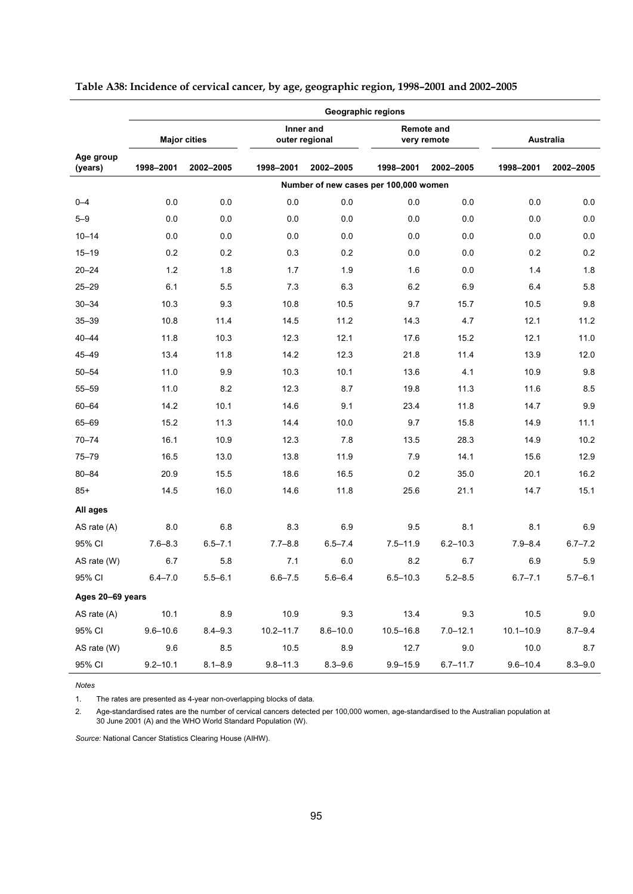|                      | <b>Geographic regions</b> |                     |               |                             |                                       |                                  |               |             |  |  |  |  |  |
|----------------------|---------------------------|---------------------|---------------|-----------------------------|---------------------------------------|----------------------------------|---------------|-------------|--|--|--|--|--|
|                      |                           | <b>Major cities</b> |               | Inner and<br>outer regional |                                       | <b>Remote and</b><br>very remote |               | Australia   |  |  |  |  |  |
| Age group<br>(years) | 1998-2001                 | 2002-2005           | 1998-2001     | 2002-2005                   | 1998-2001                             | 2002-2005                        | 1998-2001     | 2002-2005   |  |  |  |  |  |
|                      |                           |                     |               |                             | Number of new cases per 100,000 women |                                  |               |             |  |  |  |  |  |
| $0 - 4$              | 0.0                       | 0.0                 | 0.0           | 0.0                         | 0.0                                   | 0.0                              | 0.0           | 0.0         |  |  |  |  |  |
| $5 - 9$              | 0.0                       | 0.0                 | 0.0           | 0.0                         | 0.0                                   | 0.0                              | 0.0           | 0.0         |  |  |  |  |  |
| $10 - 14$            | 0.0                       | 0.0                 | 0.0           | 0.0                         | 0.0                                   | 0.0                              | 0.0           | 0.0         |  |  |  |  |  |
| $15 - 19$            | 0.2                       | 0.2                 | 0.3           | 0.2                         | 0.0                                   | 0.0                              | 0.2           | 0.2         |  |  |  |  |  |
| $20 - 24$            | 1.2                       | 1.8                 | 1.7           | 1.9                         | 1.6                                   | 0.0                              | 1.4           | 1.8         |  |  |  |  |  |
| $25 - 29$            | 6.1                       | 5.5                 | 7.3           | 6.3                         | 6.2                                   | 6.9                              | 6.4           | 5.8         |  |  |  |  |  |
| $30 - 34$            | 10.3                      | 9.3                 | 10.8          | 10.5                        | 9.7                                   | 15.7                             | 10.5          | 9.8         |  |  |  |  |  |
| $35 - 39$            | 10.8                      | 11.4                | 14.5          | 11.2                        | 14.3                                  | 4.7                              | 12.1          | 11.2        |  |  |  |  |  |
| $40 - 44$            | 11.8                      | 10.3                | 12.3          | 12.1                        | 17.6                                  | 15.2                             | 12.1          | 11.0        |  |  |  |  |  |
| $45 - 49$            | 13.4                      | 11.8                | 14.2          | 12.3                        | 21.8                                  | 11.4                             | 13.9          | 12.0        |  |  |  |  |  |
| $50 - 54$            | 11.0                      | 9.9                 | 10.3          | 10.1                        | 13.6                                  | 4.1                              | 10.9          | $9.8\,$     |  |  |  |  |  |
| 55-59                | 11.0                      | 8.2                 | 12.3          | 8.7                         | 19.8                                  | 11.3                             | 11.6          | 8.5         |  |  |  |  |  |
| $60 - 64$            | 14.2                      | 10.1                | 14.6          | 9.1                         | 23.4                                  | 11.8                             | 14.7          | 9.9         |  |  |  |  |  |
| 65-69                | 15.2                      | 11.3                | 14.4          | 10.0                        | 9.7                                   | 15.8                             | 14.9          | 11.1        |  |  |  |  |  |
| $70 - 74$            | 16.1                      | 10.9                | 12.3          | 7.8                         | 13.5                                  | 28.3                             | 14.9          | 10.2        |  |  |  |  |  |
| $75 - 79$            | 16.5                      | 13.0                | 13.8          | 11.9                        | 7.9                                   | 14.1                             | 15.6          | 12.9        |  |  |  |  |  |
| 80-84                | 20.9                      | 15.5                | 18.6          | 16.5                        | 0.2                                   | 35.0                             | 20.1          | 16.2        |  |  |  |  |  |
| $85+$                | 14.5                      | 16.0                | 14.6          | 11.8                        | 25.6                                  | 21.1                             | 14.7          | 15.1        |  |  |  |  |  |
| All ages             |                           |                     |               |                             |                                       |                                  |               |             |  |  |  |  |  |
| AS rate (A)          | 8.0                       | 6.8                 | 8.3           | 6.9                         | 9.5                                   | 8.1                              | 8.1           | 6.9         |  |  |  |  |  |
| 95% CI               | $7.6 - 8.3$               | $6.5 - 7.1$         | $7.7 - 8.8$   | $6.5 - 7.4$                 | $7.5 - 11.9$                          | $6.2 - 10.3$                     | $7.9 - 8.4$   | $6.7 - 7.2$ |  |  |  |  |  |
| AS rate (W)          | 6.7                       | 5.8                 | 7.1           | 6.0                         | 8.2                                   | 6.7                              | 6.9           | 5.9         |  |  |  |  |  |
| 95% CI               | $6.4 - 7.0$               | $5.5 - 6.1$         | $6.6 - 7.5$   | $5.6 - 6.4$                 | $6.5 - 10.3$                          | $5.2 - 8.5$                      | $6.7 - 7.1$   | $5.7 - 6.1$ |  |  |  |  |  |
| Ages 20-69 years     |                           |                     |               |                             |                                       |                                  |               |             |  |  |  |  |  |
| AS rate $(A)$        | 10.1                      | 8.9                 | 10.9          | 9.3                         | 13.4                                  | 9.3                              | 10.5          | $9.0\,$     |  |  |  |  |  |
| 95% CI               | $9.6 - 10.6$              | $8.4 - 9.3$         | $10.2 - 11.7$ | $8.6 - 10.0$                | $10.5 - 16.8$                         | $7.0 - 12.1$                     | $10.1 - 10.9$ | $8.7 - 9.4$ |  |  |  |  |  |
| AS rate (W)          | 9.6                       | 8.5                 | 10.5          | $8.9\,$                     | 12.7                                  | 9.0                              | 10.0          | 8.7         |  |  |  |  |  |
| 95% CI               | $9.2 - 10.1$              | $8.1 - 8.9$         | $9.8 - 11.3$  | $8.3 - 9.6$                 | $9.9 - 15.9$                          | $6.7 - 11.7$                     | $9.6 - 10.4$  | $8.3 - 9.0$ |  |  |  |  |  |

## **Table A38: Incidence of cervical cancer, by age, geographic region, 1998–2001 and 2002–2005**

*Notes*  1. The rates are presented as 4-year non-overlapping blocks of data.

2. Age-standardised rates are the number of cervical cancers detected per 100,000 women, age-standardised to the Australian population at 30 June 2001 (A) and the WHO World Standard Population (W).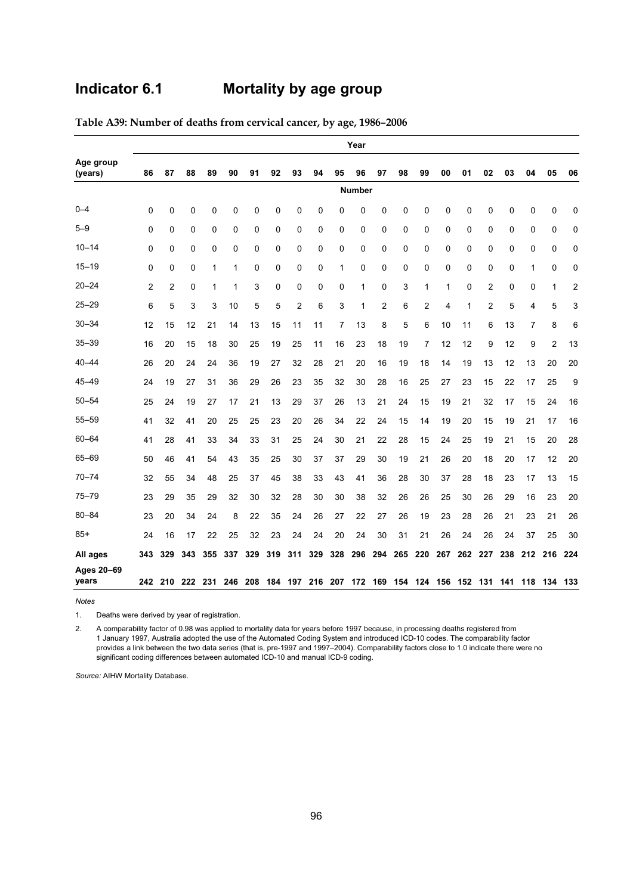# **Indicator 6.1 Mortality by age group**

|                      |     | Year         |                         |     |     |     |     |     |                                                         |     |               |     |     |     |             |          |              |     |    |                |     |
|----------------------|-----|--------------|-------------------------|-----|-----|-----|-----|-----|---------------------------------------------------------|-----|---------------|-----|-----|-----|-------------|----------|--------------|-----|----|----------------|-----|
| Age group<br>(years) | 86  | 87           | 88                      | 89  | 90  | 91  | 92  | 93  | 94                                                      | 95  | 96            | 97  | 98  | 99  | 00          | 01       | 02           | 03  | 04 | 05             | 06  |
|                      |     |              |                         |     |     |     |     |     |                                                         |     | <b>Number</b> |     |     |     |             |          |              |     |    |                |     |
| $0 - 4$              | 0   | 0            | 0                       | 0   | 0   | 0   | 0   | 0   | 0                                                       | 0   | 0             | 0   | 0   | 0   | 0           | 0        | 0            | 0   | 0  | 0              | 0   |
| $5 - 9$              | 0   | 0            | 0                       | 0   | 0   | 0   | 0   | 0   | 0                                                       | 0   | 0             | 0   | 0   | 0   | 0           | 0        | 0            | 0   | 0  | 0              | 0   |
| $10 - 14$            | 0   | 0            | $\mathbf 0$             | 0   | 0   | 0   | 0   | 0   | $\mathbf 0$                                             | 0   | $\mathbf 0$   | 0   | 0   | 0   | $\mathbf 0$ | 0        | 0            | 0   | 0  | 0              | 0   |
| $15 - 19$            | 0   | $\mathbf{0}$ | $\Omega$                | 1   | 1   | 0   | 0   | 0   | $\mathbf 0$                                             | 1   | 0             | 0   | 0   | 0   | $\Omega$    | $\Omega$ | $\mathbf{0}$ | 0   | 1  | $\mathbf{0}$   | 0   |
| $20 - 24$            | 2   | 2            | 0                       | 1   | 1   | 3   | 0   | 0   | 0                                                       | 0   | 1             | 0   | 3   | 1   | 1           | 0        | 2            | 0   | 0  | 1              | 2   |
| $25 - 29$            | 6   | 5            | 3                       | 3   | 10  | 5   | 5   | 2   | 6                                                       | 3   | 1             | 2   | 6   | 2   | 4           | 1        | 2            | 5   | 4  | 5              | 3   |
| $30 - 34$            | 12  | 15           | 12                      | 21  | 14  | 13  | 15  | 11  | 11                                                      | 7   | 13            | 8   | 5   | 6   | 10          | 11       | 6            | 13  | 7  | 8              | 6   |
| 35–39                | 16  | 20           | 15                      | 18  | 30  | 25  | 19  | 25  | 11                                                      | 16  | 23            | 18  | 19  | 7   | 12          | 12       | 9            | 12  | 9  | $\overline{2}$ | 13  |
| $40 - 44$            | 26  | 20           | 24                      | 24  | 36  | 19  | 27  | 32  | 28                                                      | 21  | 20            | 16  | 19  | 18  | 14          | 19       | 13           | 12  | 13 | 20             | 20  |
| 45-49                | 24  | 19           | 27                      | 31  | 36  | 29  | 26  | 23  | 35                                                      | 32  | 30            | 28  | 16  | 25  | 27          | 23       | 15           | 22  | 17 | 25             | 9   |
| $50 - 54$            | 25  | 24           | 19                      | 27  | 17  | 21  | 13  | 29  | 37                                                      | 26  | 13            | 21  | 24  | 15  | 19          | 21       | 32           | 17  | 15 | 24             | 16  |
| $55 - 59$            | 41  | 32           | 41                      | 20  | 25  | 25  | 23  | 20  | 26                                                      | 34  | 22            | 24  | 15  | 14  | 19          | 20       | 15           | 19  | 21 | 17             | 16  |
| $60 - 64$            | 41  | 28           | 41                      | 33  | 34  | 33  | 31  | 25  | 24                                                      | 30  | 21            | 22  | 28  | 15  | 24          | 25       | 19           | 21  | 15 | 20             | 28  |
| 65-69                | 50  | 46           | 41                      | 54  | 43  | 35  | 25  | 30  | 37                                                      | 37  | 29            | 30  | 19  | 21  | 26          | 20       | 18           | 20  | 17 | 12             | 20  |
| $70 - 74$            | 32  | 55           | 34                      | 48  | 25  | 37  | 45  | 38  | 33                                                      | 43  | 41            | 36  | 28  | 30  | 37          | 28       | 18           | 23  | 17 | 13             | 15  |
| 75-79                | 23  | 29           | 35                      | 29  | 32  | 30  | 32  | 28  | 30                                                      | 30  | 38            | 32  | 26  | 26  | 25          | 30       | 26           | 29  | 16 | 23             | 20  |
| $80 - 84$            | 23  | 20           | 34                      | 24  | 8   | 22  | 35  | 24  | 26                                                      | 27  | 22            | 27  | 26  | 19  | 23          | 28       | 26           | 21  | 23 | 21             | 26  |
| $85+$                | 24  | 16           | 17                      | 22  | 25  | 32  | 23  | 24  | 24                                                      | 20  | 24            | 30  | 31  | 21  | 26          | 24       | 26           | 24  | 37 | 25             | 30  |
| All ages             | 343 | 329          | 343                     | 355 | 337 | 329 | 319 | 311 | 329                                                     | 328 | 296           | 294 | 265 | 220 | 267         |          | 262 227      | 238 |    | 212 216        | 224 |
| Ages 20-69<br>years  |     |              | 242 210 222 231 246 208 |     |     |     |     |     | 184 197 216 207 172 169 154 124 156 152 131 141 118 134 |     |               |     |     |     |             |          |              |     |    |                | 133 |

**Table A39: Number of deaths from cervical cancer, by age, 1986–2006** 

*Notes*  Deaths were derived by year of registration.

2. A comparability factor of 0.98 was applied to mortality data for years before 1997 because, in processing deaths registered from 1 January 1997, Australia adopted the use of the Automated Coding System and introduced ICD-10 codes. The comparability factor provides a link between the two data series (that is, pre-1997 and 1997–2004). Comparability factors close to 1.0 indicate there were no significant coding differences between automated ICD-10 and manual ICD-9 coding.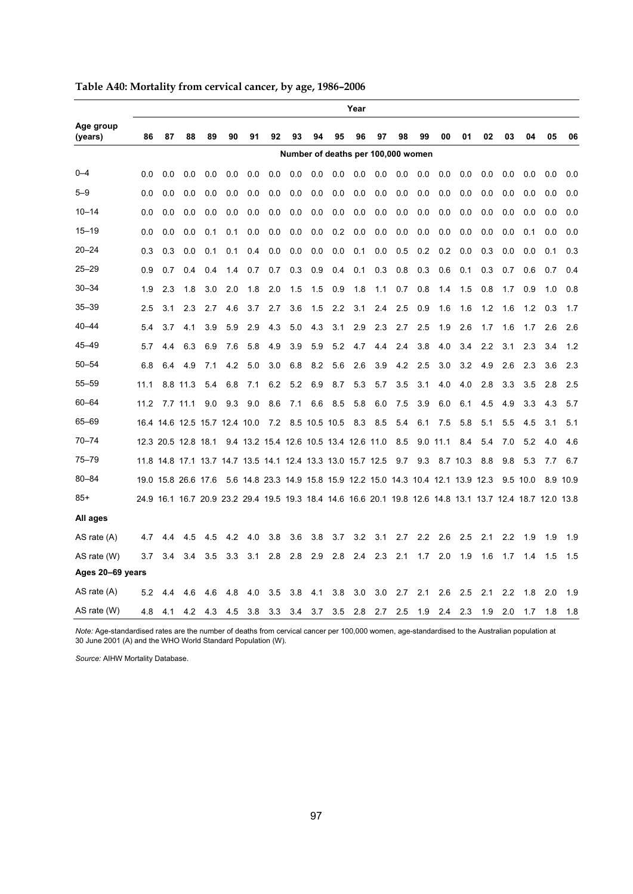|                      | Year |     |                     |     |                               |     |                                                                 |     |     |                                    |     |     |     |     |            |          |     |     |                                                                                                          |     |      |
|----------------------|------|-----|---------------------|-----|-------------------------------|-----|-----------------------------------------------------------------|-----|-----|------------------------------------|-----|-----|-----|-----|------------|----------|-----|-----|----------------------------------------------------------------------------------------------------------|-----|------|
| Age group<br>(years) | 86   | 87  | 88                  | 89  | 90                            | 91  | 92                                                              | 93  | 94  | 95                                 | 96  | 97  | 98  | 99  | 00         | 01       | 02  | 03  | 04                                                                                                       | 05  | 06   |
|                      |      |     |                     |     |                               |     |                                                                 |     |     | Number of deaths per 100,000 women |     |     |     |     |            |          |     |     |                                                                                                          |     |      |
| $0 - 4$              | 0.0  | 0.0 | 0.0                 | 0.0 | 0.0                           | 0.0 | 0.0                                                             | 0.0 | 0.0 | 0.0                                | 0.0 | 0.0 | 0.0 | 0.0 | 0.0        | 0.0      | 0.0 | 0.0 | 0.0                                                                                                      | 0.0 | 0.0  |
| $5 - 9$              | 0.0  | 0.0 | 0.0                 | 0.0 | 0.0                           | 0.0 | 0.0                                                             | 0.0 | 0.0 | 0.0                                | 0.0 | 0.0 | 0.0 | 0.0 | 0.0        | 0.0      | 0.0 | 0.0 | 0.0                                                                                                      | 0.0 | 0.0  |
| $10 - 14$            | 0.0  | 0.0 | 0.0                 | 0.0 | 0.0                           | 0.0 | 0.0                                                             | 0.0 | 0.0 | 0.0                                | 0.0 | 0.0 | 0.0 | 0.0 | 0.0        | 0.0      | 0.0 | 0.0 | 0.0                                                                                                      | 0.0 | 0.0  |
| $15 - 19$            | 0.0  | 0.0 | 0.0                 | 0.1 | 0.1                           | 0.0 | 0.0                                                             | 0.0 | 0.0 | 0.2                                | 0.0 | 0.0 | 0.0 | 0.0 | 0.0        | 0.0      | 0.0 | 0.0 | 0.1                                                                                                      | 0.0 | 0.0  |
| $20 - 24$            | 0.3  | 0.3 | 0.0                 | 0.1 | 0.1                           | 0.4 | 0.0                                                             | 0.0 | 0.0 | 0.0                                | 0.1 | 0.0 | 0.5 | 0.2 | 0.2        | 0.0      | 0.3 | 0.0 | 0.0                                                                                                      | 0.1 | 0.3  |
| $25 - 29$            | 0.9  | 0.7 | 0.4                 | 0.4 | 1.4                           | 0.7 | 0.7                                                             | 0.3 | 0.9 | 0.4                                | 0.1 | 0.3 | 0.8 | 0.3 | 0.6        | 0.1      | 0.3 | 0.7 | 0.6                                                                                                      | 0.7 | 0.4  |
| $30 - 34$            | 1.9  | 2.3 | 1.8                 | 3.0 | 2.0                           | 1.8 | 2.0                                                             | 1.5 | 1.5 | 0.9                                | 1.8 | 1.1 | 0.7 | 0.8 | 1.4        | 1.5      | 0.8 | 1.7 | 0.9                                                                                                      | 1.0 | 0.8  |
| $35 - 39$            | 2.5  | 3.1 | 2.3                 | 2.7 | 4.6                           | 3.7 | 2.7                                                             | 3.6 | 1.5 | 2.2                                | 3.1 | 2.4 | 2.5 | 0.9 | 1.6        | 1.6      | 1.2 | 1.6 | 1.2                                                                                                      | 0.3 | 1.7  |
| $40 - 44$            | 5.4  | 3.7 | 4.1                 | 3.9 | 5.9                           | 2.9 | 4.3                                                             | 5.0 | 4.3 | 3.1                                | 2.9 | 2.3 | 2.7 | 2.5 | 1.9        | 2.6      | 1.7 | 1.6 | 1.7                                                                                                      | 2.6 | 2.6  |
| 45-49                | 5.7  | 4.4 | 6.3                 | 6.9 | 7.6                           | 5.8 | 4.9                                                             | 3.9 | 5.9 | 5.2                                | 4.7 | 4.4 | 2.4 | 3.8 | 4.0        | 3.4      | 2.2 | 3.1 | 2.3                                                                                                      | 3.4 | 1.2  |
| $50 - 54$            | 6.8  | 6.4 | 4.9                 | 7.1 | 4.2                           | 5.0 | 3.0                                                             | 6.8 | 8.2 | 5.6                                | 2.6 | 3.9 | 4.2 | 2.5 | 3.0        | 3.2      | 4.9 | 2.6 | 2.3                                                                                                      | 3.6 | 2.3  |
| $55 - 59$            | 11.1 |     | 8.8 11.3            | 5.4 | 6.8                           | 7.1 | 6.2                                                             | 5.2 | 6.9 | 8.7                                | 5.3 | 5.7 | 3.5 | 3.1 | 4.0        | 4.0      | 2.8 | 3.3 | 3.5                                                                                                      | 2.8 | 2.5  |
| 60-64                | 11.2 |     | 7.7 11.1            | 9.0 | 9.3                           | 9.0 | 8.6                                                             | 7.1 | 6.6 | 8.5                                | 5.8 | 6.0 | 7.5 | 3.9 | 6.0        | 6.1      | 4.5 | 4.9 | 3.3                                                                                                      | 4.3 | 5.7  |
| 65-69                |      |     |                     |     | 16.4 14.6 12.5 15.7 12.4 10.0 |     |                                                                 |     |     | 7.2 8.5 10.5 10.5                  | 8.3 | 8.5 | 5.4 | 6.1 | 7.5        | 5.8      | 5.1 | 5.5 | 4.5                                                                                                      | 3.1 | 5.1  |
| 70-74                |      |     | 12.3 20.5 12.8 18.1 |     |                               |     | 9.4 13.2 15.4 12.6 10.5 13.4 12.6 11.0                          |     |     |                                    |     |     | 8.5 |     | $9.0$ 11.1 | 8.4      | 5.4 | 7.0 | 5.2                                                                                                      | 4.0 | 4.6  |
| $75 - 79$            |      |     |                     |     |                               |     | 11.8 14.8 17.1 13.7 14.7 13.5 14.1 12.4 13.3 13.0 15.7 12.5     |     |     |                                    |     |     | 9.7 | 9.3 |            | 8.7 10.3 | 8.8 | 9.8 | 5.3                                                                                                      | 7.7 | 6.7  |
| $80 - 84$            |      |     | 19.0 15.8 26.6 17.6 |     |                               |     | 5.6 14.8 23.3 14.9 15.8 15.9 12.2 15.0 14.3 10.4 12.1 13.9 12.3 |     |     |                                    |     |     |     |     |            |          |     |     | 9.5 10.0                                                                                                 | 8.9 | 10.9 |
| $85+$                |      |     |                     |     |                               |     |                                                                 |     |     |                                    |     |     |     |     |            |          |     |     | 24.9 16.1 16.7 20.9 23.2 29.4 19.5 19.3 18.4 14.6 16.6 20.1 19.8 12.6 14.8 13.1 13.7 12.4 18.7 12.0 13.8 |     |      |
| All ages             |      |     |                     |     |                               |     |                                                                 |     |     |                                    |     |     |     |     |            |          |     |     |                                                                                                          |     |      |
| AS rate $(A)$        | 4.7  | 4.4 | 4.5                 | 4.5 | 4.2                           | 4.0 | 3.8                                                             | 3.6 | 3.8 | 3.7                                | 3.2 | 3.1 | 2.7 | 2.2 | 2.6        | 2.5      | 2.1 | 2.2 | 1.9                                                                                                      | 1.9 | 1.9  |
| AS rate (W)          | 3.7  | 3.4 | 3.4                 | 3.5 | 3.3                           | 3.1 | 2.8                                                             | 2.8 | 2.9 | 2.8                                | 2.4 | 2.3 | 2.1 | 1.7 | 2.0        | 1.9      | 1.6 | 1.7 | 1.4                                                                                                      | 1.5 | 1.5  |
| Ages 20-69 years     |      |     |                     |     |                               |     |                                                                 |     |     |                                    |     |     |     |     |            |          |     |     |                                                                                                          |     |      |
| AS rate (A)          | 5.2  | 4.4 | 4.6                 | 4.6 | 4.8                           | 4.0 | 3.5                                                             | 3.8 | 4.1 | 3.8                                | 3.0 | 3.0 | 2.7 | 2.1 | 2.6        | 2.5      | 2.1 | 2.2 | 1.8                                                                                                      | 2.0 | 1.9  |
| AS rate (W)          | 4.8  | 4.1 | 4.2                 | 4.3 | 4.5                           | 3.8 | 3.3                                                             | 3.4 | 3.7 | 3.5                                | 2.8 | 2.7 | 2.5 | 1.9 | 2.4        | 2.3      | 1.9 | 2.0 | 1.7                                                                                                      | 1.8 | 1.8  |

**Table A40: Mortality from cervical cancer, by age, 1986–2006** 

*Note:* Age-standardised rates are the number of deaths from cervical cancer per 100,000 women, age-standardised to the Australian population at<br>30 June 2001 (A) and the WHO World Standard Population (W).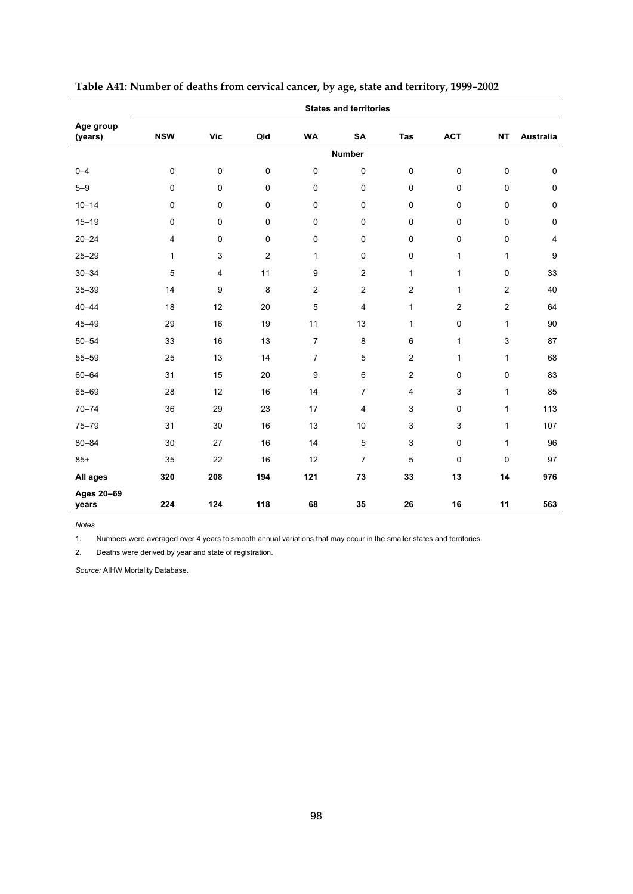|                      | <b>States and territories</b> |     |                |                  |                |                |                |                |                         |  |  |  |
|----------------------|-------------------------------|-----|----------------|------------------|----------------|----------------|----------------|----------------|-------------------------|--|--|--|
| Age group<br>(years) | <b>NSW</b>                    | Vic | Qld            | <b>WA</b>        | <b>SA</b>      | Tas            | <b>ACT</b>     | <b>NT</b>      | Australia               |  |  |  |
|                      |                               |     |                |                  | <b>Number</b>  |                |                |                |                         |  |  |  |
| $0 - 4$              | $\mathbf 0$                   | 0   | 0              | $\pmb{0}$        | $\mathbf 0$    | $\pmb{0}$      | $\pmb{0}$      | 0              | $\pmb{0}$               |  |  |  |
| $5 - 9$              | $\mathbf 0$                   | 0   | 0              | $\mathbf 0$      | $\mathbf 0$    | $\mathbf 0$    | $\mathbf 0$    | 0              | $\pmb{0}$               |  |  |  |
| $10 - 14$            | 0                             | 0   | 0              | $\mathbf 0$      | $\mathbf 0$    | $\mathbf 0$    | $\mathbf 0$    | 0              | $\pmb{0}$               |  |  |  |
| $15 - 19$            | 0                             | 0   | 0              | $\mathbf 0$      | $\mathbf 0$    | $\mathbf 0$    | $\mathbf 0$    | 0              | $\pmb{0}$               |  |  |  |
| $20 - 24$            | 4                             | 0   | 0              | $\pmb{0}$        | $\mathbf 0$    | $\pmb{0}$      | $\pmb{0}$      | 0              | $\overline{\mathbf{4}}$ |  |  |  |
| $25 - 29$            | $\mathbf{1}$                  | 3   | $\overline{c}$ | $\mathbf{1}$     | $\pmb{0}$      | $\pmb{0}$      | $\mathbf{1}$   | 1              | 9                       |  |  |  |
| $30 - 34$            | 5                             | 4   | 11             | 9                | $\overline{2}$ | $\mathbf{1}$   | $\mathbf{1}$   | 0              | 33                      |  |  |  |
| $35 - 39$            | 14                            | 9   | 8              | $\overline{c}$   | $\overline{2}$ | $\overline{2}$ | $\mathbf{1}$   | $\overline{2}$ | 40                      |  |  |  |
| $40 - 44$            | 18                            | 12  | 20             | 5                | $\overline{4}$ | $\mathbf{1}$   | $\overline{2}$ | $\overline{c}$ | 64                      |  |  |  |
| $45 - 49$            | 29                            | 16  | 19             | 11               | 13             | $\mathbf{1}$   | $\mathbf 0$    | $\mathbf{1}$   | 90                      |  |  |  |
| $50 - 54$            | 33                            | 16  | 13             | $\overline{7}$   | 8              | 6              | $\mathbf{1}$   | 3              | 87                      |  |  |  |
| $55 - 59$            | 25                            | 13  | 14             | $\overline{7}$   | 5              | $\overline{c}$ | $\mathbf{1}$   | $\mathbf{1}$   | 68                      |  |  |  |
| $60 - 64$            | 31                            | 15  | 20             | $\boldsymbol{9}$ | 6              | $\overline{c}$ | 0              | 0              | 83                      |  |  |  |
| 65-69                | 28                            | 12  | 16             | 14               | $\overline{7}$ | $\overline{4}$ | 3              | $\mathbf{1}$   | 85                      |  |  |  |
| $70 - 74$            | 36                            | 29  | 23             | 17               | $\overline{4}$ | 3              | $\mathbf 0$    | 1              | 113                     |  |  |  |
| $75 - 79$            | 31                            | 30  | 16             | 13               | 10             | $\mathsf 3$    | 3              | 1              | 107                     |  |  |  |
| $80 - 84$            | 30                            | 27  | 16             | 14               | 5              | $\mathsf 3$    | $\mathsf 0$    | 1              | 96                      |  |  |  |
| $85+$                | 35                            | 22  | 16             | 12               | $\overline{7}$ | 5              | 0              | 0              | 97                      |  |  |  |
| All ages             | 320                           | 208 | 194            | 121              | 73             | 33             | 13             | 14             | 976                     |  |  |  |
| Ages 20-69<br>years  | 224                           | 124 | 118            | 68               | 35             | 26             | 16             | 11             | 563                     |  |  |  |

**Table A41: Number of deaths from cervical cancer, by age, state and territory, 1999–2002** 

*Notes*  1. Numbers were averaged over 4 years to smooth annual variations that may occur in the smaller states and territories.

2. Deaths were derived by year and state of registration.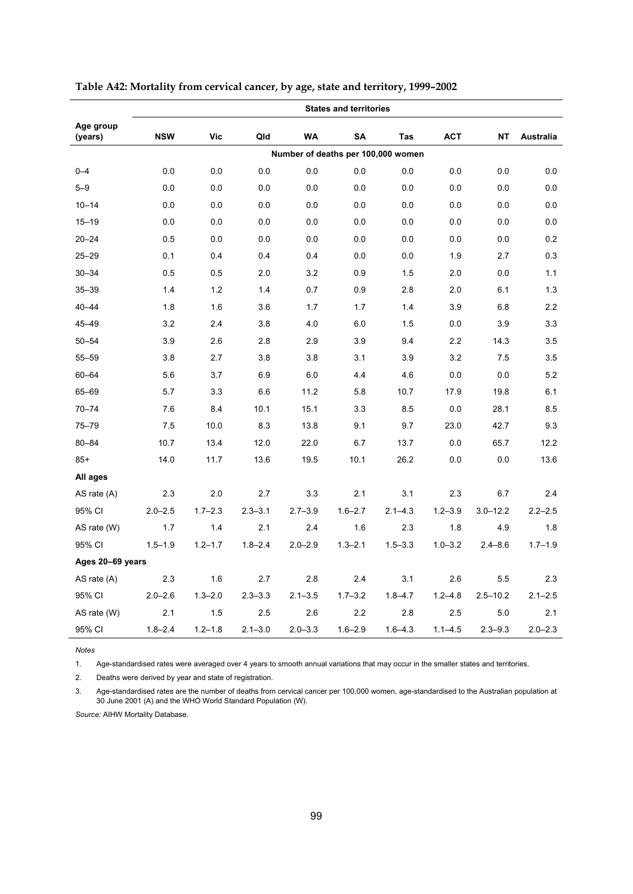|                      | <b>States and territories</b> |             |             |             |             |                                    |             |              |                  |  |  |  |  |
|----------------------|-------------------------------|-------------|-------------|-------------|-------------|------------------------------------|-------------|--------------|------------------|--|--|--|--|
| Age group<br>(years) | <b>NSW</b>                    | Vic         | Qld         | <b>WA</b>   | <b>SA</b>   | Tas                                | <b>ACT</b>  | <b>NT</b>    | <b>Australia</b> |  |  |  |  |
|                      |                               |             |             |             |             | Number of deaths per 100,000 women |             |              |                  |  |  |  |  |
| $0 - 4$              | 0.0                           | 0.0         | 0.0         | 0.0         | 0.0         | 0.0                                | 0.0         | 0.0          | 0.0              |  |  |  |  |
| $5 - 9$              | 0.0                           | 0.0         | 0.0         | 0.0         | 0.0         | 0.0                                | 0.0         | 0.0          | 0.0              |  |  |  |  |
| $10 - 14$            | 0.0                           | 0.0         | 0.0         | 0.0         | 0.0         | 0.0                                | 0.0         | 0.0          | 0.0              |  |  |  |  |
| $15 - 19$            | 0.0                           | 0.0         | 0.0         | 0.0         | 0.0         | 0.0                                | 0.0         | 0.0          | 0.0              |  |  |  |  |
| $20 - 24$            | 0.5                           | 0.0         | 0.0         | 0.0         | 0.0         | 0.0                                | 0.0         | 0.0          | 0.2              |  |  |  |  |
| $25 - 29$            | 0.1                           | 0.4         | 0.4         | 0.4         | 0.0         | 0.0                                | 1.9         | 2.7          | 0.3              |  |  |  |  |
| $30 - 34$            | 0.5                           | 0.5         | 2.0         | 3.2         | 0.9         | 1.5                                | 2.0         | 0.0          | 1.1              |  |  |  |  |
| $35 - 39$            | 1.4                           | 1.2         | 1.4         | 0.7         | 0.9         | 2.8                                | 2.0         | 6.1          | 1.3              |  |  |  |  |
| $40 - 44$            | 1.8                           | 1.6         | 3.6         | 1.7         | 1.7         | 1.4                                | 3.9         | 6.8          | 2.2              |  |  |  |  |
| $45 - 49$            | 3.2                           | 2.4         | 3.8         | 4.0         | 6.0         | 1.5                                | 0.0         | 3.9          | 3.3              |  |  |  |  |
| $50 - 54$            | 3.9                           | 2.6         | 2.8         | 2.9         | 3.9         | 9.4                                | 2.2         | 14.3         | 3.5              |  |  |  |  |
| $55 - 59$            | 3.8                           | 2.7         | 3.8         | 3.8         | 3.1         | 3.9                                | 3.2         | 7.5          | 3.5              |  |  |  |  |
| $60 - 64$            | 5.6                           | 3.7         | 6.9         | 6.0         | 4.4         | 4.6                                | 0.0         | 0.0          | 5.2              |  |  |  |  |
| 65-69                | 5.7                           | 3.3         | 6.6         | 11.2        | 5.8         | 10.7                               | 17.9        | 19.8         | 6.1              |  |  |  |  |
| $70 - 74$            | 7.6                           | 8.4         | 10.1        | 15.1        | 3.3         | 8.5                                | 0.0         | 28.1         | 8.5              |  |  |  |  |
| $75 - 79$            | 7.5                           | 10.0        | 8.3         | 13.8        | 9.1         | 9.7                                | 23.0        | 42.7         | 9.3              |  |  |  |  |
| $80 - 84$            | 10.7                          | 13.4        | 12.0        | 22.0        | 6.7         | 13.7                               | 0.0         | 65.7         | 12.2             |  |  |  |  |
| $85+$                | 14.0                          | 11.7        | 13.6        | 19.5        | 10.1        | 26.2                               | 0.0         | 0.0          | 13.6             |  |  |  |  |
| All ages             |                               |             |             |             |             |                                    |             |              |                  |  |  |  |  |
| AS rate $(A)$        | 2.3                           | 2.0         | 2.7         | 3.3         | 2.1         | 3.1                                | 2.3         | 6.7          | 2.4              |  |  |  |  |
| 95% CI               | $2.0 - 2.5$                   | $1.7 - 2.3$ | $2.3 - 3.1$ | $2.7 - 3.9$ | $1.6 - 2.7$ | $2.1 - 4.3$                        | $1.2 - 3.9$ | $3.0 - 12.2$ | $2.2 - 2.5$      |  |  |  |  |
| AS rate (W)          | 1.7                           | 1.4         | 2.1         | 2.4         | 1.6         | 2.3                                | 1.8         | 4.9          | 1.8              |  |  |  |  |
| 95% CI               | $1.5 - 1.9$                   | $1.2 - 1.7$ | $1.8 - 2.4$ | $2.0 - 2.9$ | $1.3 - 2.1$ | $1.5 - 3.3$                        | $1.0 - 3.2$ | $2.4 - 8.6$  | $1.7 - 1.9$      |  |  |  |  |
| Ages 20-69 years     |                               |             |             |             |             |                                    |             |              |                  |  |  |  |  |
| AS rate $(A)$        | 2.3                           | 1.6         | 2.7         | 2.8         | 2.4         | 3.1                                | 2.6         | 5.5          | 2.3              |  |  |  |  |
| 95% CI               | $2.0 - 2.6$                   | $1.3 - 2.0$ | $2.3 - 3.3$ | $2.1 - 3.5$ | $1.7 - 3.2$ | $1.8 - 4.7$                        | $1.2 - 4.8$ | $2.5 - 10.2$ | $2.1 - 2.5$      |  |  |  |  |
| AS rate (W)          | 2.1                           | 1.5         | 2.5         | 2.6         | 2.2         | 2.8                                | 2.5         | 5.0          | 2.1              |  |  |  |  |
| 95% CI               | $1.8 - 2.4$                   | $1.2 - 1.8$ | $2.1 - 3.0$ | $2.0 - 3.3$ | $1.6 - 2.9$ | $1.6 - 4.3$                        | $1.1 - 4.5$ | $2.3 - 9.3$  | $2.0 - 2.3$      |  |  |  |  |

**Table A42: Mortality from cervical cancer, by age, state and territory, 1999–2002** 

*Notes*

Age-standardised rates were averaged over 4 years to smooth annual variations that may occur in the smaller states and territories.

2. Deaths were derived by year and state of registration.

3. Age-standardised rates are the number of deaths from cervical cancer per 100,000 women, age-standardised to the Australian population at 30 June 2001 (A) and the WHO World Standard Population (W).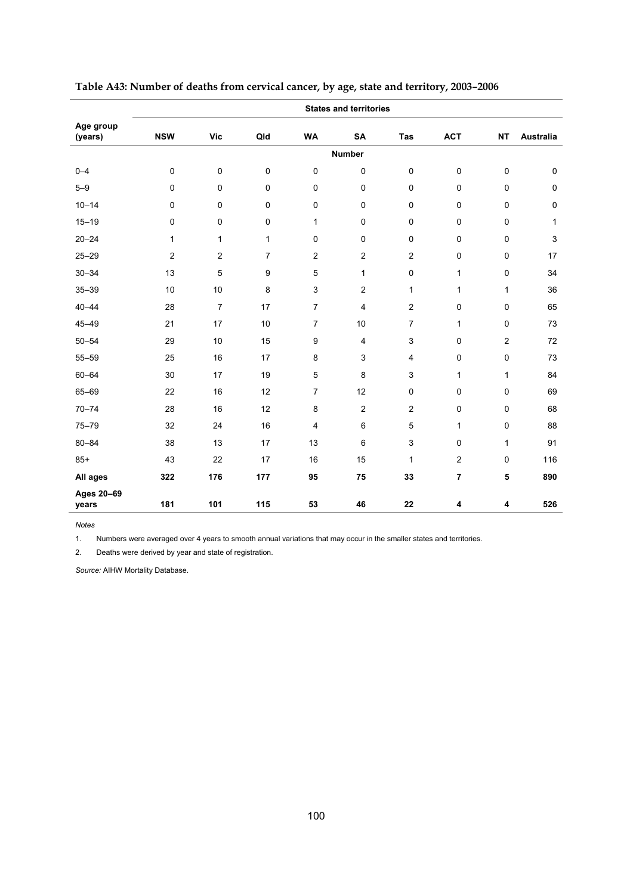|                      | <b>States and territories</b> |                |                |                  |                         |                         |                |                |              |  |  |  |
|----------------------|-------------------------------|----------------|----------------|------------------|-------------------------|-------------------------|----------------|----------------|--------------|--|--|--|
| Age group<br>(years) | <b>NSW</b>                    | Vic            | Qld            | <b>WA</b>        | <b>SA</b>               | Tas                     | <b>ACT</b>     | <b>NT</b>      | Australia    |  |  |  |
|                      |                               |                |                |                  | <b>Number</b>           |                         |                |                |              |  |  |  |
| $0 - 4$              | $\mathbf 0$                   | 0              | 0              | $\pmb{0}$        | $\mathbf 0$             | $\pmb{0}$               | $\pmb{0}$      | 0              | $\pmb{0}$    |  |  |  |
| $5 - 9$              | 0                             | 0              | 0              | $\mathbf 0$      | $\mathbf 0$             | $\mathbf 0$             | $\mathbf 0$    | 0              | $\pmb{0}$    |  |  |  |
| $10 - 14$            | 0                             | 0              | 0              | $\pmb{0}$        | $\mathbf 0$             | $\mathbf 0$             | $\mathbf 0$    | 0              | $\pmb{0}$    |  |  |  |
| $15 - 19$            | 0                             | 0              | 0              | $\mathbf{1}$     | $\mathbf 0$             | $\mathbf 0$             | $\mathbf 0$    | 0              | $\mathbf{1}$ |  |  |  |
| $20 - 24$            | $\mathbf{1}$                  | 1              | $\mathbf{1}$   | $\pmb{0}$        | $\mathbf 0$             | $\pmb{0}$               | $\pmb{0}$      | 0              | 3            |  |  |  |
| $25 - 29$            | $\overline{2}$                | $\overline{c}$ | $\overline{7}$ | $\overline{2}$   | $\overline{c}$          | $\overline{c}$          | $\pmb{0}$      | 0              | 17           |  |  |  |
| $30 - 34$            | 13                            | 5              | 9              | 5                | 1                       | $\mathsf 0$             | $\mathbf{1}$   | 0              | 34           |  |  |  |
| $35 - 39$            | 10                            | 10             | 8              | $\mathsf 3$      | $\overline{2}$          | $\mathbf{1}$            | $\mathbf{1}$   | 1              | 36           |  |  |  |
| $40 - 44$            | 28                            | $\overline{7}$ | 17             | $\overline{7}$   | $\overline{4}$          | $\overline{2}$          | $\mathbf 0$    | 0              | 65           |  |  |  |
| $45 - 49$            | 21                            | 17             | 10             | $\overline{7}$   | 10                      | $\overline{7}$          | $\mathbf{1}$   | 0              | 73           |  |  |  |
| $50 - 54$            | 29                            | 10             | 15             | $\boldsymbol{9}$ | $\overline{\mathbf{4}}$ | $\mathsf 3$             | $\pmb{0}$      | $\overline{c}$ | 72           |  |  |  |
| $55 - 59$            | 25                            | 16             | 17             | 8                | 3                       | $\overline{\mathbf{4}}$ | $\mathbf 0$    | 0              | 73           |  |  |  |
| $60 - 64$            | 30                            | 17             | 19             | 5                | 8                       | 3                       | $\mathbf{1}$   | 1              | 84           |  |  |  |
| 65-69                | 22                            | 16             | 12             | $\overline{7}$   | 12                      | $\mathbf 0$             | $\mathbf 0$    | 0              | 69           |  |  |  |
| $70 - 74$            | 28                            | 16             | 12             | 8                | $\overline{2}$          | $\overline{c}$          | $\mathbf 0$    | 0              | 68           |  |  |  |
| $75 - 79$            | 32                            | 24             | 16             | 4                | 6                       | 5                       | $\mathbf{1}$   | 0              | 88           |  |  |  |
| $80 - 84$            | 38                            | 13             | 17             | 13               | 6                       | $\mathsf 3$             | $\mathbf 0$    | 1              | 91           |  |  |  |
| $85+$                | 43                            | 22             | 17             | 16               | 15                      | $\mathbf{1}$            | 2              | 0              | 116          |  |  |  |
| All ages             | 322                           | 176            | 177            | 95               | 75                      | 33                      | $\overline{7}$ | 5              | 890          |  |  |  |
| Ages 20-69<br>years  | 181                           | 101            | 115            | 53               | 46                      | 22                      | 4              | 4              | 526          |  |  |  |

**Table A43: Number of deaths from cervical cancer, by age, state and territory, 2003–2006** 

*Notes*  1. Numbers were averaged over 4 years to smooth annual variations that may occur in the smaller states and territories.

2. Deaths were derived by year and state of registration.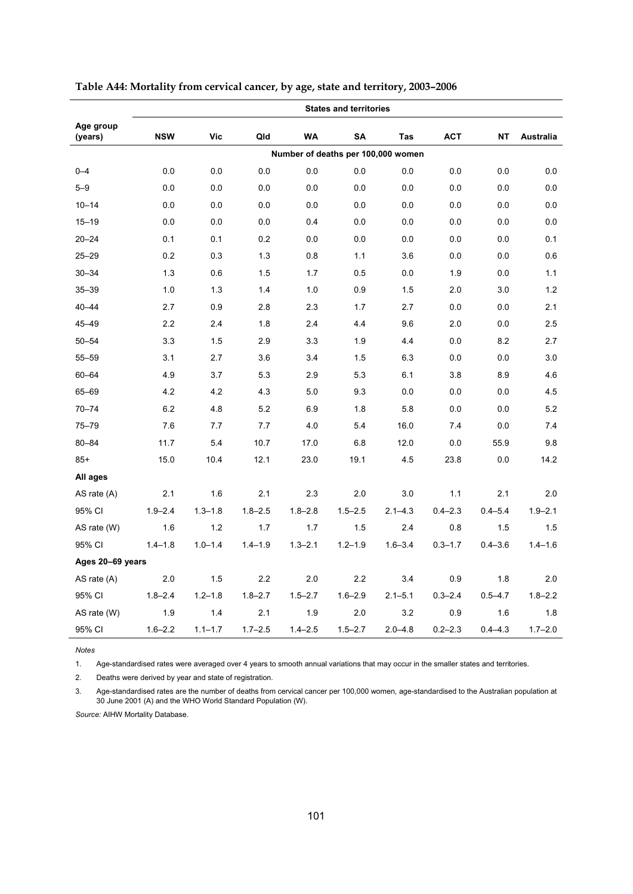|                      | <b>States and territories</b> |             |             |             |             |                                    |             |             |                  |
|----------------------|-------------------------------|-------------|-------------|-------------|-------------|------------------------------------|-------------|-------------|------------------|
| Age group<br>(years) | <b>NSW</b>                    | Vic         | Qld         | <b>WA</b>   | <b>SA</b>   | Tas                                | <b>ACT</b>  | <b>NT</b>   | <b>Australia</b> |
|                      |                               |             |             |             |             | Number of deaths per 100,000 women |             |             |                  |
| $0 - 4$              | 0.0                           | 0.0         | 0.0         | 0.0         | 0.0         | 0.0                                | 0.0         | 0.0         | 0.0              |
| $5 - 9$              | 0.0                           | 0.0         | 0.0         | 0.0         | 0.0         | 0.0                                | 0.0         | 0.0         | 0.0              |
| $10 - 14$            | 0.0                           | 0.0         | 0.0         | 0.0         | 0.0         | 0.0                                | 0.0         | 0.0         | 0.0              |
| $15 - 19$            | 0.0                           | 0.0         | 0.0         | 0.4         | 0.0         | 0.0                                | 0.0         | 0.0         | 0.0              |
| $20 - 24$            | 0.1                           | 0.1         | 0.2         | 0.0         | 0.0         | 0.0                                | 0.0         | 0.0         | 0.1              |
| $25 - 29$            | 0.2                           | 0.3         | 1.3         | 0.8         | 1.1         | 3.6                                | 0.0         | 0.0         | 0.6              |
| $30 - 34$            | 1.3                           | 0.6         | 1.5         | 1.7         | 0.5         | 0.0                                | 1.9         | 0.0         | 1.1              |
| $35 - 39$            | 1.0                           | 1.3         | 1.4         | 1.0         | 0.9         | 1.5                                | 2.0         | 3.0         | 1.2              |
| $40 - 44$            | 2.7                           | 0.9         | 2.8         | 2.3         | 1.7         | 2.7                                | 0.0         | 0.0         | 2.1              |
| $45 - 49$            | 2.2                           | 2.4         | 1.8         | 2.4         | 4.4         | 9.6                                | 2.0         | 0.0         | 2.5              |
| $50 - 54$            | 3.3                           | 1.5         | 2.9         | 3.3         | 1.9         | 4.4                                | 0.0         | 8.2         | 2.7              |
| $55 - 59$            | 3.1                           | 2.7         | 3.6         | 3.4         | 1.5         | 6.3                                | 0.0         | 0.0         | 3.0              |
| $60 - 64$            | 4.9                           | 3.7         | 5.3         | 2.9         | 5.3         | 6.1                                | 3.8         | 8.9         | 4.6              |
| 65-69                | 4.2                           | 4.2         | 4.3         | 5.0         | 9.3         | 0.0                                | 0.0         | 0.0         | 4.5              |
| $70 - 74$            | 6.2                           | 4.8         | 5.2         | 6.9         | 1.8         | 5.8                                | 0.0         | 0.0         | 5.2              |
| $75 - 79$            | 7.6                           | 7.7         | 7.7         | 4.0         | 5.4         | 16.0                               | 7.4         | 0.0         | 7.4              |
| $80 - 84$            | 11.7                          | 5.4         | 10.7        | 17.0        | 6.8         | 12.0                               | 0.0         | 55.9        | 9.8              |
| $85+$                | 15.0                          | 10.4        | 12.1        | 23.0        | 19.1        | 4.5                                | 23.8        | 0.0         | 14.2             |
| All ages             |                               |             |             |             |             |                                    |             |             |                  |
| AS rate $(A)$        | 2.1                           | 1.6         | 2.1         | 2.3         | 2.0         | 3.0                                | 1.1         | 2.1         | 2.0              |
| 95% CI               | $1.9 - 2.4$                   | $1.3 - 1.8$ | $1.8 - 2.5$ | $1.8 - 2.8$ | $1.5 - 2.5$ | $2.1 - 4.3$                        | $0.4 - 2.3$ | $0.4 - 5.4$ | $1.9 - 2.1$      |
| AS rate (W)          | 1.6                           | 1.2         | 1.7         | 1.7         | 1.5         | 2.4                                | 0.8         | 1.5         | 1.5              |
| 95% CI               | $1.4 - 1.8$                   | $1.0 - 1.4$ | $1.4 - 1.9$ | $1.3 - 2.1$ | $1.2 - 1.9$ | $1.6 - 3.4$                        | $0.3 - 1.7$ | $0.4 - 3.6$ | $1.4 - 1.6$      |
| Ages 20-69 years     |                               |             |             |             |             |                                    |             |             |                  |
| AS rate $(A)$        | 2.0                           | 1.5         | 2.2         | 2.0         | 2.2         | 3.4                                | 0.9         | 1.8         | 2.0              |
| 95% CI               | $1.8 - 2.4$                   | $1.2 - 1.8$ | $1.8 - 2.7$ | $1.5 - 2.7$ | $1.6 - 2.9$ | $2.1 - 5.1$                        | $0.3 - 2.4$ | $0.5 - 4.7$ | $1.8 - 2.2$      |
| AS rate (W)          | 1.9                           | 1.4         | 2.1         | 1.9         | $2.0\,$     | 3.2                                | 0.9         | 1.6         | 1.8              |
| 95% CI               | $1.6 - 2.2$                   | $1.1 - 1.7$ | $1.7 - 2.5$ | $1.4 - 2.5$ | $1.5 - 2.7$ | $2.0 - 4.8$                        | $0.2 - 2.3$ | $0.4 - 4.3$ | $1.7 - 2.0$      |

#### **Table A44: Mortality from cervical cancer, by age, state and territory, 2003–2006**

*Notes*

Age-standardised rates were averaged over 4 years to smooth annual variations that may occur in the smaller states and territories.

2. Deaths were derived by year and state of registration.

3. Age-standardised rates are the number of deaths from cervical cancer per 100,000 women, age-standardised to the Australian population at 30 June 2001 (A) and the WHO World Standard Population (W).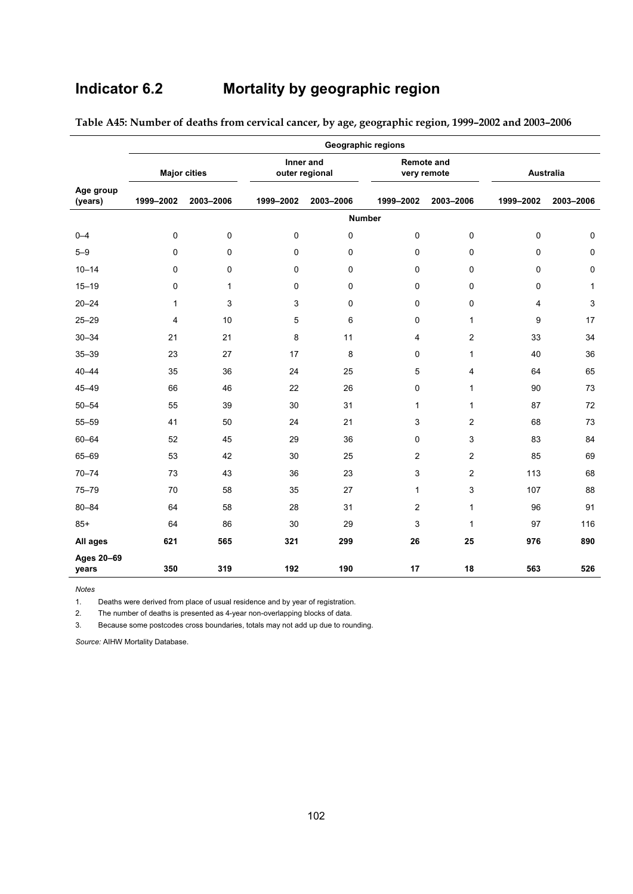# **Indicator 6.2 Mortality by geographic region**

|                      | <b>Geographic regions</b> |             |             |                             |                                  |                         |                  |              |
|----------------------|---------------------------|-------------|-------------|-----------------------------|----------------------------------|-------------------------|------------------|--------------|
|                      | <b>Major cities</b>       |             |             | Inner and<br>outer regional | <b>Remote and</b><br>very remote |                         | <b>Australia</b> |              |
| Age group<br>(years) | 1999-2002                 | 2003-2006   | 1999-2002   | 2003-2006                   | 1999-2002                        | 2003-2006               | 1999-2002        | 2003-2006    |
|                      |                           |             |             |                             | <b>Number</b>                    |                         |                  |              |
| $0 - 4$              | 0                         | $\mathbf 0$ | $\mathbf 0$ | 0                           | 0                                | 0                       | 0                | $\pmb{0}$    |
| $5 - 9$              | $\mathbf 0$               | $\mathbf 0$ | $\mathbf 0$ | 0                           | $\Omega$                         | 0                       | $\mathbf 0$      | $\pmb{0}$    |
| $10 - 14$            | $\mathbf 0$               | $\pmb{0}$   | 0           | 0                           | $\mathbf 0$                      | 0                       | 0                | $\pmb{0}$    |
| $15 - 19$            | 0                         | 1           | $\mathbf 0$ | 0                           | $\mathbf 0$                      | 0                       | 0                | $\mathbf{1}$ |
| $20 - 24$            | 1                         | 3           | 3           | 0                           | 0                                | 0                       | 4                | $\mathsf 3$  |
| $25 - 29$            | 4                         | 10          | 5           | 6                           | 0                                | $\mathbf{1}$            | 9                | 17           |
| $30 - 34$            | 21                        | 21          | 8           | 11                          | $\overline{4}$                   | $\overline{c}$          | 33               | 34           |
| $35 - 39$            | 23                        | 27          | 17          | 8                           | 0                                | 1                       | 40               | 36           |
| $40 - 44$            | 35                        | 36          | 24          | 25                          | 5                                | 4                       | 64               | 65           |
| $45 - 49$            | 66                        | 46          | 22          | 26                          | 0                                | $\mathbf{1}$            | 90               | 73           |
| $50 - 54$            | 55                        | 39          | 30          | 31                          | 1                                | 1                       | 87               | 72           |
| $55 - 59$            | 41                        | 50          | 24          | 21                          | 3                                | $\overline{\mathbf{c}}$ | 68               | 73           |
| $60 - 64$            | 52                        | 45          | 29          | 36                          | $\mathbf 0$                      | 3                       | 83               | 84           |
| 65-69                | 53                        | 42          | 30          | 25                          | $\sqrt{2}$                       | $\overline{\mathbf{c}}$ | 85               | 69           |
| $70 - 74$            | 73                        | 43          | 36          | 23                          | $\mathsf 3$                      | $\overline{\mathbf{c}}$ | 113              | 68           |
| $75 - 79$            | 70                        | 58          | 35          | 27                          | $\mathbf{1}$                     | 3                       | 107              | 88           |
| $80 - 84$            | 64                        | 58          | 28          | 31                          | $\overline{2}$                   | 1                       | 96               | 91           |
| $85+$                | 64                        | 86          | 30          | 29                          | 3                                | 1                       | 97               | 116          |
| All ages             | 621                       | 565         | 321         | 299                         | 26                               | 25                      | 976              | 890          |
| Ages 20-69<br>years  | 350                       | 319         | 192         | 190                         | 17                               | 18                      | 563              | 526          |

**Table A45: Number of deaths from cervical cancer, by age, geographic region, 1999–2002 and 2003–2006** 

*Notes*  Deaths were derived from place of usual residence and by year of registration.

2. The number of deaths is presented as 4-year non-overlapping blocks of data.

3. Because some postcodes cross boundaries, totals may not add up due to rounding.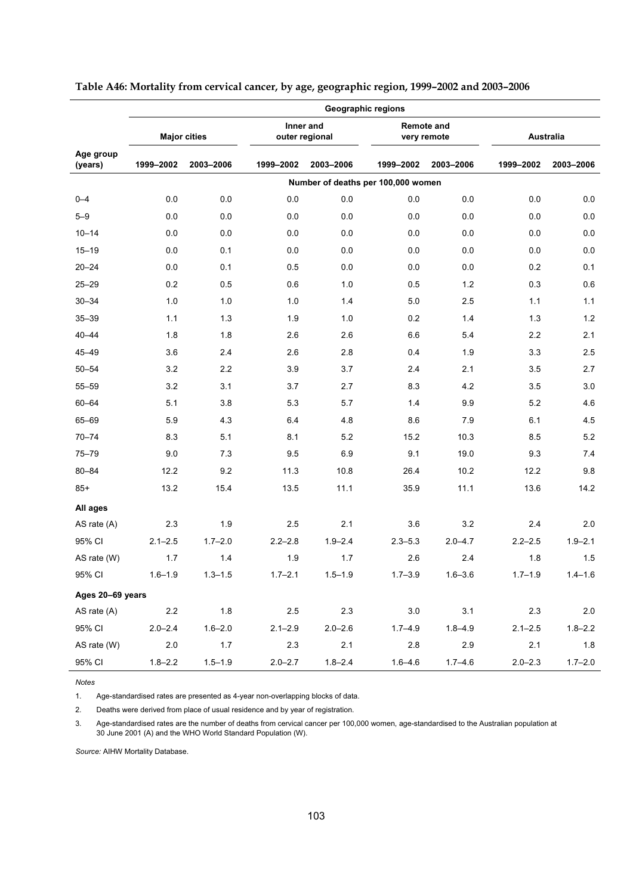|                      | Geographic regions |                     |             |                             |                                    |                                  |             |             |
|----------------------|--------------------|---------------------|-------------|-----------------------------|------------------------------------|----------------------------------|-------------|-------------|
|                      |                    | <b>Major cities</b> |             | Inner and<br>outer regional |                                    | <b>Remote and</b><br>very remote |             | Australia   |
| Age group<br>(years) | 1999-2002          | 2003-2006           | 1999-2002   | 2003-2006                   | 1999-2002                          | 2003-2006                        | 1999-2002   | 2003-2006   |
|                      |                    |                     |             |                             | Number of deaths per 100,000 women |                                  |             |             |
| $0 - 4$              | 0.0                | 0.0                 | 0.0         | 0.0                         | 0.0                                | 0.0                              | 0.0         | 0.0         |
| $5 - 9$              | 0.0                | 0.0                 | 0.0         | 0.0                         | 0.0                                | 0.0                              | 0.0         | $0.0\,$     |
| $10 - 14$            | 0.0                | 0.0                 | 0.0         | 0.0                         | 0.0                                | 0.0                              | 0.0         | 0.0         |
| $15 - 19$            | 0.0                | 0.1                 | 0.0         | 0.0                         | 0.0                                | 0.0                              | 0.0         | $0.0\,$     |
| $20 - 24$            | 0.0                | 0.1                 | 0.5         | 0.0                         | 0.0                                | 0.0                              | 0.2         | 0.1         |
| $25 - 29$            | 0.2                | 0.5                 | 0.6         | 1.0                         | 0.5                                | 1.2                              | 0.3         | 0.6         |
| $30 - 34$            | 1.0                | 1.0                 | 1.0         | 1.4                         | 5.0                                | 2.5                              | 1.1         | 1.1         |
| $35 - 39$            | 1.1                | 1.3                 | 1.9         | 1.0                         | 0.2                                | 1.4                              | 1.3         | 1.2         |
| $40 - 44$            | 1.8                | 1.8                 | 2.6         | 2.6                         | 6.6                                | 5.4                              | 2.2         | 2.1         |
| $45 - 49$            | 3.6                | 2.4                 | 2.6         | 2.8                         | 0.4                                | 1.9                              | 3.3         | 2.5         |
| $50 - 54$            | 3.2                | 2.2                 | 3.9         | 3.7                         | 2.4                                | 2.1                              | 3.5         | 2.7         |
| $55 - 59$            | 3.2                | 3.1                 | 3.7         | 2.7                         | 8.3                                | 4.2                              | 3.5         | 3.0         |
| $60 - 64$            | 5.1                | 3.8                 | 5.3         | 5.7                         | 1.4                                | 9.9                              | 5.2         | 4.6         |
| 65-69                | 5.9                | 4.3                 | 6.4         | 4.8                         | 8.6                                | 7.9                              | 6.1         | 4.5         |
| $70 - 74$            | 8.3                | 5.1                 | 8.1         | 5.2                         | 15.2                               | 10.3                             | 8.5         | 5.2         |
| $75 - 79$            | 9.0                | 7.3                 | 9.5         | 6.9                         | 9.1                                | 19.0                             | 9.3         | 7.4         |
| $80 - 84$            | 12.2               | 9.2                 | 11.3        | 10.8                        | 26.4                               | 10.2                             | 12.2        | 9.8         |
| $85+$                | 13.2               | 15.4                | 13.5        | 11.1                        | 35.9                               | 11.1                             | 13.6        | 14.2        |
| All ages             |                    |                     |             |                             |                                    |                                  |             |             |
| AS rate (A)          | 2.3                | 1.9                 | 2.5         | 2.1                         | 3.6                                | 3.2                              | 2.4         | 2.0         |
| 95% CI               | $2.1 - 2.5$        | $1.7 - 2.0$         | $2.2 - 2.8$ | $1.9 - 2.4$                 | $2.3 - 5.3$                        | $2.0 - 4.7$                      | $2.2 - 2.5$ | $1.9 - 2.1$ |
| AS rate (W)          | 1.7                | 1.4                 | 1.9         | 1.7                         | 2.6                                | 2.4                              | 1.8         | 1.5         |
| 95% CI               | $1.6 - 1.9$        | $1.3 - 1.5$         | $1.7 - 2.1$ | $1.5 - 1.9$                 | $1.7 - 3.9$                        | $1.6 - 3.6$                      | $1.7 - 1.9$ | $1.4 - 1.6$ |
| Ages 20-69 years     |                    |                     |             |                             |                                    |                                  |             |             |
| AS rate (A)          | $2.2\,$            | $1.8$               | $2.5\,$     | $2.3\,$                     | $3.0\,$                            | 3.1                              | $2.3\,$     | $2.0\,$     |
| 95% CI               | $2.0 - 2.4$        | $1.6 - 2.0$         | $2.1 - 2.9$ | $2.0 - 2.6$                 | $1.7 - 4.9$                        | $1.8 - 4.9$                      | $2.1 - 2.5$ | $1.8 - 2.2$ |
| AS rate (W)          | 2.0                | $1.7$               | 2.3         | 2.1                         | $2.8\,$                            | 2.9                              | 2.1         | 1.8         |
| 95% CI               | $1.8 - 2.2$        | $1.5 - 1.9$         | $2.0 - 2.7$ | $1.8 - 2.4$                 | $1.6 - 4.6$                        | $1.7 - 4.6$                      | $2.0 - 2.3$ | $1.7 - 2.0$ |

#### **Table A46: Mortality from cervical cancer, by age, geographic region, 1999–2002 and 2003–2006**

*Notes* 

Age-standardised rates are presented as 4-year non-overlapping blocks of data.

2. Deaths were derived from place of usual residence and by year of registration.

3. Age-standardised rates are the number of deaths from cervical cancer per 100,000 women, age-standardised to the Australian population at 30 June 2001 (A) and the WHO World Standard Population (W).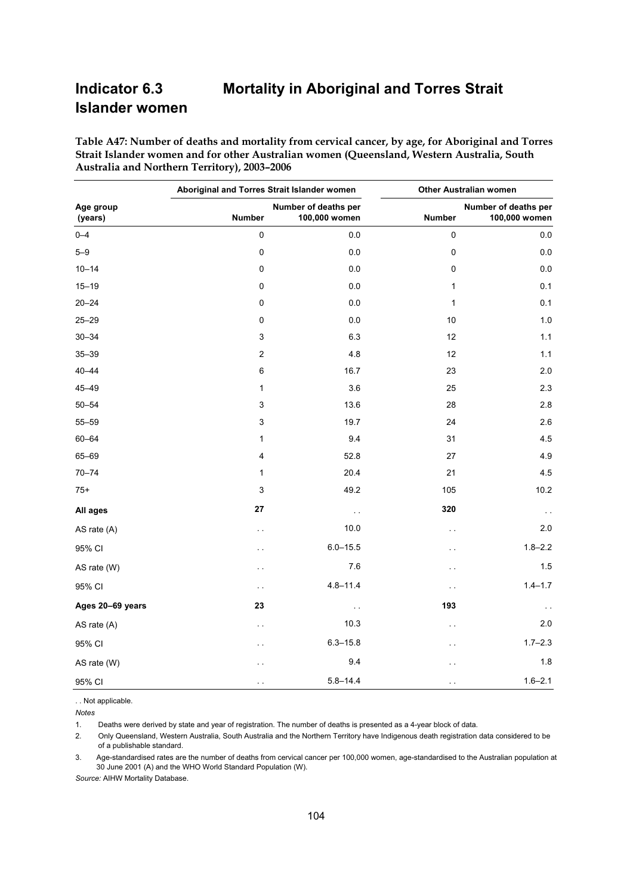# **Indicator 6.3 Mortality in Aboriginal and Torres Strait Islander women**

**Table A47: Number of deaths and mortality from cervical cancer, by age, for Aboriginal and Torres Strait Islander women and for other Australian women (Queensland, Western Australia, South Australia and Northern Territory), 2003–2006** 

|                      | Aboriginal and Torres Strait Islander women |                                       | <b>Other Australian women</b> |                                       |  |
|----------------------|---------------------------------------------|---------------------------------------|-------------------------------|---------------------------------------|--|
| Age group<br>(years) | <b>Number</b>                               | Number of deaths per<br>100,000 women | <b>Number</b>                 | Number of deaths per<br>100,000 women |  |
| $0 - 4$              | $\pmb{0}$                                   | 0.0                                   | $\pmb{0}$                     | 0.0                                   |  |
| $5 - 9$              | $\pmb{0}$                                   | 0.0                                   | $\pmb{0}$                     | 0.0                                   |  |
| $10 - 14$            | 0                                           | 0.0                                   | 0                             | 0.0                                   |  |
| $15 - 19$            | 0                                           | 0.0                                   | 1                             | 0.1                                   |  |
| $20 - 24$            | 0                                           | 0.0                                   | $\mathbf{1}$                  | 0.1                                   |  |
| $25 - 29$            | 0                                           | 0.0                                   | 10                            | 1.0                                   |  |
| $30 - 34$            | 3                                           | 6.3                                   | 12                            | 1.1                                   |  |
| $35 - 39$            | $\boldsymbol{2}$                            | 4.8                                   | 12                            | 1.1                                   |  |
| $40 - 44$            | 6                                           | 16.7                                  | 23                            | 2.0                                   |  |
| $45 - 49$            | 1                                           | 3.6                                   | 25                            | 2.3                                   |  |
| $50 - 54$            | 3                                           | 13.6                                  | 28                            | 2.8                                   |  |
| $55 - 59$            | 3                                           | 19.7                                  | 24                            | 2.6                                   |  |
| $60 - 64$            | $\mathbf 1$                                 | 9.4                                   | 31                            | 4.5                                   |  |
| 65-69                | 4                                           | 52.8                                  | 27                            | 4.9                                   |  |
| $70 - 74$            | $\mathbf{1}$                                | 20.4                                  | 21                            | 4.5                                   |  |
| $75+$                | 3                                           | 49.2                                  | 105                           | 10.2                                  |  |
| All ages             | 27                                          | $\sim$ $\sim$                         | 320                           | $\sim$ $\sim$                         |  |
| AS rate (A)          | $\sim$ $\sim$                               | 10.0                                  | $\sim$ $\sim$                 | 2.0                                   |  |
| 95% CI               | $\ddot{\phantom{0}}$                        | $6.0 - 15.5$                          | $\ddot{\phantom{0}}$          | $1.8 - 2.2$                           |  |
| AS rate (W)          | $\ddot{\phantom{0}}$                        | 7.6                                   | $\ddotsc$                     | 1.5                                   |  |
| 95% CI               | $\sim$                                      | $4.8 - 11.4$                          | $\sim$ $\sim$                 | $1.4 - 1.7$                           |  |
| Ages 20-69 years     | 23                                          | $\sim$ $\sim$                         | 193                           | $\sim$ $\sim$                         |  |
| AS rate (A)          | $\ddot{\phantom{0}}$                        | 10.3                                  | $\ddotsc$                     | 2.0                                   |  |
| 95% CI               | $\ddot{\phantom{0}}$                        | $6.3 - 15.8$                          | $\ddotsc$                     | $1.7 - 2.3$                           |  |
| AS rate (W)          | . .                                         | 9.4                                   | $\ddot{\phantom{0}}$          | 1.8                                   |  |
| 95% CI               | $\ddot{\phantom{0}}$                        | $5.8 - 14.4$                          | $\ddotsc$                     | $1.6 - 2.1$                           |  |

. . Not applicable.

*Notes*

Deaths were derived by state and year of registration. The number of deaths is presented as a 4-year block of data.

2. Only Queensland, Western Australia, South Australia and the Northern Territory have Indigenous death registration data considered to be of a publishable standard.

3. Age-standardised rates are the number of deaths from cervical cancer per 100,000 women, age-standardised to the Australian population at 30 June 2001 (A) and the WHO World Standard Population (W).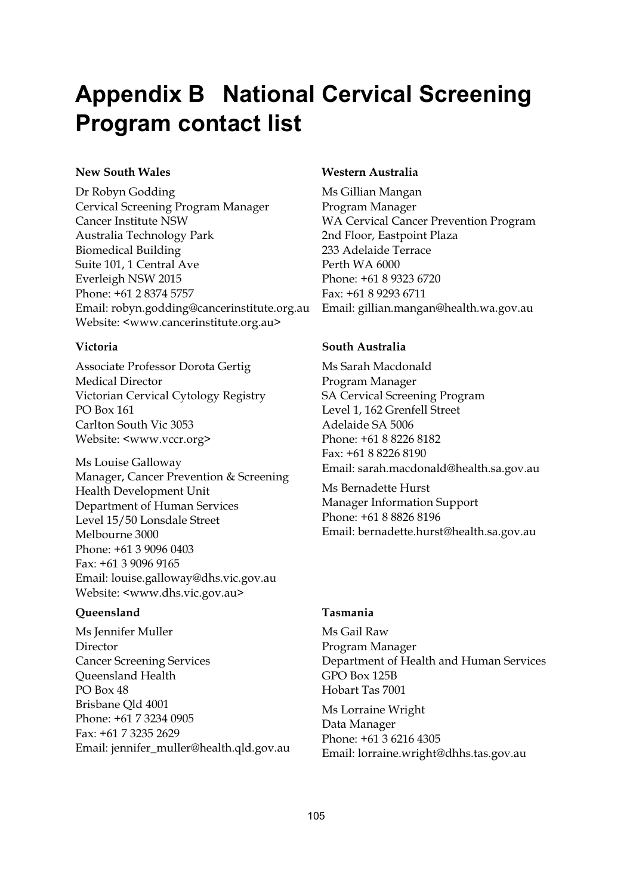# **Appendix B National Cervical Screening Program contact list**

#### **New South Wales**

Dr Robyn Godding Cervical Screening Program Manager Cancer Institute NSW Australia Technology Park Biomedical Building Suite 101, 1 Central Ave Everleigh NSW 2015 Phone: +61 2 8374 5757 Email: robyn.godding@cancerinstitute.org.au Website: <www.cancerinstitute.org.au>

#### **Victoria**

Associate Professor Dorota Gertig Medical Director Victorian Cervical Cytology Registry PO Box 161 Carlton South Vic 3053 Website: <www.vccr.org>

Ms Louise Galloway Manager, Cancer Prevention & Screening Health Development Unit Department of Human Services Level 15/50 Lonsdale Street Melbourne 3000 Phone: +61 3 9096 0403 Fax: +61 3 9096 9165 Email: louise.galloway@dhs.vic.gov.au Website: <www.dhs.vic.gov.au>

#### **Queensland**

Ms Jennifer Muller Director Cancer Screening Services Queensland Health PO Box 48 Brisbane Qld 4001 Phone: +61 7 3234 0905 Fax: +61 7 3235 2629 Email: jennifer\_muller@health.qld.gov.au

#### **Western Australia**

Ms Gillian Mangan Program Manager WA Cervical Cancer Prevention Program 2nd Floor, Eastpoint Plaza 233 Adelaide Terrace Perth WA 6000 Phone: +61 8 9323 6720 Fax: +61 8 9293 6711 Email: gillian.mangan@health.wa.gov.au

#### **South Australia**

Ms Sarah Macdonald Program Manager SA Cervical Screening Program Level 1, 162 Grenfell Street Adelaide SA 5006 Phone: +61 8 8226 8182 Fax: +61 8 8226 8190 Email: sarah.macdonald@health.sa.gov.au

Ms Bernadette Hurst Manager Information Support Phone: +61 8 8826 8196 Email: bernadette.hurst@health.sa.gov.au

#### **Tasmania**

Ms Gail Raw Program Manager Department of Health and Human Services GPO Box 125B Hobart Tas 7001

Ms Lorraine Wright Data Manager Phone: +61 3 6216 4305 Email: lorraine.wright@dhhs.tas.gov.au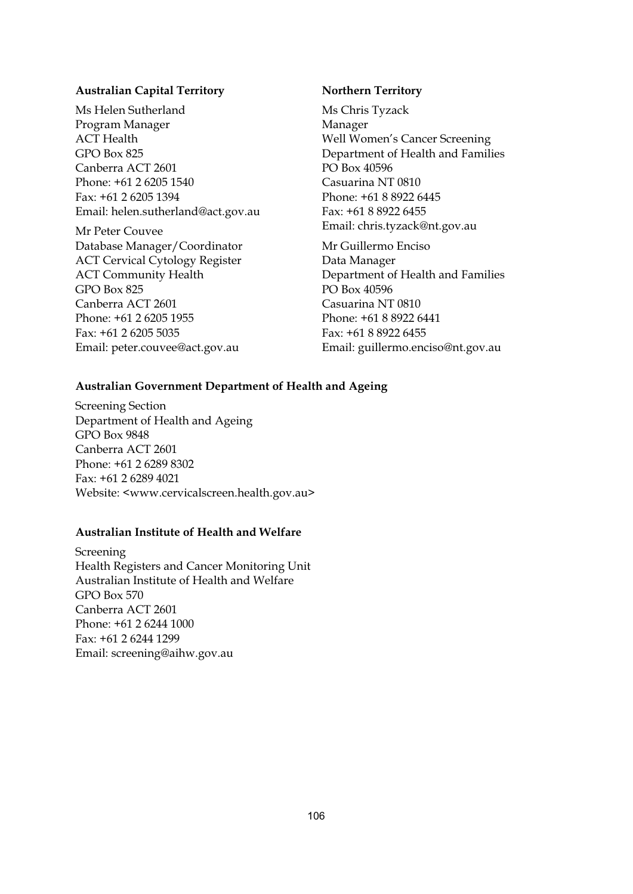#### **Australian Capital Territory**

Ms Helen Sutherland Program Manager ACT Health GPO Box 825 Canberra ACT 2601 Phone: +61 2 6205 1540 Fax: +61 2 6205 1394 Email: helen.sutherland@act.gov.au

Mr Peter Couvee Database Manager/Coordinator ACT Cervical Cytology Register ACT Community Health GPO Box 825 Canberra ACT 2601 Phone: +61 2 6205 1955 Fax: +61 2 6205 5035 Email: peter.couvee@act.gov.au

#### **Northern Territory**

Ms Chris Tyzack Manager Well Women's Cancer Screening Department of Health and Families PO Box 40596 Casuarina NT 0810 Phone: +61 8 8922 6445 Fax: +61 8 8922 6455 Email: chris.tyzack@nt.gov.au

Mr Guillermo Enciso Data Manager Department of Health and Families PO Box 40596 Casuarina NT 0810 Phone: +61 8 8922 6441 Fax: +61 8 8922 6455 Email: guillermo.enciso@nt.gov.au

#### **Australian Government Department of Health and Ageing**

Screening Section Department of Health and Ageing GPO Box 9848 Canberra ACT 2601 Phone: +61 2 6289 8302 Fax: +61 2 6289 4021 Website: <www.cervicalscreen.health.gov.au>

#### **Australian Institute of Health and Welfare**

Screening Health Registers and Cancer Monitoring Unit Australian Institute of Health and Welfare GPO Box 570 Canberra ACT 2601 Phone: +61 2 6244 1000 Fax: +61 2 6244 1299 Email: screening@aihw.gov.au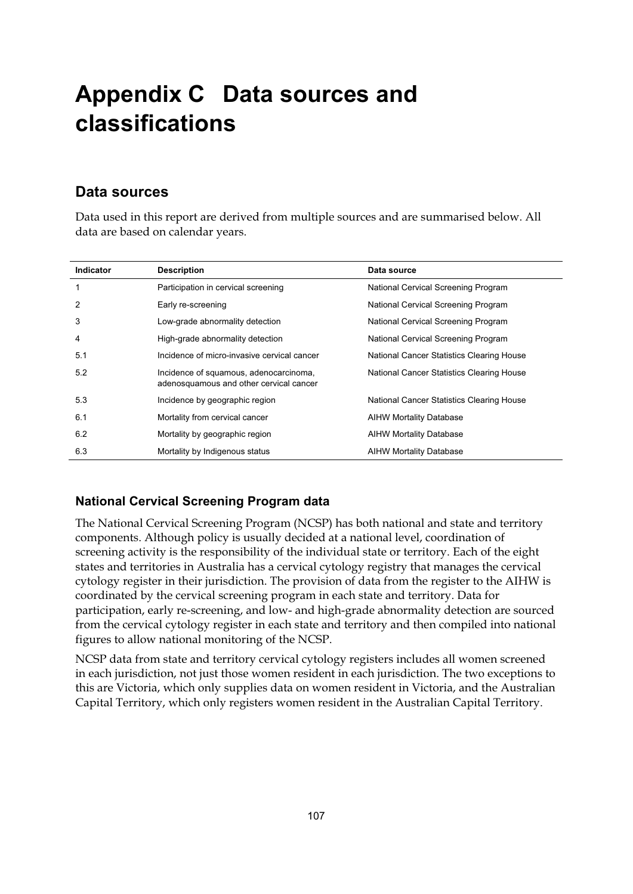# **Appendix C Data sources and classifications**

### **Data sources**

Data used in this report are derived from multiple sources and are summarised below. All data are based on calendar years.

| <b>Indicator</b> | <b>Description</b>                                                                | Data source                               |
|------------------|-----------------------------------------------------------------------------------|-------------------------------------------|
| 1                | Participation in cervical screening                                               | National Cervical Screening Program       |
| 2                | Early re-screening                                                                | National Cervical Screening Program       |
| 3                | Low-grade abnormality detection                                                   | National Cervical Screening Program       |
| 4                | High-grade abnormality detection                                                  | National Cervical Screening Program       |
| 5.1              | Incidence of micro-invasive cervical cancer                                       | National Cancer Statistics Clearing House |
| 5.2              | Incidence of squamous, adenocarcinoma,<br>adenosquamous and other cervical cancer | National Cancer Statistics Clearing House |
| 5.3              | Incidence by geographic region                                                    | National Cancer Statistics Clearing House |
| 6.1              | Mortality from cervical cancer                                                    | <b>AIHW Mortality Database</b>            |
| 6.2              | Mortality by geographic region                                                    | <b>AIHW Mortality Database</b>            |
| 6.3              | Mortality by Indigenous status                                                    | <b>AIHW Mortality Database</b>            |

### **National Cervical Screening Program data**

The National Cervical Screening Program (NCSP) has both national and state and territory components. Although policy is usually decided at a national level, coordination of screening activity is the responsibility of the individual state or territory. Each of the eight states and territories in Australia has a cervical cytology registry that manages the cervical cytology register in their jurisdiction. The provision of data from the register to the AIHW is coordinated by the cervical screening program in each state and territory. Data for participation, early re-screening, and low- and high-grade abnormality detection are sourced from the cervical cytology register in each state and territory and then compiled into national figures to allow national monitoring of the NCSP.

NCSP data from state and territory cervical cytology registers includes all women screened in each jurisdiction, not just those women resident in each jurisdiction. The two exceptions to this are Victoria, which only supplies data on women resident in Victoria, and the Australian Capital Territory, which only registers women resident in the Australian Capital Territory.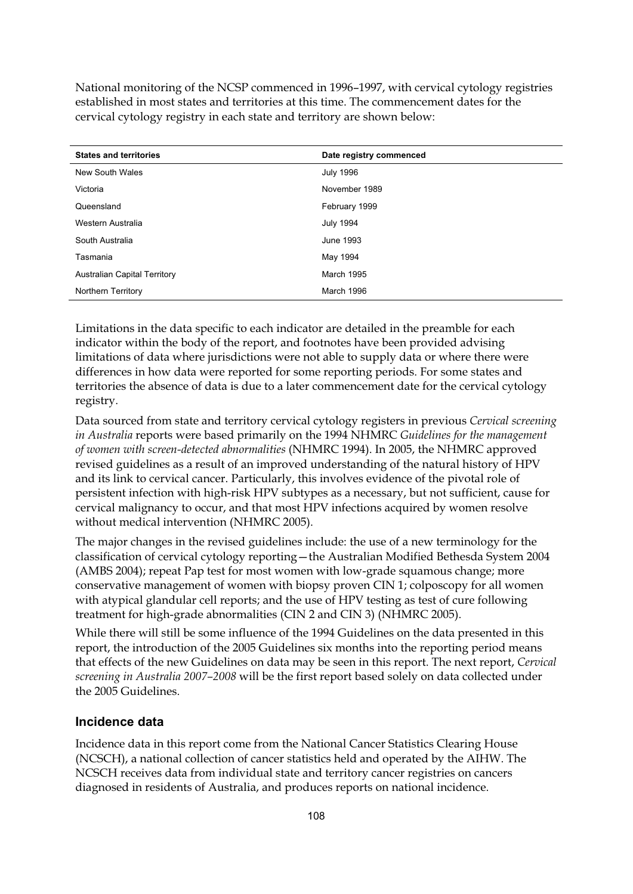National monitoring of the NCSP commenced in 1996–1997, with cervical cytology registries established in most states and territories at this time. The commencement dates for the cervical cytology registry in each state and territory are shown below:

| <b>States and territories</b>       | Date registry commenced |
|-------------------------------------|-------------------------|
| New South Wales                     | <b>July 1996</b>        |
| Victoria                            | November 1989           |
| Queensland                          | February 1999           |
| Western Australia                   | <b>July 1994</b>        |
| South Australia                     | June 1993               |
| Tasmania                            | May 1994                |
| <b>Australian Capital Territory</b> | March 1995              |
| <b>Northern Territory</b>           | March 1996              |

Limitations in the data specific to each indicator are detailed in the preamble for each indicator within the body of the report, and footnotes have been provided advising limitations of data where jurisdictions were not able to supply data or where there were differences in how data were reported for some reporting periods. For some states and territories the absence of data is due to a later commencement date for the cervical cytology registry.

Data sourced from state and territory cervical cytology registers in previous *Cervical screening in Australia* reports were based primarily on the 1994 NHMRC *Guidelines for the management of women with screen-detected abnormalities* (NHMRC 1994). In 2005, the NHMRC approved revised guidelines as a result of an improved understanding of the natural history of HPV and its link to cervical cancer. Particularly, this involves evidence of the pivotal role of persistent infection with high-risk HPV subtypes as a necessary, but not sufficient, cause for cervical malignancy to occur, and that most HPV infections acquired by women resolve without medical intervention (NHMRC 2005).

The major changes in the revised guidelines include: the use of a new terminology for the classification of cervical cytology reporting—the Australian Modified Bethesda System 2004 (AMBS 2004); repeat Pap test for most women with low-grade squamous change; more conservative management of women with biopsy proven CIN 1; colposcopy for all women with atypical glandular cell reports; and the use of HPV testing as test of cure following treatment for high-grade abnormalities (CIN 2 and CIN 3) (NHMRC 2005).

While there will still be some influence of the 1994 Guidelines on the data presented in this report, the introduction of the 2005 Guidelines six months into the reporting period means that effects of the new Guidelines on data may be seen in this report. The next report, *Cervical screening in Australia 2007–2008* will be the first report based solely on data collected under the 2005 Guidelines.

#### **Incidence data**

Incidence data in this report come from the National Cancer Statistics Clearing House (NCSCH), a national collection of cancer statistics held and operated by the AIHW. The NCSCH receives data from individual state and territory cancer registries on cancers diagnosed in residents of Australia, and produces reports on national incidence.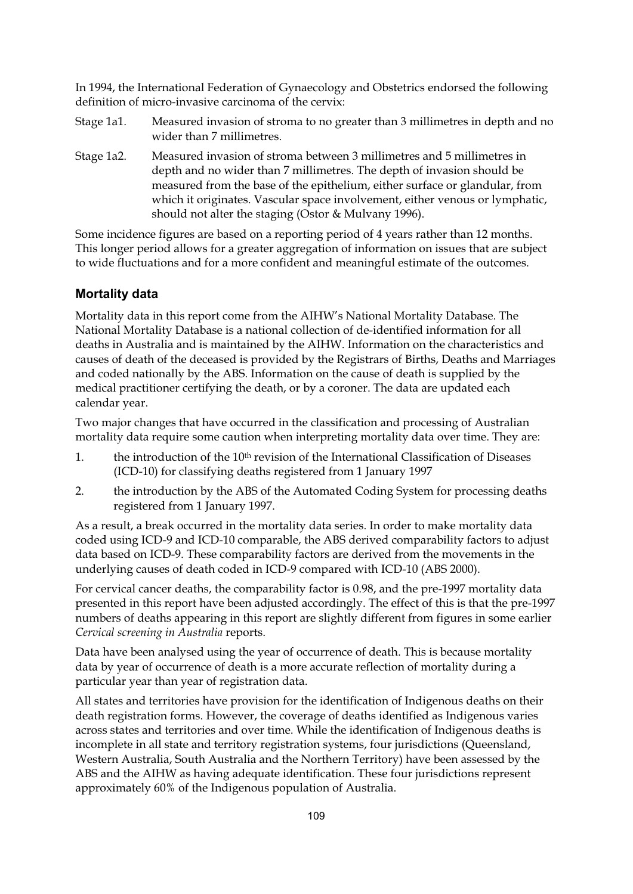In 1994, the International Federation of Gynaecology and Obstetrics endorsed the following definition of micro-invasive carcinoma of the cervix:

- Stage 1a1. Measured invasion of stroma to no greater than 3 millimetres in depth and no wider than 7 millimetres.
- Stage 1a2. Measured invasion of stroma between 3 millimetres and 5 millimetres in depth and no wider than 7 millimetres. The depth of invasion should be measured from the base of the epithelium, either surface or glandular, from which it originates. Vascular space involvement, either venous or lymphatic, should not alter the staging (Ostor & Mulvany 1996).

Some incidence figures are based on a reporting period of 4 years rather than 12 months. This longer period allows for a greater aggregation of information on issues that are subject to wide fluctuations and for a more confident and meaningful estimate of the outcomes.

### **Mortality data**

Mortality data in this report come from the AIHW's National Mortality Database. The National Mortality Database is a national collection of de-identified information for all deaths in Australia and is maintained by the AIHW. Information on the characteristics and causes of death of the deceased is provided by the Registrars of Births, Deaths and Marriages and coded nationally by the ABS. Information on the cause of death is supplied by the medical practitioner certifying the death, or by a coroner. The data are updated each calendar year.

Two major changes that have occurred in the classification and processing of Australian mortality data require some caution when interpreting mortality data over time. They are:

- 1. the introduction of the 10<sup>th</sup> revision of the International Classification of Diseases (ICD-10) for classifying deaths registered from 1 January 1997
- 2. the introduction by the ABS of the Automated Coding System for processing deaths registered from 1 January 1997.

As a result, a break occurred in the mortality data series. In order to make mortality data coded using ICD-9 and ICD-10 comparable, the ABS derived comparability factors to adjust data based on ICD-9. These comparability factors are derived from the movements in the underlying causes of death coded in ICD-9 compared with ICD-10 (ABS 2000).

For cervical cancer deaths, the comparability factor is 0.98, and the pre-1997 mortality data presented in this report have been adjusted accordingly. The effect of this is that the pre-1997 numbers of deaths appearing in this report are slightly different from figures in some earlier *Cervical screening in Australia* reports.

Data have been analysed using the year of occurrence of death. This is because mortality data by year of occurrence of death is a more accurate reflection of mortality during a particular year than year of registration data.

All states and territories have provision for the identification of Indigenous deaths on their death registration forms. However, the coverage of deaths identified as Indigenous varies across states and territories and over time. While the identification of Indigenous deaths is incomplete in all state and territory registration systems, four jurisdictions (Queensland, Western Australia, South Australia and the Northern Territory) have been assessed by the ABS and the AIHW as having adequate identification. These four jurisdictions represent approximately 60% of the Indigenous population of Australia.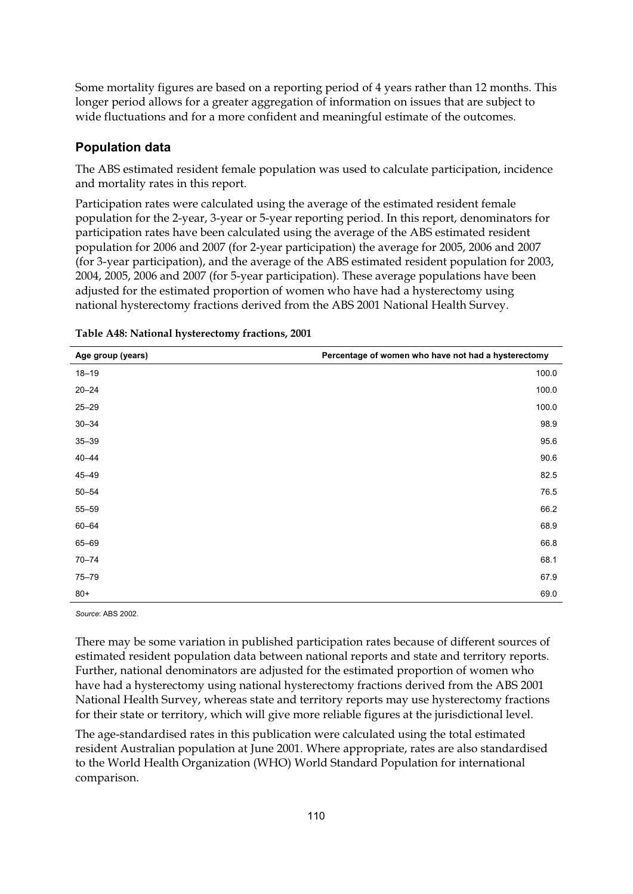Some mortality figures are based on a reporting period of 4 years rather than 12 months. This longer period allows for a greater aggregation of information on issues that are subject to wide fluctuations and for a more confident and meaningful estimate of the outcomes.

#### **Population data**

The ABS estimated resident female population was used to calculate participation, incidence and mortality rates in this report.

Participation rates were calculated using the average of the estimated resident female population for the 2-year, 3-year or 5-year reporting period. In this report, denominators for participation rates have been calculated using the average of the ABS estimated resident population for 2006 and 2007 (for 2-year participation) the average for 2005, 2006 and 2007 (for 3-year participation), and the average of the ABS estimated resident population for 2003, 2004, 2005, 2006 and 2007 (for 5-year participation). These average populations have been adjusted for the estimated proportion of women who have had a hysterectomy using national hysterectomy fractions derived from the ABS 2001 National Health Survey.

| Age group (years) | Percentage of women who have not had a hysterectomy |
|-------------------|-----------------------------------------------------|
| $18 - 19$         | 100.0                                               |
| $20 - 24$         | 100.0                                               |
| $25 - 29$         | 100.0                                               |
| $30 - 34$         | 98.9                                                |
| $35 - 39$         | 95.6                                                |
| $40 - 44$         | 90.6                                                |
| $45 - 49$         | 82.5                                                |
| $50 - 54$         | 76.5                                                |
| $55 - 59$         | 66.2                                                |
| $60 - 64$         | 68.9                                                |
| 65-69             | 66.8                                                |
| $70 - 74$         | 68.1                                                |
| $75 - 79$         | 67.9                                                |
| $80+$             | 69.0                                                |

|  |  | Table A48: National hysterectomy fractions, 2001 |
|--|--|--------------------------------------------------|
|  |  |                                                  |

*Source*: ABS 2002.

There may be some variation in published participation rates because of different sources of estimated resident population data between national reports and state and territory reports. Further, national denominators are adjusted for the estimated proportion of women who have had a hysterectomy using national hysterectomy fractions derived from the ABS 2001 National Health Survey, whereas state and territory reports may use hysterectomy fractions for their state or territory, which will give more reliable figures at the jurisdictional level.

The age-standardised rates in this publication were calculated using the total estimated resident Australian population at June 2001. Where appropriate, rates are also standardised to the World Health Organization (WHO) World Standard Population for international comparison.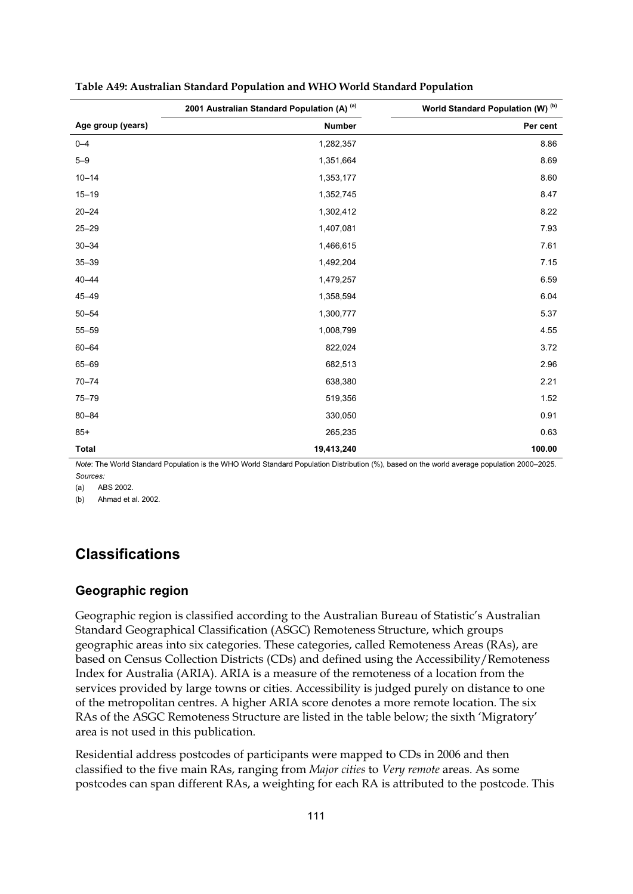|                   | 2001 Australian Standard Population (A) (a) | World Standard Population (W) <sup>(b)</sup> |
|-------------------|---------------------------------------------|----------------------------------------------|
| Age group (years) | <b>Number</b>                               | Per cent                                     |
| $0 - 4$           | 1,282,357                                   | 8.86                                         |
| $5 - 9$           | 1,351,664                                   | 8.69                                         |
| $10 - 14$         | 1,353,177                                   | 8.60                                         |
| $15 - 19$         | 1,352,745                                   | 8.47                                         |
| $20 - 24$         | 1,302,412                                   | 8.22                                         |
| $25 - 29$         | 1,407,081                                   | 7.93                                         |
| $30 - 34$         | 1,466,615                                   | 7.61                                         |
| $35 - 39$         | 1,492,204                                   | 7.15                                         |
| $40 - 44$         | 1,479,257                                   | 6.59                                         |
| $45 - 49$         | 1,358,594                                   | 6.04                                         |
| $50 - 54$         | 1,300,777                                   | 5.37                                         |
| $55 - 59$         | 1,008,799                                   | 4.55                                         |
| $60 - 64$         | 822,024                                     | 3.72                                         |
| 65-69             | 682,513                                     | 2.96                                         |
| $70 - 74$         | 638,380                                     | 2.21                                         |
| $75 - 79$         | 519,356                                     | 1.52                                         |
| $80 - 84$         | 330,050                                     | 0.91                                         |
| $85+$             | 265,235                                     | 0.63                                         |
| Total             | 19,413,240                                  | 100.00                                       |

| Table A49: Australian Standard Population and WHO World Standard Population |  |  |
|-----------------------------------------------------------------------------|--|--|
|-----------------------------------------------------------------------------|--|--|

*Note*: The World Standard Population is the WHO World Standard Population Distribution (%), based on the world average population 2000–2025.

*Sources:*  (a) ABS 2002.

(b) Ahmad et al. 2002.

# **Classifications**

#### **Geographic region**

Geographic region is classified according to the Australian Bureau of Statistic's Australian Standard Geographical Classification (ASGC) Remoteness Structure, which groups geographic areas into six categories. These categories, called Remoteness Areas (RAs), are based on Census Collection Districts (CDs) and defined using the Accessibility/Remoteness Index for Australia (ARIA). ARIA is a measure of the remoteness of a location from the services provided by large towns or cities. Accessibility is judged purely on distance to one of the metropolitan centres. A higher ARIA score denotes a more remote location. The six RAs of the ASGC Remoteness Structure are listed in the table below; the sixth 'Migratory' area is not used in this publication.

Residential address postcodes of participants were mapped to CDs in 2006 and then classified to the five main RAs, ranging from *Major cities* to *Very remote* areas. As some postcodes can span different RAs, a weighting for each RA is attributed to the postcode. This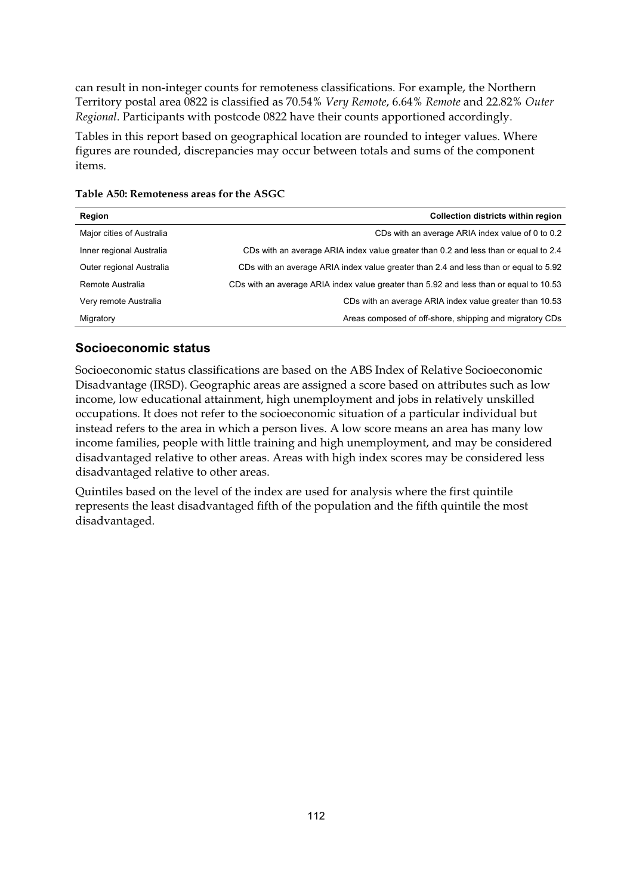can result in non-integer counts for remoteness classifications. For example, the Northern Territory postal area 0822 is classified as 70.54% *Very Remote*, 6.64% *Remote* and 22.82% *Outer Regional*. Participants with postcode 0822 have their counts apportioned accordingly.

Tables in this report based on geographical location are rounded to integer values. Where figures are rounded, discrepancies may occur between totals and sums of the component items.

| Region                    | Collection districts within region                                                     |
|---------------------------|----------------------------------------------------------------------------------------|
| Major cities of Australia | CDs with an average ARIA index value of 0 to 0.2                                       |
| Inner regional Australia  | CDs with an average ARIA index value greater than 0.2 and less than or equal to 2.4    |
| Outer regional Australia  | CDs with an average ARIA index value greater than 2.4 and less than or equal to 5.92   |
| Remote Australia          | CDs with an average ARIA index value greater than 5.92 and less than or equal to 10.53 |
| Very remote Australia     | CDs with an average ARIA index value greater than 10.53                                |
| Migratory                 | Areas composed of off-shore, shipping and migratory CDs                                |

**Table A50: Remoteness areas for the ASGC** 

#### **Socioeconomic status**

Socioeconomic status classifications are based on the ABS Index of Relative Socioeconomic Disadvantage (IRSD). Geographic areas are assigned a score based on attributes such as low income, low educational attainment, high unemployment and jobs in relatively unskilled occupations. It does not refer to the socioeconomic situation of a particular individual but instead refers to the area in which a person lives. A low score means an area has many low income families, people with little training and high unemployment, and may be considered disadvantaged relative to other areas. Areas with high index scores may be considered less disadvantaged relative to other areas.

Quintiles based on the level of the index are used for analysis where the first quintile represents the least disadvantaged fifth of the population and the fifth quintile the most disadvantaged.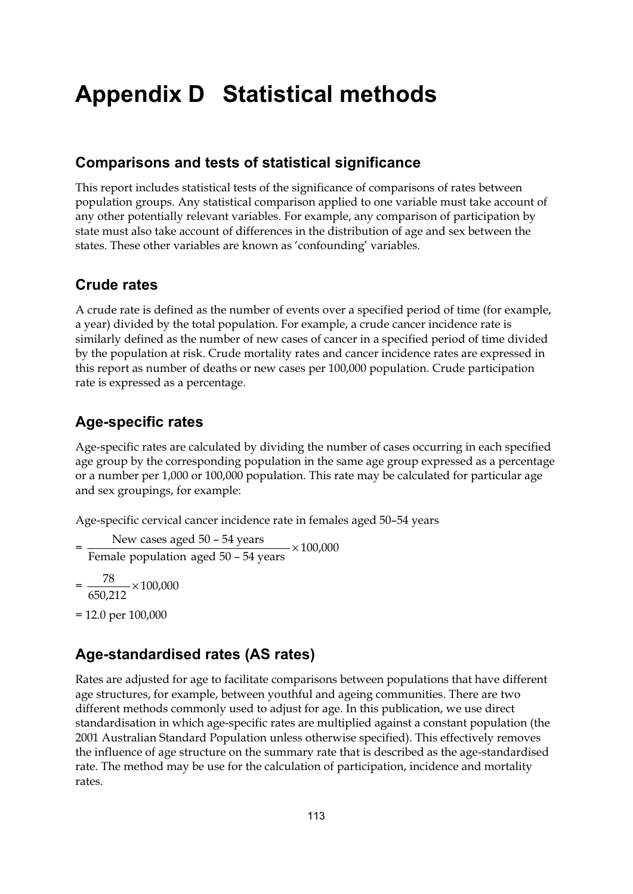# **Appendix D Statistical methods**

### **Comparisons and tests of statistical significance**

This report includes statistical tests of the significance of comparisons of rates between population groups. Any statistical comparison applied to one variable must take account of any other potentially relevant variables. For example, any comparison of participation by state must also take account of differences in the distribution of age and sex between the states. These other variables are known as 'confounding' variables.

### **Crude rates**

A crude rate is defined as the number of events over a specified period of time (for example, a year) divided by the total population. For example, a crude cancer incidence rate is similarly defined as the number of new cases of cancer in a specified period of time divided by the population at risk. Crude mortality rates and cancer incidence rates are expressed in this report as number of deaths or new cases per 100,000 population. Crude participation rate is expressed as a percentage.

### **Age-specific rates**

Age-specific rates are calculated by dividing the number of cases occurring in each specified age group by the corresponding population in the same age group expressed as a percentage or a number per 1,000 or 100,000 population. This rate may be calculated for particular age and sex groupings, for example:

Age-specific cervical cancer incidence rate in females aged 50–54 years

- $=\frac{\text{New cases aged 50 54 years}}{\text{Female population aged 50 54 years}} \times 100,000$
- $=\frac{78}{650,212} \times 100,000$
- = 12.0 per 100,000

# **Age-standardised rates (AS rates)**

Rates are adjusted for age to facilitate comparisons between populations that have different age structures, for example, between youthful and ageing communities. There are two different methods commonly used to adjust for age. In this publication, we use direct standardisation in which age-specific rates are multiplied against a constant population (the 2001 Australian Standard Population unless otherwise specified). This effectively removes the influence of age structure on the summary rate that is described as the age-standardised rate. The method may be use for the calculation of participation, incidence and mortality rates.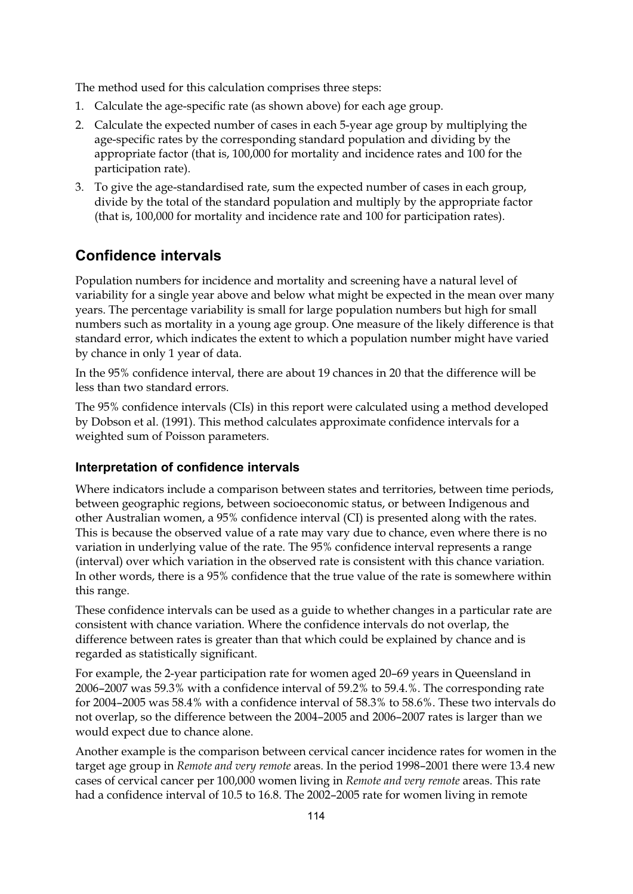The method used for this calculation comprises three steps:

- 1. Calculate the age-specific rate (as shown above) for each age group.
- 2. Calculate the expected number of cases in each 5-year age group by multiplying the age-specific rates by the corresponding standard population and dividing by the appropriate factor (that is, 100,000 for mortality and incidence rates and 100 for the participation rate).
- 3. To give the age-standardised rate, sum the expected number of cases in each group, divide by the total of the standard population and multiply by the appropriate factor (that is, 100,000 for mortality and incidence rate and 100 for participation rates).

# **Confidence intervals**

Population numbers for incidence and mortality and screening have a natural level of variability for a single year above and below what might be expected in the mean over many years. The percentage variability is small for large population numbers but high for small numbers such as mortality in a young age group. One measure of the likely difference is that standard error, which indicates the extent to which a population number might have varied by chance in only 1 year of data.

In the 95% confidence interval, there are about 19 chances in 20 that the difference will be less than two standard errors.

The 95% confidence intervals (CIs) in this report were calculated using a method developed by Dobson et al. (1991). This method calculates approximate confidence intervals for a weighted sum of Poisson parameters.

#### **Interpretation of confidence intervals**

Where indicators include a comparison between states and territories, between time periods, between geographic regions, between socioeconomic status, or between Indigenous and other Australian women, a 95% confidence interval (CI) is presented along with the rates. This is because the observed value of a rate may vary due to chance, even where there is no variation in underlying value of the rate. The 95% confidence interval represents a range (interval) over which variation in the observed rate is consistent with this chance variation. In other words, there is a 95% confidence that the true value of the rate is somewhere within this range.

These confidence intervals can be used as a guide to whether changes in a particular rate are consistent with chance variation. Where the confidence intervals do not overlap, the difference between rates is greater than that which could be explained by chance and is regarded as statistically significant.

For example, the 2-year participation rate for women aged 20–69 years in Queensland in 2006–2007 was 59.3% with a confidence interval of 59.2% to 59.4.%. The corresponding rate for 2004–2005 was 58.4% with a confidence interval of 58.3% to 58.6%. These two intervals do not overlap, so the difference between the 2004–2005 and 2006–2007 rates is larger than we would expect due to chance alone.

Another example is the comparison between cervical cancer incidence rates for women in the target age group in *Remote and very remote* areas. In the period 1998–2001 there were 13.4 new cases of cervical cancer per 100,000 women living in *Remote and very remote* areas. This rate had a confidence interval of 10.5 to 16.8. The 2002–2005 rate for women living in remote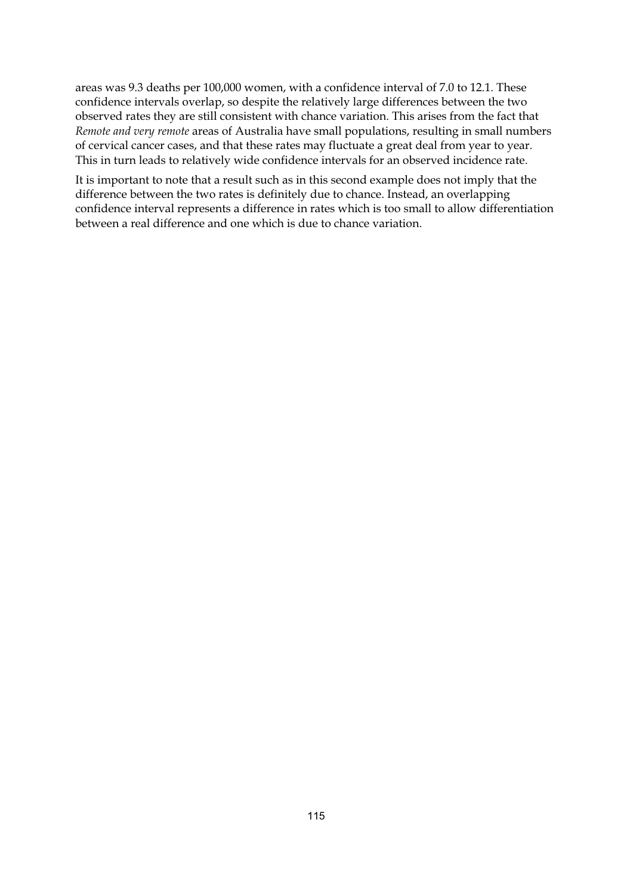areas was 9.3 deaths per 100,000 women, with a confidence interval of 7.0 to 12.1. These confidence intervals overlap, so despite the relatively large differences between the two observed rates they are still consistent with chance variation. This arises from the fact that *Remote and very remote* areas of Australia have small populations, resulting in small numbers of cervical cancer cases, and that these rates may fluctuate a great deal from year to year. This in turn leads to relatively wide confidence intervals for an observed incidence rate.

It is important to note that a result such as in this second example does not imply that the difference between the two rates is definitely due to chance. Instead, an overlapping confidence interval represents a difference in rates which is too small to allow differentiation between a real difference and one which is due to chance variation.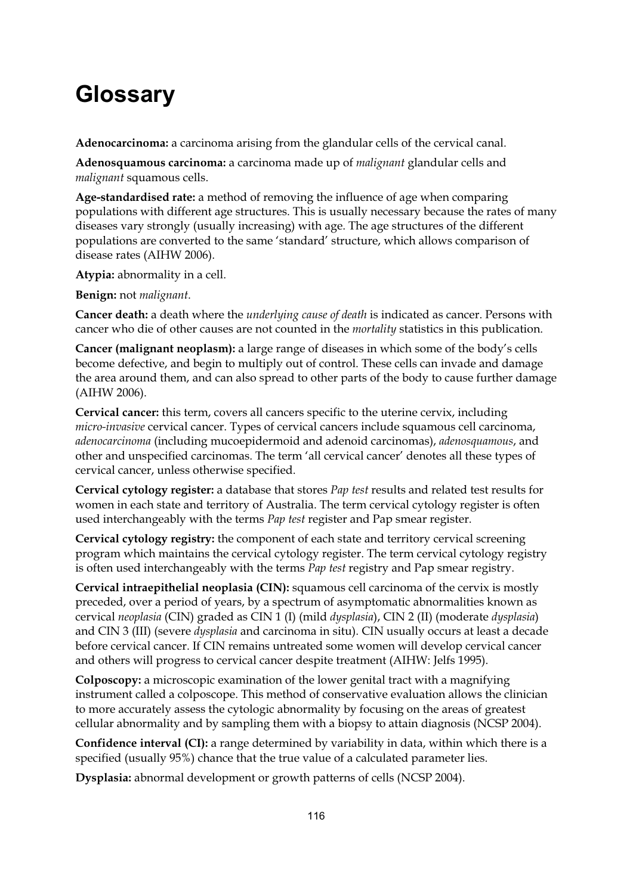# **Glossary**

**Adenocarcinoma:** a carcinoma arising from the glandular cells of the cervical canal.

**Adenosquamous carcinoma:** a carcinoma made up of *malignant* glandular cells and *malignant* squamous cells.

**Age-standardised rate:** a method of removing the influence of age when comparing populations with different age structures. This is usually necessary because the rates of many diseases vary strongly (usually increasing) with age. The age structures of the different populations are converted to the same 'standard' structure, which allows comparison of disease rates (AIHW 2006).

**Atypia:** abnormality in a cell.

**Benign:** not *malignant*.

**Cancer death:** a death where the *underlying cause of death* is indicated as cancer. Persons with cancer who die of other causes are not counted in the *mortality* statistics in this publication.

**Cancer (malignant neoplasm):** a large range of diseases in which some of the body's cells become defective, and begin to multiply out of control. These cells can invade and damage the area around them, and can also spread to other parts of the body to cause further damage (AIHW 2006).

**Cervical cancer:** this term, covers all cancers specific to the uterine cervix, including *micro-invasive* cervical cancer. Types of cervical cancers include squamous cell carcinoma, *adenocarcinoma* (including mucoepidermoid and adenoid carcinomas), *adenosquamous*, and other and unspecified carcinomas. The term 'all cervical cancer' denotes all these types of cervical cancer, unless otherwise specified.

**Cervical cytology register:** a database that stores *Pap test* results and related test results for women in each state and territory of Australia. The term cervical cytology register is often used interchangeably with the terms *Pap test* register and Pap smear register.

**Cervical cytology registry:** the component of each state and territory cervical screening program which maintains the cervical cytology register. The term cervical cytology registry is often used interchangeably with the terms *Pap test* registry and Pap smear registry.

**Cervical intraepithelial neoplasia (CIN):** squamous cell carcinoma of the cervix is mostly preceded, over a period of years, by a spectrum of asymptomatic abnormalities known as cervical *neoplasia* (CIN) graded as CIN 1 (I) (mild *dysplasia*), CIN 2 (II) (moderate *dysplasia*) and CIN 3 (III) (severe *dysplasia* and carcinoma in situ). CIN usually occurs at least a decade before cervical cancer. If CIN remains untreated some women will develop cervical cancer and others will progress to cervical cancer despite treatment (AIHW: Jelfs 1995).

**Colposcopy:** a microscopic examination of the lower genital tract with a magnifying instrument called a colposcope. This method of conservative evaluation allows the clinician to more accurately assess the cytologic abnormality by focusing on the areas of greatest cellular abnormality and by sampling them with a biopsy to attain diagnosis (NCSP 2004).

**Confidence interval (CI):** a range determined by variability in data, within which there is a specified (usually 95%) chance that the true value of a calculated parameter lies.

**Dysplasia:** abnormal development or growth patterns of cells (NCSP 2004).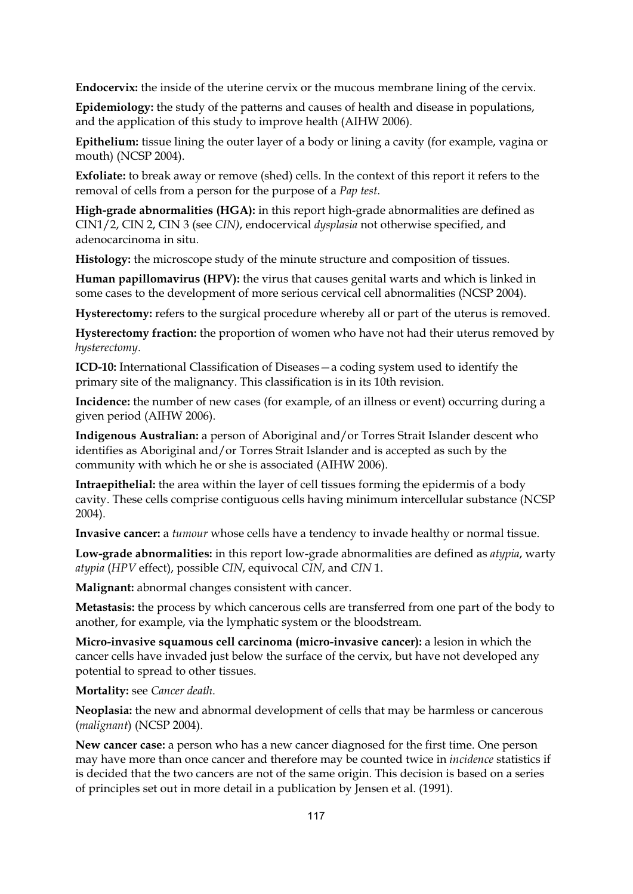**Endocervix:** the inside of the uterine cervix or the mucous membrane lining of the cervix.

**Epidemiology:** the study of the patterns and causes of health and disease in populations, and the application of this study to improve health (AIHW 2006).

**Epithelium:** tissue lining the outer layer of a body or lining a cavity (for example, vagina or mouth) (NCSP 2004).

**Exfoliate:** to break away or remove (shed) cells. In the context of this report it refers to the removal of cells from a person for the purpose of a *Pap test*.

**High-grade abnormalities (HGA):** in this report high-grade abnormalities are defined as CIN1/2, CIN 2, CIN 3 (see *CIN)*, endocervical *dysplasia* not otherwise specified, and adenocarcinoma in situ.

**Histology:** the microscope study of the minute structure and composition of tissues.

**Human papillomavirus (HPV):** the virus that causes genital warts and which is linked in some cases to the development of more serious cervical cell abnormalities (NCSP 2004).

**Hysterectomy:** refers to the surgical procedure whereby all or part of the uterus is removed.

**Hysterectomy fraction:** the proportion of women who have not had their uterus removed by *hysterectomy*.

**ICD-10:** International Classification of Diseases—a coding system used to identify the primary site of the malignancy. This classification is in its 10th revision.

**Incidence:** the number of new cases (for example, of an illness or event) occurring during a given period (AIHW 2006).

**Indigenous Australian:** a person of Aboriginal and/or Torres Strait Islander descent who identifies as Aboriginal and/or Torres Strait Islander and is accepted as such by the community with which he or she is associated (AIHW 2006).

**Intraepithelial:** the area within the layer of cell tissues forming the epidermis of a body cavity. These cells comprise contiguous cells having minimum intercellular substance (NCSP 2004).

**Invasive cancer:** a *tumour* whose cells have a tendency to invade healthy or normal tissue.

**Low-grade abnormalities:** in this report low-grade abnormalities are defined as *atypia*, warty *atypia* (*HPV* effect), possible *CIN*, equivocal *CIN*, and *CIN* 1.

**Malignant:** abnormal changes consistent with cancer.

**Metastasis:** the process by which cancerous cells are transferred from one part of the body to another, for example, via the lymphatic system or the bloodstream.

**Micro-invasive squamous cell carcinoma (micro-invasive cancer):** a lesion in which the cancer cells have invaded just below the surface of the cervix, but have not developed any potential to spread to other tissues.

**Mortality:** see *Cancer death*.

**Neoplasia:** the new and abnormal development of cells that may be harmless or cancerous (*malignant*) (NCSP 2004).

**New cancer case:** a person who has a new cancer diagnosed for the first time. One person may have more than once cancer and therefore may be counted twice in *incidence* statistics if is decided that the two cancers are not of the same origin. This decision is based on a series of principles set out in more detail in a publication by Jensen et al. (1991).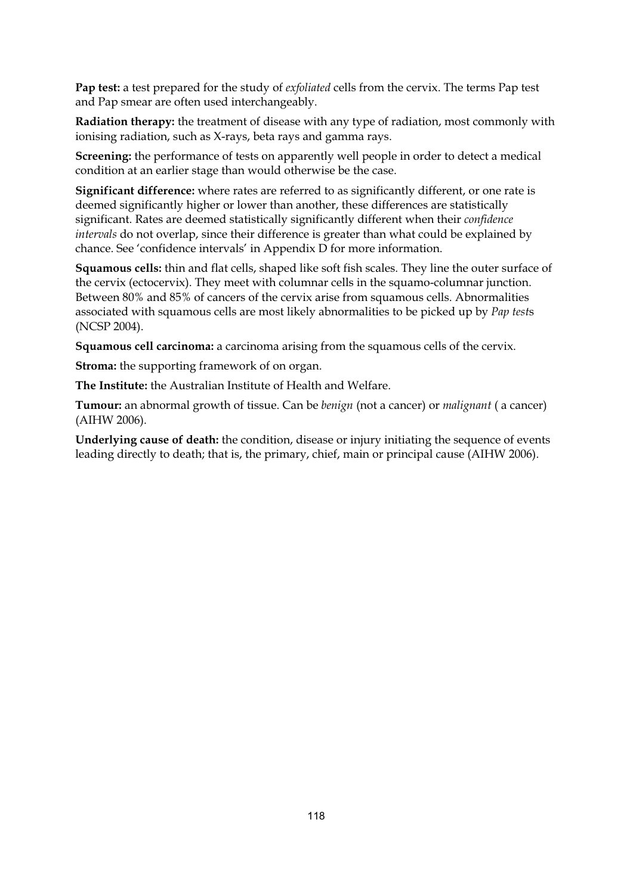**Pap test:** a test prepared for the study of *exfoliated* cells from the cervix. The terms Pap test and Pap smear are often used interchangeably.

**Radiation therapy:** the treatment of disease with any type of radiation, most commonly with ionising radiation, such as X-rays, beta rays and gamma rays.

**Screening:** the performance of tests on apparently well people in order to detect a medical condition at an earlier stage than would otherwise be the case.

**Significant difference:** where rates are referred to as significantly different, or one rate is deemed significantly higher or lower than another, these differences are statistically significant. Rates are deemed statistically significantly different when their *confidence intervals* do not overlap, since their difference is greater than what could be explained by chance. See 'confidence intervals' in Appendix D for more information.

**Squamous cells:** thin and flat cells, shaped like soft fish scales. They line the outer surface of the cervix (ectocervix). They meet with columnar cells in the squamo-columnar junction. Between 80% and 85% of cancers of the cervix arise from squamous cells. Abnormalities associated with squamous cells are most likely abnormalities to be picked up by *Pap test*s (NCSP 2004).

**Squamous cell carcinoma:** a carcinoma arising from the squamous cells of the cervix.

**Stroma:** the supporting framework of on organ.

**The Institute:** the Australian Institute of Health and Welfare.

**Tumour:** an abnormal growth of tissue. Can be *benign* (not a cancer) or *malignant* ( a cancer) (AIHW 2006).

**Underlying cause of death:** the condition, disease or injury initiating the sequence of events leading directly to death; that is, the primary, chief, main or principal cause (AIHW 2006).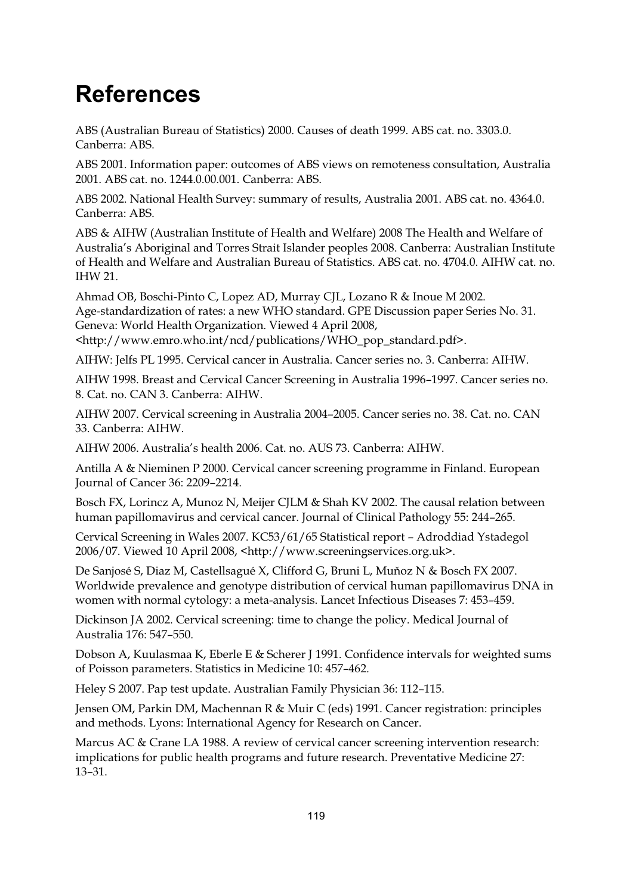# **References**

ABS (Australian Bureau of Statistics) 2000. Causes of death 1999. ABS cat. no. 3303.0. Canberra: ABS.

ABS 2001. Information paper: outcomes of ABS views on remoteness consultation, Australia 2001. ABS cat. no. 1244.0.00.001. Canberra: ABS.

ABS 2002. National Health Survey: summary of results, Australia 2001. ABS cat. no. 4364.0. Canberra: ABS.

ABS & AIHW (Australian Institute of Health and Welfare) 2008 The Health and Welfare of Australia's Aboriginal and Torres Strait Islander peoples 2008. Canberra: Australian Institute of Health and Welfare and Australian Bureau of Statistics. ABS cat. no. 4704.0. AIHW cat. no. IHW 21.

Ahmad OB, Boschi-Pinto C, Lopez AD, Murray CJL, Lozano R & Inoue M 2002. Age-standardization of rates: a new WHO standard. GPE Discussion paper Series No. 31. Geneva: World Health Organization. Viewed 4 April 2008, <http://www.emro.who.int/ncd/publications/WHO\_pop\_standard.pdf>.

AIHW: Jelfs PL 1995. Cervical cancer in Australia. Cancer series no. 3. Canberra: AIHW.

AIHW 1998. Breast and Cervical Cancer Screening in Australia 1996–1997. Cancer series no. 8. Cat. no. CAN 3. Canberra: AIHW.

AIHW 2007. Cervical screening in Australia 2004–2005. Cancer series no. 38. Cat. no. CAN 33. Canberra: AIHW.

AIHW 2006. Australia's health 2006. Cat. no. AUS 73. Canberra: AIHW.

Antilla A & Nieminen P 2000. Cervical cancer screening programme in Finland. European Journal of Cancer 36: 2209–2214.

Bosch FX, Lorincz A, Munoz N, Meijer CJLM & Shah KV 2002. The causal relation between human papillomavirus and cervical cancer. Journal of Clinical Pathology 55: 244–265.

Cervical Screening in Wales 2007. KC53/61/65 Statistical report – Adroddiad Ystadegol 2006/07. Viewed 10 April 2008, <http://www.screeningservices.org.uk>.

De Sanjosé S, Diaz M, Castellsagué X, Clifford G, Bruni L, Muňoz N & Bosch FX 2007. Worldwide prevalence and genotype distribution of cervical human papillomavirus DNA in women with normal cytology: a meta-analysis. Lancet Infectious Diseases 7: 453–459.

Dickinson JA 2002. Cervical screening: time to change the policy. Medical Journal of Australia 176: 547–550.

Dobson A, Kuulasmaa K, Eberle E & Scherer J 1991. Confidence intervals for weighted sums of Poisson parameters. Statistics in Medicine 10: 457–462.

Heley S 2007. Pap test update. Australian Family Physician 36: 112–115.

Jensen OM, Parkin DM, Machennan R & Muir C (eds) 1991. Cancer registration: principles and methods. Lyons: International Agency for Research on Cancer.

Marcus AC & Crane LA 1988. A review of cervical cancer screening intervention research: implications for public health programs and future research. Preventative Medicine 27: 13–31.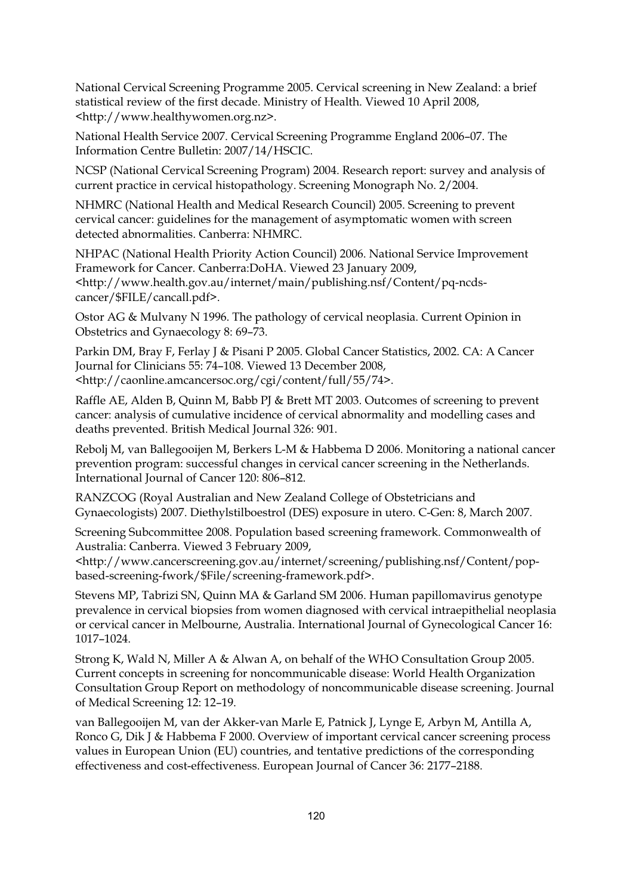National Cervical Screening Programme 2005. Cervical screening in New Zealand: a brief statistical review of the first decade. Ministry of Health. Viewed 10 April 2008, <http://www.healthywomen.org.nz>.

National Health Service 2007. Cervical Screening Programme England 2006–07. The Information Centre Bulletin: 2007/14/HSCIC.

NCSP (National Cervical Screening Program) 2004. Research report: survey and analysis of current practice in cervical histopathology. Screening Monograph No. 2/2004.

NHMRC (National Health and Medical Research Council) 2005. Screening to prevent cervical cancer: guidelines for the management of asymptomatic women with screen detected abnormalities. Canberra: NHMRC.

NHPAC (National Health Priority Action Council) 2006. National Service Improvement Framework for Cancer. Canberra:DoHA. Viewed 23 January 2009, <http://www.health.gov.au/internet/main/publishing.nsf/Content/pq-ncdscancer/\$FILE/cancall.pdf>.

Ostor AG & Mulvany N 1996. The pathology of cervical neoplasia. Current Opinion in Obstetrics and Gynaecology 8: 69–73.

Parkin DM, Bray F, Ferlay J & Pisani P 2005. Global Cancer Statistics, 2002. CA: A Cancer Journal for Clinicians 55: 74–108. Viewed 13 December 2008, <http://caonline.amcancersoc.org/cgi/content/full/55/74>.

Raffle AE, Alden B, Quinn M, Babb PJ & Brett MT 2003. Outcomes of screening to prevent cancer: analysis of cumulative incidence of cervical abnormality and modelling cases and deaths prevented. British Medical Journal 326: 901.

Rebolj M, van Ballegooijen M, Berkers L-M & Habbema D 2006. Monitoring a national cancer prevention program: successful changes in cervical cancer screening in the Netherlands. International Journal of Cancer 120: 806–812.

RANZCOG (Royal Australian and New Zealand College of Obstetricians and Gynaecologists) 2007. Diethylstilboestrol (DES) exposure in utero. C-Gen: 8, March 2007.

Screening Subcommittee 2008. Population based screening framework. Commonwealth of Australia: Canberra. Viewed 3 February 2009,

<http://www.cancerscreening.gov.au/internet/screening/publishing.nsf/Content/popbased-screening-fwork/\$File/screening-framework.pdf>.

Stevens MP, Tabrizi SN, Quinn MA & Garland SM 2006. Human papillomavirus genotype prevalence in cervical biopsies from women diagnosed with cervical intraepithelial neoplasia or cervical cancer in Melbourne, Australia. International Journal of Gynecological Cancer 16: 1017–1024.

Strong K, Wald N, Miller A & Alwan A, on behalf of the WHO Consultation Group 2005. Current concepts in screening for noncommunicable disease: World Health Organization Consultation Group Report on methodology of noncommunicable disease screening. Journal of Medical Screening 12: 12–19.

van Ballegooijen M, van der Akker-van Marle E, Patnick J, Lynge E, Arbyn M, Antilla A, Ronco G, Dik J & Habbema F 2000. Overview of important cervical cancer screening process values in European Union (EU) countries, and tentative predictions of the corresponding effectiveness and cost-effectiveness. European Journal of Cancer 36: 2177–2188.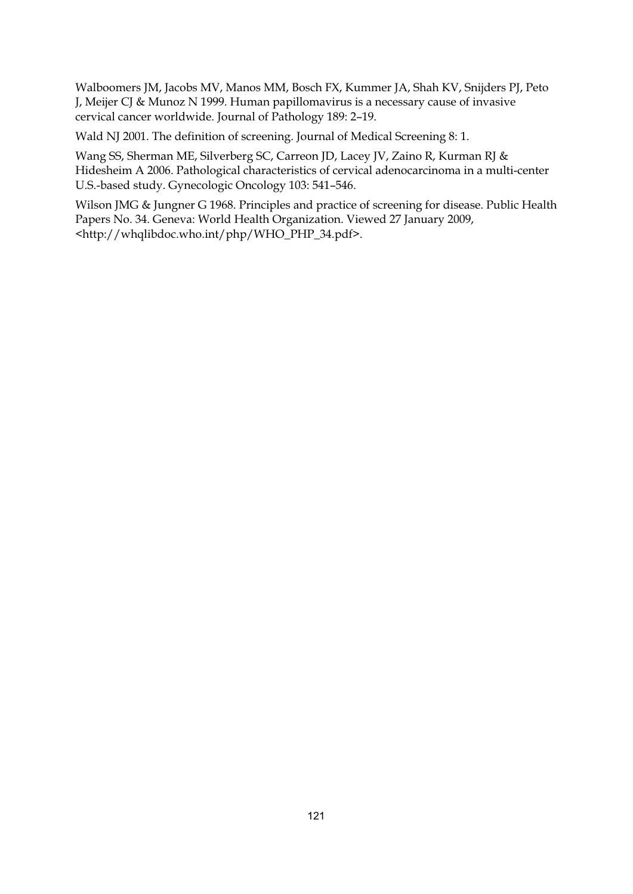Walboomers JM, Jacobs MV, Manos MM, Bosch FX, Kummer JA, Shah KV, Snijders PJ, Peto J, Meijer CJ & Munoz N 1999. Human papillomavirus is a necessary cause of invasive cervical cancer worldwide. Journal of Pathology 189: 2–19.

Wald NJ 2001. The definition of screening. Journal of Medical Screening 8: 1.

Wang SS, Sherman ME, Silverberg SC, Carreon JD, Lacey JV, Zaino R, Kurman RJ & Hidesheim A 2006. Pathological characteristics of cervical adenocarcinoma in a multi-center U.S.-based study. Gynecologic Oncology 103: 541–546.

Wilson JMG & Jungner G 1968. Principles and practice of screening for disease. Public Health Papers No. 34. Geneva: World Health Organization. Viewed 27 January 2009, <http://whqlibdoc.who.int/php/WHO\_PHP\_34.pdf>.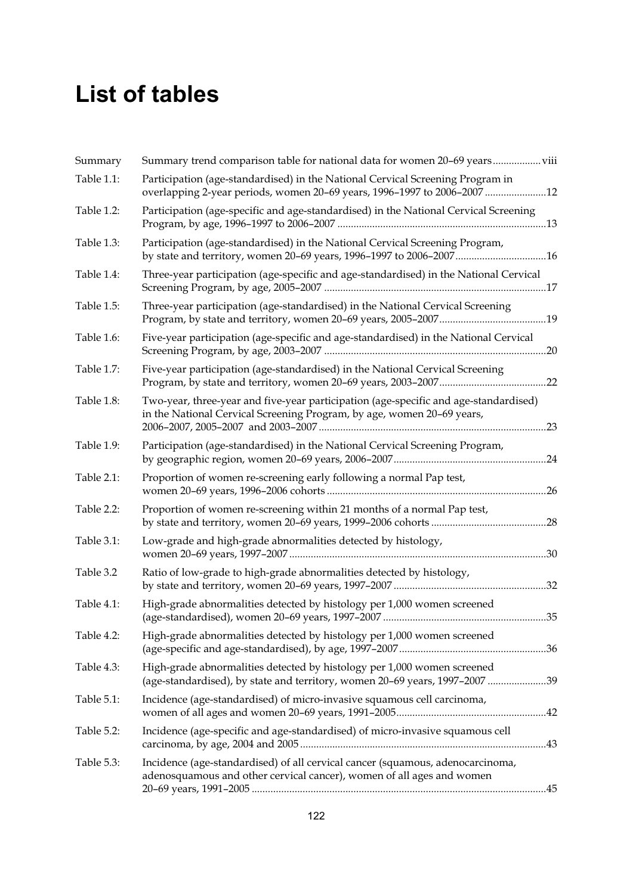# **List of tables**

| Summary    | Summary trend comparison table for national data for women 20-69 years                                                                                         |  |
|------------|----------------------------------------------------------------------------------------------------------------------------------------------------------------|--|
| Table 1.1: | Participation (age-standardised) in the National Cervical Screening Program in<br>overlapping 2-year periods, women 20-69 years, 1996-1997 to 2006-2007 12     |  |
| Table 1.2: | Participation (age-specific and age-standardised) in the National Cervical Screening                                                                           |  |
| Table 1.3: | Participation (age-standardised) in the National Cervical Screening Program,<br>by state and territory, women 20-69 years, 1996-1997 to 2006-200716            |  |
| Table 1.4: | Three-year participation (age-specific and age-standardised) in the National Cervical                                                                          |  |
| Table 1.5: | Three-year participation (age-standardised) in the National Cervical Screening                                                                                 |  |
| Table 1.6: | Five-year participation (age-specific and age-standardised) in the National Cervical                                                                           |  |
| Table 1.7: | Five-year participation (age-standardised) in the National Cervical Screening                                                                                  |  |
| Table 1.8: | Two-year, three-year and five-year participation (age-specific and age-standardised)<br>in the National Cervical Screening Program, by age, women 20-69 years, |  |
| Table 1.9: | Participation (age-standardised) in the National Cervical Screening Program,                                                                                   |  |
| Table 2.1: | Proportion of women re-screening early following a normal Pap test,                                                                                            |  |
| Table 2.2: | Proportion of women re-screening within 21 months of a normal Pap test,                                                                                        |  |
| Table 3.1: | Low-grade and high-grade abnormalities detected by histology,                                                                                                  |  |
| Table 3.2  | Ratio of low-grade to high-grade abnormalities detected by histology,                                                                                          |  |
| Table 4.1: | High-grade abnormalities detected by histology per 1,000 women screened                                                                                        |  |
| Table 4.2: | High-grade abnormalities detected by histology per 1,000 women screened                                                                                        |  |
| Table 4.3: | High-grade abnormalities detected by histology per 1,000 women screened<br>(age-standardised), by state and territory, women 20-69 years, 1997-2007 39         |  |
| Table 5.1: | Incidence (age-standardised) of micro-invasive squamous cell carcinoma,                                                                                        |  |
| Table 5.2: | Incidence (age-specific and age-standardised) of micro-invasive squamous cell                                                                                  |  |
| Table 5.3: | Incidence (age-standardised) of all cervical cancer (squamous, adenocarcinoma,<br>adenosquamous and other cervical cancer), women of all ages and women        |  |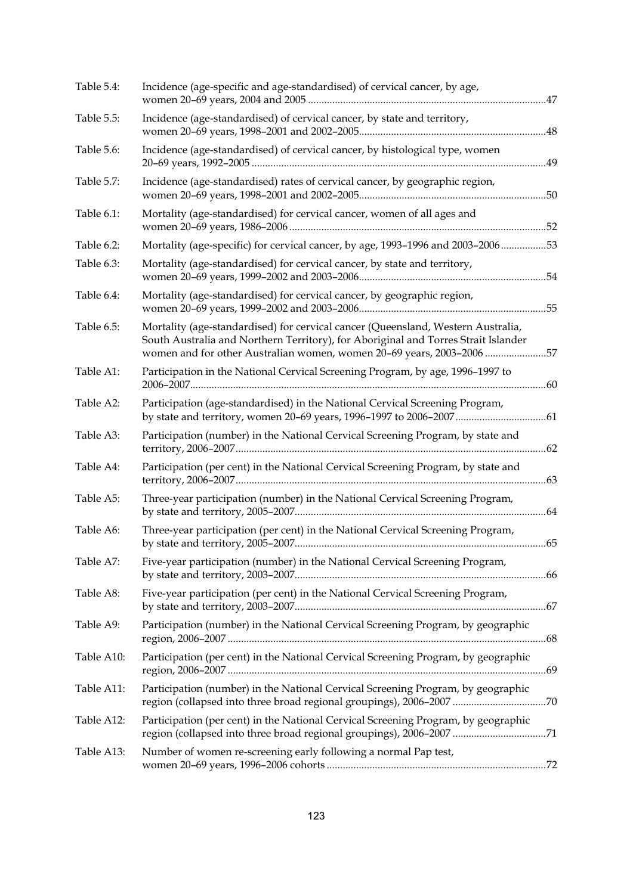| Table 5.4: | Incidence (age-specific and age-standardised) of cervical cancer, by age,                                                                                                                                                                       |     |
|------------|-------------------------------------------------------------------------------------------------------------------------------------------------------------------------------------------------------------------------------------------------|-----|
| Table 5.5: | Incidence (age-standardised) of cervical cancer, by state and territory,                                                                                                                                                                        |     |
| Table 5.6: | Incidence (age-standardised) of cervical cancer, by histological type, women                                                                                                                                                                    | .49 |
| Table 5.7: | Incidence (age-standardised) rates of cervical cancer, by geographic region,                                                                                                                                                                    |     |
| Table 6.1: | Mortality (age-standardised) for cervical cancer, women of all ages and                                                                                                                                                                         |     |
| Table 6.2: | Mortality (age-specific) for cervical cancer, by age, 1993-1996 and 2003-200653                                                                                                                                                                 |     |
| Table 6.3: | Mortality (age-standardised) for cervical cancer, by state and territory,                                                                                                                                                                       |     |
| Table 6.4: | Mortality (age-standardised) for cervical cancer, by geographic region,                                                                                                                                                                         |     |
| Table 6.5: | Mortality (age-standardised) for cervical cancer (Queensland, Western Australia,<br>South Australia and Northern Territory), for Aboriginal and Torres Strait Islander<br>women and for other Australian women, women 20-69 years, 2003-2006 57 |     |
| Table A1:  | Participation in the National Cervical Screening Program, by age, 1996-1997 to                                                                                                                                                                  |     |
| Table A2:  | Participation (age-standardised) in the National Cervical Screening Program,                                                                                                                                                                    |     |
| Table A3:  | Participation (number) in the National Cervical Screening Program, by state and                                                                                                                                                                 |     |
| Table A4:  | Participation (per cent) in the National Cervical Screening Program, by state and                                                                                                                                                               |     |
| Table A5:  | Three-year participation (number) in the National Cervical Screening Program,                                                                                                                                                                   |     |
| Table A6:  | Three-year participation (per cent) in the National Cervical Screening Program,                                                                                                                                                                 |     |
| Table A7:  | Five-year participation (number) in the National Cervical Screening Program,                                                                                                                                                                    |     |
| Table A8:  | Five-year participation (per cent) in the National Cervical Screening Program,                                                                                                                                                                  |     |
| Table A9:  | Participation (number) in the National Cervical Screening Program, by geographic                                                                                                                                                                |     |
| Table A10: | Participation (per cent) in the National Cervical Screening Program, by geographic                                                                                                                                                              |     |
| Table A11: | Participation (number) in the National Cervical Screening Program, by geographic<br>region (collapsed into three broad regional groupings), 2006-2007 70                                                                                        |     |
| Table A12: | Participation (per cent) in the National Cervical Screening Program, by geographic                                                                                                                                                              |     |
| Table A13: | Number of women re-screening early following a normal Pap test,                                                                                                                                                                                 |     |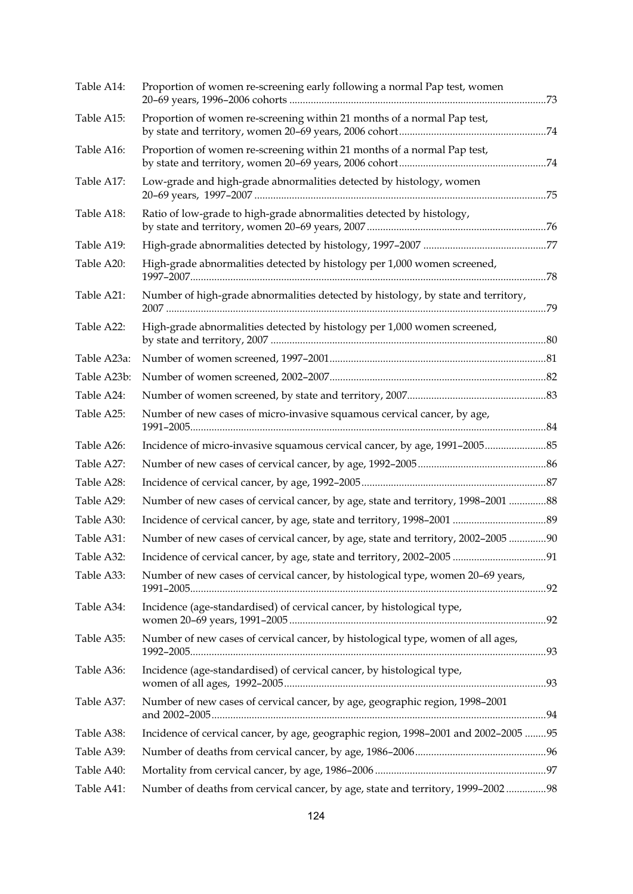| Table A14:  | Proportion of women re-screening early following a normal Pap test, women           |  |
|-------------|-------------------------------------------------------------------------------------|--|
| Table A15:  | Proportion of women re-screening within 21 months of a normal Pap test,             |  |
| Table A16:  | Proportion of women re-screening within 21 months of a normal Pap test,             |  |
| Table A17:  | Low-grade and high-grade abnormalities detected by histology, women                 |  |
| Table A18:  | Ratio of low-grade to high-grade abnormalities detected by histology,               |  |
| Table A19:  |                                                                                     |  |
| Table A20:  | High-grade abnormalities detected by histology per 1,000 women screened,            |  |
| Table A21:  | Number of high-grade abnormalities detected by histology, by state and territory,   |  |
| Table A22:  | High-grade abnormalities detected by histology per 1,000 women screened,            |  |
| Table A23a: |                                                                                     |  |
| Table A23b: |                                                                                     |  |
| Table A24:  |                                                                                     |  |
| Table A25:  | Number of new cases of micro-invasive squamous cervical cancer, by age,             |  |
| Table A26:  |                                                                                     |  |
| Table A27:  |                                                                                     |  |
| Table A28:  |                                                                                     |  |
| Table A29:  | Number of new cases of cervical cancer, by age, state and territory, 1998-2001 88   |  |
| Table A30:  |                                                                                     |  |
| Table A31:  | Number of new cases of cervical cancer, by age, state and territory, 2002-2005 90   |  |
| Table A32:  |                                                                                     |  |
| Table A33:  | Number of new cases of cervical cancer, by histological type, women 20-69 years,    |  |
| Table A34:  | Incidence (age-standardised) of cervical cancer, by histological type,              |  |
| Table A35:  | Number of new cases of cervical cancer, by histological type, women of all ages,    |  |
| Table A36:  | Incidence (age-standardised) of cervical cancer, by histological type,              |  |
| Table A37:  | Number of new cases of cervical cancer, by age, geographic region, 1998-2001        |  |
| Table A38:  | Incidence of cervical cancer, by age, geographic region, 1998-2001 and 2002-2005 95 |  |
| Table A39:  |                                                                                     |  |
| Table A40:  |                                                                                     |  |
| Table A41:  | Number of deaths from cervical cancer, by age, state and territory, 1999-200298     |  |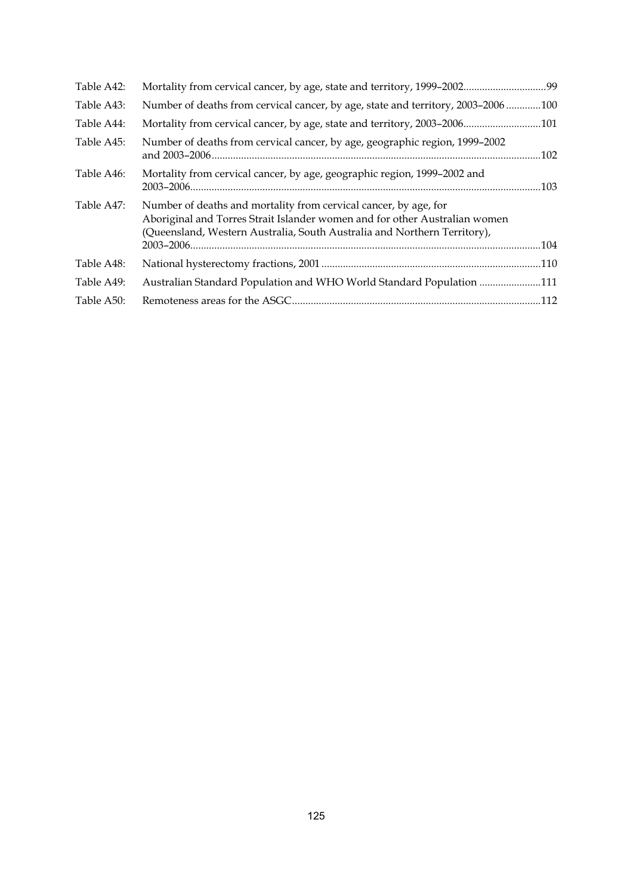| Number of deaths from cervical cancer, by age, geographic region, 1999-2002                                                                                                                                                | .102                                                                                                                                                                                                                                  |
|----------------------------------------------------------------------------------------------------------------------------------------------------------------------------------------------------------------------------|---------------------------------------------------------------------------------------------------------------------------------------------------------------------------------------------------------------------------------------|
| Mortality from cervical cancer, by age, geographic region, 1999-2002 and                                                                                                                                                   | .103                                                                                                                                                                                                                                  |
| Number of deaths and mortality from cervical cancer, by age, for<br>Aboriginal and Torres Strait Islander women and for other Australian women<br>(Queensland, Western Australia, South Australia and Northern Territory), |                                                                                                                                                                                                                                       |
|                                                                                                                                                                                                                            |                                                                                                                                                                                                                                       |
|                                                                                                                                                                                                                            |                                                                                                                                                                                                                                       |
|                                                                                                                                                                                                                            |                                                                                                                                                                                                                                       |
|                                                                                                                                                                                                                            |                                                                                                                                                                                                                                       |
|                                                                                                                                                                                                                            | Number of deaths from cervical cancer, by age, state and territory, 2003-2006100<br>Mortality from cervical cancer, by age, state and territory, 2003-2006101<br>Australian Standard Population and WHO World Standard Population 111 |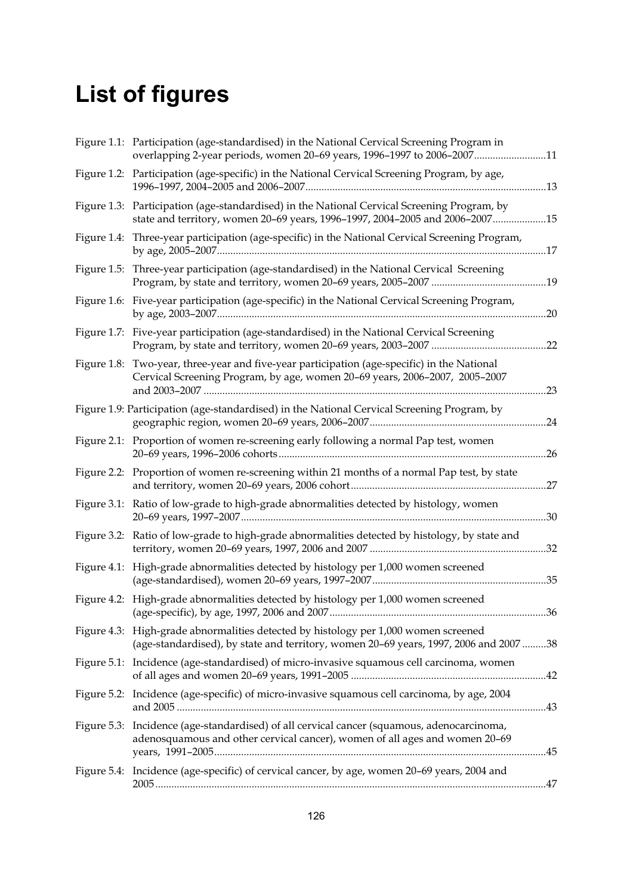# **List of figures**

|                | Figure 1.1: Participation (age-standardised) in the National Cervical Screening Program in<br>overlapping 2-year periods, women 20-69 years, 1996-1997 to 2006-200711        |     |
|----------------|------------------------------------------------------------------------------------------------------------------------------------------------------------------------------|-----|
|                | Figure 1.2: Participation (age-specific) in the National Cervical Screening Program, by age,                                                                                 |     |
|                | Figure 1.3: Participation (age-standardised) in the National Cervical Screening Program, by<br>state and territory, women 20-69 years, 1996-1997, 2004-2005 and 2006-200715  |     |
|                | Figure 1.4: Three-year participation (age-specific) in the National Cervical Screening Program,                                                                              |     |
|                | Figure 1.5: Three-year participation (age-standardised) in the National Cervical Screening                                                                                   |     |
|                | Figure 1.6: Five-year participation (age-specific) in the National Cervical Screening Program,                                                                               |     |
|                | Figure 1.7: Five-year participation (age-standardised) in the National Cervical Screening                                                                                    | .22 |
|                | Figure 1.8: Two-year, three-year and five-year participation (age-specific) in the National<br>Cervical Screening Program, by age, women 20-69 years, 2006-2007, 2005-2007   | .23 |
|                | Figure 1.9: Participation (age-standardised) in the National Cervical Screening Program, by                                                                                  | .24 |
|                | Figure 2.1: Proportion of women re-screening early following a normal Pap test, women                                                                                        | .26 |
|                | Figure 2.2: Proportion of women re-screening within 21 months of a normal Pap test, by state                                                                                 | .27 |
|                | Figure 3.1: Ratio of low-grade to high-grade abnormalities detected by histology, women                                                                                      | .30 |
|                | Figure 3.2: Ratio of low-grade to high-grade abnormalities detected by histology, by state and                                                                               | .32 |
|                | Figure 4.1: High-grade abnormalities detected by histology per 1,000 women screened                                                                                          |     |
|                | Figure 4.2: High-grade abnormalities detected by histology per 1,000 women screened                                                                                          |     |
|                | Figure 4.3: High-grade abnormalities detected by histology per 1,000 women screened<br>(age-standardised), by state and territory, women 20-69 years, 1997, 2006 and 2007 38 |     |
| Figure $5.1$ : | Incidence (age-standardised) of micro-invasive squamous cell carcinoma, women                                                                                                |     |
|                | Figure 5.2: Incidence (age-specific) of micro-invasive squamous cell carcinoma, by age, 2004                                                                                 |     |
|                | Figure 5.3: Incidence (age-standardised) of all cervical cancer (squamous, adenocarcinoma,<br>adenosquamous and other cervical cancer), women of all ages and women 20-69    |     |
|                | Figure 5.4: Incidence (age-specific) of cervical cancer, by age, women 20-69 years, 2004 and                                                                                 |     |
|                |                                                                                                                                                                              |     |